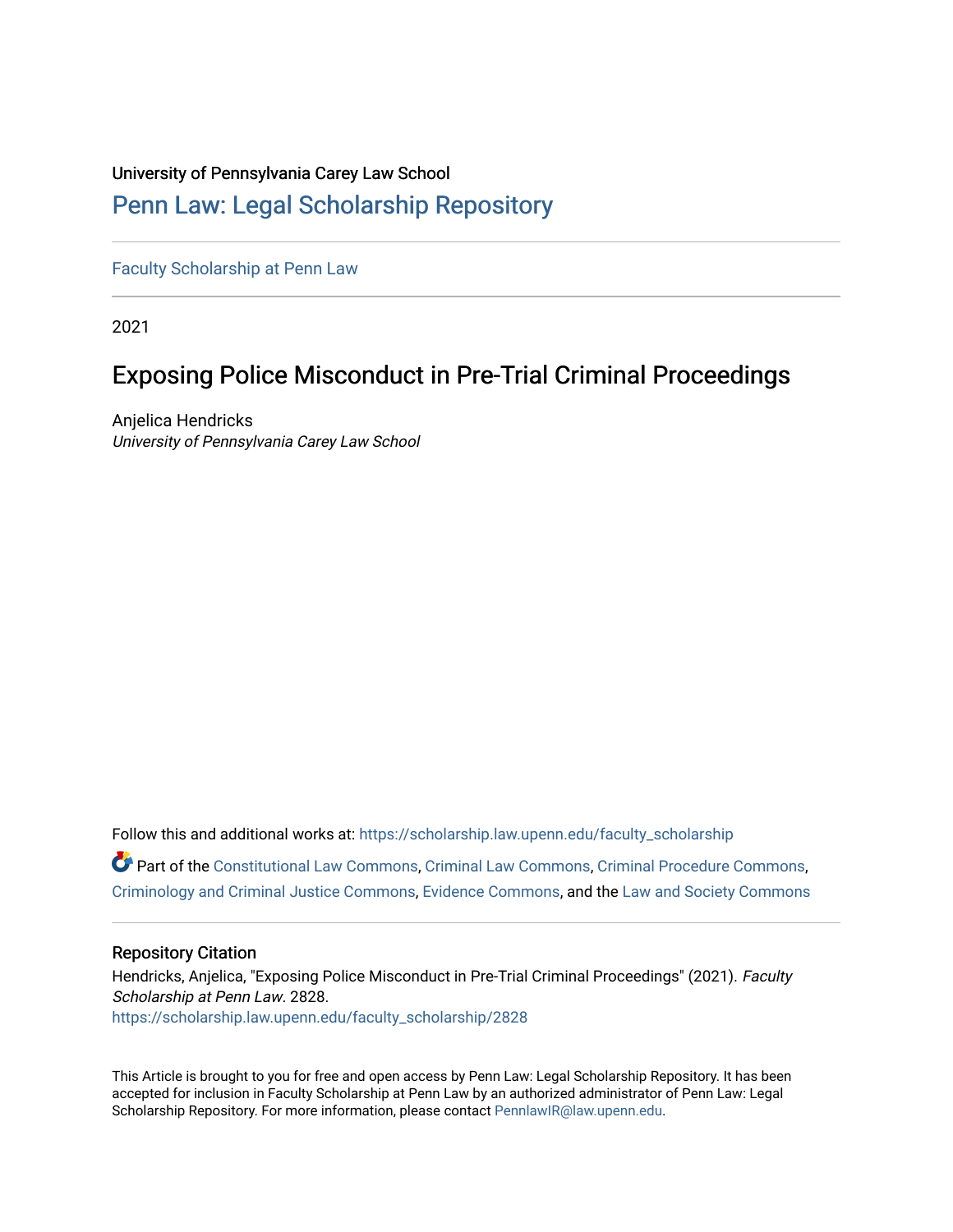# University of Pennsylvania Carey Law School

# [Penn Law: Legal Scholarship Repository](https://scholarship.law.upenn.edu/)

[Faculty Scholarship at Penn Law](https://scholarship.law.upenn.edu/faculty_scholarship)

2021

# Exposing Police Misconduct in Pre-Trial Criminal Proceedings

Anjelica Hendricks University of Pennsylvania Carey Law School

Follow this and additional works at: [https://scholarship.law.upenn.edu/faculty\\_scholarship](https://scholarship.law.upenn.edu/faculty_scholarship?utm_source=scholarship.law.upenn.edu%2Ffaculty_scholarship%2F2828&utm_medium=PDF&utm_campaign=PDFCoverPages)  Part of the [Constitutional Law Commons,](http://network.bepress.com/hgg/discipline/589?utm_source=scholarship.law.upenn.edu%2Ffaculty_scholarship%2F2828&utm_medium=PDF&utm_campaign=PDFCoverPages) [Criminal Law Commons,](http://network.bepress.com/hgg/discipline/912?utm_source=scholarship.law.upenn.edu%2Ffaculty_scholarship%2F2828&utm_medium=PDF&utm_campaign=PDFCoverPages) [Criminal Procedure Commons](http://network.bepress.com/hgg/discipline/1073?utm_source=scholarship.law.upenn.edu%2Ffaculty_scholarship%2F2828&utm_medium=PDF&utm_campaign=PDFCoverPages), [Criminology and Criminal Justice Commons](http://network.bepress.com/hgg/discipline/367?utm_source=scholarship.law.upenn.edu%2Ffaculty_scholarship%2F2828&utm_medium=PDF&utm_campaign=PDFCoverPages), [Evidence Commons,](http://network.bepress.com/hgg/discipline/601?utm_source=scholarship.law.upenn.edu%2Ffaculty_scholarship%2F2828&utm_medium=PDF&utm_campaign=PDFCoverPages) and the [Law and Society Commons](http://network.bepress.com/hgg/discipline/853?utm_source=scholarship.law.upenn.edu%2Ffaculty_scholarship%2F2828&utm_medium=PDF&utm_campaign=PDFCoverPages) 

## Repository Citation

Hendricks, Anjelica, "Exposing Police Misconduct in Pre-Trial Criminal Proceedings" (2021). Faculty Scholarship at Penn Law. 2828. [https://scholarship.law.upenn.edu/faculty\\_scholarship/2828](https://scholarship.law.upenn.edu/faculty_scholarship/2828?utm_source=scholarship.law.upenn.edu%2Ffaculty_scholarship%2F2828&utm_medium=PDF&utm_campaign=PDFCoverPages)

This Article is brought to you for free and open access by Penn Law: Legal Scholarship Repository. It has been accepted for inclusion in Faculty Scholarship at Penn Law by an authorized administrator of Penn Law: Legal Scholarship Repository. For more information, please contact [PennlawIR@law.upenn.edu.](mailto:PennlawIR@law.upenn.edu)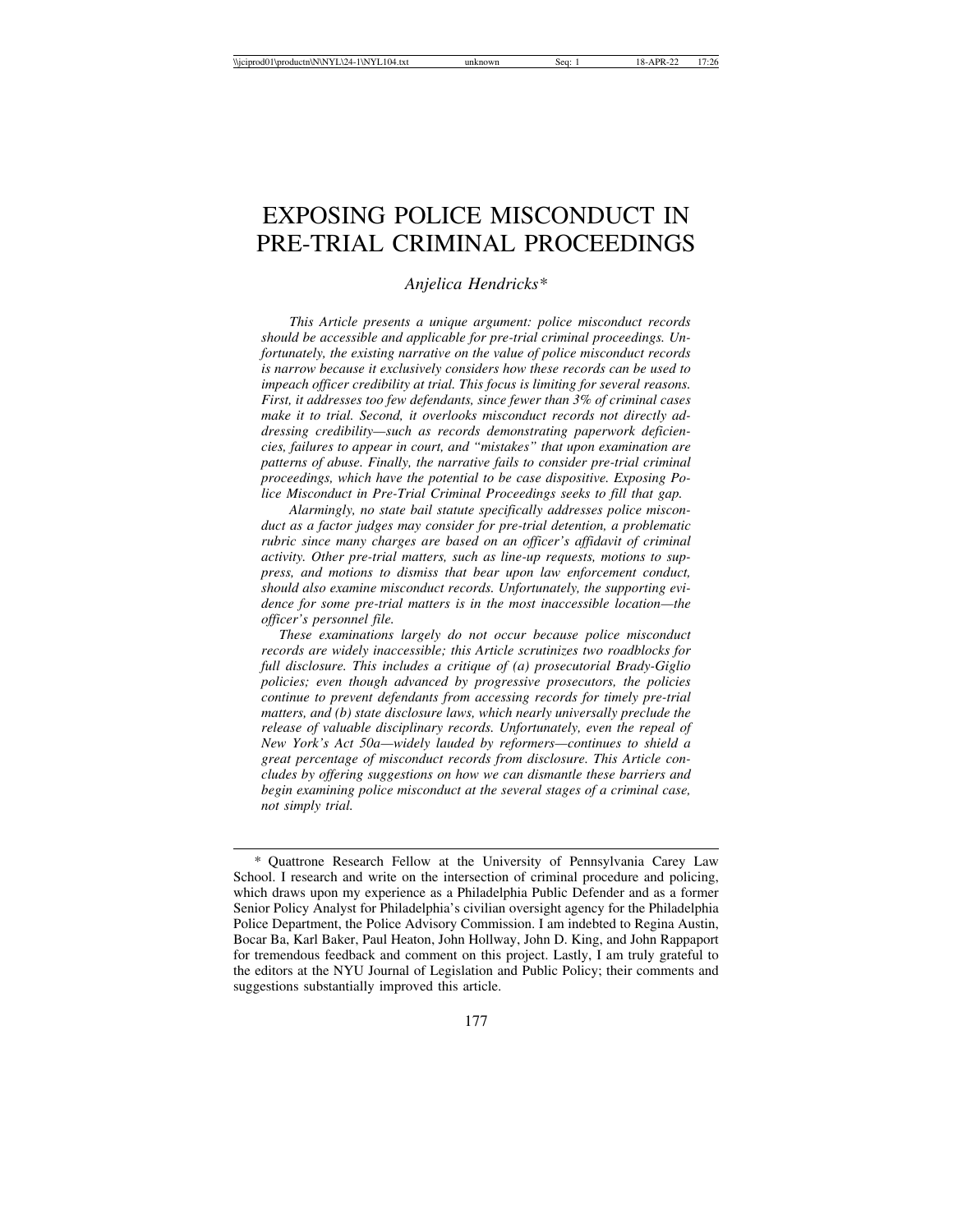# EXPOSING POLICE MISCONDUCT IN PRE-TRIAL CRIMINAL PROCEEDINGS

*Anjelica Hendricks\**

*This Article presents a unique argument: police misconduct records should be accessible and applicable for pre-trial criminal proceedings. Unfortunately, the existing narrative on the value of police misconduct records is narrow because it exclusively considers how these records can be used to impeach officer credibility at trial. This focus is limiting for several reasons. First, it addresses too few defendants, since fewer than 3% of criminal cases make it to trial. Second, it overlooks misconduct records not directly addressing credibility—such as records demonstrating paperwork deficiencies, failures to appear in court, and "mistakes" that upon examination are patterns of abuse. Finally, the narrative fails to consider pre-trial criminal proceedings, which have the potential to be case dispositive. Exposing Police Misconduct in Pre-Trial Criminal Proceedings seeks to fill that gap.*

*Alarmingly, no state bail statute specifically addresses police misconduct as a factor judges may consider for pre-trial detention, a problematic rubric since many charges are based on an officer's affidavit of criminal activity. Other pre-trial matters, such as line-up requests, motions to suppress, and motions to dismiss that bear upon law enforcement conduct, should also examine misconduct records. Unfortunately, the supporting evidence for some pre-trial matters is in the most inaccessible location—the officer's personnel file.*

 *These examinations largely do not occur because police misconduct records are widely inaccessible; this Article scrutinizes two roadblocks for full disclosure. This includes a critique of (a) prosecutorial Brady-Giglio policies; even though advanced by progressive prosecutors, the policies continue to prevent defendants from accessing records for timely pre-trial matters, and (b) state disclosure laws, which nearly universally preclude the release of valuable disciplinary records. Unfortunately, even the repeal of New York's Act 50a—widely lauded by reformers—continues to shield a great percentage of misconduct records from disclosure. This Article concludes by offering suggestions on how we can dismantle these barriers and begin examining police misconduct at the several stages of a criminal case, not simply trial.*

<sup>\*</sup> Quattrone Research Fellow at the University of Pennsylvania Carey Law School. I research and write on the intersection of criminal procedure and policing, which draws upon my experience as a Philadelphia Public Defender and as a former Senior Policy Analyst for Philadelphia's civilian oversight agency for the Philadelphia Police Department, the Police Advisory Commission. I am indebted to Regina Austin, Bocar Ba, Karl Baker, Paul Heaton, John Hollway, John D. King, and John Rappaport for tremendous feedback and comment on this project. Lastly, I am truly grateful to the editors at the NYU Journal of Legislation and Public Policy; their comments and suggestions substantially improved this article.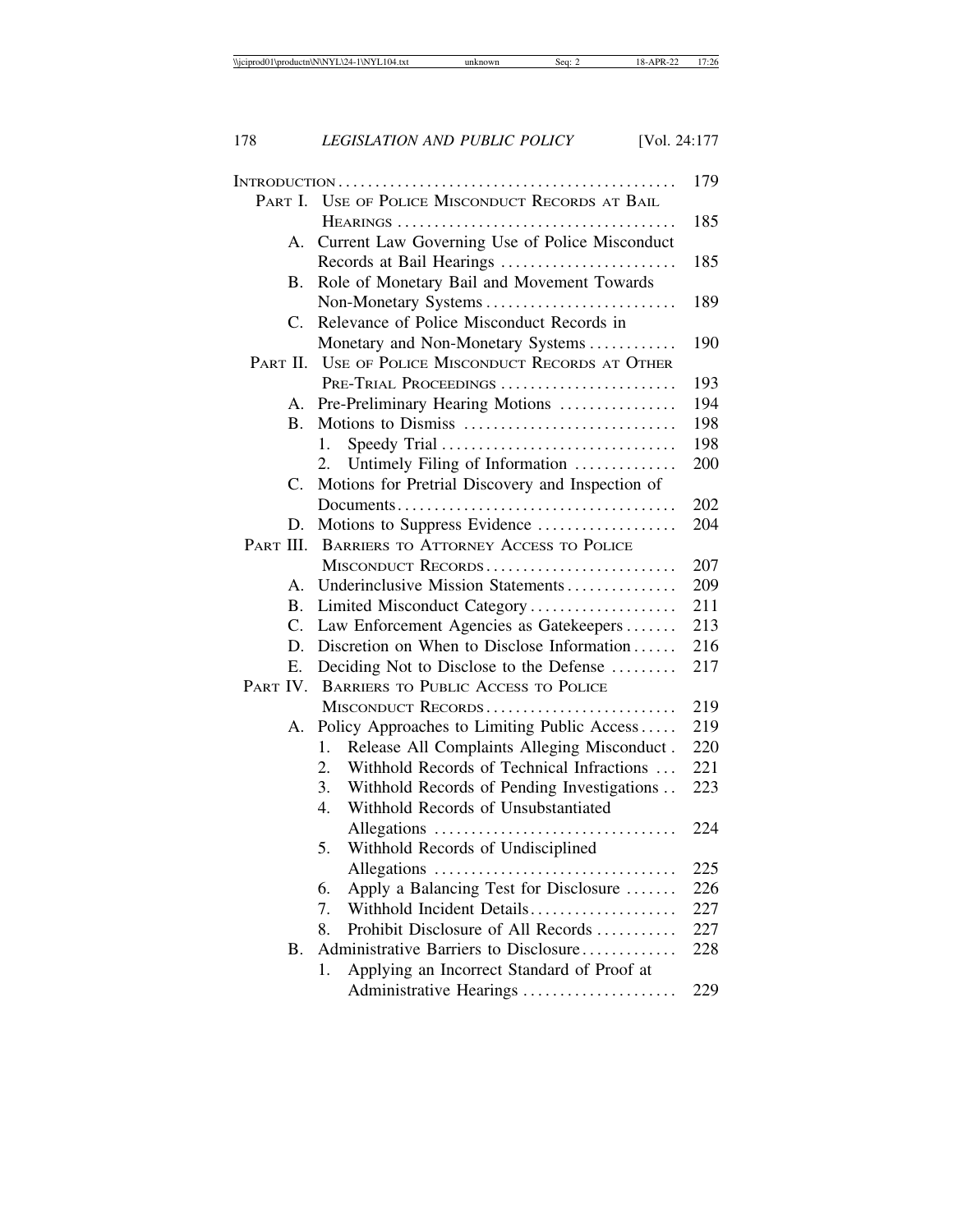|                |                                                    | 179 |
|----------------|----------------------------------------------------|-----|
| PART I.        | USE OF POLICE MISCONDUCT RECORDS AT BAIL           |     |
|                |                                                    | 185 |
| А.             | Current Law Governing Use of Police Misconduct     |     |
|                | Records at Bail Hearings                           | 185 |
| В.             | Role of Monetary Bail and Movement Towards         |     |
|                | Non-Monetary Systems                               | 189 |
| $C_{\cdot}$    | Relevance of Police Misconduct Records in          |     |
|                | Monetary and Non-Monetary Systems                  | 190 |
|                | PART II. USE OF POLICE MISCONDUCT RECORDS AT OTHER |     |
|                | PRE-TRIAL PROCEEDINGS                              | 193 |
| А.             | Pre-Preliminary Hearing Motions                    | 194 |
| B.             | Motions to Dismiss                                 | 198 |
|                | Speedy Trial<br>1.                                 | 198 |
|                | Untimely Filing of Information<br>2.               | 200 |
| C.             | Motions for Pretrial Discovery and Inspection of   |     |
|                |                                                    | 202 |
| D.             | Motions to Suppress Evidence                       | 204 |
| PART III.      | <b>BARRIERS TO ATTORNEY ACCESS TO POLICE</b>       |     |
|                | MISCONDUCT RECORDS                                 | 207 |
| $\mathsf{A}$ . | Underinclusive Mission Statements                  | 209 |
| <b>B.</b>      | Limited Misconduct Category                        | 211 |
| $\mathbf{C}$ . | Law Enforcement Agencies as Gatekeepers            | 213 |
| D.             | Discretion on When to Disclose Information         | 216 |
| Е.             | Deciding Not to Disclose to the Defense            | 217 |
| PART IV.       | <b>BARRIERS TO PUBLIC ACCESS TO POLICE</b>         |     |
|                | MISCONDUCT RECORDS                                 | 219 |
| А.             | Policy Approaches to Limiting Public Access        | 219 |
|                | Release All Complaints Alleging Misconduct.<br>1.  | 220 |
|                | Withhold Records of Technical Infractions<br>2.    | 221 |
|                | Withhold Records of Pending Investigations<br>3.   | 223 |
|                | Withhold Records of Unsubstantiated<br>4.          |     |
|                |                                                    | 224 |
|                | 5.<br>Withhold Records of Undisciplined            |     |
|                |                                                    | 225 |
|                | Apply a Balancing Test for Disclosure<br>6.        | 226 |
|                | Withhold Incident Details<br>7.                    | 227 |
|                | Prohibit Disclosure of All Records<br>8.           | 227 |
| <b>B.</b>      | Administrative Barriers to Disclosure              | 228 |
|                | Applying an Incorrect Standard of Proof at<br>1.   |     |
|                | Administrative Hearings                            | 229 |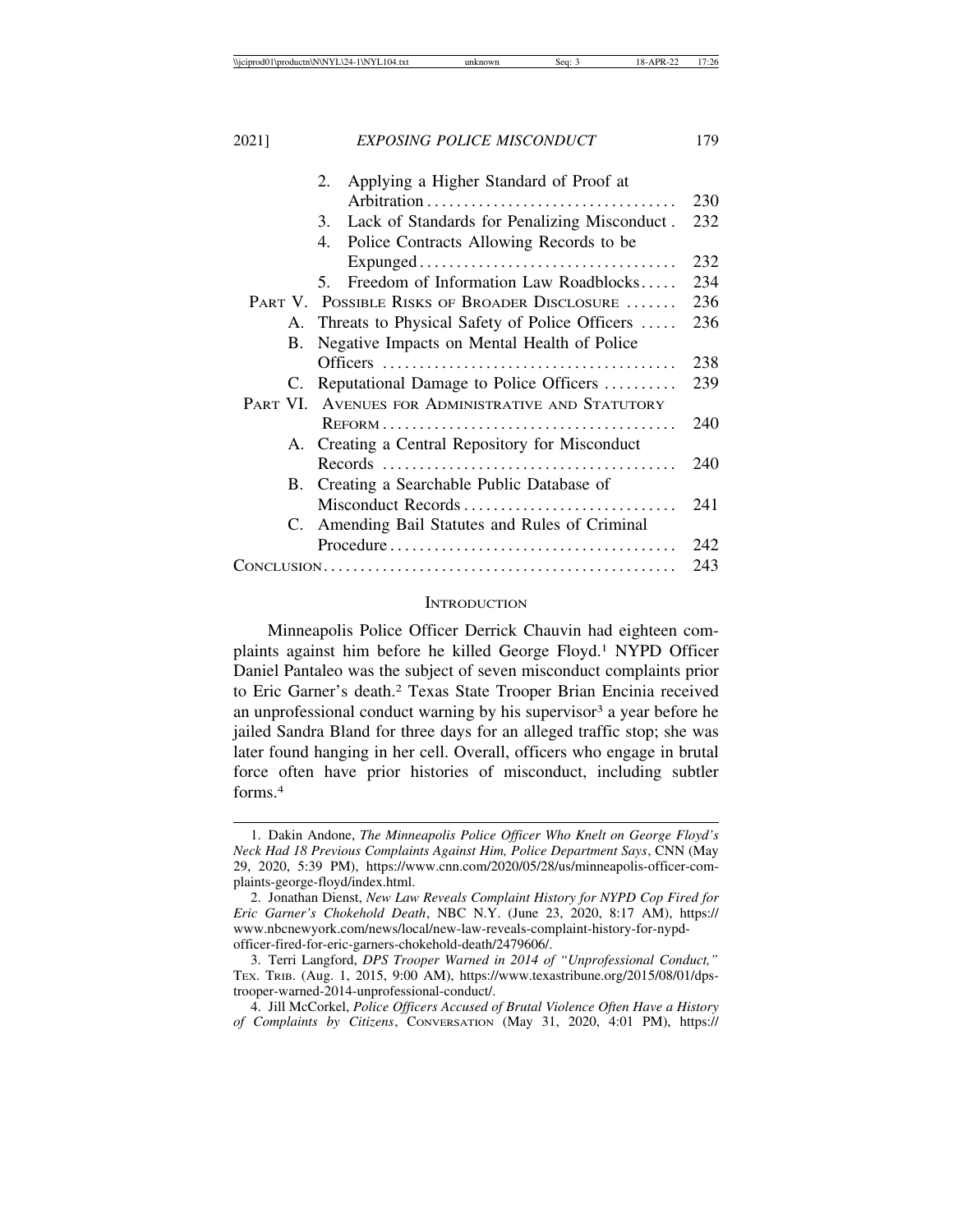|    | Applying a Higher Standard of Proof at<br>2.       |     |
|----|----------------------------------------------------|-----|
|    |                                                    | 230 |
|    | Lack of Standards for Penalizing Misconduct.<br>3. | 232 |
|    | Police Contracts Allowing Records to be<br>4.      |     |
|    |                                                    | 232 |
|    | Freedom of Information Law Roadblocks<br>5.        | 234 |
|    | PART V. POSSIBLE RISKS OF BROADER DISCLOSURE       | 236 |
|    | A. Threats to Physical Safety of Police Officers   | 236 |
| В. | Negative Impacts on Mental Health of Police        |     |
|    |                                                    | 238 |
| C. | Reputational Damage to Police Officers             | 239 |
|    | PART VI. AVENUES FOR ADMINISTRATIVE AND STATUTORY  |     |
|    |                                                    | 240 |
| А. | Creating a Central Repository for Misconduct       |     |
|    |                                                    | 240 |
| B. | Creating a Searchable Public Database of           |     |
|    | Misconduct Records                                 | 241 |
| C. | Amending Bail Statutes and Rules of Criminal       |     |
|    |                                                    | 242 |
|    |                                                    | 243 |

## **INTRODUCTION**

Minneapolis Police Officer Derrick Chauvin had eighteen complaints against him before he killed George Floyd.1 NYPD Officer Daniel Pantaleo was the subject of seven misconduct complaints prior to Eric Garner's death.2 Texas State Trooper Brian Encinia received an unprofessional conduct warning by his supervisor<sup>3</sup> a year before he jailed Sandra Bland for three days for an alleged traffic stop; she was later found hanging in her cell. Overall, officers who engage in brutal force often have prior histories of misconduct, including subtler forms.4

<sup>1.</sup> Dakin Andone, *The Minneapolis Police Officer Who Knelt on George Floyd's Neck Had 18 Previous Complaints Against Him, Police Department Says*, CNN (May 29, 2020, 5:39 PM), https://www.cnn.com/2020/05/28/us/minneapolis-officer-complaints-george-floyd/index.html.

<sup>2.</sup> Jonathan Dienst, *New Law Reveals Complaint History for NYPD Cop Fired for Eric Garner's Chokehold Death*, NBC N.Y. (June 23, 2020, 8:17 AM), https:// www.nbcnewyork.com/news/local/new-law-reveals-complaint-history-for-nypdofficer-fired-for-eric-garners-chokehold-death/2479606/.

<sup>3.</sup> Terri Langford, *DPS Trooper Warned in 2014 of "Unprofessional Conduct,"* TEX. TRIB. (Aug. 1, 2015, 9:00 AM), https://www.texastribune.org/2015/08/01/dpstrooper-warned-2014-unprofessional-conduct/.

<sup>4.</sup> Jill McCorkel, *Police Officers Accused of Brutal Violence Often Have a History of Complaints by Citizens*, CONVERSATION (May 31, 2020, 4:01 PM), https://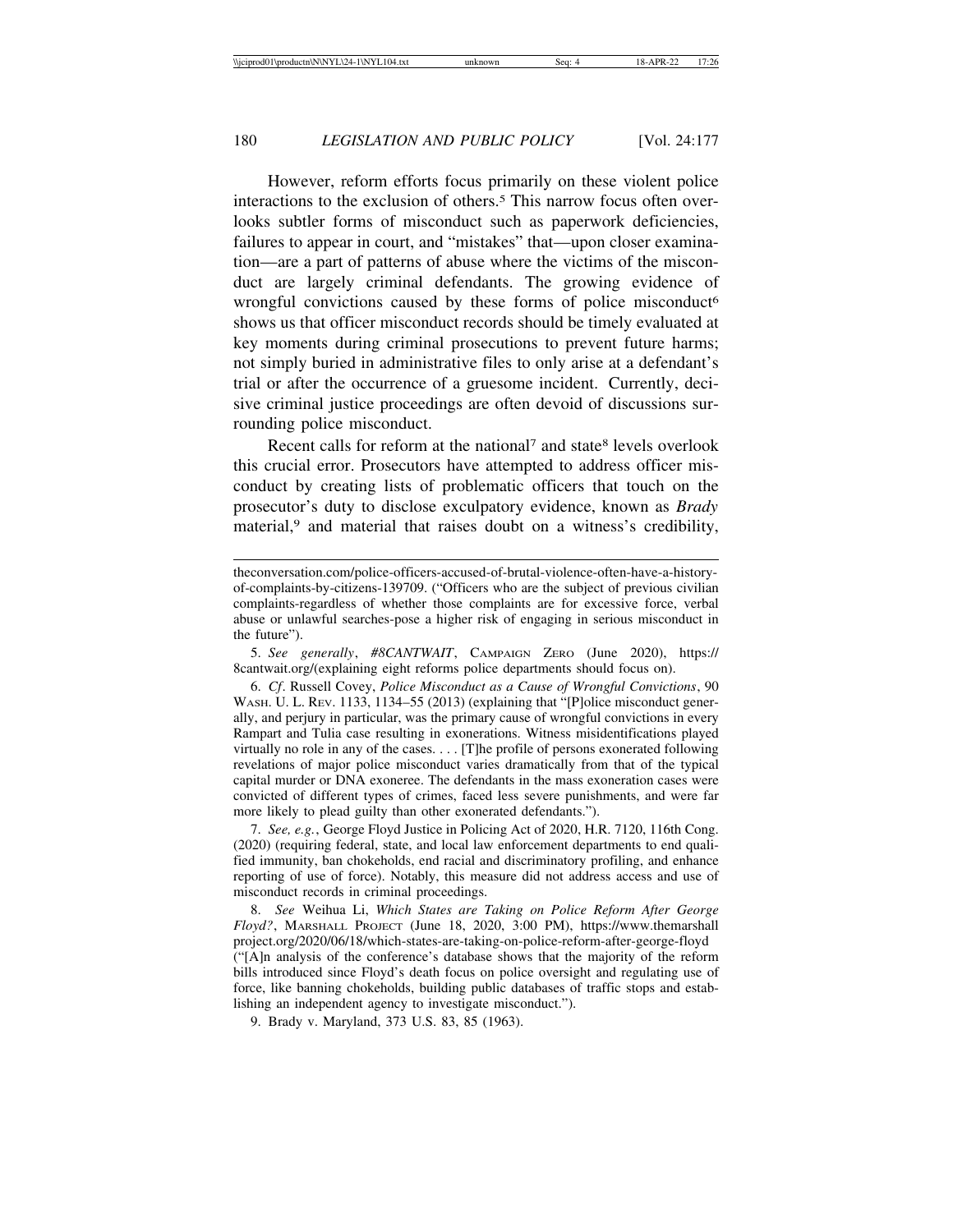However, reform efforts focus primarily on these violent police interactions to the exclusion of others.<sup>5</sup> This narrow focus often overlooks subtler forms of misconduct such as paperwork deficiencies, failures to appear in court, and "mistakes" that—upon closer examination—are a part of patterns of abuse where the victims of the misconduct are largely criminal defendants. The growing evidence of wrongful convictions caused by these forms of police misconduct<sup>6</sup> shows us that officer misconduct records should be timely evaluated at key moments during criminal prosecutions to prevent future harms; not simply buried in administrative files to only arise at a defendant's trial or after the occurrence of a gruesome incident. Currently, decisive criminal justice proceedings are often devoid of discussions surrounding police misconduct.

Recent calls for reform at the national<sup>7</sup> and state<sup>8</sup> levels overlook this crucial error. Prosecutors have attempted to address officer misconduct by creating lists of problematic officers that touch on the prosecutor's duty to disclose exculpatory evidence, known as *Brady* material,<sup>9</sup> and material that raises doubt on a witness's credibility,

5. *See generally*, *#8CANTWAIT*, CAMPAIGN ZERO (June 2020), https:// 8cantwait.org/(explaining eight reforms police departments should focus on).

6. *Cf*. Russell Covey, *Police Misconduct as a Cause of Wrongful Convictions*, 90 WASH. U. L. REV. 1133, 1134–55 (2013) (explaining that "[P]olice misconduct generally, and perjury in particular, was the primary cause of wrongful convictions in every Rampart and Tulia case resulting in exonerations. Witness misidentifications played virtually no role in any of the cases. . . . [T]he profile of persons exonerated following revelations of major police misconduct varies dramatically from that of the typical capital murder or DNA exoneree. The defendants in the mass exoneration cases were convicted of different types of crimes, faced less severe punishments, and were far more likely to plead guilty than other exonerated defendants.").

7. *See, e.g.*, George Floyd Justice in Policing Act of 2020, H.R. 7120, 116th Cong. (2020) (requiring federal, state, and local law enforcement departments to end qualified immunity, ban chokeholds, end racial and discriminatory profiling, and enhance reporting of use of force). Notably, this measure did not address access and use of misconduct records in criminal proceedings.

8. *See* Weihua Li, *Which States are Taking on Police Reform After George Floyd?*, MARSHALL PROJECT (June 18, 2020, 3:00 PM), https://www.themarshall project.org/2020/06/18/which-states-are-taking-on-police-reform-after-george-floyd ("[A]n analysis of the conference's database shows that the majority of the reform bills introduced since Floyd's death focus on police oversight and regulating use of force, like banning chokeholds, building public databases of traffic stops and establishing an independent agency to investigate misconduct.").

9. Brady v. Maryland, 373 U.S. 83, 85 (1963).

theconversation.com/police-officers-accused-of-brutal-violence-often-have-a-historyof-complaints-by-citizens-139709. ("Officers who are the subject of previous civilian complaints-regardless of whether those complaints are for excessive force, verbal abuse or unlawful searches-pose a higher risk of engaging in serious misconduct in the future").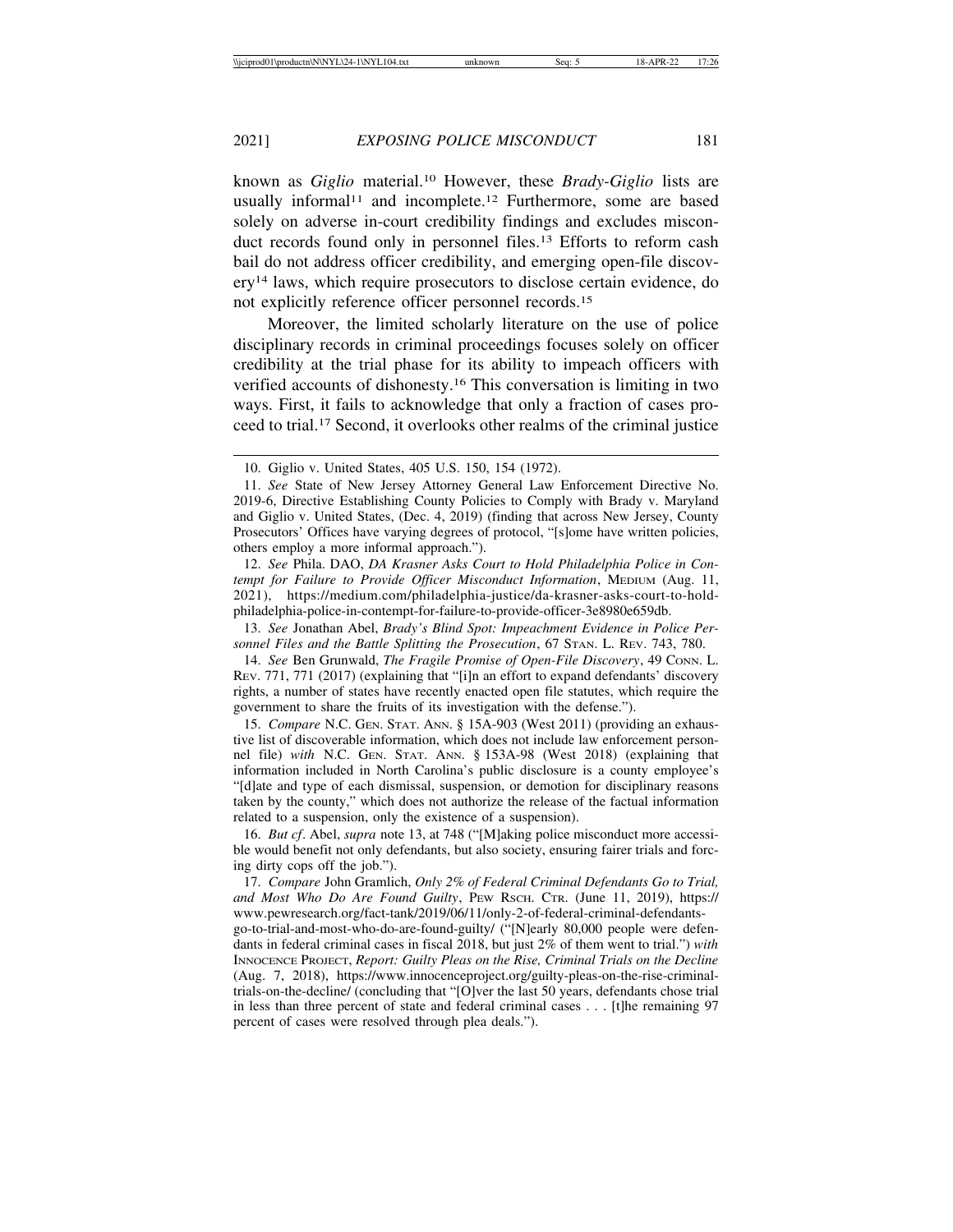known as *Giglio* material.10 However, these *Brady-Giglio* lists are usually informal<sup>11</sup> and incomplete.<sup>12</sup> Furthermore, some are based solely on adverse in-court credibility findings and excludes misconduct records found only in personnel files.<sup>13</sup> Efforts to reform cash bail do not address officer credibility, and emerging open-file discovery14 laws, which require prosecutors to disclose certain evidence, do not explicitly reference officer personnel records.15

Moreover, the limited scholarly literature on the use of police disciplinary records in criminal proceedings focuses solely on officer credibility at the trial phase for its ability to impeach officers with verified accounts of dishonesty.16 This conversation is limiting in two ways. First, it fails to acknowledge that only a fraction of cases proceed to trial.17 Second, it overlooks other realms of the criminal justice

12. *See* Phila. DAO, *DA Krasner Asks Court to Hold Philadelphia Police in Contempt for Failure to Provide Officer Misconduct Information*, MEDIUM (Aug. 11, 2021), https://medium.com/philadelphia-justice/da-krasner-asks-court-to-holdphiladelphia-police-in-contempt-for-failure-to-provide-officer-3e8980e659db.

13. *See* Jonathan Abel, *Brady's Blind Spot: Impeachment Evidence in Police Personnel Files and the Battle Splitting the Prosecution*, 67 STAN. L. REV. 743, 780.

14. *See* Ben Grunwald, *The Fragile Promise of Open-File Discovery*, 49 CONN. L. REV. 771, 771 (2017) (explaining that "[i]n an effort to expand defendants' discovery rights, a number of states have recently enacted open file statutes, which require the government to share the fruits of its investigation with the defense.").

15. *Compare* N.C. GEN. STAT. ANN. § 15A-903 (West 2011) (providing an exhaustive list of discoverable information, which does not include law enforcement personnel file) *with* N.C. GEN. STAT. ANN. § 153A-98 (West 2018) (explaining that information included in North Carolina's public disclosure is a county employee's "[d]ate and type of each dismissal, suspension, or demotion for disciplinary reasons taken by the county," which does not authorize the release of the factual information related to a suspension, only the existence of a suspension).

16. *But cf*. Abel, *supra* note 13, at 748 ("[M]aking police misconduct more accessible would benefit not only defendants, but also society, ensuring fairer trials and forcing dirty cops off the job.").

17. *Compare* John Gramlich, *Only 2% of Federal Criminal Defendants Go to Trial, and Most Who Do Are Found Guilty*, PEW RSCH. CTR. (June 11, 2019), https:// www.pewresearch.org/fact-tank/2019/06/11/only-2-of-federal-criminal-defendantsgo-to-trial-and-most-who-do-are-found-guilty/ ("[N]early 80,000 people were defendants in federal criminal cases in fiscal 2018, but just 2% of them went to trial.") *with* INNOCENCE PROJECT, *Report: Guilty Pleas on the Rise, Criminal Trials on the Decline* (Aug. 7, 2018), https://www.innocenceproject.org/guilty-pleas-on-the-rise-criminaltrials-on-the-decline/ (concluding that "[O]ver the last 50 years, defendants chose trial in less than three percent of state and federal criminal cases . . . [t]he remaining 97 percent of cases were resolved through plea deals.").

<sup>10.</sup> Giglio v. United States, 405 U.S. 150, 154 (1972).

<sup>11.</sup> *See* State of New Jersey Attorney General Law Enforcement Directive No. 2019-6, Directive Establishing County Policies to Comply with Brady v. Maryland and Giglio v. United States, (Dec. 4, 2019) (finding that across New Jersey, County Prosecutors' Offices have varying degrees of protocol, "[s]ome have written policies, others employ a more informal approach.").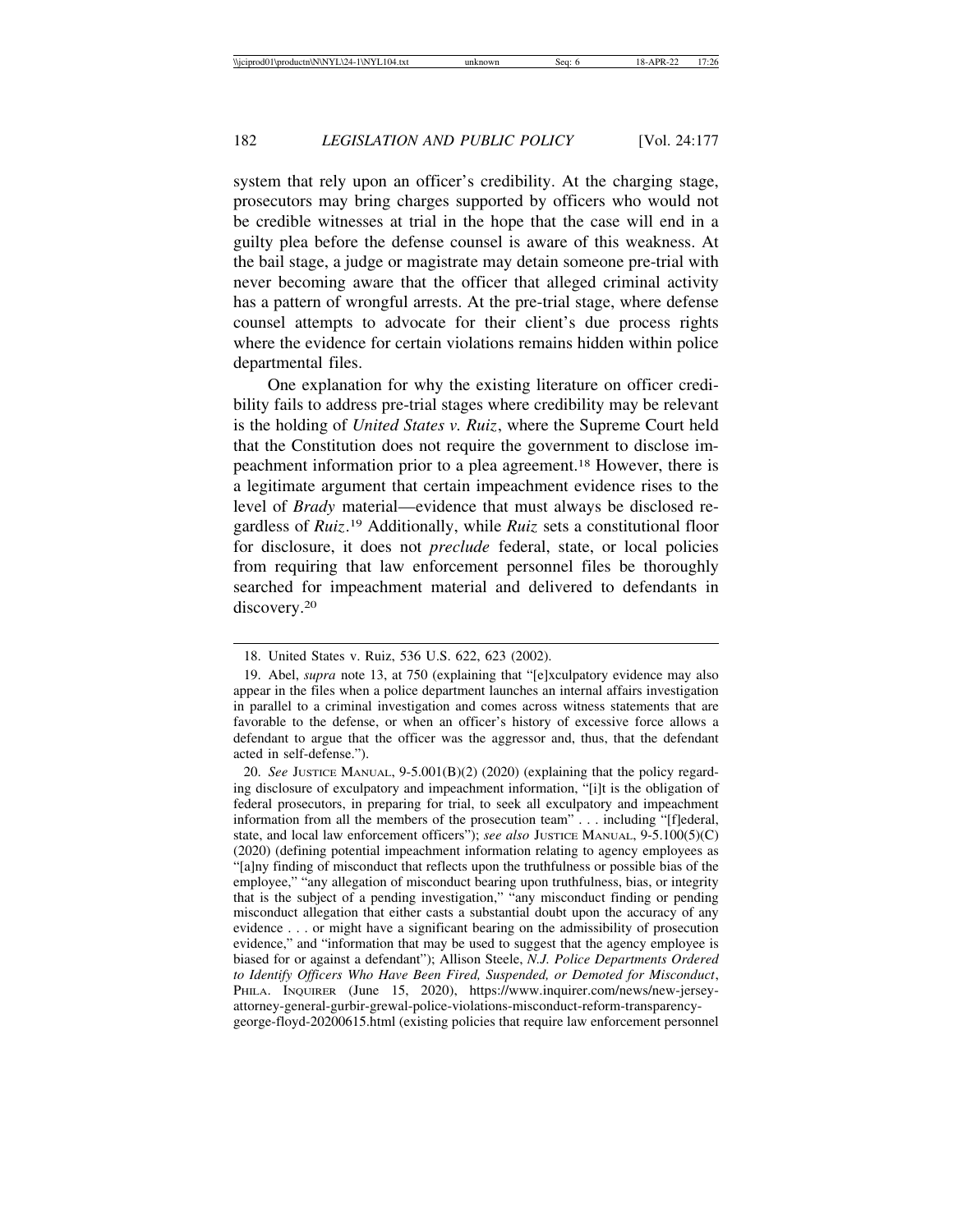system that rely upon an officer's credibility. At the charging stage, prosecutors may bring charges supported by officers who would not be credible witnesses at trial in the hope that the case will end in a guilty plea before the defense counsel is aware of this weakness. At the bail stage, a judge or magistrate may detain someone pre-trial with never becoming aware that the officer that alleged criminal activity has a pattern of wrongful arrests. At the pre-trial stage, where defense counsel attempts to advocate for their client's due process rights where the evidence for certain violations remains hidden within police departmental files.

One explanation for why the existing literature on officer credibility fails to address pre-trial stages where credibility may be relevant is the holding of *United States v. Ruiz*, where the Supreme Court held that the Constitution does not require the government to disclose impeachment information prior to a plea agreement.18 However, there is a legitimate argument that certain impeachment evidence rises to the level of *Brady* material—evidence that must always be disclosed regardless of *Ruiz*. 19 Additionally, while *Ruiz* sets a constitutional floor for disclosure, it does not *preclude* federal, state, or local policies from requiring that law enforcement personnel files be thoroughly searched for impeachment material and delivered to defendants in discovery.<sup>20</sup>

<sup>18.</sup> United States v. Ruiz, 536 U.S. 622, 623 (2002).

<sup>19.</sup> Abel, *supra* note 13, at 750 (explaining that "[e]xculpatory evidence may also appear in the files when a police department launches an internal affairs investigation in parallel to a criminal investigation and comes across witness statements that are favorable to the defense, or when an officer's history of excessive force allows a defendant to argue that the officer was the aggressor and, thus, that the defendant acted in self-defense.").

<sup>20.</sup> *See* JUSTICE MANUAL, 9-5.001(B)(2) (2020) (explaining that the policy regarding disclosure of exculpatory and impeachment information, "[i]t is the obligation of federal prosecutors, in preparing for trial, to seek all exculpatory and impeachment information from all the members of the prosecution team" . . . including "[f]ederal, state, and local law enforcement officers"); *see also* JUSTICE MANUAL, 9-5.100(5)(C) (2020) (defining potential impeachment information relating to agency employees as "[a]ny finding of misconduct that reflects upon the truthfulness or possible bias of the employee," "any allegation of misconduct bearing upon truthfulness, bias, or integrity that is the subject of a pending investigation," "any misconduct finding or pending misconduct allegation that either casts a substantial doubt upon the accuracy of any evidence . . . or might have a significant bearing on the admissibility of prosecution evidence," and "information that may be used to suggest that the agency employee is biased for or against a defendant"); Allison Steele, *N.J. Police Departments Ordered to Identify Officers Who Have Been Fired, Suspended, or Demoted for Misconduct*, PHILA. INQUIRER (June 15, 2020), https://www.inquirer.com/news/new-jerseyattorney-general-gurbir-grewal-police-violations-misconduct-reform-transparencygeorge-floyd-20200615.html (existing policies that require law enforcement personnel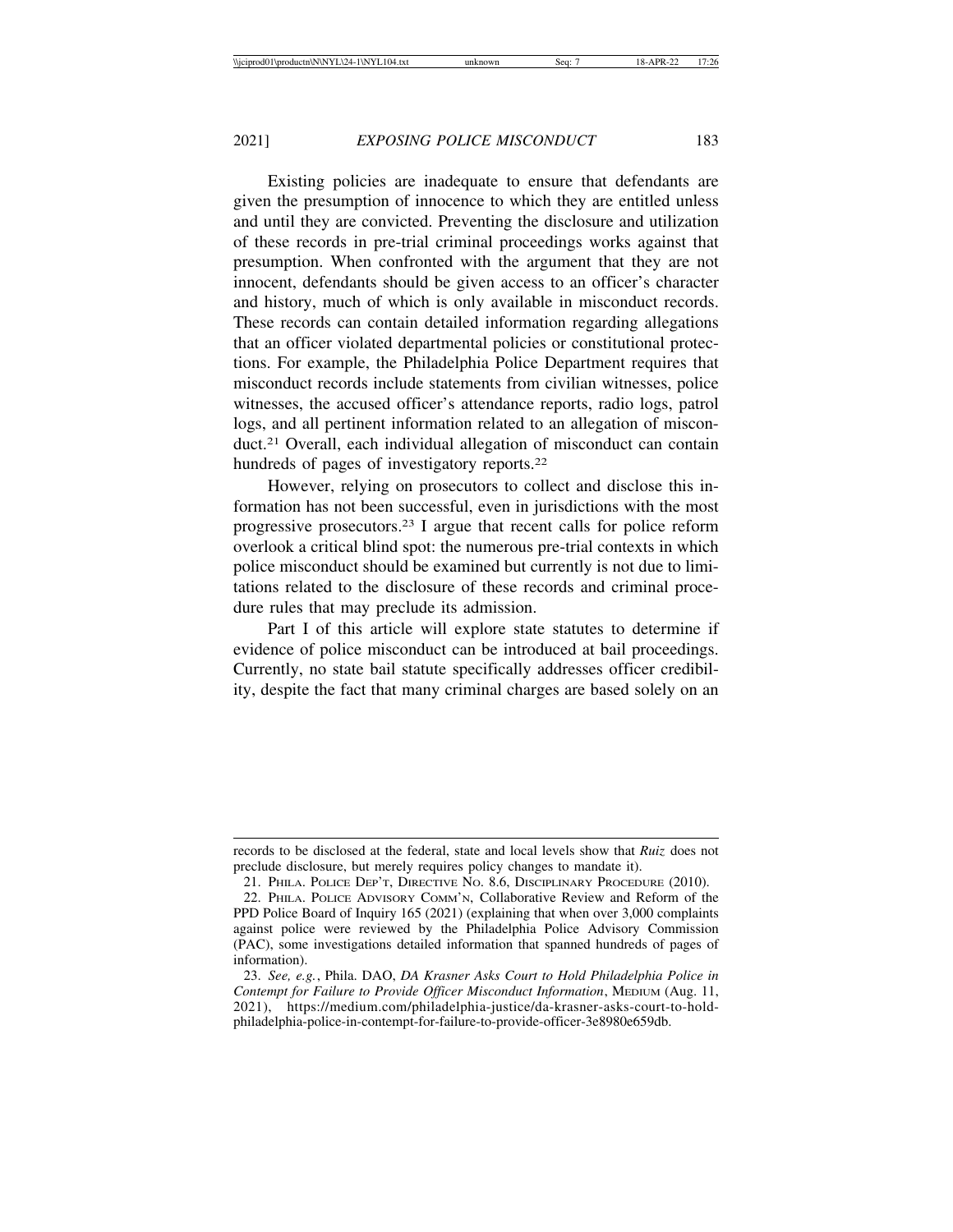Existing policies are inadequate to ensure that defendants are given the presumption of innocence to which they are entitled unless and until they are convicted. Preventing the disclosure and utilization of these records in pre-trial criminal proceedings works against that presumption. When confronted with the argument that they are not innocent, defendants should be given access to an officer's character and history, much of which is only available in misconduct records. These records can contain detailed information regarding allegations that an officer violated departmental policies or constitutional protections. For example, the Philadelphia Police Department requires that misconduct records include statements from civilian witnesses, police witnesses, the accused officer's attendance reports, radio logs, patrol logs, and all pertinent information related to an allegation of misconduct.21 Overall, each individual allegation of misconduct can contain hundreds of pages of investigatory reports.<sup>22</sup>

However, relying on prosecutors to collect and disclose this information has not been successful, even in jurisdictions with the most progressive prosecutors.23 I argue that recent calls for police reform overlook a critical blind spot: the numerous pre-trial contexts in which police misconduct should be examined but currently is not due to limitations related to the disclosure of these records and criminal procedure rules that may preclude its admission.

Part I of this article will explore state statutes to determine if evidence of police misconduct can be introduced at bail proceedings. Currently, no state bail statute specifically addresses officer credibility, despite the fact that many criminal charges are based solely on an

records to be disclosed at the federal, state and local levels show that *Ruiz* does not preclude disclosure, but merely requires policy changes to mandate it).

<sup>21.</sup> PHILA. POLICE DEP'T, DIRECTIVE NO. 8.6, DISCIPLINARY PROCEDURE (2010).

<sup>22.</sup> PHILA. POLICE ADVISORY COMM'N, Collaborative Review and Reform of the PPD Police Board of Inquiry 165 (2021) (explaining that when over 3,000 complaints against police were reviewed by the Philadelphia Police Advisory Commission (PAC), some investigations detailed information that spanned hundreds of pages of information).

<sup>23.</sup> *See, e.g.*, Phila. DAO, *DA Krasner Asks Court to Hold Philadelphia Police in Contempt for Failure to Provide Officer Misconduct Information*, MEDIUM (Aug. 11, 2021), https://medium.com/philadelphia-justice/da-krasner-asks-court-to-holdphiladelphia-police-in-contempt-for-failure-to-provide-officer-3e8980e659db.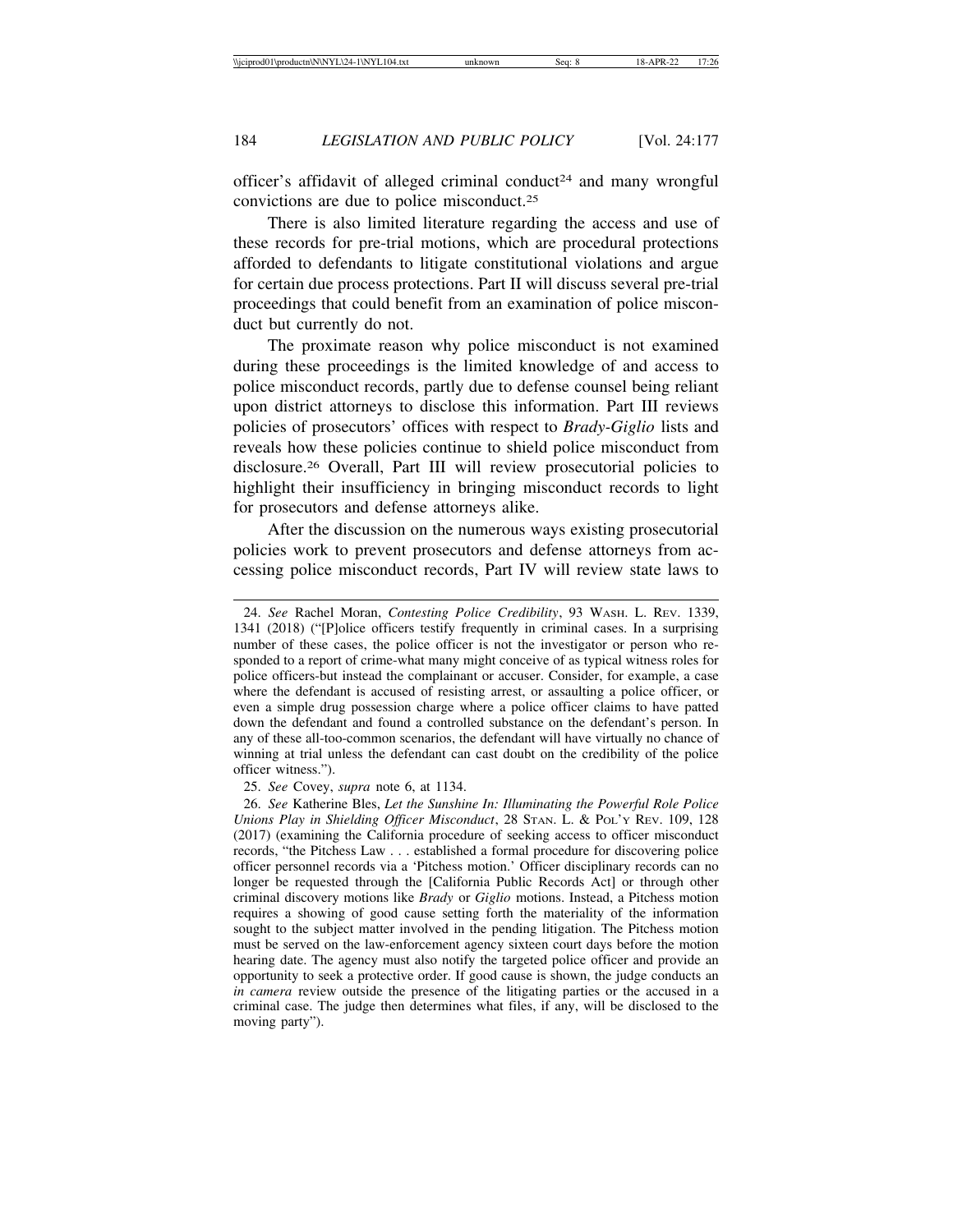officer's affidavit of alleged criminal conduct<sup>24</sup> and many wrongful convictions are due to police misconduct.25

There is also limited literature regarding the access and use of these records for pre-trial motions, which are procedural protections afforded to defendants to litigate constitutional violations and argue for certain due process protections. Part II will discuss several pre-trial proceedings that could benefit from an examination of police misconduct but currently do not.

The proximate reason why police misconduct is not examined during these proceedings is the limited knowledge of and access to police misconduct records, partly due to defense counsel being reliant upon district attorneys to disclose this information. Part III reviews policies of prosecutors' offices with respect to *Brady-Giglio* lists and reveals how these policies continue to shield police misconduct from disclosure.<sup>26</sup> Overall, Part III will review prosecutorial policies to highlight their insufficiency in bringing misconduct records to light for prosecutors and defense attorneys alike.

After the discussion on the numerous ways existing prosecutorial policies work to prevent prosecutors and defense attorneys from accessing police misconduct records, Part IV will review state laws to

<sup>24.</sup> *See* Rachel Moran, *Contesting Police Credibility*, 93 WASH. L. REV. 1339, 1341 (2018) ("[P]olice officers testify frequently in criminal cases. In a surprising number of these cases, the police officer is not the investigator or person who responded to a report of crime-what many might conceive of as typical witness roles for police officers-but instead the complainant or accuser. Consider, for example, a case where the defendant is accused of resisting arrest, or assaulting a police officer, or even a simple drug possession charge where a police officer claims to have patted down the defendant and found a controlled substance on the defendant's person. In any of these all-too-common scenarios, the defendant will have virtually no chance of winning at trial unless the defendant can cast doubt on the credibility of the police officer witness.").

<sup>25.</sup> *See* Covey, *supra* note 6, at 1134.

<sup>26.</sup> *See* Katherine Bles, *Let the Sunshine In: Illuminating the Powerful Role Police Unions Play in Shielding Officer Misconduct*, 28 STAN. L. & POL'Y REV. 109, 128 (2017) (examining the California procedure of seeking access to officer misconduct records, "the Pitchess Law . . . established a formal procedure for discovering police officer personnel records via a 'Pitchess motion.' Officer disciplinary records can no longer be requested through the [California Public Records Act] or through other criminal discovery motions like *Brady* or *Giglio* motions. Instead, a Pitchess motion requires a showing of good cause setting forth the materiality of the information sought to the subject matter involved in the pending litigation. The Pitchess motion must be served on the law-enforcement agency sixteen court days before the motion hearing date. The agency must also notify the targeted police officer and provide an opportunity to seek a protective order. If good cause is shown, the judge conducts an *in camera* review outside the presence of the litigating parties or the accused in a criminal case. The judge then determines what files, if any, will be disclosed to the moving party").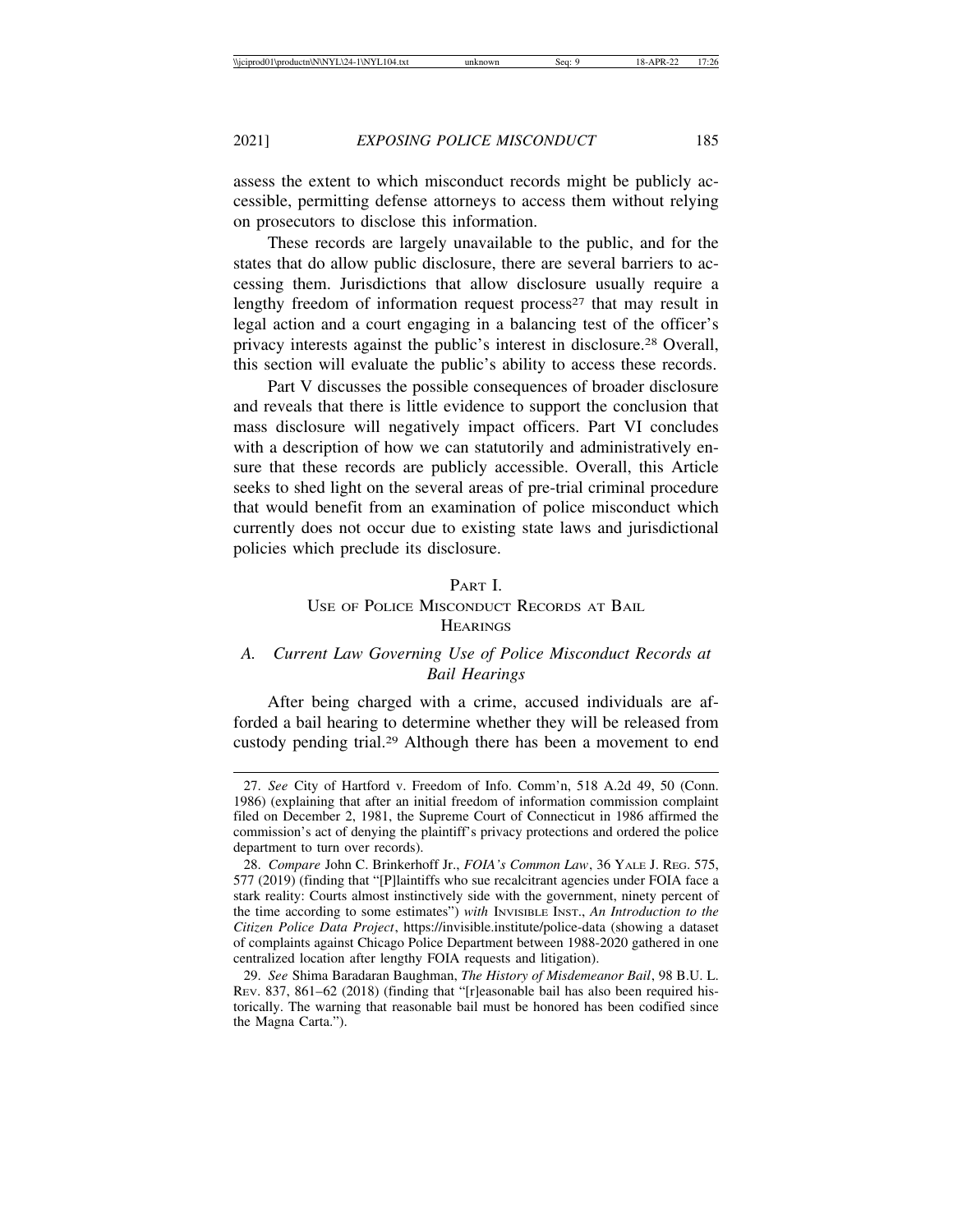assess the extent to which misconduct records might be publicly accessible, permitting defense attorneys to access them without relying on prosecutors to disclose this information.

These records are largely unavailable to the public, and for the states that do allow public disclosure, there are several barriers to accessing them. Jurisdictions that allow disclosure usually require a lengthy freedom of information request process<sup>27</sup> that may result in legal action and a court engaging in a balancing test of the officer's privacy interests against the public's interest in disclosure.28 Overall, this section will evaluate the public's ability to access these records.

Part V discusses the possible consequences of broader disclosure and reveals that there is little evidence to support the conclusion that mass disclosure will negatively impact officers. Part VI concludes with a description of how we can statutorily and administratively ensure that these records are publicly accessible. Overall, this Article seeks to shed light on the several areas of pre-trial criminal procedure that would benefit from an examination of police misconduct which currently does not occur due to existing state laws and jurisdictional policies which preclude its disclosure.

# PART I. USE OF POLICE MISCONDUCT RECORDS AT BAIL **HEARINGS**

# *A. Current Law Governing Use of Police Misconduct Records at Bail Hearings*

After being charged with a crime, accused individuals are afforded a bail hearing to determine whether they will be released from custody pending trial.29 Although there has been a movement to end

<sup>27.</sup> *See* City of Hartford v. Freedom of Info. Comm'n, 518 A.2d 49, 50 (Conn. 1986) (explaining that after an initial freedom of information commission complaint filed on December 2, 1981, the Supreme Court of Connecticut in 1986 affirmed the commission's act of denying the plaintiff's privacy protections and ordered the police department to turn over records).

<sup>28.</sup> *Compare* John C. Brinkerhoff Jr., *FOIA's Common Law*, 36 YALE J. REG. 575, 577 (2019) (finding that "[P]laintiffs who sue recalcitrant agencies under FOIA face a stark reality: Courts almost instinctively side with the government, ninety percent of the time according to some estimates") *with* INVISIBLE INST., *An Introduction to the Citizen Police Data Project*, https://invisible.institute/police-data (showing a dataset of complaints against Chicago Police Department between 1988-2020 gathered in one centralized location after lengthy FOIA requests and litigation).

<sup>29.</sup> *See* Shima Baradaran Baughman, *The History of Misdemeanor Bail*, 98 B.U. L. REV. 837, 861–62 (2018) (finding that "[r]easonable bail has also been required historically. The warning that reasonable bail must be honored has been codified since the Magna Carta.").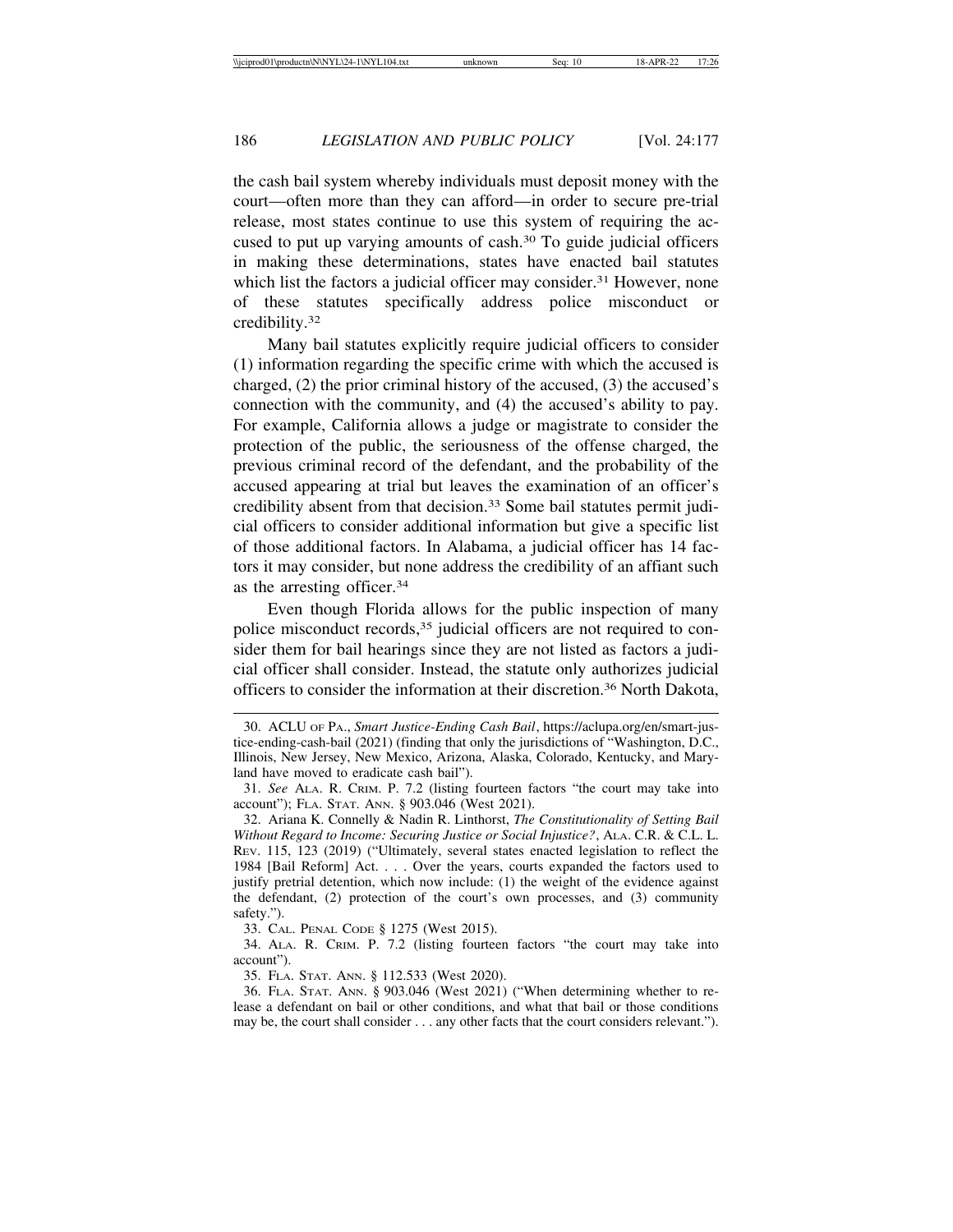the cash bail system whereby individuals must deposit money with the court—often more than they can afford—in order to secure pre-trial release, most states continue to use this system of requiring the accused to put up varying amounts of cash.30 To guide judicial officers in making these determinations, states have enacted bail statutes which list the factors a judicial officer may consider.<sup>31</sup> However, none of these statutes specifically address police misconduct or credibility.32

Many bail statutes explicitly require judicial officers to consider (1) information regarding the specific crime with which the accused is charged, (2) the prior criminal history of the accused, (3) the accused's connection with the community, and (4) the accused's ability to pay. For example, California allows a judge or magistrate to consider the protection of the public, the seriousness of the offense charged, the previous criminal record of the defendant, and the probability of the accused appearing at trial but leaves the examination of an officer's credibility absent from that decision.33 Some bail statutes permit judicial officers to consider additional information but give a specific list of those additional factors. In Alabama, a judicial officer has 14 factors it may consider, but none address the credibility of an affiant such as the arresting officer.34

Even though Florida allows for the public inspection of many police misconduct records,<sup>35</sup> judicial officers are not required to consider them for bail hearings since they are not listed as factors a judicial officer shall consider. Instead, the statute only authorizes judicial officers to consider the information at their discretion.36 North Dakota,

33. CAL. PENAL CODE § 1275 (West 2015).

34. ALA. R. CRIM. P. 7.2 (listing fourteen factors "the court may take into account").

35. FLA. STAT. ANN. § 112.533 (West 2020).

<sup>30.</sup> ACLU OF PA., *Smart Justice-Ending Cash Bail*, https://aclupa.org/en/smart-justice-ending-cash-bail (2021) (finding that only the jurisdictions of "Washington, D.C., Illinois, New Jersey, New Mexico, Arizona, Alaska, Colorado, Kentucky, and Maryland have moved to eradicate cash bail").

<sup>31.</sup> *See* ALA. R. CRIM. P. 7.2 (listing fourteen factors "the court may take into account"); FLA. STAT. ANN. § 903.046 (West 2021).

<sup>32.</sup> Ariana K. Connelly & Nadin R. Linthorst, *The Constitutionality of Setting Bail Without Regard to Income: Securing Justice or Social Injustice?*, ALA. C.R. & C.L. L. REV. 115, 123 (2019) ("Ultimately, several states enacted legislation to reflect the 1984 [Bail Reform] Act. . . . Over the years, courts expanded the factors used to justify pretrial detention, which now include: (1) the weight of the evidence against the defendant, (2) protection of the court's own processes, and (3) community safety.").

<sup>36.</sup> FLA. STAT. ANN. § 903.046 (West 2021) ("When determining whether to release a defendant on bail or other conditions, and what that bail or those conditions may be, the court shall consider . . . any other facts that the court considers relevant.").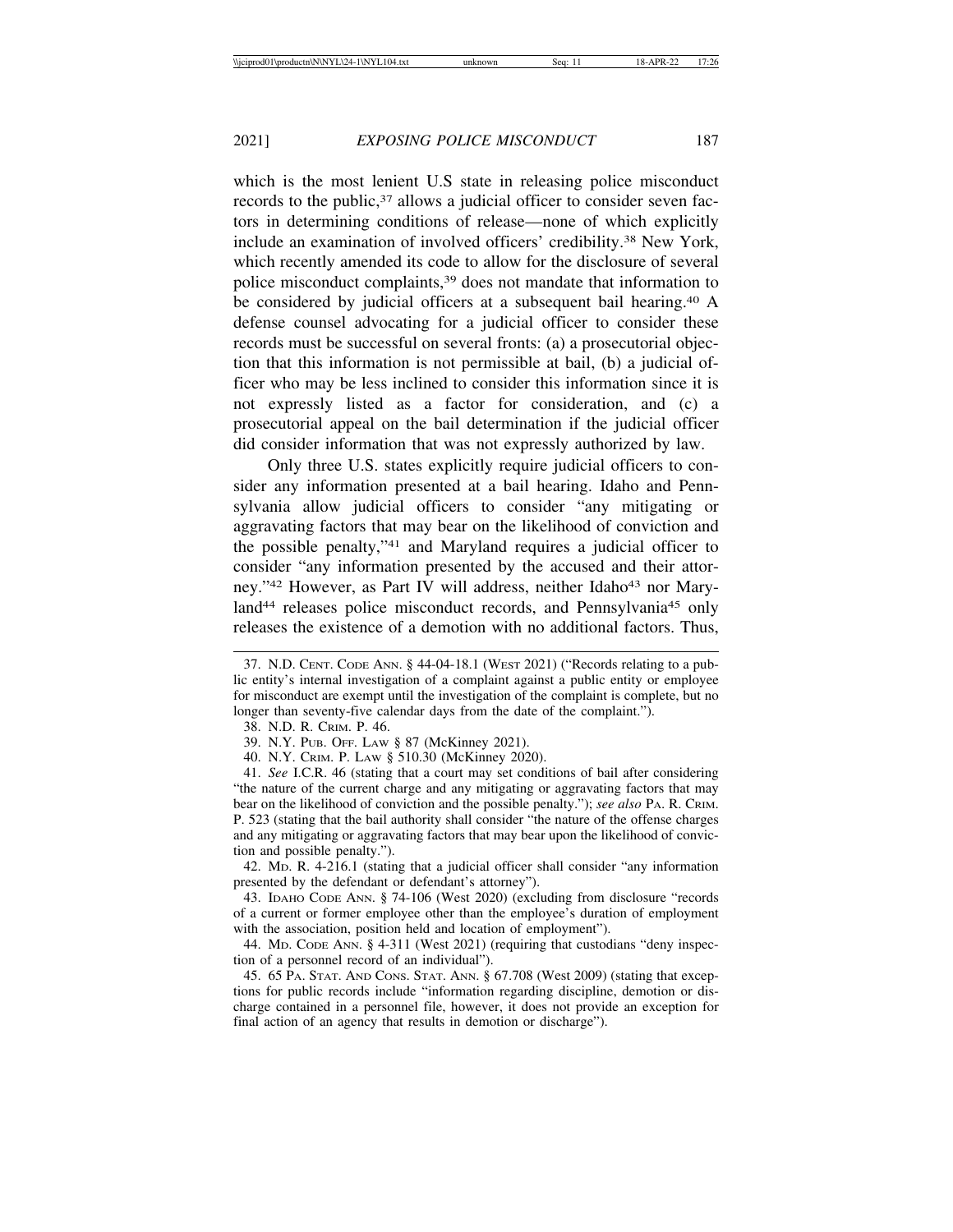which is the most lenient U.S state in releasing police misconduct records to the public,<sup>37</sup> allows a judicial officer to consider seven factors in determining conditions of release—none of which explicitly include an examination of involved officers' credibility.38 New York, which recently amended its code to allow for the disclosure of several police misconduct complaints,39 does not mandate that information to be considered by judicial officers at a subsequent bail hearing.40 A defense counsel advocating for a judicial officer to consider these records must be successful on several fronts: (a) a prosecutorial objection that this information is not permissible at bail, (b) a judicial officer who may be less inclined to consider this information since it is not expressly listed as a factor for consideration, and (c) a prosecutorial appeal on the bail determination if the judicial officer did consider information that was not expressly authorized by law.

Only three U.S. states explicitly require judicial officers to consider any information presented at a bail hearing. Idaho and Pennsylvania allow judicial officers to consider "any mitigating or aggravating factors that may bear on the likelihood of conviction and the possible penalty,"41 and Maryland requires a judicial officer to consider "any information presented by the accused and their attorney."<sup>42</sup> However, as Part IV will address, neither Idaho<sup>43</sup> nor Maryland<sup>44</sup> releases police misconduct records, and Pennsylvania<sup>45</sup> only releases the existence of a demotion with no additional factors. Thus,

42. MD. R. 4-216.1 (stating that a judicial officer shall consider "any information presented by the defendant or defendant's attorney").

43. IDAHO CODE ANN. § 74-106 (West 2020) (excluding from disclosure "records of a current or former employee other than the employee's duration of employment with the association, position held and location of employment").

44. MD. CODE ANN. § 4-311 (West 2021) (requiring that custodians "deny inspection of a personnel record of an individual").

45. 65 PA. STAT. AND CONS. STAT. ANN. § 67.708 (West 2009) (stating that exceptions for public records include "information regarding discipline, demotion or discharge contained in a personnel file, however, it does not provide an exception for final action of an agency that results in demotion or discharge").

<sup>37.</sup> N.D. CENT. CODE ANN. § 44-04-18.1 (WEST 2021) ("Records relating to a public entity's internal investigation of a complaint against a public entity or employee for misconduct are exempt until the investigation of the complaint is complete, but no longer than seventy-five calendar days from the date of the complaint.").

<sup>38.</sup> N.D. R. CRIM. P. 46.

<sup>39.</sup> N.Y. PUB. OFF. LAW § 87 (McKinney 2021).

<sup>40.</sup> N.Y. CRIM. P. LAW § 510.30 (McKinney 2020).

<sup>41.</sup> *See* I.C.R. 46 (stating that a court may set conditions of bail after considering "the nature of the current charge and any mitigating or aggravating factors that may bear on the likelihood of conviction and the possible penalty."); *see also* PA. R. CRIM. P. 523 (stating that the bail authority shall consider "the nature of the offense charges and any mitigating or aggravating factors that may bear upon the likelihood of conviction and possible penalty.").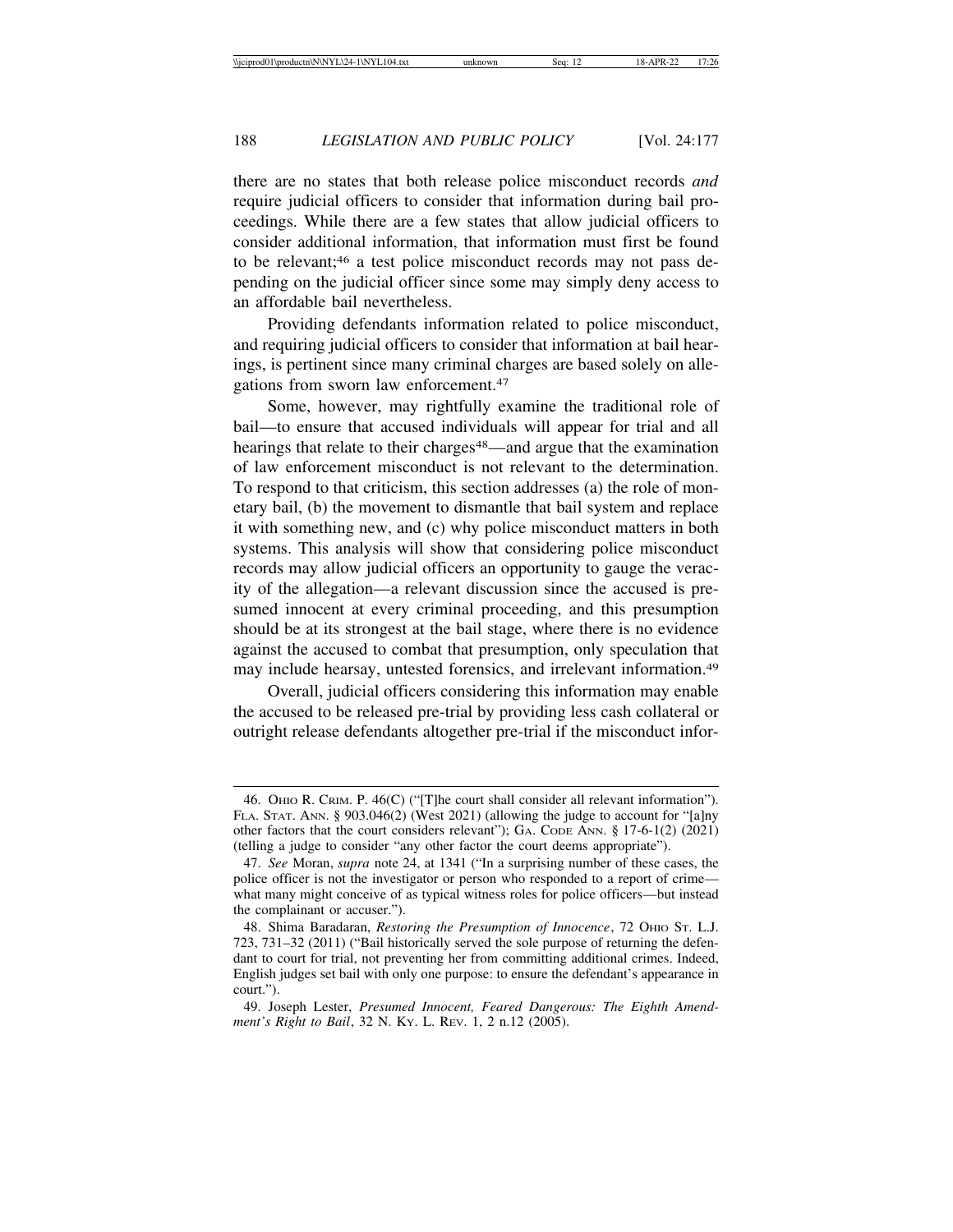there are no states that both release police misconduct records *and* require judicial officers to consider that information during bail proceedings. While there are a few states that allow judicial officers to consider additional information, that information must first be found to be relevant;46 a test police misconduct records may not pass depending on the judicial officer since some may simply deny access to an affordable bail nevertheless.

Providing defendants information related to police misconduct, and requiring judicial officers to consider that information at bail hearings, is pertinent since many criminal charges are based solely on allegations from sworn law enforcement.47

Some, however, may rightfully examine the traditional role of bail—to ensure that accused individuals will appear for trial and all hearings that relate to their charges<sup>48</sup>—and argue that the examination of law enforcement misconduct is not relevant to the determination. To respond to that criticism, this section addresses (a) the role of monetary bail, (b) the movement to dismantle that bail system and replace it with something new, and (c) why police misconduct matters in both systems. This analysis will show that considering police misconduct records may allow judicial officers an opportunity to gauge the veracity of the allegation—a relevant discussion since the accused is presumed innocent at every criminal proceeding, and this presumption should be at its strongest at the bail stage, where there is no evidence against the accused to combat that presumption, only speculation that may include hearsay, untested forensics, and irrelevant information.49

Overall, judicial officers considering this information may enable the accused to be released pre-trial by providing less cash collateral or outright release defendants altogether pre-trial if the misconduct infor-

<sup>46.</sup> OHIO R. CRIM. P. 46(C) ("[T]he court shall consider all relevant information"). FLA. STAT. ANN. § 903.046(2) (West 2021) (allowing the judge to account for "[a]ny other factors that the court considers relevant"); GA. CODE ANN. § 17-6-1(2) (2021) (telling a judge to consider "any other factor the court deems appropriate").

<sup>47.</sup> *See* Moran, *supra* note 24, at 1341 ("In a surprising number of these cases, the police officer is not the investigator or person who responded to a report of crime what many might conceive of as typical witness roles for police officers—but instead the complainant or accuser.").

<sup>48.</sup> Shima Baradaran, *Restoring the Presumption of Innocence*, 72 OHIO ST. L.J. 723, 731–32 (2011) ("Bail historically served the sole purpose of returning the defendant to court for trial, not preventing her from committing additional crimes. Indeed, English judges set bail with only one purpose: to ensure the defendant's appearance in court.").

<sup>49.</sup> Joseph Lester, *Presumed Innocent, Feared Dangerous: The Eighth Amendment's Right to Bail*, 32 N. KY. L. REV. 1, 2 n.12 (2005).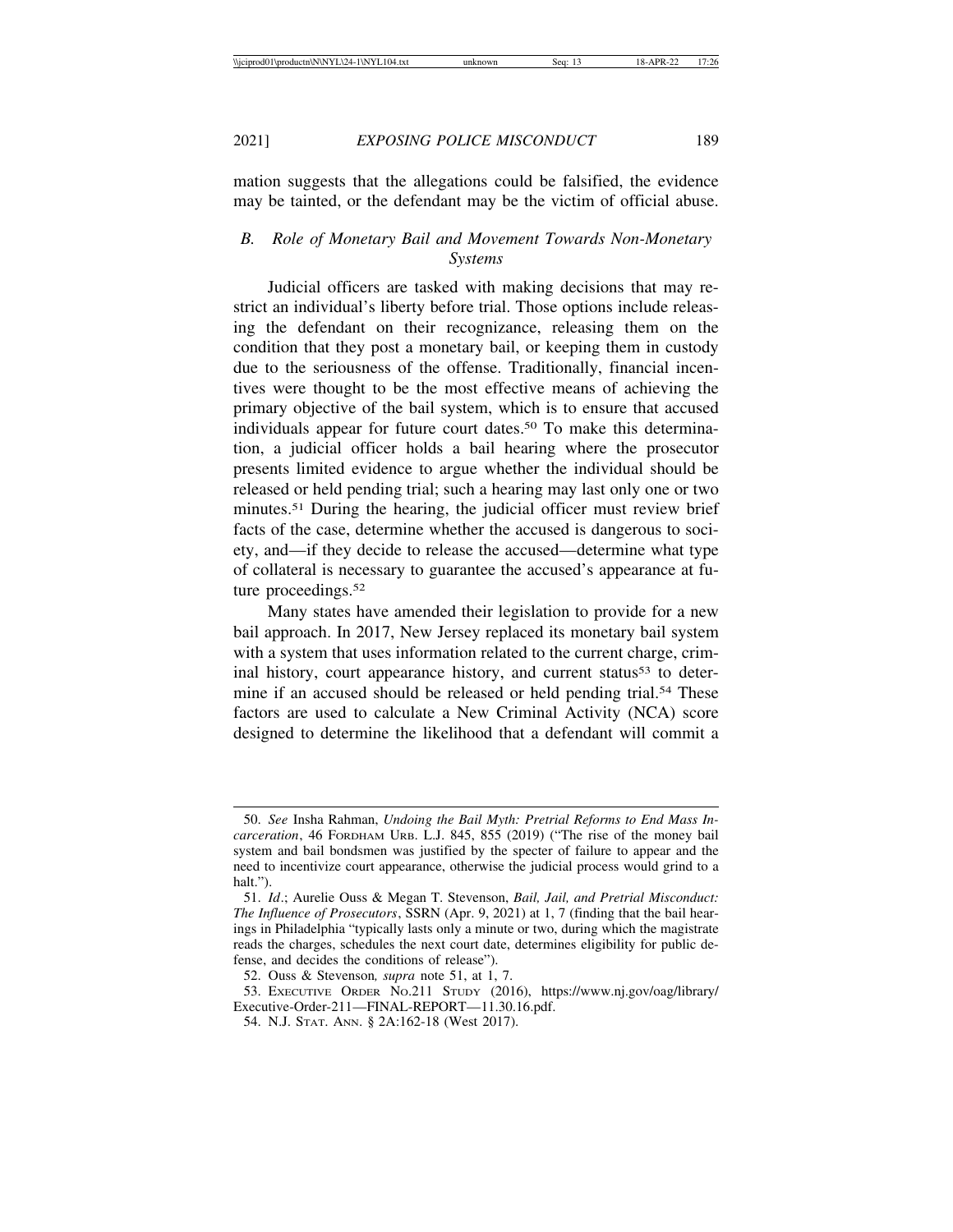mation suggests that the allegations could be falsified, the evidence may be tainted, or the defendant may be the victim of official abuse.

## *B. Role of Monetary Bail and Movement Towards Non-Monetary Systems*

Judicial officers are tasked with making decisions that may restrict an individual's liberty before trial. Those options include releasing the defendant on their recognizance, releasing them on the condition that they post a monetary bail, or keeping them in custody due to the seriousness of the offense. Traditionally, financial incentives were thought to be the most effective means of achieving the primary objective of the bail system, which is to ensure that accused individuals appear for future court dates.50 To make this determination, a judicial officer holds a bail hearing where the prosecutor presents limited evidence to argue whether the individual should be released or held pending trial; such a hearing may last only one or two minutes.<sup>51</sup> During the hearing, the judicial officer must review brief facts of the case, determine whether the accused is dangerous to society, and—if they decide to release the accused—determine what type of collateral is necessary to guarantee the accused's appearance at future proceedings.<sup>52</sup>

Many states have amended their legislation to provide for a new bail approach. In 2017, New Jersey replaced its monetary bail system with a system that uses information related to the current charge, criminal history, court appearance history, and current status<sup>53</sup> to determine if an accused should be released or held pending trial.<sup>54</sup> These factors are used to calculate a New Criminal Activity (NCA) score designed to determine the likelihood that a defendant will commit a

<sup>50.</sup> *See* Insha Rahman, *Undoing the Bail Myth: Pretrial Reforms to End Mass Incarceration*, 46 FORDHAM URB. L.J. 845, 855 (2019) ("The rise of the money bail system and bail bondsmen was justified by the specter of failure to appear and the need to incentivize court appearance, otherwise the judicial process would grind to a halt.").

<sup>51.</sup> *Id*.; Aurelie Ouss & Megan T. Stevenson, *Bail, Jail, and Pretrial Misconduct: The Influence of Prosecutors*, SSRN (Apr. 9, 2021) at 1, 7 (finding that the bail hearings in Philadelphia "typically lasts only a minute or two, during which the magistrate reads the charges, schedules the next court date, determines eligibility for public defense, and decides the conditions of release").

<sup>52.</sup> Ouss & Stevenson*, supra* note 51, at 1, 7.

<sup>53.</sup> EXECUTIVE ORDER NO.211 STUDY (2016), https://www.nj.gov/oag/library/ Executive-Order-211—FINAL-REPORT—11.30.16.pdf.

<sup>54.</sup> N.J. STAT. ANN. § 2A:162-18 (West 2017).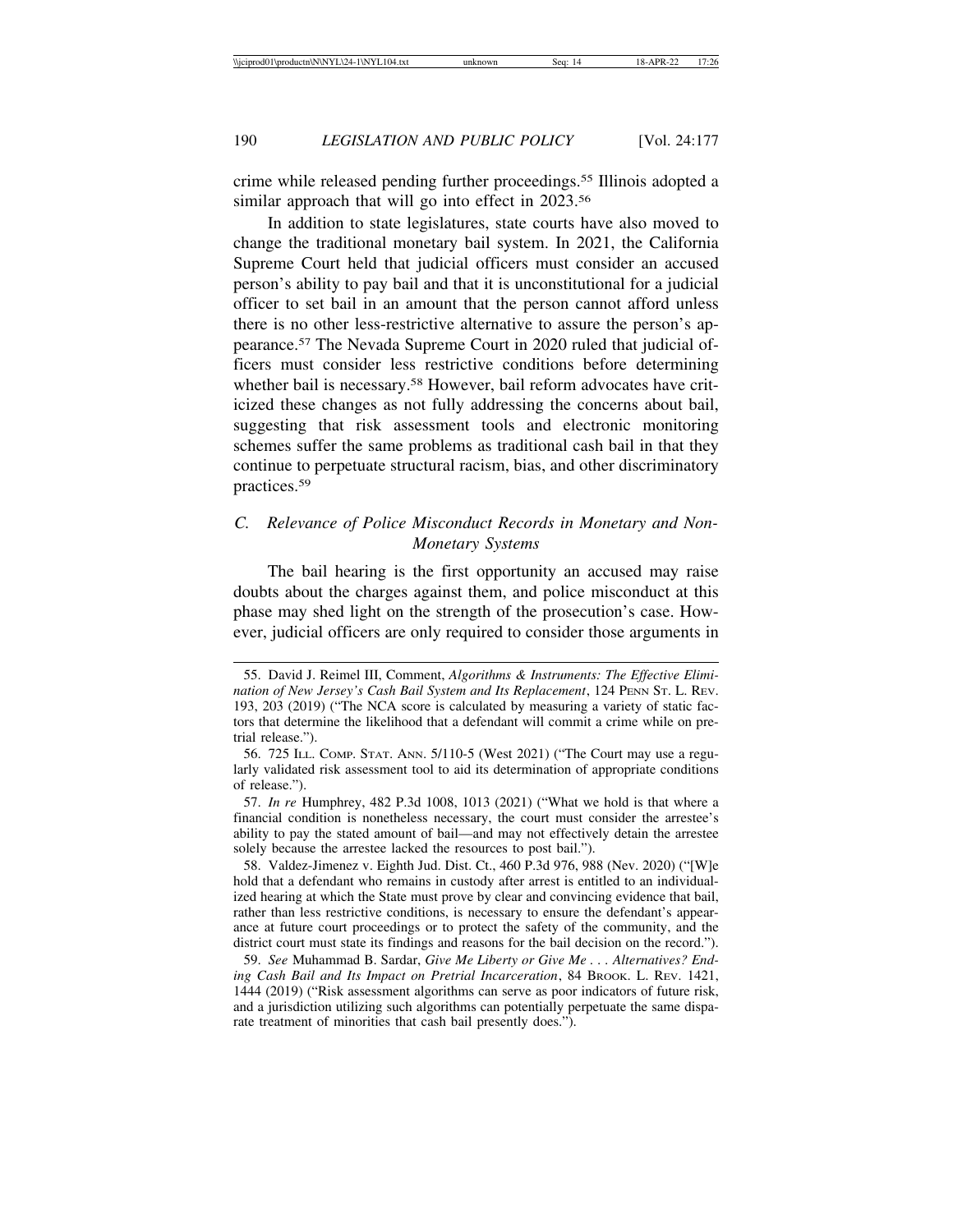crime while released pending further proceedings.55 Illinois adopted a similar approach that will go into effect in 2023.<sup>56</sup>

In addition to state legislatures, state courts have also moved to change the traditional monetary bail system. In 2021, the California Supreme Court held that judicial officers must consider an accused person's ability to pay bail and that it is unconstitutional for a judicial officer to set bail in an amount that the person cannot afford unless there is no other less-restrictive alternative to assure the person's appearance.57 The Nevada Supreme Court in 2020 ruled that judicial officers must consider less restrictive conditions before determining whether bail is necessary.<sup>58</sup> However, bail reform advocates have criticized these changes as not fully addressing the concerns about bail, suggesting that risk assessment tools and electronic monitoring schemes suffer the same problems as traditional cash bail in that they continue to perpetuate structural racism, bias, and other discriminatory practices.59

## *C. Relevance of Police Misconduct Records in Monetary and Non-Monetary Systems*

The bail hearing is the first opportunity an accused may raise doubts about the charges against them, and police misconduct at this phase may shed light on the strength of the prosecution's case. However, judicial officers are only required to consider those arguments in

<sup>55.</sup> David J. Reimel III, Comment, *Algorithms & Instruments: The Effective Elimination of New Jersey's Cash Bail System and Its Replacement*, 124 PENN ST. L. REV. 193, 203 (2019) ("The NCA score is calculated by measuring a variety of static factors that determine the likelihood that a defendant will commit a crime while on pretrial release.").

<sup>56.</sup> 725 ILL. COMP. STAT. ANN. 5/110-5 (West 2021) ("The Court may use a regularly validated risk assessment tool to aid its determination of appropriate conditions of release.").

<sup>57.</sup> *In re* Humphrey, 482 P.3d 1008, 1013 (2021) ("What we hold is that where a financial condition is nonetheless necessary, the court must consider the arrestee's ability to pay the stated amount of bail—and may not effectively detain the arrestee solely because the arrestee lacked the resources to post bail.").

<sup>58.</sup> Valdez-Jimenez v. Eighth Jud. Dist. Ct., 460 P.3d 976, 988 (Nev. 2020) ("[W]e hold that a defendant who remains in custody after arrest is entitled to an individualized hearing at which the State must prove by clear and convincing evidence that bail, rather than less restrictive conditions, is necessary to ensure the defendant's appearance at future court proceedings or to protect the safety of the community, and the district court must state its findings and reasons for the bail decision on the record.").

<sup>59.</sup> *See* Muhammad B. Sardar, *Give Me Liberty or Give Me . . . Alternatives? Ending Cash Bail and Its Impact on Pretrial Incarceration*, 84 BROOK. L. REV. 1421, 1444 (2019) ("Risk assessment algorithms can serve as poor indicators of future risk, and a jurisdiction utilizing such algorithms can potentially perpetuate the same disparate treatment of minorities that cash bail presently does.").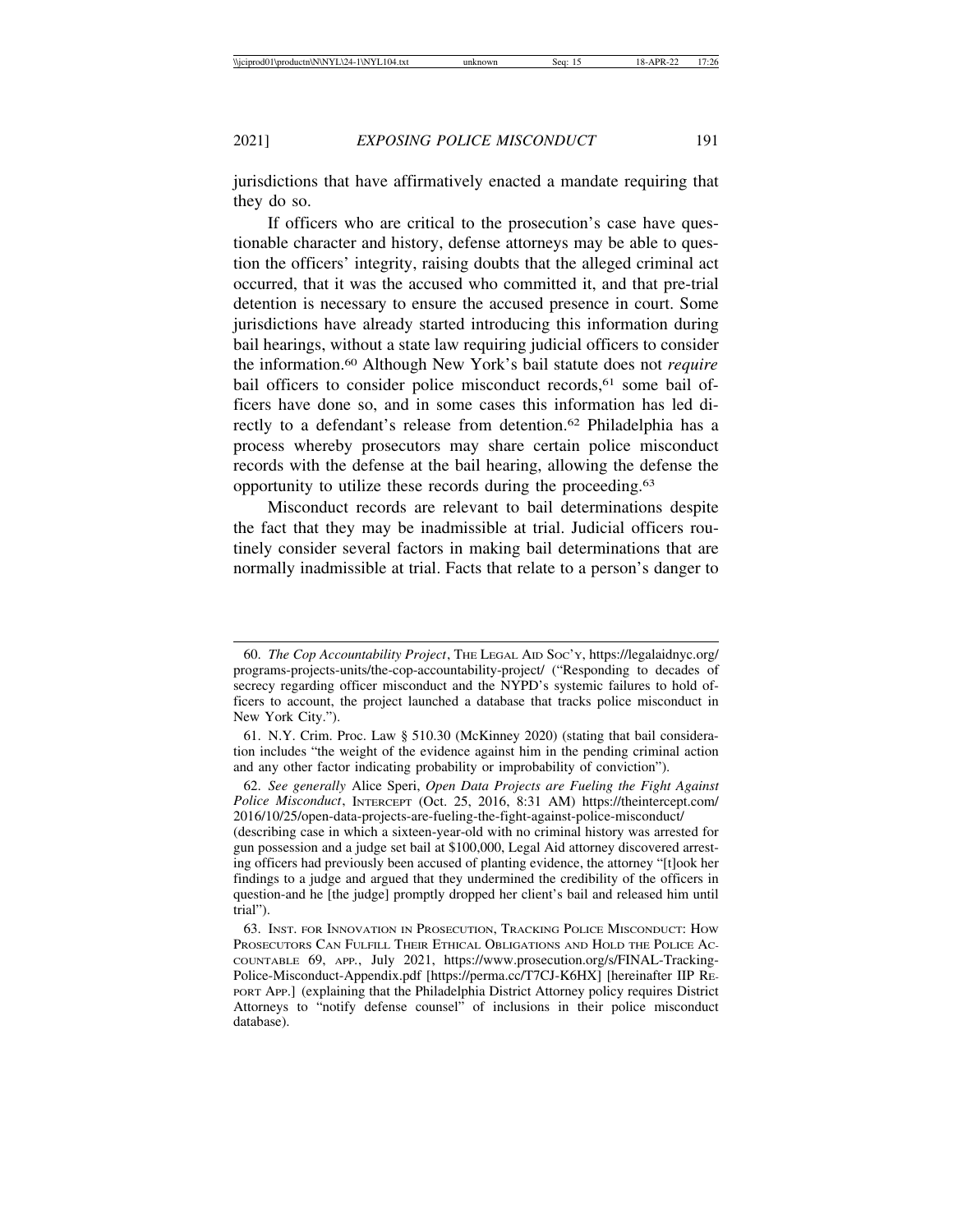jurisdictions that have affirmatively enacted a mandate requiring that they do so.

If officers who are critical to the prosecution's case have questionable character and history, defense attorneys may be able to question the officers' integrity, raising doubts that the alleged criminal act occurred, that it was the accused who committed it, and that pre-trial detention is necessary to ensure the accused presence in court. Some jurisdictions have already started introducing this information during bail hearings, without a state law requiring judicial officers to consider the information.60 Although New York's bail statute does not *require* bail officers to consider police misconduct records,<sup>61</sup> some bail officers have done so, and in some cases this information has led directly to a defendant's release from detention.<sup>62</sup> Philadelphia has a process whereby prosecutors may share certain police misconduct records with the defense at the bail hearing, allowing the defense the opportunity to utilize these records during the proceeding.63

Misconduct records are relevant to bail determinations despite the fact that they may be inadmissible at trial. Judicial officers routinely consider several factors in making bail determinations that are normally inadmissible at trial. Facts that relate to a person's danger to

<sup>60.</sup> *The Cop Accountability Project*, THE LEGAL AID SOC'Y, https://legalaidnyc.org/ programs-projects-units/the-cop-accountability-project/ ("Responding to decades of secrecy regarding officer misconduct and the NYPD's systemic failures to hold officers to account, the project launched a database that tracks police misconduct in New York City.").

<sup>61.</sup> N.Y. Crim. Proc. Law § 510.30 (McKinney 2020) (stating that bail consideration includes "the weight of the evidence against him in the pending criminal action and any other factor indicating probability or improbability of conviction").

<sup>62.</sup> *See generally* Alice Speri, *Open Data Projects are Fueling the Fight Against Police Misconduct*, INTERCEPT (Oct. 25, 2016, 8:31 AM) https://theintercept.com/ 2016/10/25/open-data-projects-are-fueling-the-fight-against-police-misconduct/

<sup>(</sup>describing case in which a sixteen-year-old with no criminal history was arrested for gun possession and a judge set bail at \$100,000, Legal Aid attorney discovered arresting officers had previously been accused of planting evidence, the attorney "[t]ook her findings to a judge and argued that they undermined the credibility of the officers in question-and he [the judge] promptly dropped her client's bail and released him until trial").

<sup>63.</sup> INST. FOR INNOVATION IN PROSECUTION, TRACKING POLICE MISCONDUCT: HOW PROSECUTORS CAN FULFILL THEIR ETHICAL OBLIGATIONS AND HOLD THE POLICE AC-COUNTABLE 69, APP*.*, July 2021, https://www.prosecution.org/s/FINAL-Tracking-Police-Misconduct-Appendix.pdf [https://perma.cc/T7CJ-K6HX] [hereinafter IIP RE-PORT APP.] (explaining that the Philadelphia District Attorney policy requires District Attorneys to "notify defense counsel" of inclusions in their police misconduct database).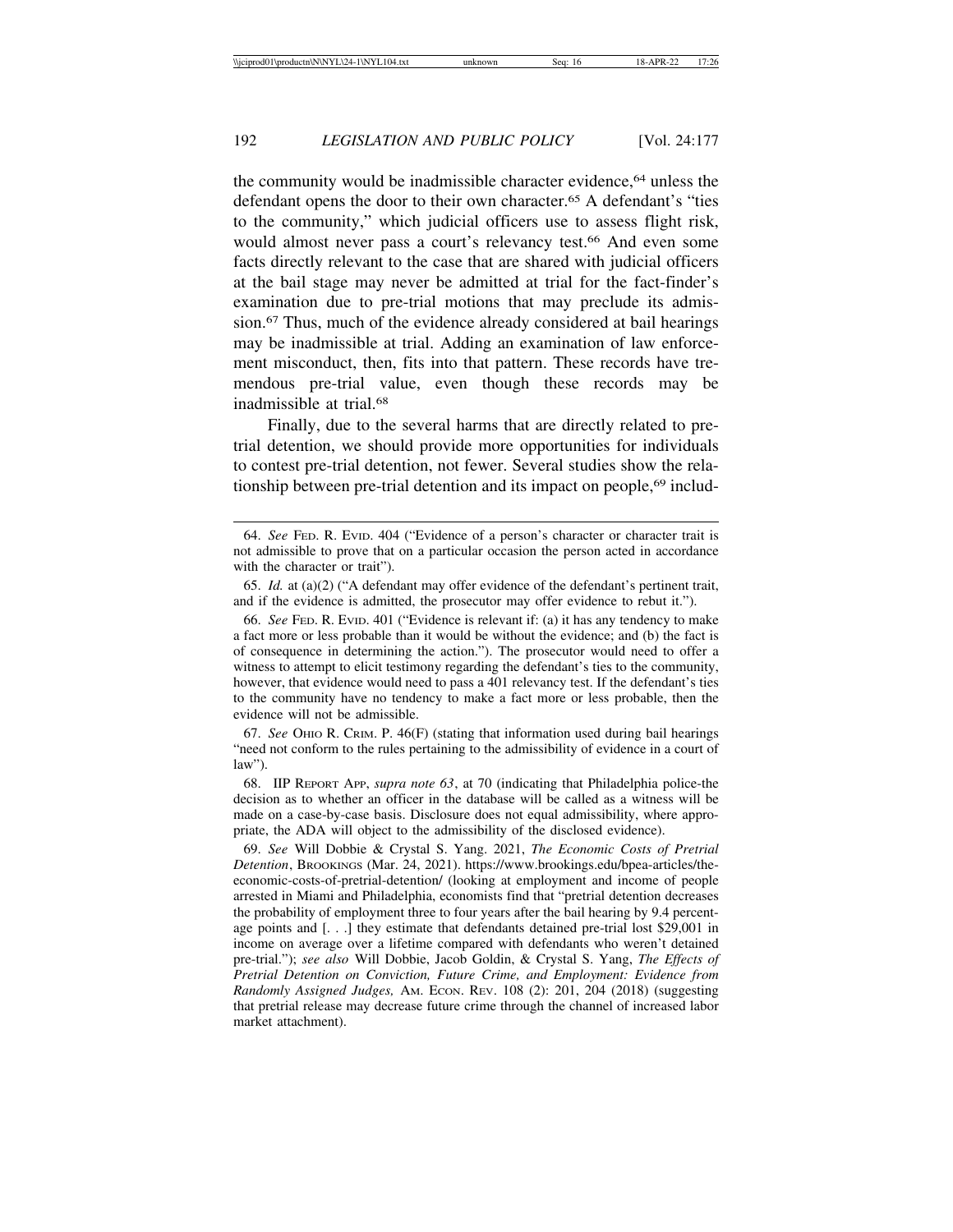the community would be inadmissible character evidence,64 unless the defendant opens the door to their own character.65 A defendant's "ties to the community," which judicial officers use to assess flight risk, would almost never pass a court's relevancy test.<sup>66</sup> And even some facts directly relevant to the case that are shared with judicial officers at the bail stage may never be admitted at trial for the fact-finder's examination due to pre-trial motions that may preclude its admission.67 Thus, much of the evidence already considered at bail hearings may be inadmissible at trial. Adding an examination of law enforcement misconduct, then, fits into that pattern. These records have tremendous pre-trial value, even though these records may be inadmissible at trial.68

Finally, due to the several harms that are directly related to pretrial detention, we should provide more opportunities for individuals to contest pre-trial detention, not fewer. Several studies show the relationship between pre-trial detention and its impact on people,<sup>69</sup> includ-

67. *See* OHIO R. CRIM. P. 46(F) (stating that information used during bail hearings "need not conform to the rules pertaining to the admissibility of evidence in a court of law").

68. IIP REPORT APP, *supra note 63*, at 70 (indicating that Philadelphia police-the decision as to whether an officer in the database will be called as a witness will be made on a case-by-case basis. Disclosure does not equal admissibility, where appropriate, the ADA will object to the admissibility of the disclosed evidence).

69. *See* Will Dobbie & Crystal S. Yang. 2021, *The Economic Costs of Pretrial Detention*, BROOKINGS (Mar. 24, 2021). https://www.brookings.edu/bpea-articles/theeconomic-costs-of-pretrial-detention/ (looking at employment and income of people arrested in Miami and Philadelphia, economists find that "pretrial detention decreases the probability of employment three to four years after the bail hearing by 9.4 percentage points and [. . .] they estimate that defendants detained pre-trial lost \$29,001 in income on average over a lifetime compared with defendants who weren't detained pre-trial."); *see also* Will Dobbie, Jacob Goldin, & Crystal S. Yang, *The Effects of Pretrial Detention on Conviction, Future Crime, and Employment: Evidence from Randomly Assigned Judges,* AM. ECON. REV. 108 (2): 201, 204 (2018) (suggesting that pretrial release may decrease future crime through the channel of increased labor market attachment).

<sup>64.</sup> *See* FED. R. EVID. 404 ("Evidence of a person's character or character trait is not admissible to prove that on a particular occasion the person acted in accordance with the character or trait").

<sup>65.</sup> *Id.* at (a)(2) ("A defendant may offer evidence of the defendant's pertinent trait, and if the evidence is admitted, the prosecutor may offer evidence to rebut it.").

<sup>66.</sup> *See* FED. R. EVID. 401 ("Evidence is relevant if: (a) it has any tendency to make a fact more or less probable than it would be without the evidence; and (b) the fact is of consequence in determining the action."). The prosecutor would need to offer a witness to attempt to elicit testimony regarding the defendant's ties to the community, however, that evidence would need to pass a 401 relevancy test. If the defendant's ties to the community have no tendency to make a fact more or less probable, then the evidence will not be admissible.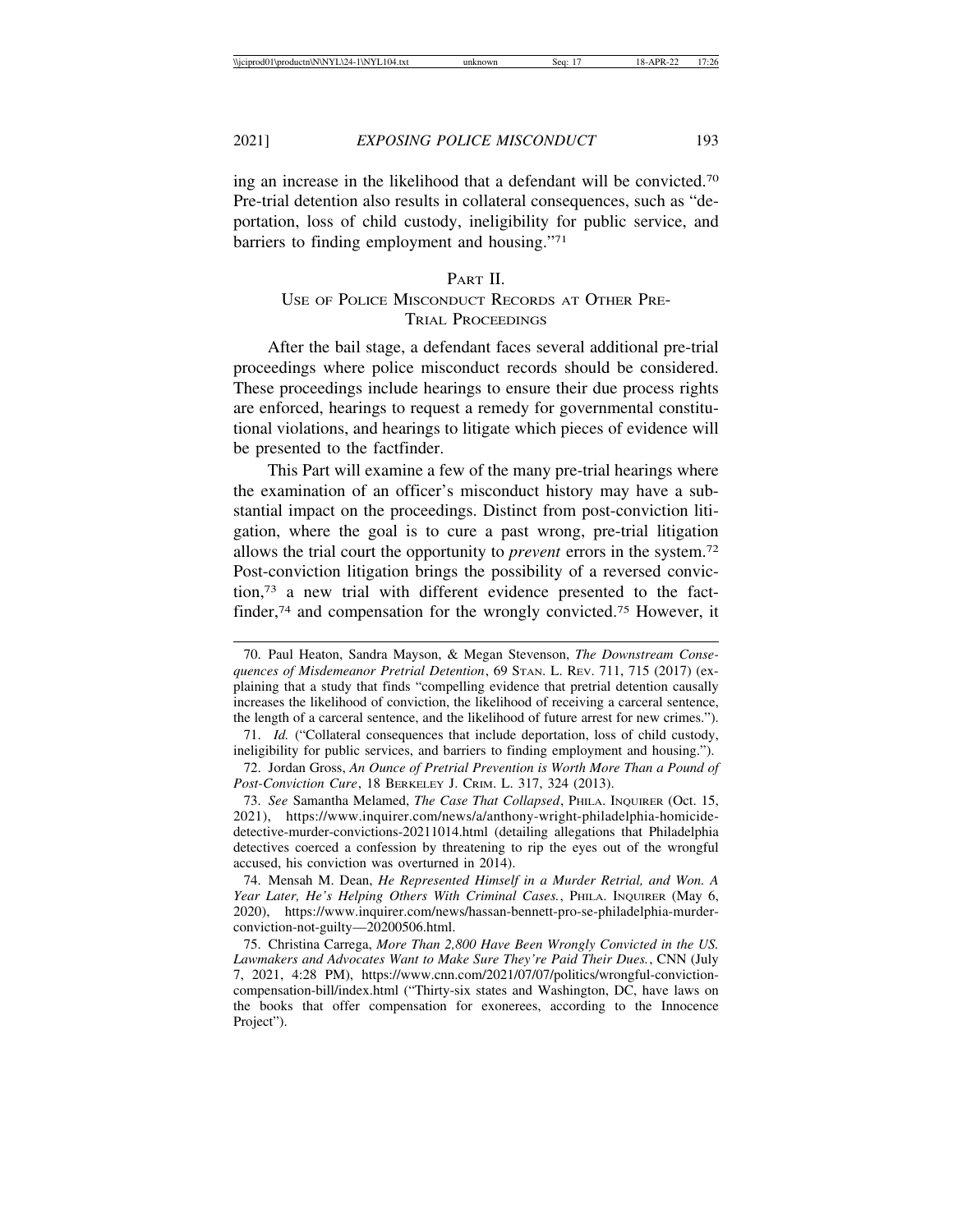ing an increase in the likelihood that a defendant will be convicted.70 Pre-trial detention also results in collateral consequences, such as "deportation, loss of child custody, ineligibility for public service, and barriers to finding employment and housing."71

## PART II. USE OF POLICE MISCONDUCT RECORDS AT OTHER PRE-TRIAL PROCEEDINGS

After the bail stage, a defendant faces several additional pre-trial proceedings where police misconduct records should be considered. These proceedings include hearings to ensure their due process rights are enforced, hearings to request a remedy for governmental constitutional violations, and hearings to litigate which pieces of evidence will be presented to the factfinder.

This Part will examine a few of the many pre-trial hearings where the examination of an officer's misconduct history may have a substantial impact on the proceedings. Distinct from post-conviction litigation, where the goal is to cure a past wrong, pre-trial litigation allows the trial court the opportunity to *prevent* errors in the system.72 Post-conviction litigation brings the possibility of a reversed conviction,73 a new trial with different evidence presented to the factfinder,<sup>74</sup> and compensation for the wrongly convicted.<sup>75</sup> However, it

<sup>70.</sup> Paul Heaton, Sandra Mayson, & Megan Stevenson, *The Downstream Consequences of Misdemeanor Pretrial Detention*, 69 STAN. L. REV. 711, 715 (2017) (explaining that a study that finds "compelling evidence that pretrial detention causally increases the likelihood of conviction, the likelihood of receiving a carceral sentence, the length of a carceral sentence, and the likelihood of future arrest for new crimes.").

<sup>71.</sup> *Id.* ("Collateral consequences that include deportation, loss of child custody, ineligibility for public services, and barriers to finding employment and housing.").

<sup>72.</sup> Jordan Gross, *An Ounce of Pretrial Prevention is Worth More Than a Pound of Post-Conviction Cure*, 18 BERKELEY J. CRIM. L. 317, 324 (2013).

<sup>73.</sup> *See* Samantha Melamed, *The Case That Collapsed*, PHILA. INQUIRER (Oct. 15, 2021), https://www.inquirer.com/news/a/anthony-wright-philadelphia-homicidedetective-murder-convictions-20211014.html (detailing allegations that Philadelphia detectives coerced a confession by threatening to rip the eyes out of the wrongful accused, his conviction was overturned in 2014).

<sup>74.</sup> Mensah M. Dean, *He Represented Himself in a Murder Retrial, and Won. A Year Later, He's Helping Others With Criminal Cases.*, PHILA. INQUIRER (May 6, 2020), https://www.inquirer.com/news/hassan-bennett-pro-se-philadelphia-murderconviction-not-guilty—20200506.html.

<sup>75.</sup> Christina Carrega, *More Than 2,800 Have Been Wrongly Convicted in the US. Lawmakers and Advocates Want to Make Sure They're Paid Their Dues.*, CNN (July 7, 2021, 4:28 PM), https://www.cnn.com/2021/07/07/politics/wrongful-convictioncompensation-bill/index.html ("Thirty-six states and Washington, DC, have laws on the books that offer compensation for exonerees, according to the Innocence Project").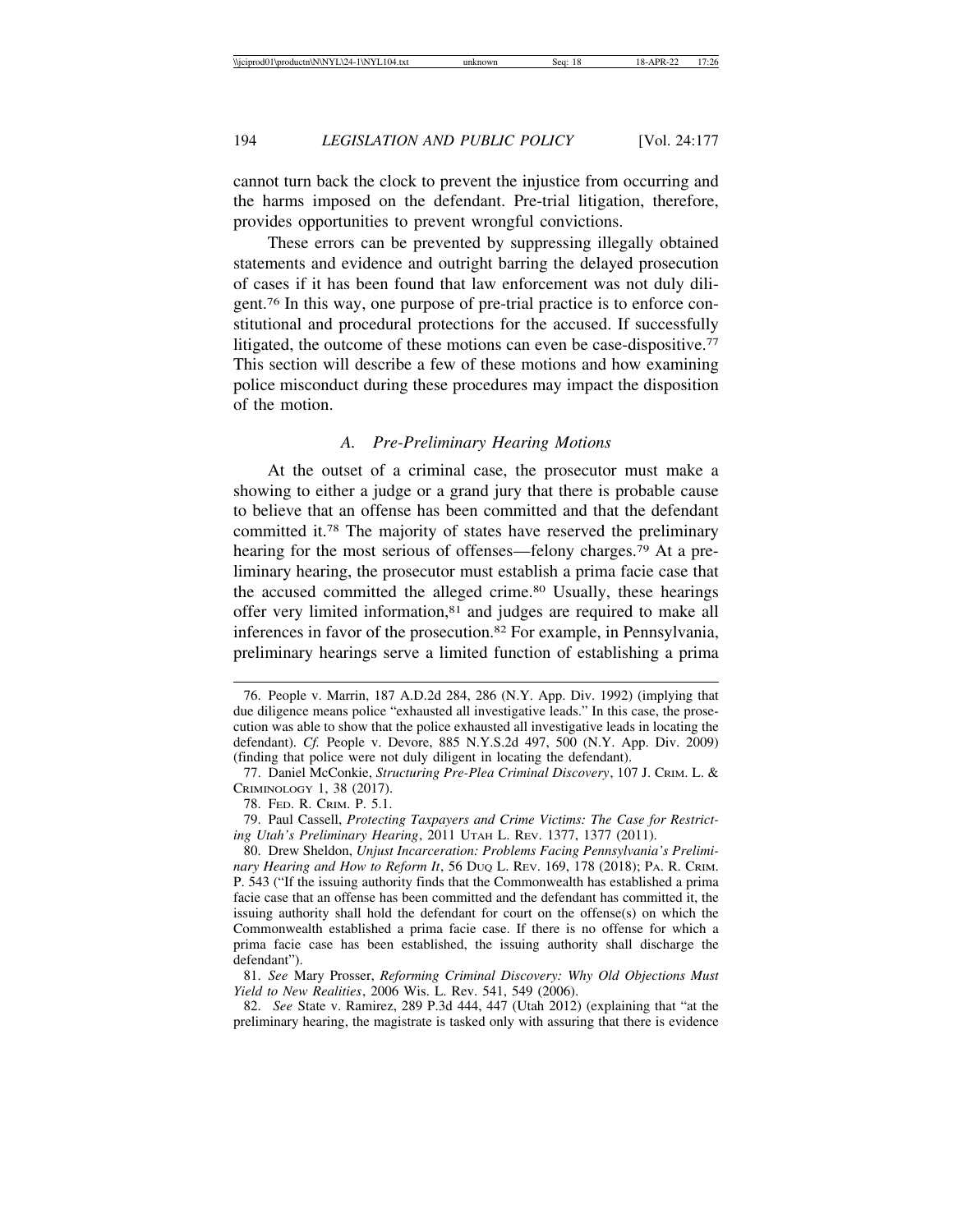cannot turn back the clock to prevent the injustice from occurring and the harms imposed on the defendant. Pre-trial litigation, therefore, provides opportunities to prevent wrongful convictions.

These errors can be prevented by suppressing illegally obtained statements and evidence and outright barring the delayed prosecution of cases if it has been found that law enforcement was not duly diligent.76 In this way, one purpose of pre-trial practice is to enforce constitutional and procedural protections for the accused. If successfully litigated, the outcome of these motions can even be case-dispositive.<sup>77</sup> This section will describe a few of these motions and how examining police misconduct during these procedures may impact the disposition of the motion.

## *A. Pre-Preliminary Hearing Motions*

At the outset of a criminal case, the prosecutor must make a showing to either a judge or a grand jury that there is probable cause to believe that an offense has been committed and that the defendant committed it.78 The majority of states have reserved the preliminary hearing for the most serious of offenses—felony charges.79 At a preliminary hearing, the prosecutor must establish a prima facie case that the accused committed the alleged crime.80 Usually, these hearings offer very limited information,81 and judges are required to make all inferences in favor of the prosecution.82 For example, in Pennsylvania, preliminary hearings serve a limited function of establishing a prima

81. *See* Mary Prosser, *Reforming Criminal Discovery: Why Old Objections Must Yield to New Realities*, 2006 Wis. L. Rev. 541, 549 (2006).

82. *See* State v. Ramirez, 289 P.3d 444, 447 (Utah 2012) (explaining that "at the preliminary hearing, the magistrate is tasked only with assuring that there is evidence

<sup>76.</sup> People v. Marrin, 187 A.D.2d 284, 286 (N.Y. App. Div. 1992) (implying that due diligence means police "exhausted all investigative leads." In this case, the prosecution was able to show that the police exhausted all investigative leads in locating the defendant). *Cf.* People v. Devore, 885 N.Y.S.2d 497, 500 (N.Y. App. Div. 2009) (finding that police were not duly diligent in locating the defendant).

<sup>77.</sup> Daniel McConkie, *Structuring Pre-Plea Criminal Discovery*, 107 J. CRIM. L. & CRIMINOLOGY 1, 38 (2017).

<sup>78.</sup> FED. R. CRIM. P. 5.1.

<sup>79.</sup> Paul Cassell, *Protecting Taxpayers and Crime Victims: The Case for Restricting Utah's Preliminary Hearing*, 2011 UTAH L. REV. 1377, 1377 (2011).

<sup>80.</sup> Drew Sheldon, *Unjust Incarceration: Problems Facing Pennsylvania's Preliminary Hearing and How to Reform It*, 56 DUQ L. REV. 169, 178 (2018); PA. R. CRIM. P. 543 ("If the issuing authority finds that the Commonwealth has established a prima facie case that an offense has been committed and the defendant has committed it, the issuing authority shall hold the defendant for court on the offense(s) on which the Commonwealth established a prima facie case. If there is no offense for which a prima facie case has been established, the issuing authority shall discharge the defendant").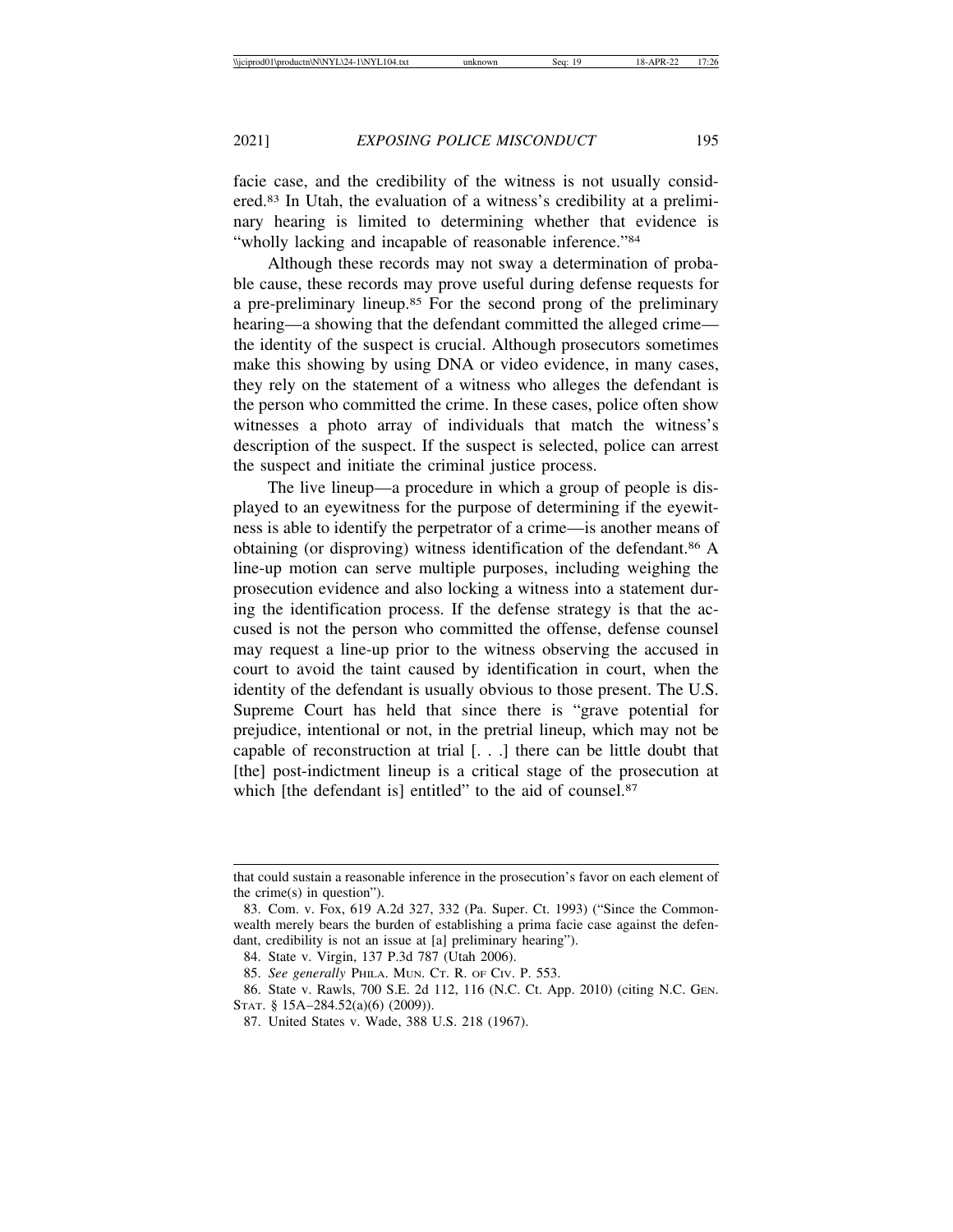facie case, and the credibility of the witness is not usually considered.83 In Utah, the evaluation of a witness's credibility at a preliminary hearing is limited to determining whether that evidence is "wholly lacking and incapable of reasonable inference."84

Although these records may not sway a determination of probable cause, these records may prove useful during defense requests for a pre-preliminary lineup.85 For the second prong of the preliminary hearing—a showing that the defendant committed the alleged crime the identity of the suspect is crucial. Although prosecutors sometimes make this showing by using DNA or video evidence, in many cases, they rely on the statement of a witness who alleges the defendant is the person who committed the crime. In these cases, police often show witnesses a photo array of individuals that match the witness's description of the suspect. If the suspect is selected, police can arrest the suspect and initiate the criminal justice process.

The live lineup—a procedure in which a group of people is displayed to an eyewitness for the purpose of determining if the eyewitness is able to identify the perpetrator of a crime—is another means of obtaining (or disproving) witness identification of the defendant.86 A line-up motion can serve multiple purposes, including weighing the prosecution evidence and also locking a witness into a statement during the identification process. If the defense strategy is that the accused is not the person who committed the offense, defense counsel may request a line-up prior to the witness observing the accused in court to avoid the taint caused by identification in court, when the identity of the defendant is usually obvious to those present. The U.S. Supreme Court has held that since there is "grave potential for prejudice, intentional or not, in the pretrial lineup, which may not be capable of reconstruction at trial [. . .] there can be little doubt that [the] post-indictment lineup is a critical stage of the prosecution at which [the defendant is] entitled" to the aid of counsel.<sup>87</sup>

that could sustain a reasonable inference in the prosecution's favor on each element of the crime(s) in question").

<sup>83.</sup> Com. v. Fox, 619 A.2d 327, 332 (Pa. Super. Ct. 1993) ("Since the Commonwealth merely bears the burden of establishing a prima facie case against the defendant, credibility is not an issue at [a] preliminary hearing").

<sup>84.</sup> State v. Virgin, 137 P.3d 787 (Utah 2006).

<sup>85.</sup> *See generally* PHILA. MUN. CT. R. OF CIV. P. 553.

<sup>86.</sup> State v. Rawls, 700 S.E. 2d 112, 116 (N.C. Ct. App. 2010) (citing N.C. GEN. STAT. § 15A–284.52(a)(6) (2009)).

<sup>87.</sup> United States v. Wade, 388 U.S. 218 (1967).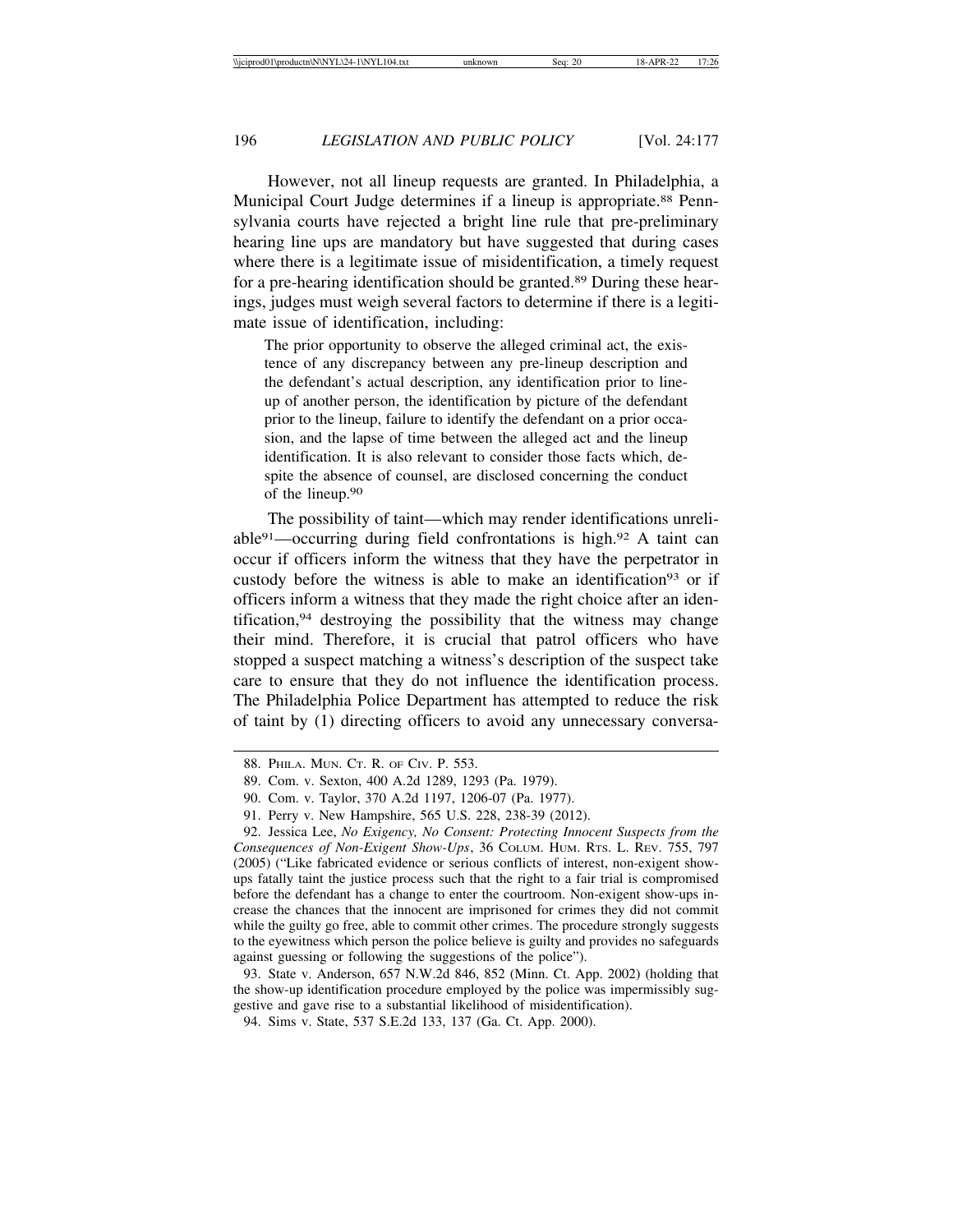However, not all lineup requests are granted. In Philadelphia, a Municipal Court Judge determines if a lineup is appropriate.<sup>88</sup> Pennsylvania courts have rejected a bright line rule that pre-preliminary hearing line ups are mandatory but have suggested that during cases where there is a legitimate issue of misidentification, a timely request for a pre-hearing identification should be granted.89 During these hearings, judges must weigh several factors to determine if there is a legitimate issue of identification, including:

The prior opportunity to observe the alleged criminal act, the existence of any discrepancy between any pre-lineup description and the defendant's actual description, any identification prior to lineup of another person, the identification by picture of the defendant prior to the lineup, failure to identify the defendant on a prior occasion, and the lapse of time between the alleged act and the lineup identification. It is also relevant to consider those facts which, despite the absence of counsel, are disclosed concerning the conduct of the lineup.90

The possibility of taint—which may render identifications unreliable<sup>91</sup>—occurring during field confrontations is high.<sup>92</sup> A taint can occur if officers inform the witness that they have the perpetrator in custody before the witness is able to make an identification<sup>93</sup> or if officers inform a witness that they made the right choice after an identification,94 destroying the possibility that the witness may change their mind. Therefore, it is crucial that patrol officers who have stopped a suspect matching a witness's description of the suspect take care to ensure that they do not influence the identification process. The Philadelphia Police Department has attempted to reduce the risk of taint by (1) directing officers to avoid any unnecessary conversa-

<sup>88.</sup> PHILA. MUN. CT. R. OF CIV. P. 553.

<sup>89.</sup> Com. v. Sexton, 400 A.2d 1289, 1293 (Pa. 1979).

<sup>90.</sup> Com. v. Taylor, 370 A.2d 1197, 1206-07 (Pa. 1977).

<sup>91.</sup> Perry v. New Hampshire, 565 U.S. 228, 238-39 (2012).

<sup>92.</sup> Jessica Lee, *No Exigency, No Consent: Protecting Innocent Suspects from the Consequences of Non-Exigent Show-Ups*, 36 COLUM. HUM. RTS. L. REV. 755, 797 (2005) ("Like fabricated evidence or serious conflicts of interest, non-exigent showups fatally taint the justice process such that the right to a fair trial is compromised before the defendant has a change to enter the courtroom. Non-exigent show-ups increase the chances that the innocent are imprisoned for crimes they did not commit while the guilty go free, able to commit other crimes. The procedure strongly suggests to the eyewitness which person the police believe is guilty and provides no safeguards against guessing or following the suggestions of the police").

<sup>93.</sup> State v. Anderson, 657 N.W.2d 846, 852 (Minn. Ct. App. 2002) (holding that the show-up identification procedure employed by the police was impermissibly suggestive and gave rise to a substantial likelihood of misidentification).

<sup>94.</sup> Sims v. State, 537 S.E.2d 133, 137 (Ga. Ct. App. 2000).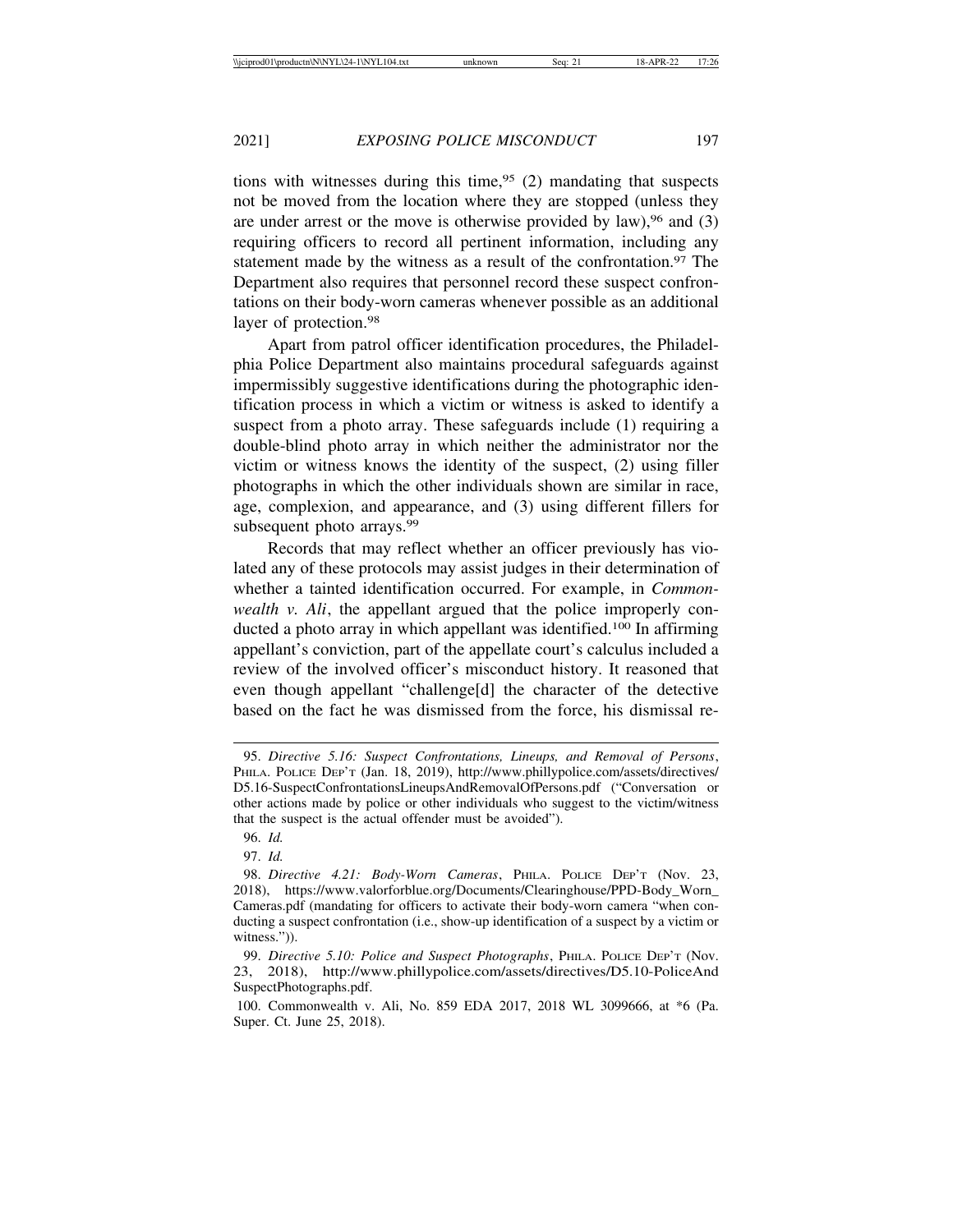tions with witnesses during this time,  $95$  (2) mandating that suspects not be moved from the location where they are stopped (unless they are under arrest or the move is otherwise provided by law),  $96$  and (3) requiring officers to record all pertinent information, including any statement made by the witness as a result of the confrontation.<sup>97</sup> The Department also requires that personnel record these suspect confrontations on their body-worn cameras whenever possible as an additional layer of protection.<sup>98</sup>

Apart from patrol officer identification procedures, the Philadelphia Police Department also maintains procedural safeguards against impermissibly suggestive identifications during the photographic identification process in which a victim or witness is asked to identify a suspect from a photo array. These safeguards include (1) requiring a double-blind photo array in which neither the administrator nor the victim or witness knows the identity of the suspect, (2) using filler photographs in which the other individuals shown are similar in race, age, complexion, and appearance, and (3) using different fillers for subsequent photo arrays.<sup>99</sup>

Records that may reflect whether an officer previously has violated any of these protocols may assist judges in their determination of whether a tainted identification occurred. For example, in *Commonwealth v. Ali*, the appellant argued that the police improperly conducted a photo array in which appellant was identified.100 In affirming appellant's conviction, part of the appellate court's calculus included a review of the involved officer's misconduct history. It reasoned that even though appellant "challenge[d] the character of the detective based on the fact he was dismissed from the force, his dismissal re-

<sup>95.</sup> *Directive 5.16: Suspect Confrontations, Lineups, and Removal of Persons*, PHILA. POLICE DEP'T (Jan. 18, 2019), http://www.phillypolice.com/assets/directives/ D5.16-SuspectConfrontationsLineupsAndRemovalOfPersons.pdf ("Conversation or other actions made by police or other individuals who suggest to the victim/witness that the suspect is the actual offender must be avoided").

<sup>96.</sup> *Id.*

<sup>97.</sup> *Id.*

<sup>98.</sup> *Directive 4.21: Body-Worn Cameras*, PHILA. POLICE DEP'T (Nov. 23, 2018), https://www.valorforblue.org/Documents/Clearinghouse/PPD-Body\_Worn\_ Cameras.pdf (mandating for officers to activate their body-worn camera "when conducting a suspect confrontation (i.e., show-up identification of a suspect by a victim or witness.")).

<sup>99.</sup> *Directive 5.10: Police and Suspect Photographs*, PHILA. POLICE DEP'T (Nov. 23, 2018), http://www.phillypolice.com/assets/directives/D5.10-PoliceAnd SuspectPhotographs.pdf.

<sup>100.</sup> Commonwealth v. Ali, No. 859 EDA 2017, 2018 WL 3099666, at \*6 (Pa. Super. Ct. June 25, 2018).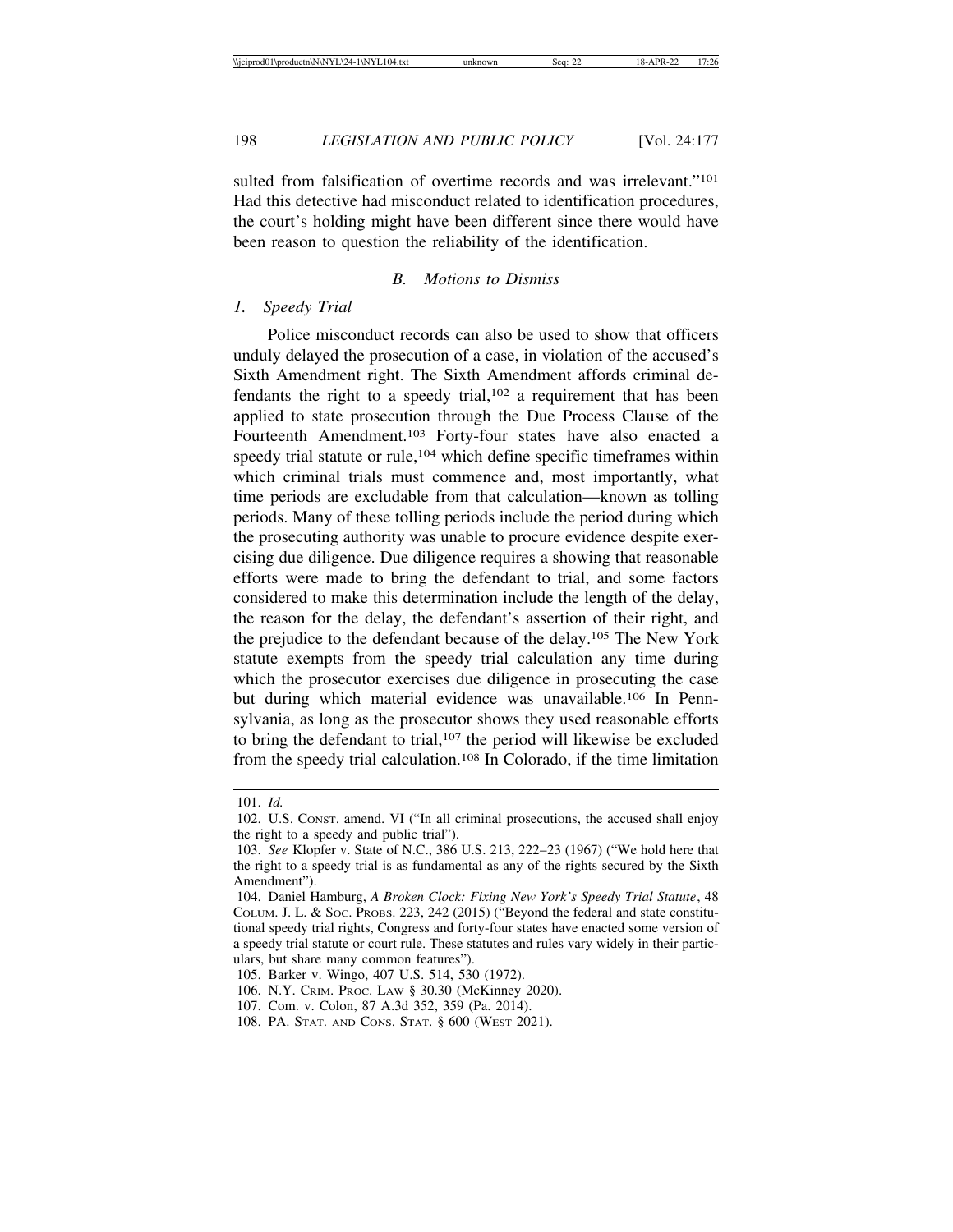198 *LEGISLATION AND PUBLIC POLICY* [Vol. 24:177

sulted from falsification of overtime records and was irrelevant."<sup>101</sup> Had this detective had misconduct related to identification procedures, the court's holding might have been different since there would have been reason to question the reliability of the identification.

#### *B. Motions to Dismiss*

### *1. Speedy Trial*

Police misconduct records can also be used to show that officers unduly delayed the prosecution of a case, in violation of the accused's Sixth Amendment right. The Sixth Amendment affords criminal defendants the right to a speedy trial, $102$  a requirement that has been applied to state prosecution through the Due Process Clause of the Fourteenth Amendment.103 Forty-four states have also enacted a speedy trial statute or rule,<sup>104</sup> which define specific timeframes within which criminal trials must commence and, most importantly, what time periods are excludable from that calculation—known as tolling periods. Many of these tolling periods include the period during which the prosecuting authority was unable to procure evidence despite exercising due diligence. Due diligence requires a showing that reasonable efforts were made to bring the defendant to trial, and some factors considered to make this determination include the length of the delay, the reason for the delay, the defendant's assertion of their right, and the prejudice to the defendant because of the delay.105 The New York statute exempts from the speedy trial calculation any time during which the prosecutor exercises due diligence in prosecuting the case but during which material evidence was unavailable.106 In Pennsylvania, as long as the prosecutor shows they used reasonable efforts to bring the defendant to trial,<sup>107</sup> the period will likewise be excluded from the speedy trial calculation.108 In Colorado, if the time limitation

<sup>101.</sup> *Id.*

<sup>102.</sup> U.S. CONST. amend. VI ("In all criminal prosecutions, the accused shall enjoy the right to a speedy and public trial").

<sup>103.</sup> *See* Klopfer v. State of N.C., 386 U.S. 213, 222–23 (1967) ("We hold here that the right to a speedy trial is as fundamental as any of the rights secured by the Sixth Amendment").

<sup>104.</sup> Daniel Hamburg, *A Broken Clock: Fixing New York's Speedy Trial Statute*, 48 COLUM. J. L. & SOC. PROBS. 223, 242 (2015) ("Beyond the federal and state constitutional speedy trial rights, Congress and forty-four states have enacted some version of a speedy trial statute or court rule. These statutes and rules vary widely in their particulars, but share many common features").

<sup>105.</sup> Barker v. Wingo, 407 U.S. 514, 530 (1972).

<sup>106.</sup> N.Y. CRIM. PROC. LAW § 30.30 (McKinney 2020).

<sup>107.</sup> Com. v. Colon, 87 A.3d 352, 359 (Pa. 2014).

<sup>108.</sup> PA. STAT. AND CONS. STAT. § 600 (WEST 2021).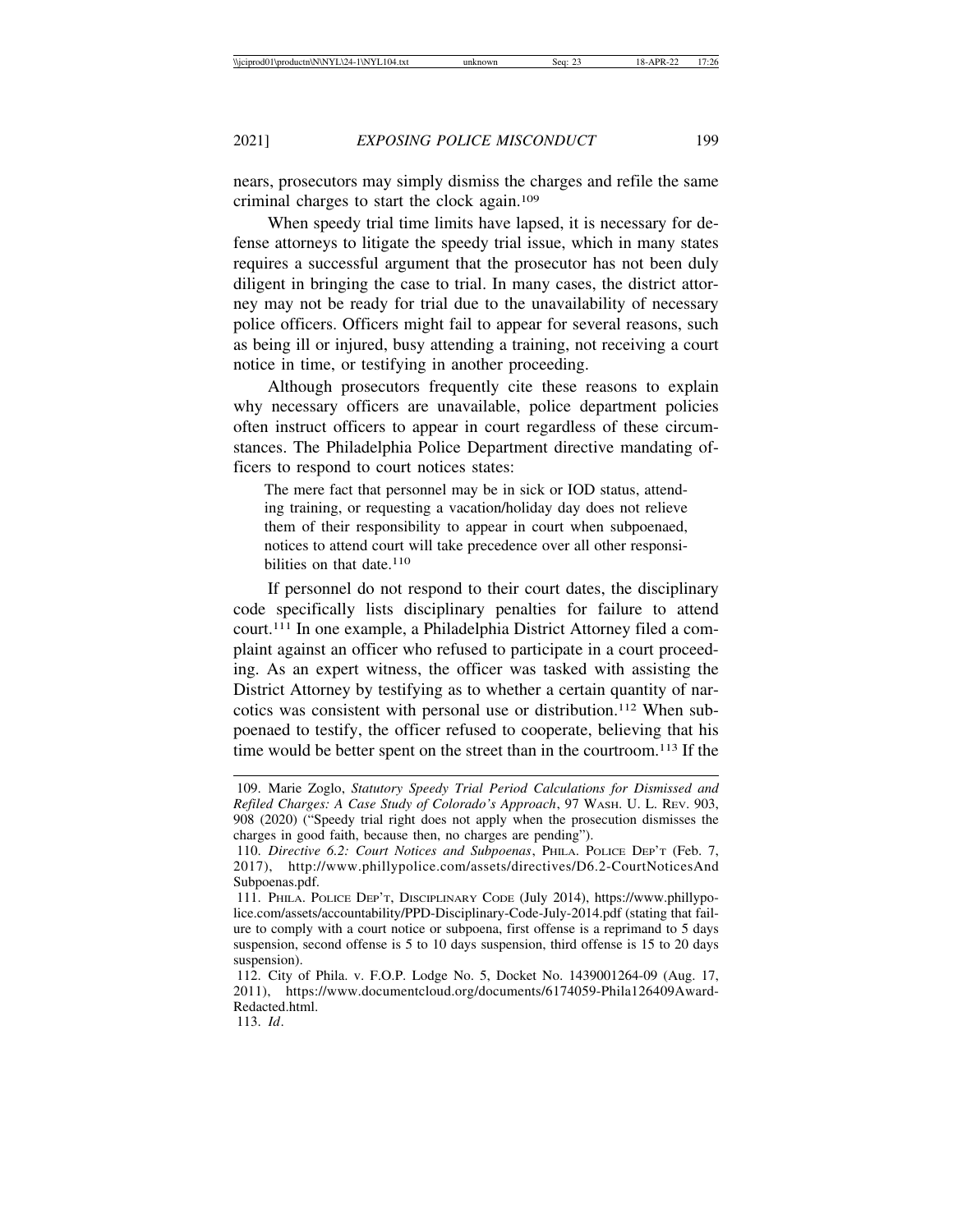nears, prosecutors may simply dismiss the charges and refile the same criminal charges to start the clock again.109

When speedy trial time limits have lapsed, it is necessary for defense attorneys to litigate the speedy trial issue, which in many states requires a successful argument that the prosecutor has not been duly diligent in bringing the case to trial. In many cases, the district attorney may not be ready for trial due to the unavailability of necessary police officers. Officers might fail to appear for several reasons, such as being ill or injured, busy attending a training, not receiving a court notice in time, or testifying in another proceeding.

Although prosecutors frequently cite these reasons to explain why necessary officers are unavailable, police department policies often instruct officers to appear in court regardless of these circumstances. The Philadelphia Police Department directive mandating officers to respond to court notices states:

The mere fact that personnel may be in sick or IOD status, attending training, or requesting a vacation/holiday day does not relieve them of their responsibility to appear in court when subpoenaed, notices to attend court will take precedence over all other responsibilities on that date. $110$ 

If personnel do not respond to their court dates, the disciplinary code specifically lists disciplinary penalties for failure to attend court.111 In one example, a Philadelphia District Attorney filed a complaint against an officer who refused to participate in a court proceeding. As an expert witness, the officer was tasked with assisting the District Attorney by testifying as to whether a certain quantity of narcotics was consistent with personal use or distribution.112 When subpoenaed to testify, the officer refused to cooperate, believing that his time would be better spent on the street than in the courtroom.113 If the

<sup>109.</sup> Marie Zoglo, *Statutory Speedy Trial Period Calculations for Dismissed and Refiled Charges: A Case Study of Colorado's Approach*, 97 WASH. U. L. REV. 903, 908 (2020) ("Speedy trial right does not apply when the prosecution dismisses the charges in good faith, because then, no charges are pending").

<sup>110.</sup> *Directive 6.2: Court Notices and Subpoenas*, PHILA. POLICE DEP'T (Feb. 7, 2017), http://www.phillypolice.com/assets/directives/D6.2-CourtNoticesAnd Subpoenas.pdf.

<sup>111.</sup> PHILA. POLICE DEP'T, DISCIPLINARY CODE (July 2014), https://www.phillypolice.com/assets/accountability/PPD-Disciplinary-Code-July-2014.pdf (stating that failure to comply with a court notice or subpoena, first offense is a reprimand to 5 days suspension, second offense is 5 to 10 days suspension, third offense is 15 to 20 days suspension).

<sup>112.</sup> City of Phila. v. F.O.P. Lodge No. 5, Docket No. 1439001264-09 (Aug. 17, 2011), https://www.documentcloud.org/documents/6174059-Phila126409Award-Redacted.html.

<sup>113.</sup> *Id*.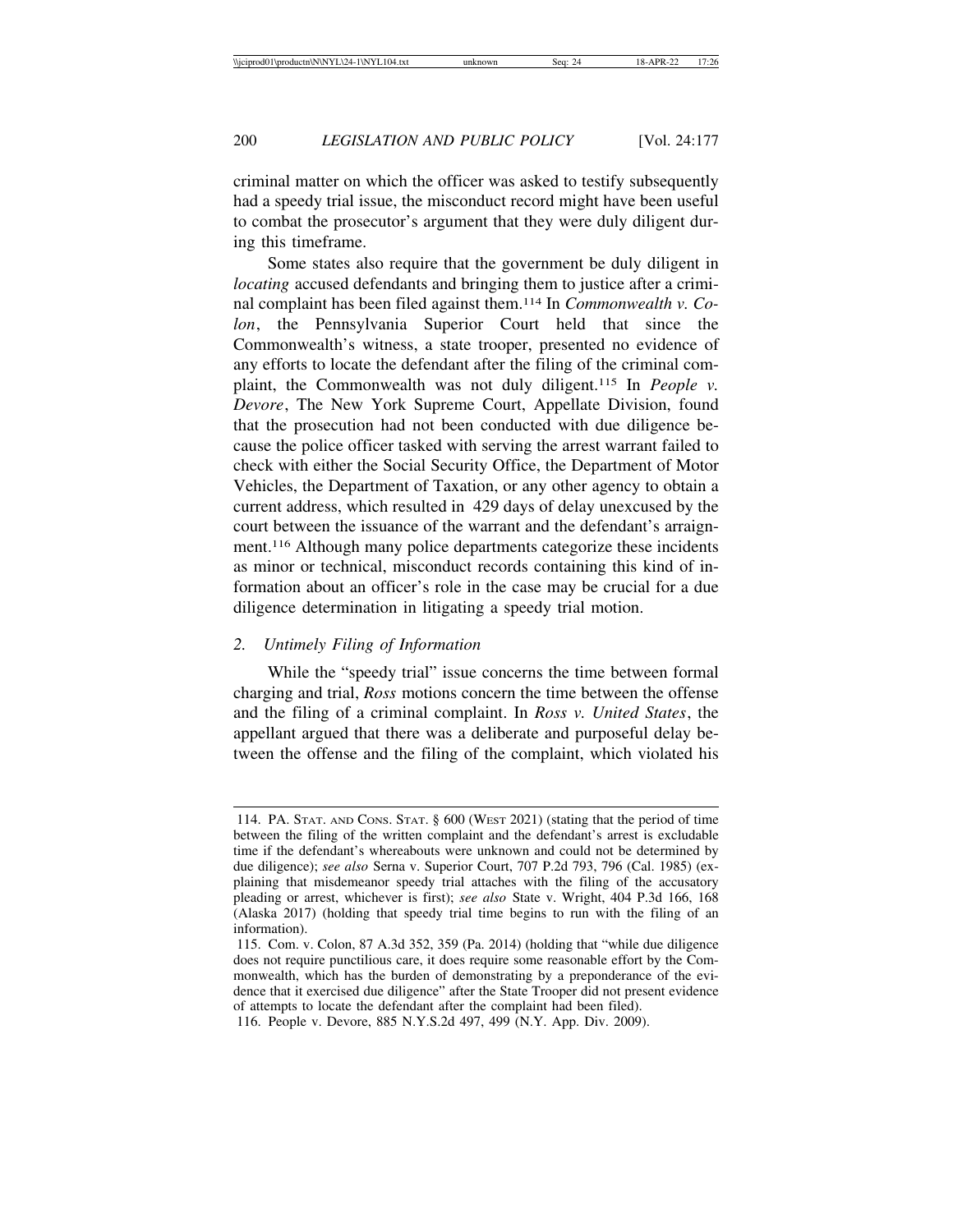criminal matter on which the officer was asked to testify subsequently had a speedy trial issue, the misconduct record might have been useful to combat the prosecutor's argument that they were duly diligent during this timeframe.

Some states also require that the government be duly diligent in *locating* accused defendants and bringing them to justice after a criminal complaint has been filed against them.114 In *Commonwealth v. Colon*, the Pennsylvania Superior Court held that since the Commonwealth's witness, a state trooper, presented no evidence of any efforts to locate the defendant after the filing of the criminal complaint, the Commonwealth was not duly diligent.115 In *People v. Devore*, The New York Supreme Court, Appellate Division, found that the prosecution had not been conducted with due diligence because the police officer tasked with serving the arrest warrant failed to check with either the Social Security Office, the Department of Motor Vehicles, the Department of Taxation, or any other agency to obtain a current address, which resulted in 429 days of delay unexcused by the court between the issuance of the warrant and the defendant's arraignment.116 Although many police departments categorize these incidents as minor or technical, misconduct records containing this kind of information about an officer's role in the case may be crucial for a due diligence determination in litigating a speedy trial motion.

### *2. Untimely Filing of Information*

While the "speedy trial" issue concerns the time between formal charging and trial, *Ross* motions concern the time between the offense and the filing of a criminal complaint. In *Ross v. United States*, the appellant argued that there was a deliberate and purposeful delay between the offense and the filing of the complaint, which violated his

<sup>114.</sup> PA. STAT. AND CONS. STAT. § 600 (WEST 2021) (stating that the period of time between the filing of the written complaint and the defendant's arrest is excludable time if the defendant's whereabouts were unknown and could not be determined by due diligence); *see also* Serna v. Superior Court, 707 P.2d 793, 796 (Cal. 1985) (explaining that misdemeanor speedy trial attaches with the filing of the accusatory pleading or arrest, whichever is first); *see also* State v. Wright, 404 P.3d 166, 168 (Alaska 2017) (holding that speedy trial time begins to run with the filing of an information).

<sup>115.</sup> Com. v. Colon, 87 A.3d 352, 359 (Pa. 2014) (holding that "while due diligence does not require punctilious care, it does require some reasonable effort by the Commonwealth, which has the burden of demonstrating by a preponderance of the evidence that it exercised due diligence" after the State Trooper did not present evidence of attempts to locate the defendant after the complaint had been filed).

<sup>116.</sup> People v. Devore, 885 N.Y.S.2d 497, 499 (N.Y. App. Div. 2009).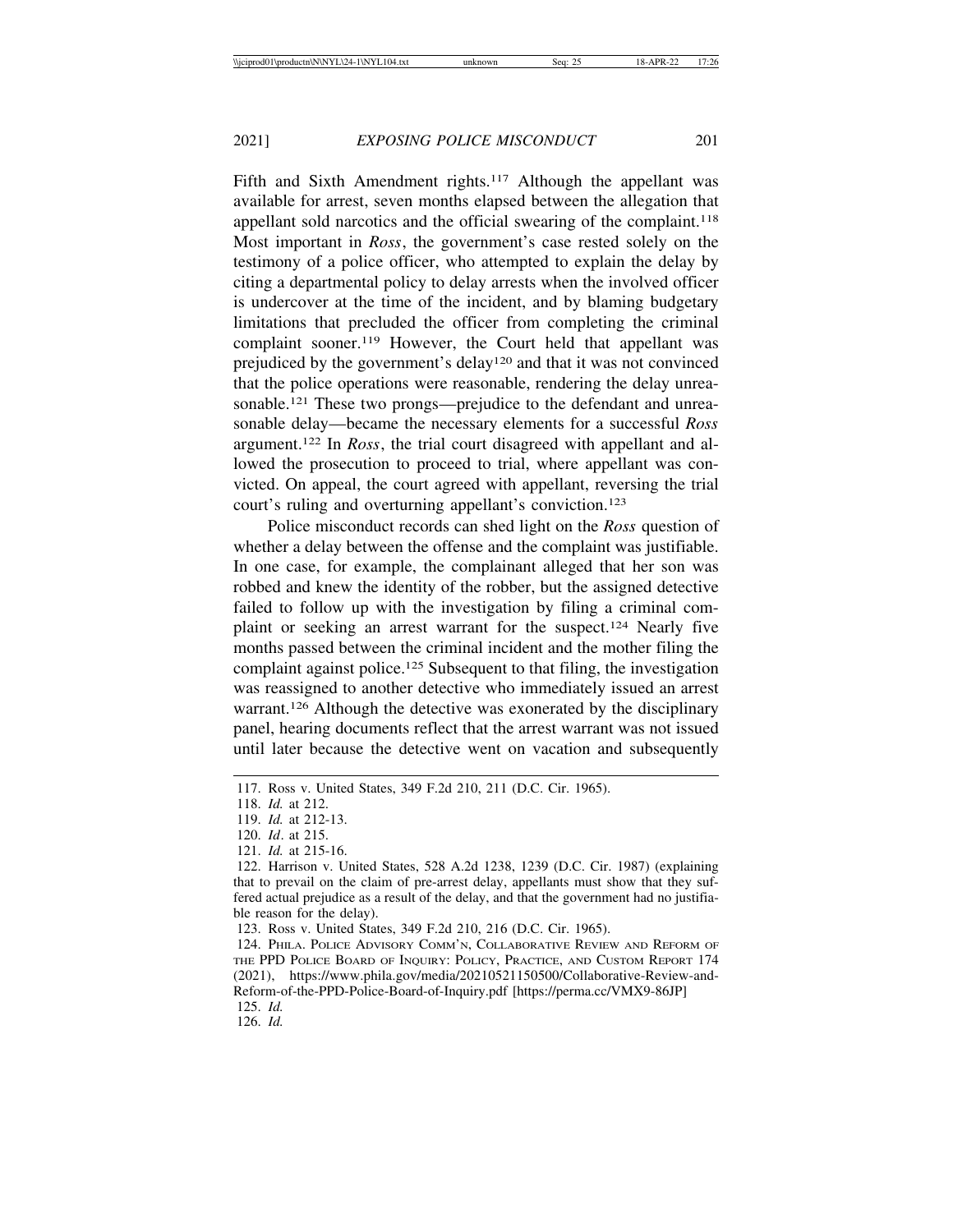Fifth and Sixth Amendment rights.<sup>117</sup> Although the appellant was available for arrest, seven months elapsed between the allegation that appellant sold narcotics and the official swearing of the complaint.<sup>118</sup> Most important in *Ross*, the government's case rested solely on the testimony of a police officer, who attempted to explain the delay by citing a departmental policy to delay arrests when the involved officer is undercover at the time of the incident, and by blaming budgetary limitations that precluded the officer from completing the criminal complaint sooner.119 However, the Court held that appellant was prejudiced by the government's delay120 and that it was not convinced that the police operations were reasonable, rendering the delay unreasonable.<sup>121</sup> These two prongs—prejudice to the defendant and unreasonable delay—became the necessary elements for a successful *Ross* argument.122 In *Ross*, the trial court disagreed with appellant and allowed the prosecution to proceed to trial, where appellant was convicted. On appeal, the court agreed with appellant, reversing the trial court's ruling and overturning appellant's conviction.123

Police misconduct records can shed light on the *Ross* question of whether a delay between the offense and the complaint was justifiable. In one case, for example, the complainant alleged that her son was robbed and knew the identity of the robber, but the assigned detective failed to follow up with the investigation by filing a criminal complaint or seeking an arrest warrant for the suspect.124 Nearly five months passed between the criminal incident and the mother filing the complaint against police.125 Subsequent to that filing, the investigation was reassigned to another detective who immediately issued an arrest warrant.126 Although the detective was exonerated by the disciplinary panel, hearing documents reflect that the arrest warrant was not issued until later because the detective went on vacation and subsequently

125. *Id.*

126. *Id.*

<sup>117.</sup> Ross v. United States, 349 F.2d 210, 211 (D.C. Cir. 1965).

<sup>118.</sup> *Id.* at 212.

<sup>119.</sup> *Id.* at 212-13.

<sup>120.</sup> *Id*. at 215.

<sup>121.</sup> *Id.* at 215-16.

<sup>122.</sup> Harrison v. United States, 528 A.2d 1238, 1239 (D.C. Cir. 1987) (explaining that to prevail on the claim of pre-arrest delay, appellants must show that they suffered actual prejudice as a result of the delay, and that the government had no justifiable reason for the delay).

<sup>123.</sup> Ross v. United States, 349 F.2d 210, 216 (D.C. Cir. 1965).

<sup>124.</sup> PHILA. POLICE ADVISORY COMM'N, COLLABORATIVE REVIEW AND REFORM OF THE PPD POLICE BOARD OF INQUIRY: POLICY, PRACTICE, AND CUSTOM REPORT 174 (2021), https://www.phila.gov/media/20210521150500/Collaborative-Review-and-Reform-of-the-PPD-Police-Board-of-Inquiry.pdf [https://perma.cc/VMX9-86JP]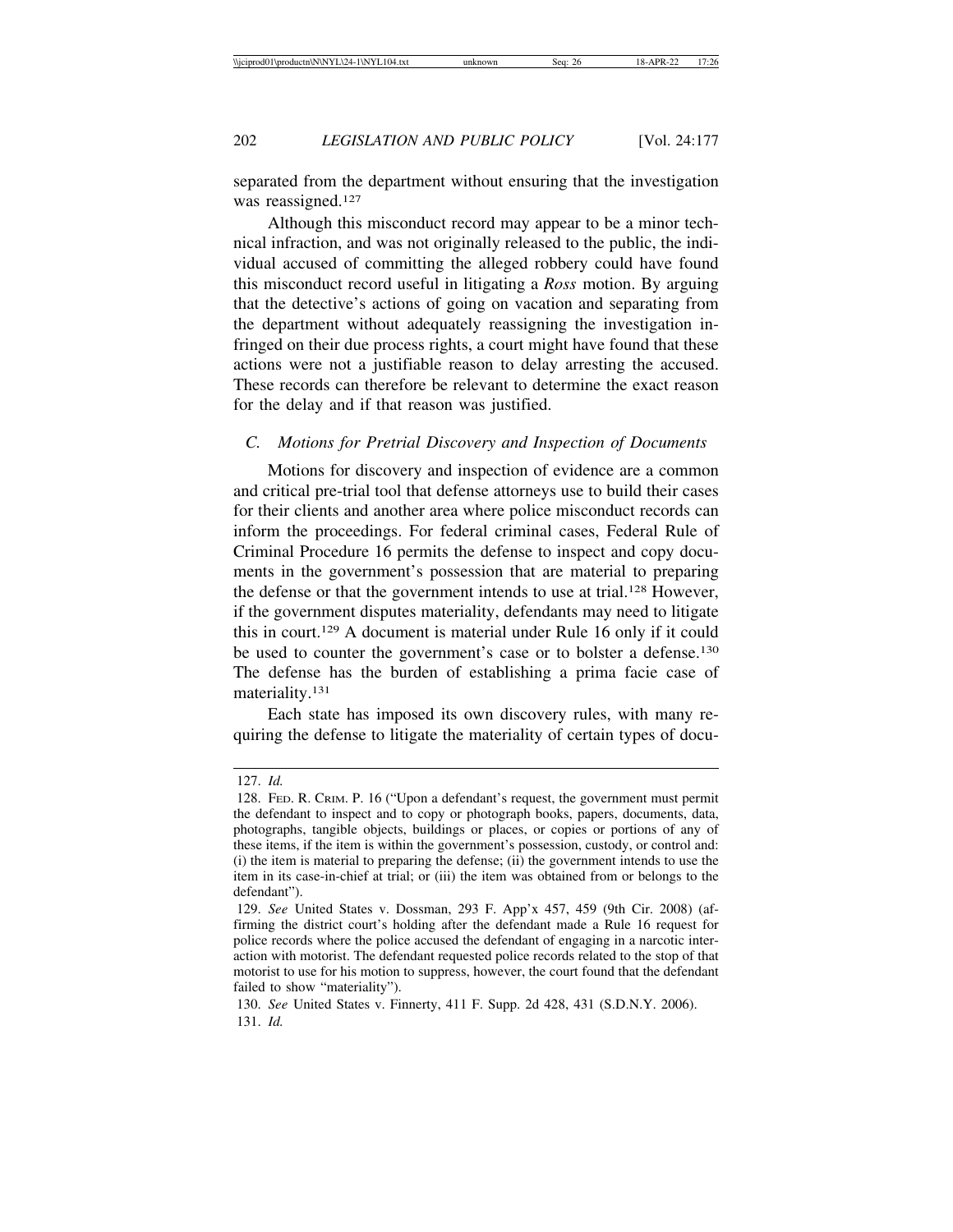separated from the department without ensuring that the investigation was reassigned.<sup>127</sup>

Although this misconduct record may appear to be a minor technical infraction, and was not originally released to the public, the individual accused of committing the alleged robbery could have found this misconduct record useful in litigating a *Ross* motion. By arguing that the detective's actions of going on vacation and separating from the department without adequately reassigning the investigation infringed on their due process rights, a court might have found that these actions were not a justifiable reason to delay arresting the accused. These records can therefore be relevant to determine the exact reason for the delay and if that reason was justified.

#### *C. Motions for Pretrial Discovery and Inspection of Documents*

Motions for discovery and inspection of evidence are a common and critical pre-trial tool that defense attorneys use to build their cases for their clients and another area where police misconduct records can inform the proceedings. For federal criminal cases, Federal Rule of Criminal Procedure 16 permits the defense to inspect and copy documents in the government's possession that are material to preparing the defense or that the government intends to use at trial.128 However, if the government disputes materiality, defendants may need to litigate this in court.129 A document is material under Rule 16 only if it could be used to counter the government's case or to bolster a defense.130 The defense has the burden of establishing a prima facie case of materiality.131

Each state has imposed its own discovery rules, with many requiring the defense to litigate the materiality of certain types of docu-

<sup>127.</sup> *Id.*

<sup>128.</sup> FED. R. CRIM. P. 16 ("Upon a defendant's request, the government must permit the defendant to inspect and to copy or photograph books, papers, documents, data, photographs, tangible objects, buildings or places, or copies or portions of any of these items, if the item is within the government's possession, custody, or control and: (i) the item is material to preparing the defense; (ii) the government intends to use the item in its case-in-chief at trial; or (iii) the item was obtained from or belongs to the defendant").

<sup>129.</sup> *See* United States v. Dossman, 293 F. App'x 457, 459 (9th Cir. 2008) (affirming the district court's holding after the defendant made a Rule 16 request for police records where the police accused the defendant of engaging in a narcotic interaction with motorist. The defendant requested police records related to the stop of that motorist to use for his motion to suppress, however, the court found that the defendant failed to show "materiality").

<sup>130.</sup> *See* United States v. Finnerty, 411 F. Supp. 2d 428, 431 (S.D.N.Y. 2006). 131. *Id.*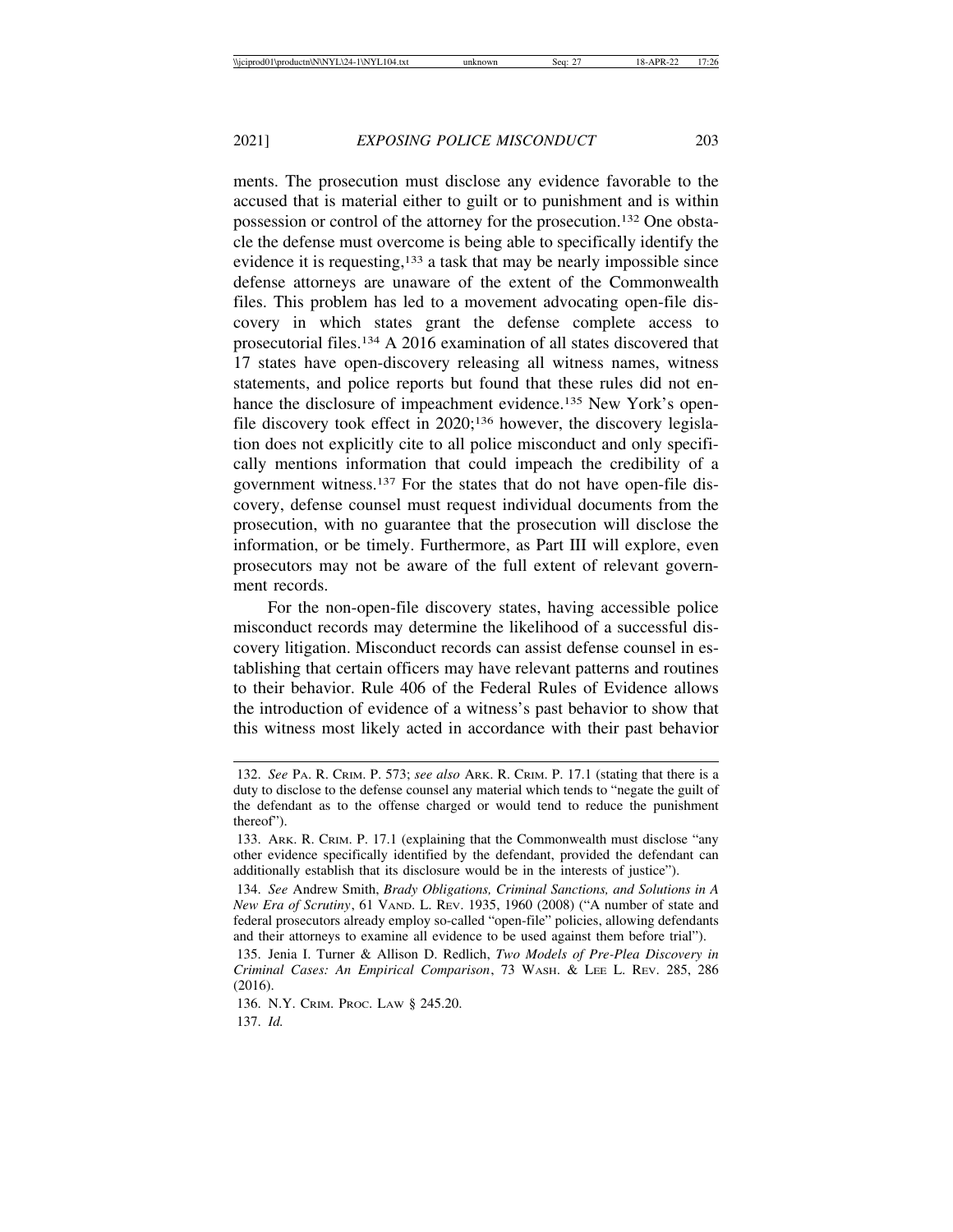ments. The prosecution must disclose any evidence favorable to the accused that is material either to guilt or to punishment and is within possession or control of the attorney for the prosecution.132 One obstacle the defense must overcome is being able to specifically identify the evidence it is requesting,<sup>133</sup> a task that may be nearly impossible since defense attorneys are unaware of the extent of the Commonwealth files. This problem has led to a movement advocating open-file discovery in which states grant the defense complete access to prosecutorial files.134 A 2016 examination of all states discovered that 17 states have open-discovery releasing all witness names, witness statements, and police reports but found that these rules did not enhance the disclosure of impeachment evidence.<sup>135</sup> New York's openfile discovery took effect in 2020;136 however, the discovery legislation does not explicitly cite to all police misconduct and only specifically mentions information that could impeach the credibility of a government witness.137 For the states that do not have open-file discovery, defense counsel must request individual documents from the prosecution, with no guarantee that the prosecution will disclose the information, or be timely. Furthermore, as Part III will explore, even prosecutors may not be aware of the full extent of relevant government records.

For the non-open-file discovery states, having accessible police misconduct records may determine the likelihood of a successful discovery litigation. Misconduct records can assist defense counsel in establishing that certain officers may have relevant patterns and routines to their behavior. Rule 406 of the Federal Rules of Evidence allows the introduction of evidence of a witness's past behavior to show that this witness most likely acted in accordance with their past behavior

137. *Id.*

<sup>132.</sup> *See* PA. R. CRIM. P. 573; *see also* ARK. R. CRIM. P. 17.1 (stating that there is a duty to disclose to the defense counsel any material which tends to "negate the guilt of the defendant as to the offense charged or would tend to reduce the punishment thereof").

<sup>133.</sup> ARK. R. CRIM. P. 17.1 (explaining that the Commonwealth must disclose "any other evidence specifically identified by the defendant, provided the defendant can additionally establish that its disclosure would be in the interests of justice").

<sup>134.</sup> *See* Andrew Smith, *Brady Obligations, Criminal Sanctions, and Solutions in A New Era of Scrutiny*, 61 VAND. L. REV. 1935, 1960 (2008) ("A number of state and federal prosecutors already employ so-called "open-file" policies, allowing defendants and their attorneys to examine all evidence to be used against them before trial").

<sup>135.</sup> Jenia I. Turner & Allison D. Redlich, *Two Models of Pre-Plea Discovery in Criminal Cases: An Empirical Comparison*, 73 WASH. & LEE L. REV. 285, 286 (2016).

<sup>136.</sup> N.Y. CRIM. PROC. LAW § 245.20.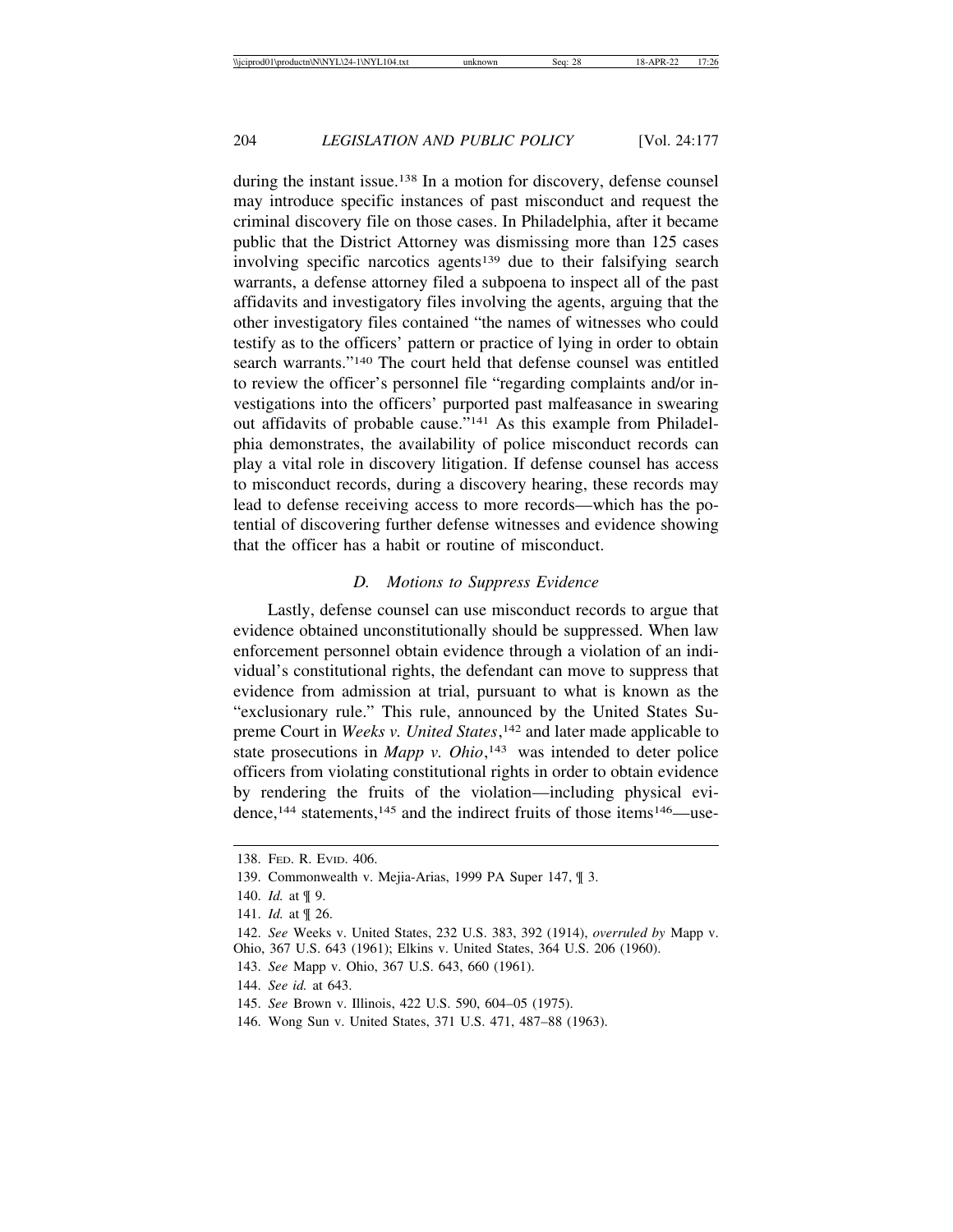during the instant issue.138 In a motion for discovery, defense counsel may introduce specific instances of past misconduct and request the criminal discovery file on those cases. In Philadelphia, after it became public that the District Attorney was dismissing more than 125 cases involving specific narcotics agents<sup>139</sup> due to their falsifying search warrants, a defense attorney filed a subpoena to inspect all of the past affidavits and investigatory files involving the agents, arguing that the other investigatory files contained "the names of witnesses who could testify as to the officers' pattern or practice of lying in order to obtain search warrants."140 The court held that defense counsel was entitled to review the officer's personnel file "regarding complaints and/or investigations into the officers' purported past malfeasance in swearing out affidavits of probable cause."141 As this example from Philadelphia demonstrates, the availability of police misconduct records can play a vital role in discovery litigation. If defense counsel has access to misconduct records, during a discovery hearing, these records may lead to defense receiving access to more records—which has the potential of discovering further defense witnesses and evidence showing that the officer has a habit or routine of misconduct.

#### *D. Motions to Suppress Evidence*

Lastly, defense counsel can use misconduct records to argue that evidence obtained unconstitutionally should be suppressed. When law enforcement personnel obtain evidence through a violation of an individual's constitutional rights, the defendant can move to suppress that evidence from admission at trial, pursuant to what is known as the "exclusionary rule." This rule, announced by the United States Supreme Court in *Weeks v. United States*,<sup>142</sup> and later made applicable to state prosecutions in *Mapp v. Ohio*,<sup>143</sup> was intended to deter police officers from violating constitutional rights in order to obtain evidence by rendering the fruits of the violation—including physical evidence,<sup>144</sup> statements,<sup>145</sup> and the indirect fruits of those items<sup>146</sup>—use-

<sup>138.</sup> FED. R. EVID. 406.

<sup>139.</sup> Commonwealth v. Mejia-Arias, 1999 PA Super 147, ¶ 3.

<sup>140.</sup> *Id.* at ¶ 9.

<sup>141.</sup> *Id.* at ¶ 26.

<sup>142.</sup> *See* Weeks v. United States, 232 U.S. 383, 392 (1914), *overruled by* Mapp v. Ohio, 367 U.S. 643 (1961); Elkins v. United States, 364 U.S. 206 (1960).

<sup>143.</sup> *See* Mapp v. Ohio, 367 U.S. 643, 660 (1961).

<sup>144.</sup> *See id.* at 643.

<sup>145.</sup> *See* Brown v. Illinois, 422 U.S. 590, 604–05 (1975).

<sup>146.</sup> Wong Sun v. United States, 371 U.S. 471, 487–88 (1963).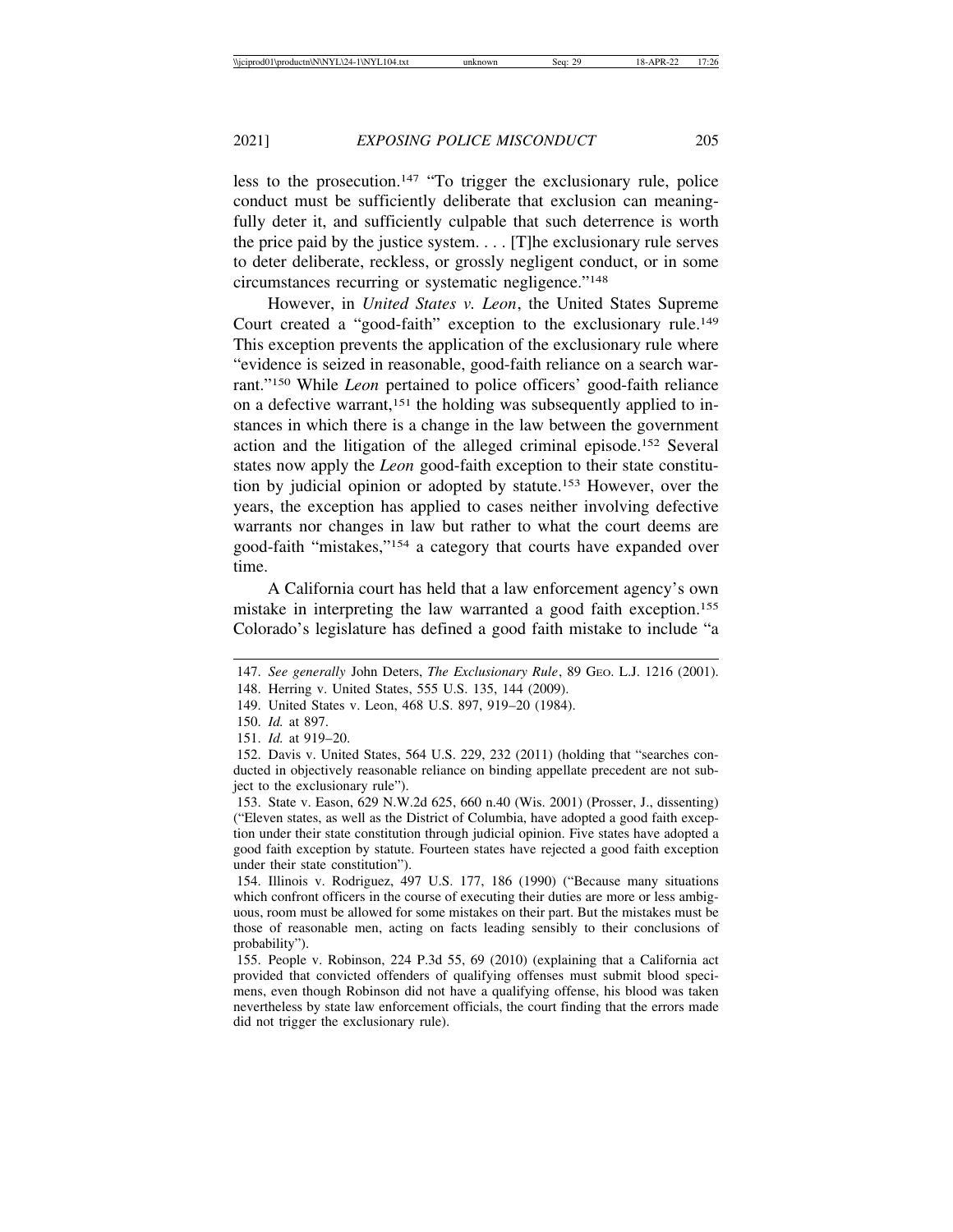less to the prosecution.147 "To trigger the exclusionary rule, police conduct must be sufficiently deliberate that exclusion can meaningfully deter it, and sufficiently culpable that such deterrence is worth the price paid by the justice system. . . . [T]he exclusionary rule serves to deter deliberate, reckless, or grossly negligent conduct, or in some circumstances recurring or systematic negligence."148

However, in *United States v. Leon*, the United States Supreme Court created a "good-faith" exception to the exclusionary rule.149 This exception prevents the application of the exclusionary rule where "evidence is seized in reasonable, good-faith reliance on a search warrant."150 While *Leon* pertained to police officers' good-faith reliance on a defective warrant,151 the holding was subsequently applied to instances in which there is a change in the law between the government action and the litigation of the alleged criminal episode.152 Several states now apply the *Leon* good-faith exception to their state constitution by judicial opinion or adopted by statute.153 However, over the years, the exception has applied to cases neither involving defective warrants nor changes in law but rather to what the court deems are good-faith "mistakes,"154 a category that courts have expanded over time.

A California court has held that a law enforcement agency's own mistake in interpreting the law warranted a good faith exception.155 Colorado's legislature has defined a good faith mistake to include "a

<sup>147.</sup> *See generally* John Deters, *The Exclusionary Rule*, 89 GEO. L.J. 1216 (2001).

<sup>148.</sup> Herring v. United States, 555 U.S. 135, 144 (2009).

<sup>149.</sup> United States v. Leon, 468 U.S. 897, 919–20 (1984).

<sup>150.</sup> *Id.* at 897.

<sup>151.</sup> *Id.* at 919–20.

<sup>152.</sup> Davis v. United States, 564 U.S. 229, 232 (2011) (holding that "searches conducted in objectively reasonable reliance on binding appellate precedent are not subject to the exclusionary rule").

<sup>153.</sup> State v. Eason, 629 N.W.2d 625, 660 n.40 (Wis. 2001) (Prosser, J., dissenting) ("Eleven states, as well as the District of Columbia, have adopted a good faith exception under their state constitution through judicial opinion. Five states have adopted a good faith exception by statute. Fourteen states have rejected a good faith exception under their state constitution").

<sup>154.</sup> Illinois v. Rodriguez, 497 U.S. 177, 186 (1990) ("Because many situations which confront officers in the course of executing their duties are more or less ambiguous, room must be allowed for some mistakes on their part. But the mistakes must be those of reasonable men, acting on facts leading sensibly to their conclusions of probability").

<sup>155.</sup> People v. Robinson, 224 P.3d 55, 69 (2010) (explaining that a California act provided that convicted offenders of qualifying offenses must submit blood specimens, even though Robinson did not have a qualifying offense, his blood was taken nevertheless by state law enforcement officials, the court finding that the errors made did not trigger the exclusionary rule).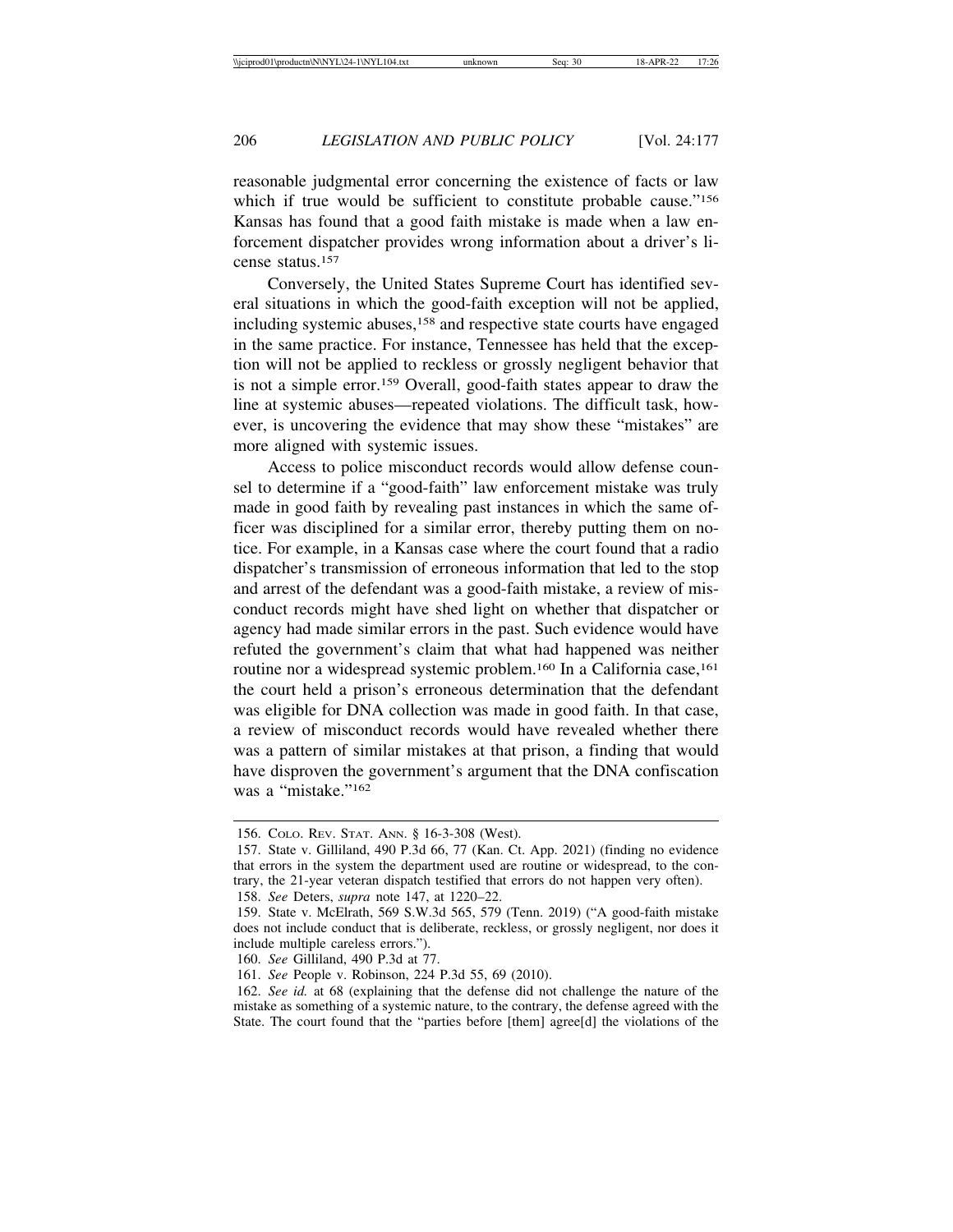reasonable judgmental error concerning the existence of facts or law which if true would be sufficient to constitute probable cause."<sup>156</sup> Kansas has found that a good faith mistake is made when a law enforcement dispatcher provides wrong information about a driver's license status.157

Conversely, the United States Supreme Court has identified several situations in which the good-faith exception will not be applied, including systemic abuses,158 and respective state courts have engaged in the same practice. For instance, Tennessee has held that the exception will not be applied to reckless or grossly negligent behavior that is not a simple error.159 Overall, good-faith states appear to draw the line at systemic abuses—repeated violations. The difficult task, however, is uncovering the evidence that may show these "mistakes" are more aligned with systemic issues.

Access to police misconduct records would allow defense counsel to determine if a "good-faith" law enforcement mistake was truly made in good faith by revealing past instances in which the same officer was disciplined for a similar error, thereby putting them on notice. For example, in a Kansas case where the court found that a radio dispatcher's transmission of erroneous information that led to the stop and arrest of the defendant was a good-faith mistake, a review of misconduct records might have shed light on whether that dispatcher or agency had made similar errors in the past. Such evidence would have refuted the government's claim that what had happened was neither routine nor a widespread systemic problem.<sup>160</sup> In a California case,<sup>161</sup> the court held a prison's erroneous determination that the defendant was eligible for DNA collection was made in good faith. In that case, a review of misconduct records would have revealed whether there was a pattern of similar mistakes at that prison, a finding that would have disproven the government's argument that the DNA confiscation was a "mistake."162

<sup>156.</sup> COLO. REV. STAT. ANN. § 16-3-308 (West).

<sup>157.</sup> State v. Gilliland, 490 P.3d 66, 77 (Kan. Ct. App. 2021) (finding no evidence that errors in the system the department used are routine or widespread, to the contrary, the 21-year veteran dispatch testified that errors do not happen very often).

<sup>158.</sup> *See* Deters, *supra* note 147, at 1220–22.

<sup>159.</sup> State v. McElrath, 569 S.W.3d 565, 579 (Tenn. 2019) ("A good-faith mistake does not include conduct that is deliberate, reckless, or grossly negligent, nor does it include multiple careless errors.").

<sup>160.</sup> *See* Gilliland, 490 P.3d at 77.

<sup>161.</sup> *See* People v. Robinson, 224 P.3d 55, 69 (2010).

<sup>162.</sup> *See id.* at 68 (explaining that the defense did not challenge the nature of the mistake as something of a systemic nature, to the contrary, the defense agreed with the State. The court found that the "parties before [them] agree[d] the violations of the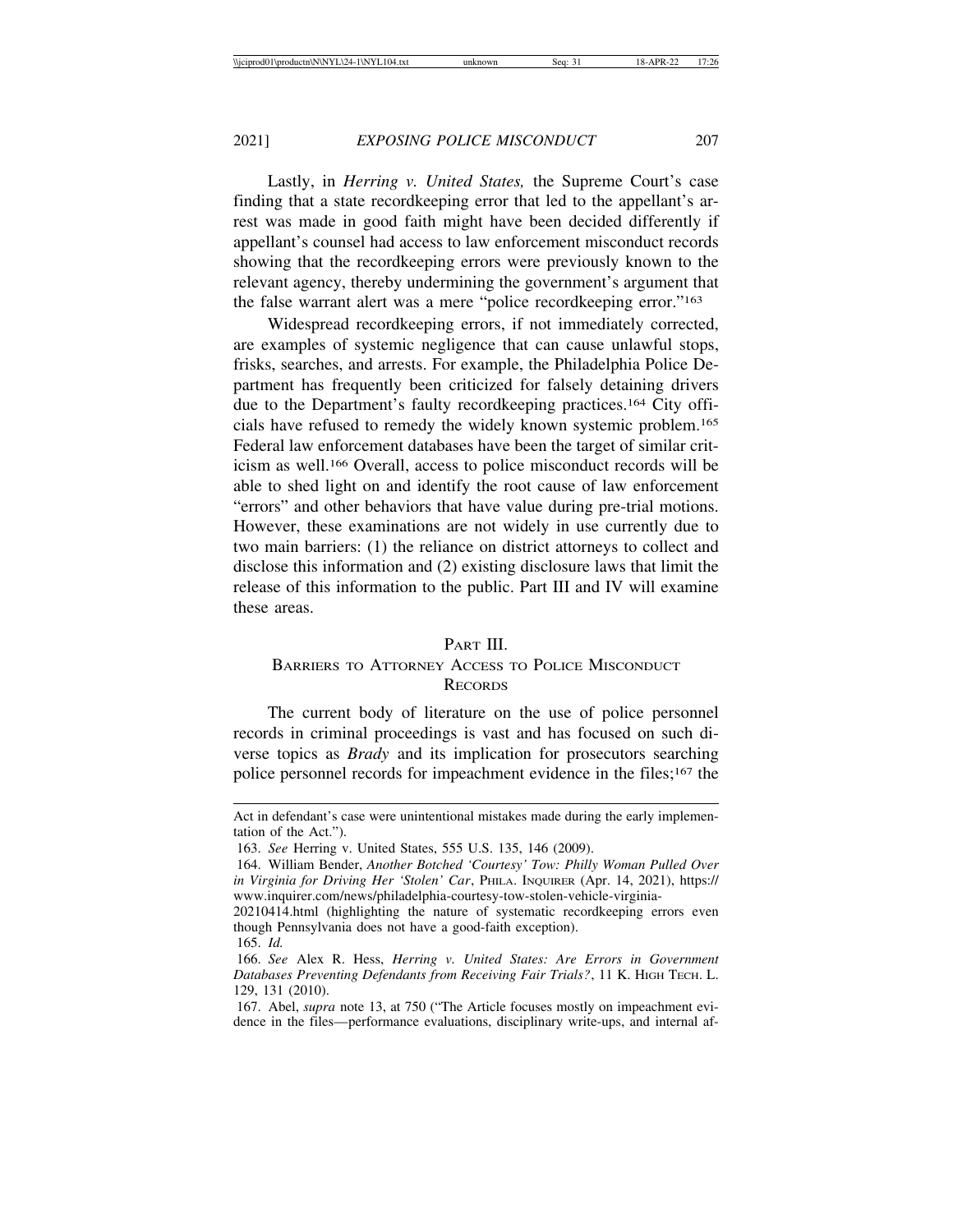Lastly, in *Herring v. United States,* the Supreme Court's case finding that a state recordkeeping error that led to the appellant's arrest was made in good faith might have been decided differently if appellant's counsel had access to law enforcement misconduct records showing that the recordkeeping errors were previously known to the relevant agency, thereby undermining the government's argument that the false warrant alert was a mere "police recordkeeping error."163

Widespread recordkeeping errors, if not immediately corrected, are examples of systemic negligence that can cause unlawful stops, frisks, searches, and arrests. For example, the Philadelphia Police Department has frequently been criticized for falsely detaining drivers due to the Department's faulty recordkeeping practices.164 City officials have refused to remedy the widely known systemic problem.165 Federal law enforcement databases have been the target of similar criticism as well.166 Overall, access to police misconduct records will be able to shed light on and identify the root cause of law enforcement "errors" and other behaviors that have value during pre-trial motions. However, these examinations are not widely in use currently due to two main barriers: (1) the reliance on district attorneys to collect and disclose this information and (2) existing disclosure laws that limit the release of this information to the public. Part III and IV will examine these areas.

### PART III.

## BARRIERS TO ATTORNEY ACCESS TO POLICE MISCONDUCT **RECORDS**

The current body of literature on the use of police personnel records in criminal proceedings is vast and has focused on such diverse topics as *Brady* and its implication for prosecutors searching police personnel records for impeachment evidence in the files;167 the

Act in defendant's case were unintentional mistakes made during the early implementation of the Act.").

<sup>163.</sup> *See* Herring v. United States, 555 U.S. 135, 146 (2009).

<sup>164.</sup> William Bender, *Another Botched 'Courtesy' Tow: Philly Woman Pulled Over in Virginia for Driving Her 'Stolen' Car*, PHILA. INQUIRER (Apr. 14, 2021), https:// www.inquirer.com/news/philadelphia-courtesy-tow-stolen-vehicle-virginia-

<sup>20210414.</sup>html (highlighting the nature of systematic recordkeeping errors even though Pennsylvania does not have a good-faith exception).

<sup>165.</sup> *Id.*

<sup>166.</sup> *See* Alex R. Hess, *Herring v. United States: Are Errors in Government Databases Preventing Defendants from Receiving Fair Trials?*, 11 K. HIGH TECH. L. 129, 131 (2010).

<sup>167.</sup> Abel, *supra* note 13, at 750 ("The Article focuses mostly on impeachment evidence in the files—performance evaluations, disciplinary write-ups, and internal af-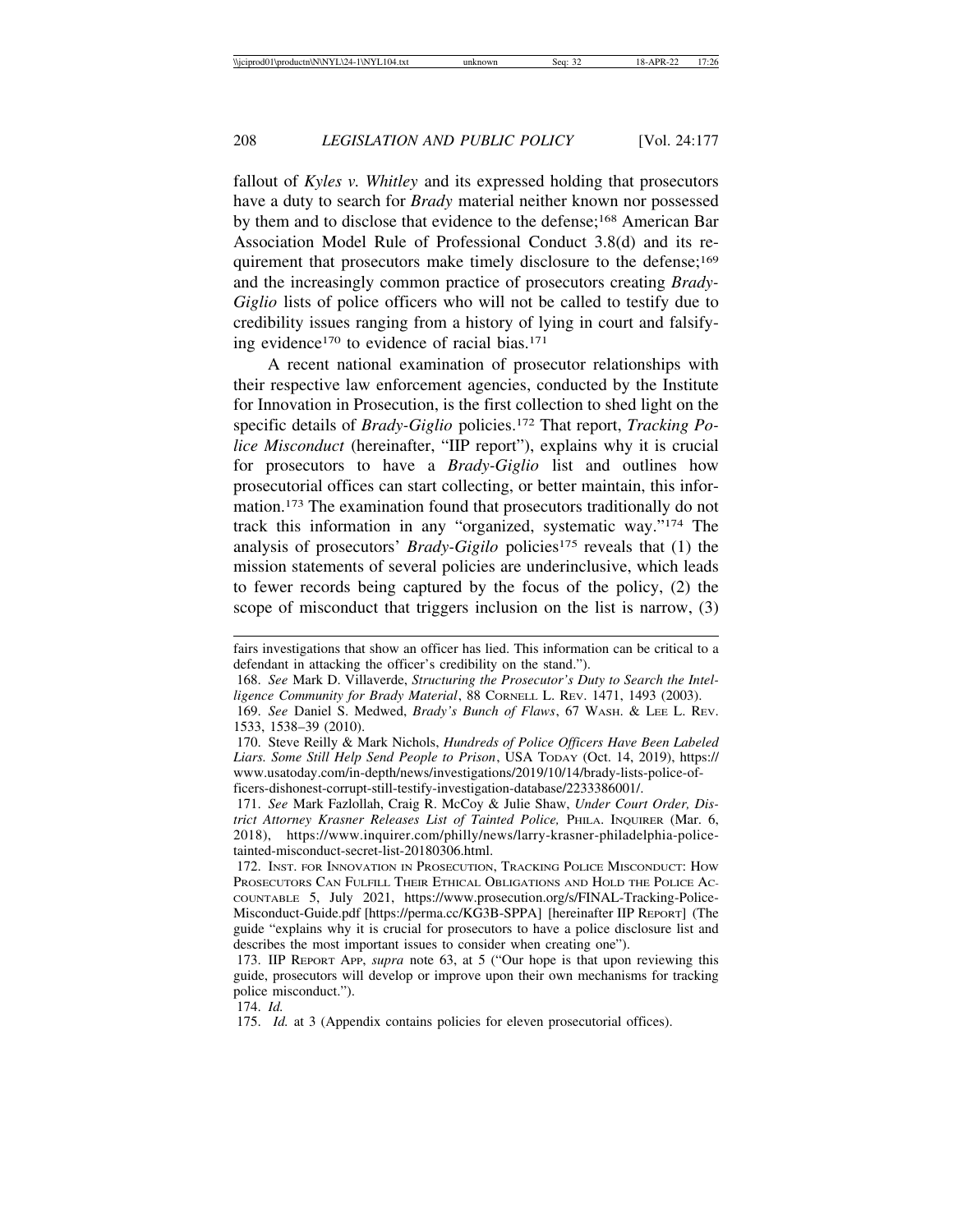fallout of *Kyles v. Whitley* and its expressed holding that prosecutors have a duty to search for *Brady* material neither known nor possessed by them and to disclose that evidence to the defense;168 American Bar Association Model Rule of Professional Conduct 3.8(d) and its requirement that prosecutors make timely disclosure to the defense;<sup>169</sup> and the increasingly common practice of prosecutors creating *Brady-Giglio* lists of police officers who will not be called to testify due to credibility issues ranging from a history of lying in court and falsifying evidence<sup>170</sup> to evidence of racial bias.<sup>171</sup>

A recent national examination of prosecutor relationships with their respective law enforcement agencies, conducted by the Institute for Innovation in Prosecution, is the first collection to shed light on the specific details of *Brady-Giglio* policies.172 That report, *Tracking Police Misconduct* (hereinafter, "IIP report"), explains why it is crucial for prosecutors to have a *Brady-Giglio* list and outlines how prosecutorial offices can start collecting, or better maintain, this information.173 The examination found that prosecutors traditionally do not track this information in any "organized, systematic way."174 The analysis of prosecutors' *Brady-Gigilo* policies<sup>175</sup> reveals that (1) the mission statements of several policies are underinclusive, which leads to fewer records being captured by the focus of the policy, (2) the scope of misconduct that triggers inclusion on the list is narrow, (3)

fairs investigations that show an officer has lied. This information can be critical to a defendant in attacking the officer's credibility on the stand.").

<sup>168.</sup> *See* Mark D. Villaverde, *Structuring the Prosecutor's Duty to Search the Intelligence Community for Brady Material*, 88 CORNELL L. REV. 1471, 1493 (2003).

<sup>169.</sup> *See* Daniel S. Medwed, *Brady's Bunch of Flaws*, 67 WASH. & LEE L. REV. 1533, 1538–39 (2010).

<sup>170.</sup> Steve Reilly & Mark Nichols, *Hundreds of Police Officers Have Been Labeled Liars. Some Still Help Send People to Prison*, USA TODAY (Oct. 14, 2019), https:// www.usatoday.com/in-depth/news/investigations/2019/10/14/brady-lists-police-officers-dishonest-corrupt-still-testify-investigation-database/2233386001/.

<sup>171.</sup> *See* Mark Fazlollah, Craig R. McCoy & Julie Shaw, *Under Court Order, District Attorney Krasner Releases List of Tainted Police,* PHILA. INQUIRER (Mar. 6, 2018), https://www.inquirer.com/philly/news/larry-krasner-philadelphia-policetainted-misconduct-secret-list-20180306.html.

<sup>172.</sup> INST. FOR INNOVATION IN PROSECUTION, TRACKING POLICE MISCONDUCT: HOW PROSECUTORS CAN FULFILL THEIR ETHICAL OBLIGATIONS AND HOLD THE POLICE AC-COUNTABLE 5, July 2021, https://www.prosecution.org/s/FINAL-Tracking-Police-Misconduct-Guide.pdf [https://perma.cc/KG3B-SPPA] [hereinafter IIP REPORT] (The guide "explains why it is crucial for prosecutors to have a police disclosure list and describes the most important issues to consider when creating one").

<sup>173.</sup> IIP REPORT APP, *supra* note 63, at 5 ("Our hope is that upon reviewing this guide, prosecutors will develop or improve upon their own mechanisms for tracking police misconduct.").

<sup>174.</sup> *Id.*

<sup>175.</sup> *Id.* at 3 (Appendix contains policies for eleven prosecutorial offices).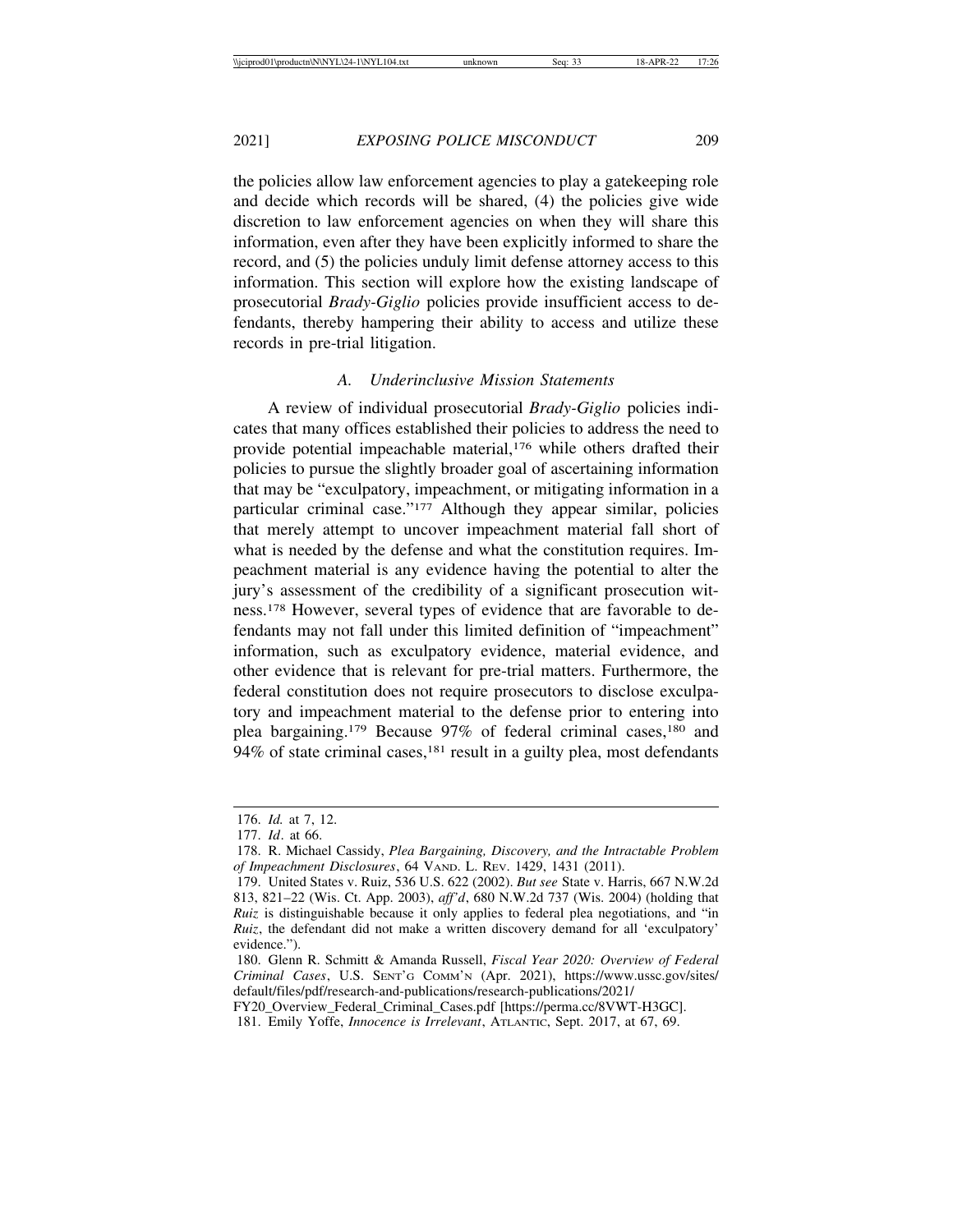the policies allow law enforcement agencies to play a gatekeeping role and decide which records will be shared, (4) the policies give wide discretion to law enforcement agencies on when they will share this information, even after they have been explicitly informed to share the record, and (5) the policies unduly limit defense attorney access to this information. This section will explore how the existing landscape of prosecutorial *Brady-Giglio* policies provide insufficient access to defendants, thereby hampering their ability to access and utilize these records in pre-trial litigation.

### *A. Underinclusive Mission Statements*

A review of individual prosecutorial *Brady-Giglio* policies indicates that many offices established their policies to address the need to provide potential impeachable material,<sup>176</sup> while others drafted their policies to pursue the slightly broader goal of ascertaining information that may be "exculpatory, impeachment, or mitigating information in a particular criminal case."177 Although they appear similar, policies that merely attempt to uncover impeachment material fall short of what is needed by the defense and what the constitution requires. Impeachment material is any evidence having the potential to alter the jury's assessment of the credibility of a significant prosecution witness.178 However, several types of evidence that are favorable to defendants may not fall under this limited definition of "impeachment" information, such as exculpatory evidence, material evidence, and other evidence that is relevant for pre-trial matters. Furthermore, the federal constitution does not require prosecutors to disclose exculpatory and impeachment material to the defense prior to entering into plea bargaining.<sup>179</sup> Because 97% of federal criminal cases,<sup>180</sup> and 94% of state criminal cases, $181$  result in a guilty plea, most defendants

<sup>176.</sup> *Id.* at 7, 12.

<sup>177.</sup> *Id*. at 66.

<sup>178.</sup> R. Michael Cassidy, *Plea Bargaining, Discovery, and the Intractable Problem of Impeachment Disclosures*, 64 VAND. L. REV. 1429, 1431 (2011).

<sup>179.</sup> United States v. Ruiz, 536 U.S. 622 (2002). *But see* State v. Harris, 667 N.W.2d 813, 821–22 (Wis. Ct. App. 2003), *aff'd*, 680 N.W.2d 737 (Wis. 2004) (holding that *Ruiz* is distinguishable because it only applies to federal plea negotiations, and "in *Ruiz*, the defendant did not make a written discovery demand for all 'exculpatory' evidence.").

<sup>180.</sup> Glenn R. Schmitt & Amanda Russell, *Fiscal Year 2020: Overview of Federal Criminal Cases*, U.S. SENT'G COMM'N (Apr. 2021), https://www.ussc.gov/sites/ default/files/pdf/research-and-publications/research-publications/2021/

FY20\_Overview\_Federal\_Criminal\_Cases.pdf [https://perma.cc/8VWT-H3GC].

<sup>181.</sup> Emily Yoffe, *Innocence is Irrelevant*, ATLANTIC, Sept. 2017, at 67, 69.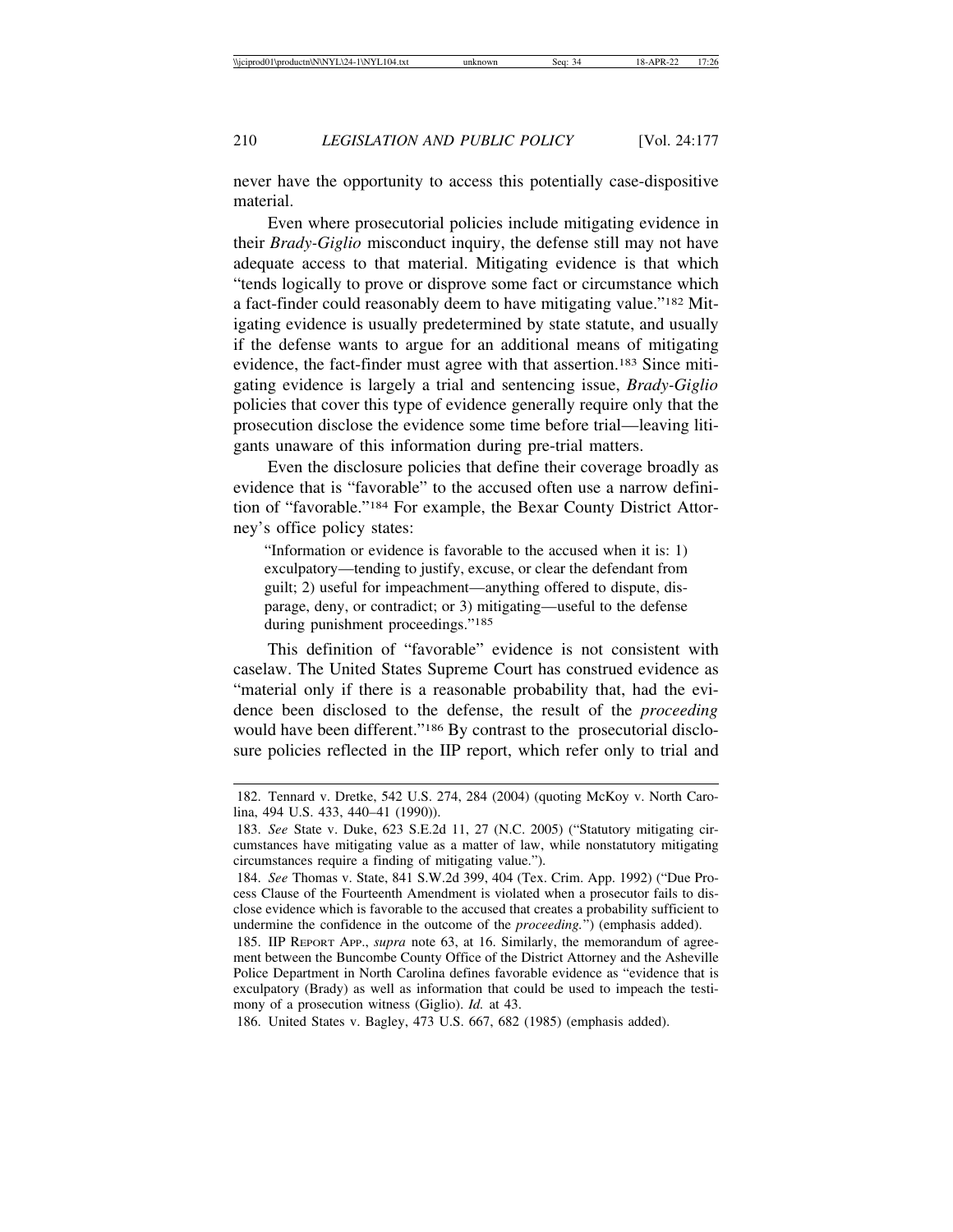never have the opportunity to access this potentially case-dispositive material.

Even where prosecutorial policies include mitigating evidence in their *Brady-Giglio* misconduct inquiry, the defense still may not have adequate access to that material. Mitigating evidence is that which "tends logically to prove or disprove some fact or circumstance which a fact-finder could reasonably deem to have mitigating value."182 Mitigating evidence is usually predetermined by state statute, and usually if the defense wants to argue for an additional means of mitigating evidence, the fact-finder must agree with that assertion.183 Since mitigating evidence is largely a trial and sentencing issue, *Brady-Giglio* policies that cover this type of evidence generally require only that the prosecution disclose the evidence some time before trial—leaving litigants unaware of this information during pre-trial matters.

Even the disclosure policies that define their coverage broadly as evidence that is "favorable" to the accused often use a narrow definition of "favorable."184 For example, the Bexar County District Attorney's office policy states:

"Information or evidence is favorable to the accused when it is: 1) exculpatory—tending to justify, excuse, or clear the defendant from guilt; 2) useful for impeachment—anything offered to dispute, disparage, deny, or contradict; or 3) mitigating—useful to the defense during punishment proceedings."185

This definition of "favorable" evidence is not consistent with caselaw. The United States Supreme Court has construed evidence as "material only if there is a reasonable probability that, had the evidence been disclosed to the defense, the result of the *proceeding* would have been different."<sup>186</sup> By contrast to the prosecutorial disclosure policies reflected in the IIP report, which refer only to trial and

<sup>182.</sup> Tennard v. Dretke, 542 U.S. 274, 284 (2004) (quoting McKoy v. North Carolina, 494 U.S. 433, 440–41 (1990)).

<sup>183.</sup> *See* State v. Duke, 623 S.E.2d 11, 27 (N.C. 2005) ("Statutory mitigating circumstances have mitigating value as a matter of law, while nonstatutory mitigating circumstances require a finding of mitigating value.").

<sup>184.</sup> *See* Thomas v. State, 841 S.W.2d 399, 404 (Tex. Crim. App. 1992) ("Due Process Clause of the Fourteenth Amendment is violated when a prosecutor fails to disclose evidence which is favorable to the accused that creates a probability sufficient to undermine the confidence in the outcome of the *proceeding.*") (emphasis added).

<sup>185.</sup> IIP REPORT APP., *supra* note 63, at 16. Similarly, the memorandum of agreement between the Buncombe County Office of the District Attorney and the Asheville Police Department in North Carolina defines favorable evidence as "evidence that is exculpatory (Brady) as well as information that could be used to impeach the testimony of a prosecution witness (Giglio). *Id.* at 43.

<sup>186.</sup> United States v. Bagley, 473 U.S. 667, 682 (1985) (emphasis added).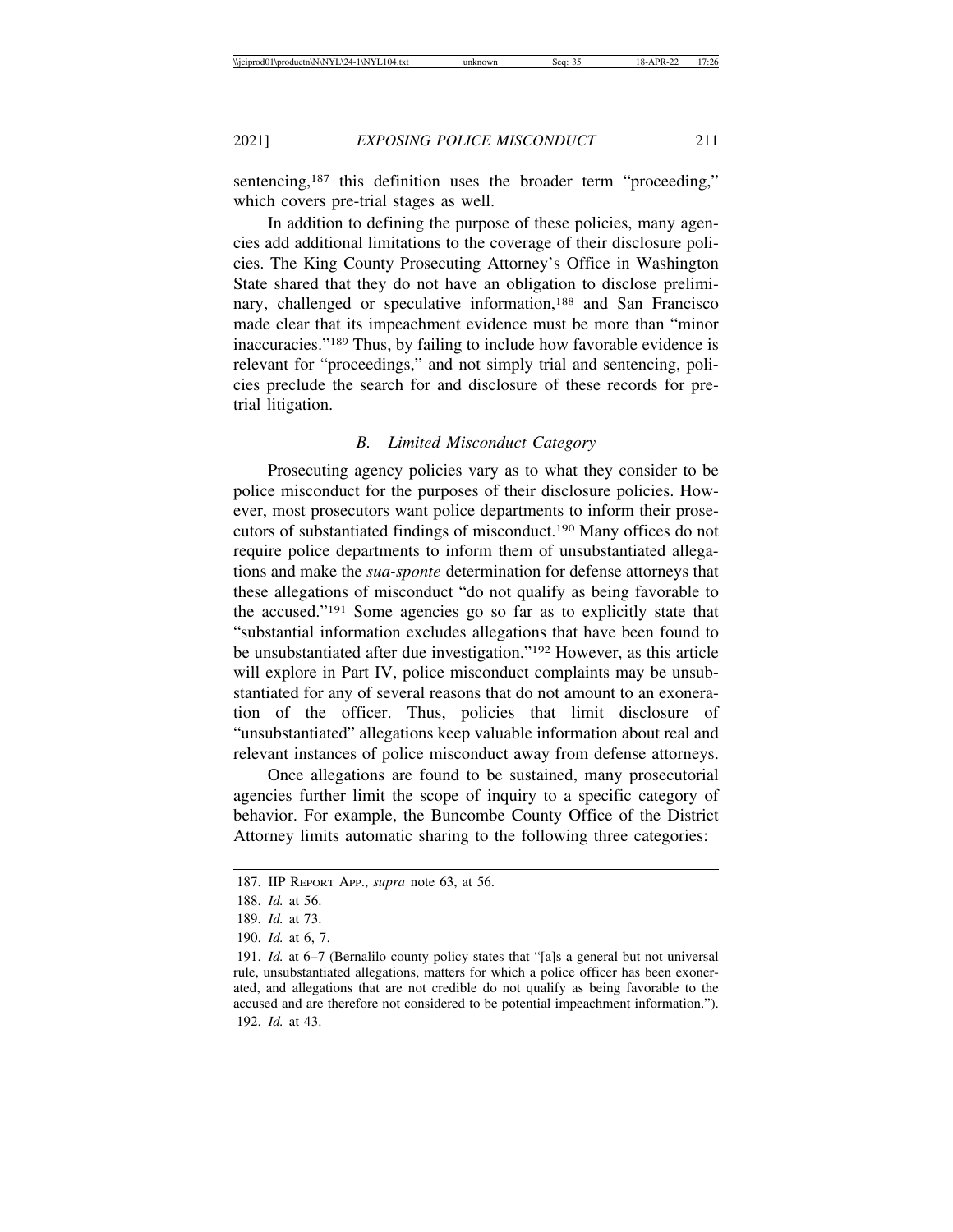sentencing,<sup>187</sup> this definition uses the broader term "proceeding," which covers pre-trial stages as well.

In addition to defining the purpose of these policies, many agencies add additional limitations to the coverage of their disclosure policies. The King County Prosecuting Attorney's Office in Washington State shared that they do not have an obligation to disclose preliminary, challenged or speculative information,<sup>188</sup> and San Francisco made clear that its impeachment evidence must be more than "minor inaccuracies."189 Thus, by failing to include how favorable evidence is relevant for "proceedings," and not simply trial and sentencing, policies preclude the search for and disclosure of these records for pretrial litigation.

### *B. Limited Misconduct Category*

Prosecuting agency policies vary as to what they consider to be police misconduct for the purposes of their disclosure policies. However, most prosecutors want police departments to inform their prosecutors of substantiated findings of misconduct.190 Many offices do not require police departments to inform them of unsubstantiated allegations and make the *sua-sponte* determination for defense attorneys that these allegations of misconduct "do not qualify as being favorable to the accused."191 Some agencies go so far as to explicitly state that "substantial information excludes allegations that have been found to be unsubstantiated after due investigation."192 However, as this article will explore in Part IV, police misconduct complaints may be unsubstantiated for any of several reasons that do not amount to an exoneration of the officer. Thus, policies that limit disclosure of "unsubstantiated" allegations keep valuable information about real and relevant instances of police misconduct away from defense attorneys.

Once allegations are found to be sustained, many prosecutorial agencies further limit the scope of inquiry to a specific category of behavior. For example, the Buncombe County Office of the District Attorney limits automatic sharing to the following three categories:

<sup>187.</sup> IIP REPORT APP., *supra* note 63, at 56.

<sup>188.</sup> *Id.* at 56.

<sup>189.</sup> *Id.* at 73.

<sup>190.</sup> *Id.* at 6, 7.

<sup>191.</sup> *Id.* at 6–7 (Bernalilo county policy states that "[a]s a general but not universal rule, unsubstantiated allegations, matters for which a police officer has been exonerated, and allegations that are not credible do not qualify as being favorable to the accused and are therefore not considered to be potential impeachment information."). 192. *Id.* at 43.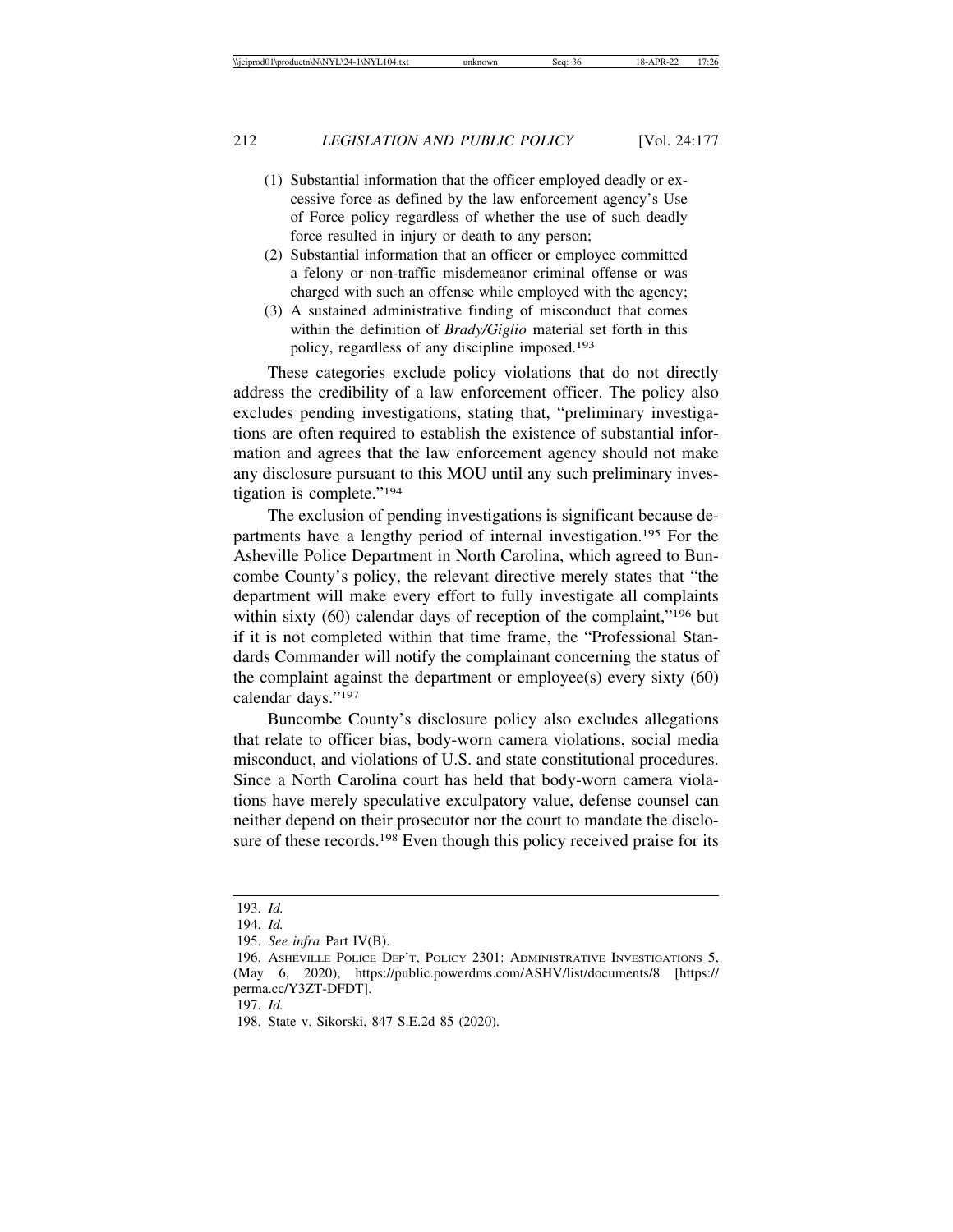- (1) Substantial information that the officer employed deadly or excessive force as defined by the law enforcement agency's Use of Force policy regardless of whether the use of such deadly force resulted in injury or death to any person;
- (2) Substantial information that an officer or employee committed a felony or non-traffic misdemeanor criminal offense or was charged with such an offense while employed with the agency;
- (3) A sustained administrative finding of misconduct that comes within the definition of *Brady/Giglio* material set forth in this policy, regardless of any discipline imposed.<sup>193</sup>

These categories exclude policy violations that do not directly address the credibility of a law enforcement officer. The policy also excludes pending investigations, stating that, "preliminary investigations are often required to establish the existence of substantial information and agrees that the law enforcement agency should not make any disclosure pursuant to this MOU until any such preliminary investigation is complete."194

The exclusion of pending investigations is significant because departments have a lengthy period of internal investigation.195 For the Asheville Police Department in North Carolina, which agreed to Buncombe County's policy, the relevant directive merely states that "the department will make every effort to fully investigate all complaints within sixty (60) calendar days of reception of the complaint,"<sup>196</sup> but if it is not completed within that time frame, the "Professional Standards Commander will notify the complainant concerning the status of the complaint against the department or employee(s) every sixty (60) calendar days."197

Buncombe County's disclosure policy also excludes allegations that relate to officer bias, body-worn camera violations, social media misconduct, and violations of U.S. and state constitutional procedures. Since a North Carolina court has held that body-worn camera violations have merely speculative exculpatory value, defense counsel can neither depend on their prosecutor nor the court to mandate the disclosure of these records.<sup>198</sup> Even though this policy received praise for its

<sup>193.</sup> *Id.*

<sup>194.</sup> *Id.*

<sup>195.</sup> *See infra* Part IV(B).

<sup>196.</sup> ASHEVILLE POLICE DEP'T, POLICY 2301: ADMINISTRATIVE INVESTIGATIONS 5, (May 6, 2020), https://public.powerdms.com/ASHV/list/documents/8 [https:// perma.cc/Y3ZT-DFDT].

<sup>197.</sup> *Id.*

<sup>198.</sup> State v. Sikorski, 847 S.E.2d 85 (2020).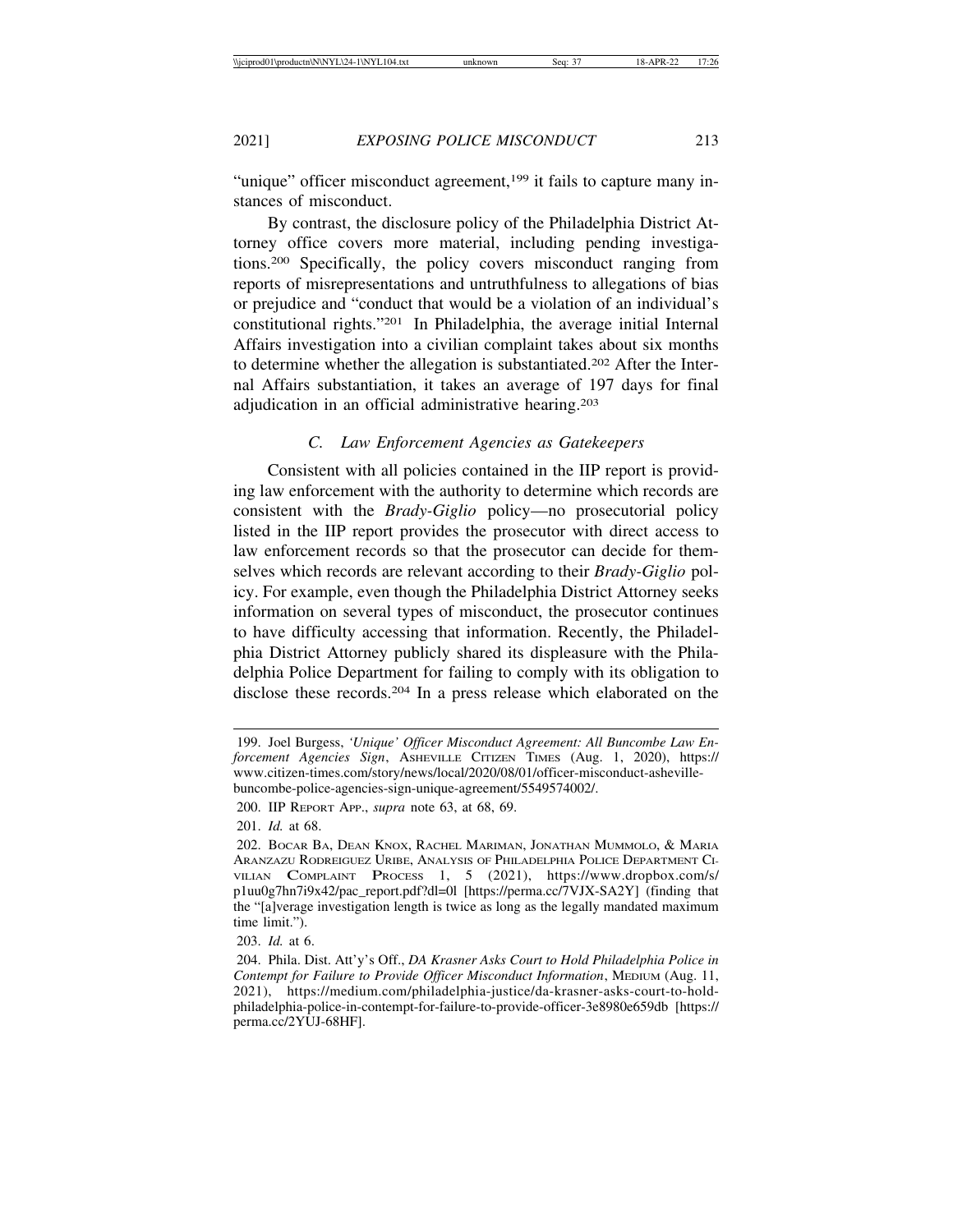"unique" officer misconduct agreement,<sup>199</sup> it fails to capture many instances of misconduct.

By contrast, the disclosure policy of the Philadelphia District Attorney office covers more material, including pending investigations.200 Specifically, the policy covers misconduct ranging from reports of misrepresentations and untruthfulness to allegations of bias or prejudice and "conduct that would be a violation of an individual's constitutional rights."201 In Philadelphia, the average initial Internal Affairs investigation into a civilian complaint takes about six months to determine whether the allegation is substantiated.202 After the Internal Affairs substantiation, it takes an average of 197 days for final adjudication in an official administrative hearing.203

## *C. Law Enforcement Agencies as Gatekeepers*

Consistent with all policies contained in the IIP report is providing law enforcement with the authority to determine which records are consistent with the *Brady-Giglio* policy—no prosecutorial policy listed in the IIP report provides the prosecutor with direct access to law enforcement records so that the prosecutor can decide for themselves which records are relevant according to their *Brady-Giglio* policy. For example, even though the Philadelphia District Attorney seeks information on several types of misconduct, the prosecutor continues to have difficulty accessing that information. Recently, the Philadelphia District Attorney publicly shared its displeasure with the Philadelphia Police Department for failing to comply with its obligation to disclose these records.204 In a press release which elaborated on the

<sup>199.</sup> Joel Burgess, *'Unique' Officer Misconduct Agreement: All Buncombe Law Enforcement Agencies Sign*, ASHEVILLE CITIZEN TIMES (Aug. 1, 2020), https:// www.citizen-times.com/story/news/local/2020/08/01/officer-misconduct-ashevillebuncombe-police-agencies-sign-unique-agreement/5549574002/.

<sup>200.</sup> IIP REPORT APP., *supra* note 63, at 68, 69.

<sup>201.</sup> *Id.* at 68.

<sup>202.</sup> BOCAR BA, DEAN KNOX, RACHEL MARIMAN, JONATHAN MUMMOLO, & MARIA ARANZAZU RODREIGUEZ URIBE, ANALYSIS OF PHILADELPHIA POLICE DEPARTMENT CI-VILIAN COMPLAINT PROCESS 1, 5 (2021), https://www.dropbox.com/s/ p1uu0g7hn7i9x42/pac\_report.pdf?dl=0l [https://perma.cc/7VJX-SA2Y] (finding that the "[a]verage investigation length is twice as long as the legally mandated maximum time limit.").

<sup>203.</sup> *Id.* at 6.

<sup>204.</sup> Phila. Dist. Att'y's Off., *DA Krasner Asks Court to Hold Philadelphia Police in Contempt for Failure to Provide Officer Misconduct Information*, MEDIUM (Aug. 11, 2021), https://medium.com/philadelphia-justice/da-krasner-asks-court-to-holdphiladelphia-police-in-contempt-for-failure-to-provide-officer-3e8980e659db [https:// perma.cc/2YUJ-68HF].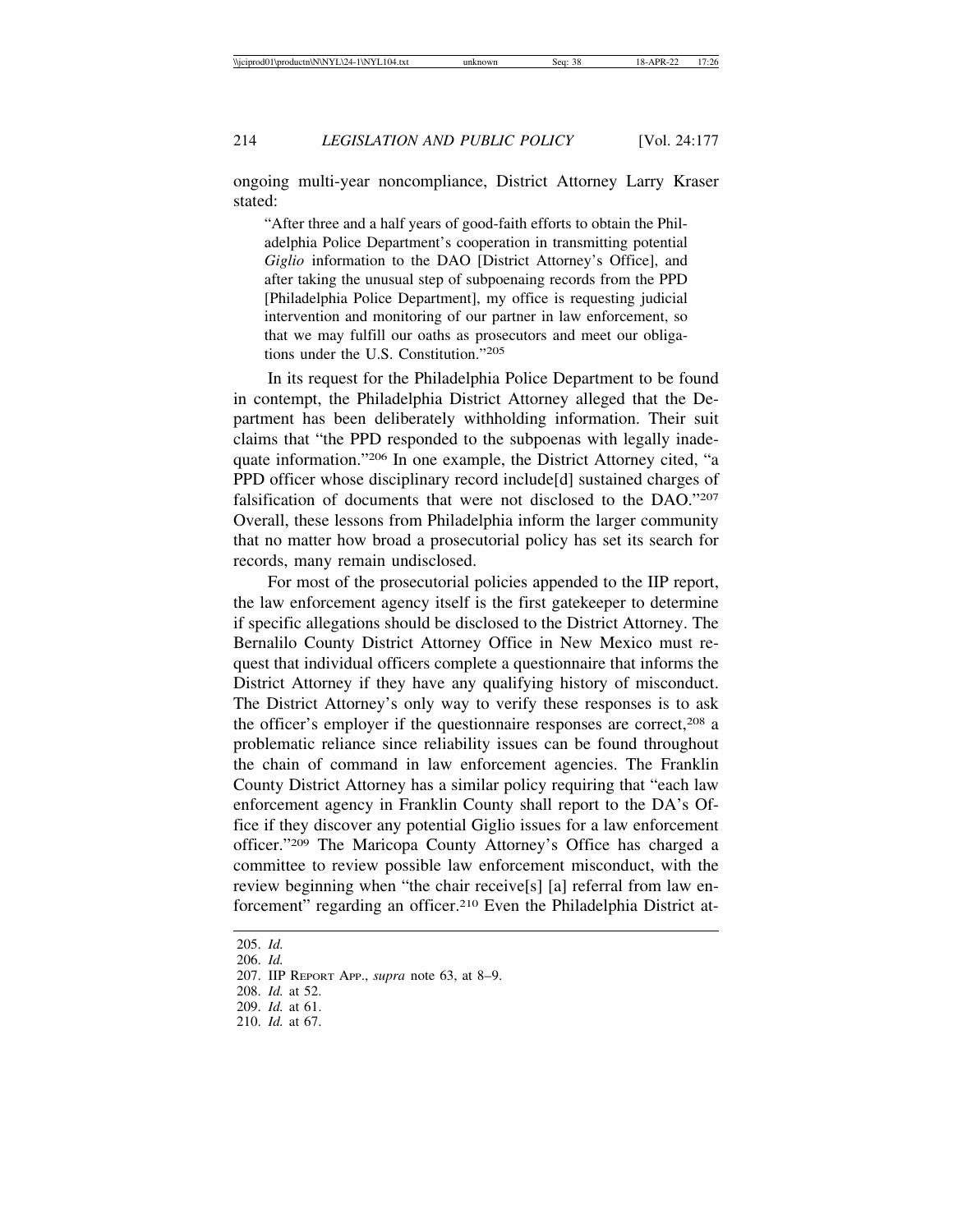ongoing multi-year noncompliance, District Attorney Larry Kraser stated:

"After three and a half years of good-faith efforts to obtain the Philadelphia Police Department's cooperation in transmitting potential *Giglio* information to the DAO [District Attorney's Office], and after taking the unusual step of subpoenaing records from the PPD [Philadelphia Police Department], my office is requesting judicial intervention and monitoring of our partner in law enforcement, so that we may fulfill our oaths as prosecutors and meet our obligations under the U.S. Constitution."205

In its request for the Philadelphia Police Department to be found in contempt, the Philadelphia District Attorney alleged that the Department has been deliberately withholding information. Their suit claims that "the PPD responded to the subpoenas with legally inadequate information."206 In one example, the District Attorney cited, "a PPD officer whose disciplinary record include[d] sustained charges of falsification of documents that were not disclosed to the DAO."207 Overall, these lessons from Philadelphia inform the larger community that no matter how broad a prosecutorial policy has set its search for records, many remain undisclosed.

For most of the prosecutorial policies appended to the IIP report, the law enforcement agency itself is the first gatekeeper to determine if specific allegations should be disclosed to the District Attorney. The Bernalilo County District Attorney Office in New Mexico must request that individual officers complete a questionnaire that informs the District Attorney if they have any qualifying history of misconduct. The District Attorney's only way to verify these responses is to ask the officer's employer if the questionnaire responses are correct,208 a problematic reliance since reliability issues can be found throughout the chain of command in law enforcement agencies. The Franklin County District Attorney has a similar policy requiring that "each law enforcement agency in Franklin County shall report to the DA's Office if they discover any potential Giglio issues for a law enforcement officer."209 The Maricopa County Attorney's Office has charged a committee to review possible law enforcement misconduct, with the review beginning when "the chair receive[s] [a] referral from law enforcement" regarding an officer.<sup>210</sup> Even the Philadelphia District at-

<sup>205.</sup> *Id.*

<sup>206.</sup> *Id.*

<sup>207.</sup> IIP REPORT APP., *supra* note 63, at 8–9.

<sup>208.</sup> *Id.* at 52.

<sup>209.</sup> *Id.* at 61.

<sup>210.</sup> *Id.* at 67.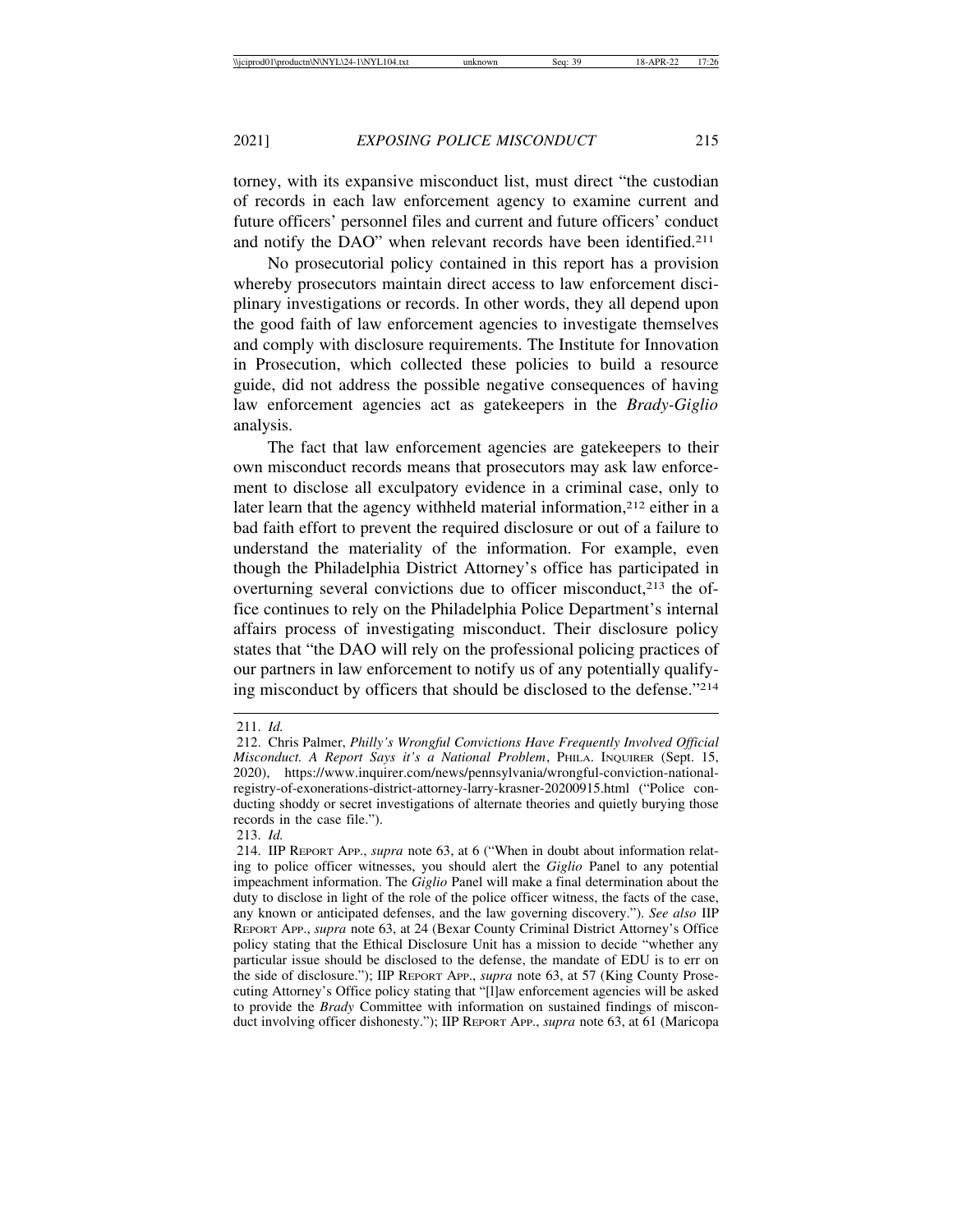torney, with its expansive misconduct list, must direct "the custodian of records in each law enforcement agency to examine current and future officers' personnel files and current and future officers' conduct and notify the DAO" when relevant records have been identified.211

No prosecutorial policy contained in this report has a provision whereby prosecutors maintain direct access to law enforcement disciplinary investigations or records. In other words, they all depend upon the good faith of law enforcement agencies to investigate themselves and comply with disclosure requirements. The Institute for Innovation in Prosecution, which collected these policies to build a resource guide, did not address the possible negative consequences of having law enforcement agencies act as gatekeepers in the *Brady-Giglio* analysis.

The fact that law enforcement agencies are gatekeepers to their own misconduct records means that prosecutors may ask law enforcement to disclose all exculpatory evidence in a criminal case, only to later learn that the agency withheld material information,<sup>212</sup> either in a bad faith effort to prevent the required disclosure or out of a failure to understand the materiality of the information. For example, even though the Philadelphia District Attorney's office has participated in overturning several convictions due to officer misconduct,<sup>213</sup> the office continues to rely on the Philadelphia Police Department's internal affairs process of investigating misconduct. Their disclosure policy states that "the DAO will rely on the professional policing practices of our partners in law enforcement to notify us of any potentially qualifying misconduct by officers that should be disclosed to the defense."214

<sup>211.</sup> *Id.*

<sup>212.</sup> Chris Palmer, *Philly's Wrongful Convictions Have Frequently Involved Official Misconduct. A Report Says it's a National Problem*, PHILA. INQUIRER (Sept. 15, 2020), https://www.inquirer.com/news/pennsylvania/wrongful-conviction-nationalregistry-of-exonerations-district-attorney-larry-krasner-20200915.html ("Police conducting shoddy or secret investigations of alternate theories and quietly burying those records in the case file.").

<sup>213.</sup> *Id.*

<sup>214.</sup> IIP REPORT APP., *supra* note 63, at 6 ("When in doubt about information relating to police officer witnesses, you should alert the *Giglio* Panel to any potential impeachment information. The *Giglio* Panel will make a final determination about the duty to disclose in light of the role of the police officer witness, the facts of the case, any known or anticipated defenses, and the law governing discovery."). *See also* IIP REPORT APP., *supra* note 63, at 24 (Bexar County Criminal District Attorney's Office policy stating that the Ethical Disclosure Unit has a mission to decide "whether any particular issue should be disclosed to the defense, the mandate of EDU is to err on the side of disclosure."); IIP REPORT APP., *supra* note 63, at 57 (King County Prosecuting Attorney's Office policy stating that "[l]aw enforcement agencies will be asked to provide the *Brady* Committee with information on sustained findings of misconduct involving officer dishonesty."); IIP REPORT APP., *supra* note 63, at 61 (Maricopa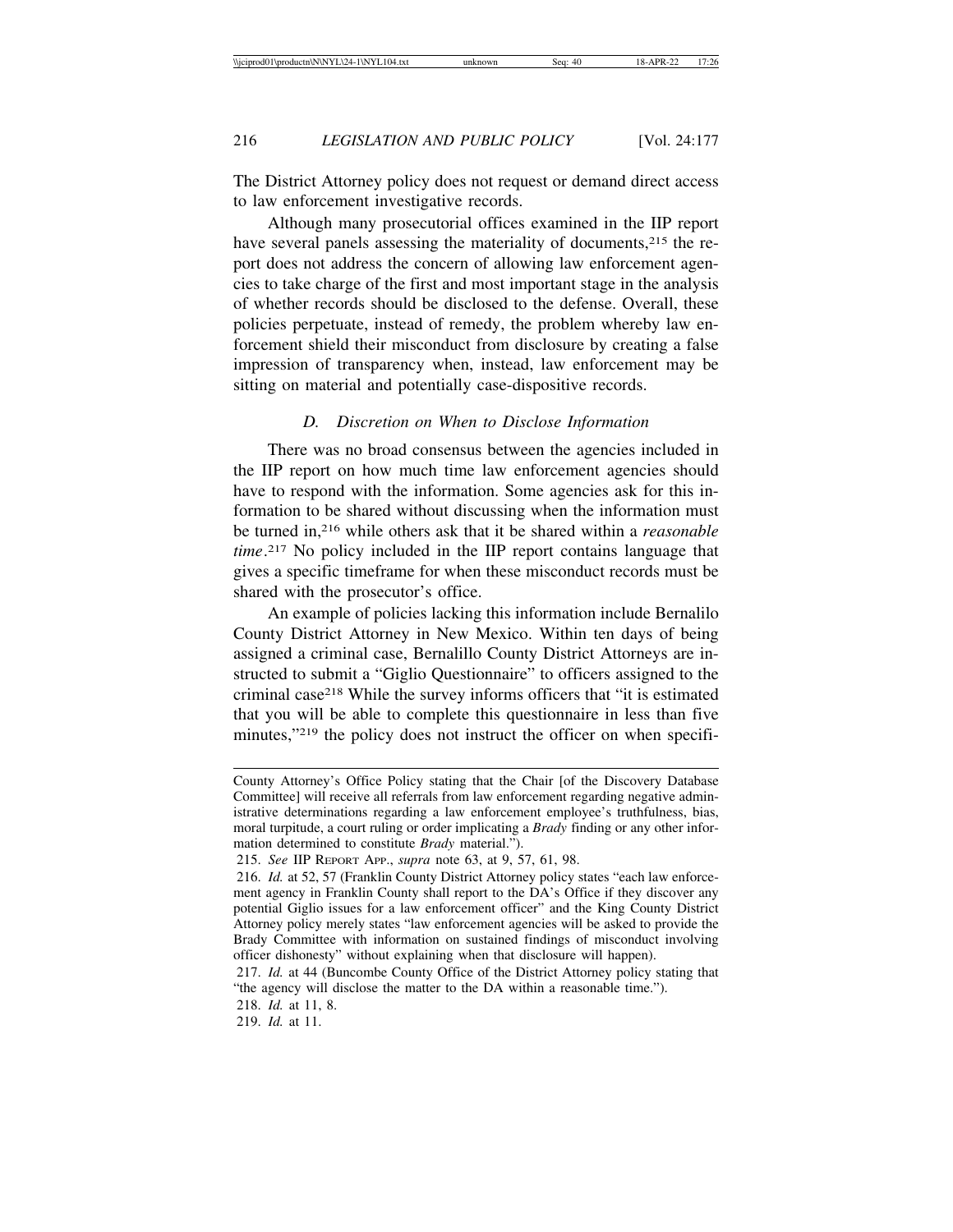The District Attorney policy does not request or demand direct access to law enforcement investigative records.

Although many prosecutorial offices examined in the IIP report have several panels assessing the materiality of documents,<sup>215</sup> the report does not address the concern of allowing law enforcement agencies to take charge of the first and most important stage in the analysis of whether records should be disclosed to the defense. Overall, these policies perpetuate, instead of remedy, the problem whereby law enforcement shield their misconduct from disclosure by creating a false impression of transparency when, instead, law enforcement may be sitting on material and potentially case-dispositive records.

## *D. Discretion on When to Disclose Information*

There was no broad consensus between the agencies included in the IIP report on how much time law enforcement agencies should have to respond with the information. Some agencies ask for this information to be shared without discussing when the information must be turned in,216 while others ask that it be shared within a *reasonable time*. 217 No policy included in the IIP report contains language that gives a specific timeframe for when these misconduct records must be shared with the prosecutor's office.

An example of policies lacking this information include Bernalilo County District Attorney in New Mexico. Within ten days of being assigned a criminal case, Bernalillo County District Attorneys are instructed to submit a "Giglio Questionnaire" to officers assigned to the criminal case218 While the survey informs officers that "it is estimated that you will be able to complete this questionnaire in less than five minutes,"219 the policy does not instruct the officer on when specifi-

County Attorney's Office Policy stating that the Chair [of the Discovery Database Committee] will receive all referrals from law enforcement regarding negative administrative determinations regarding a law enforcement employee's truthfulness, bias, moral turpitude, a court ruling or order implicating a *Brady* finding or any other information determined to constitute *Brady* material.").

<sup>215.</sup> *See* IIP REPORT APP., *supra* note 63, at 9, 57, 61, 98.

<sup>216.</sup> *Id.* at 52, 57 (Franklin County District Attorney policy states "each law enforcement agency in Franklin County shall report to the DA's Office if they discover any potential Giglio issues for a law enforcement officer" and the King County District Attorney policy merely states "law enforcement agencies will be asked to provide the Brady Committee with information on sustained findings of misconduct involving officer dishonesty" without explaining when that disclosure will happen).

<sup>217.</sup> *Id.* at 44 (Buncombe County Office of the District Attorney policy stating that "the agency will disclose the matter to the DA within a reasonable time.").

<sup>218.</sup> *Id.* at 11, 8.

<sup>219.</sup> *Id.* at 11.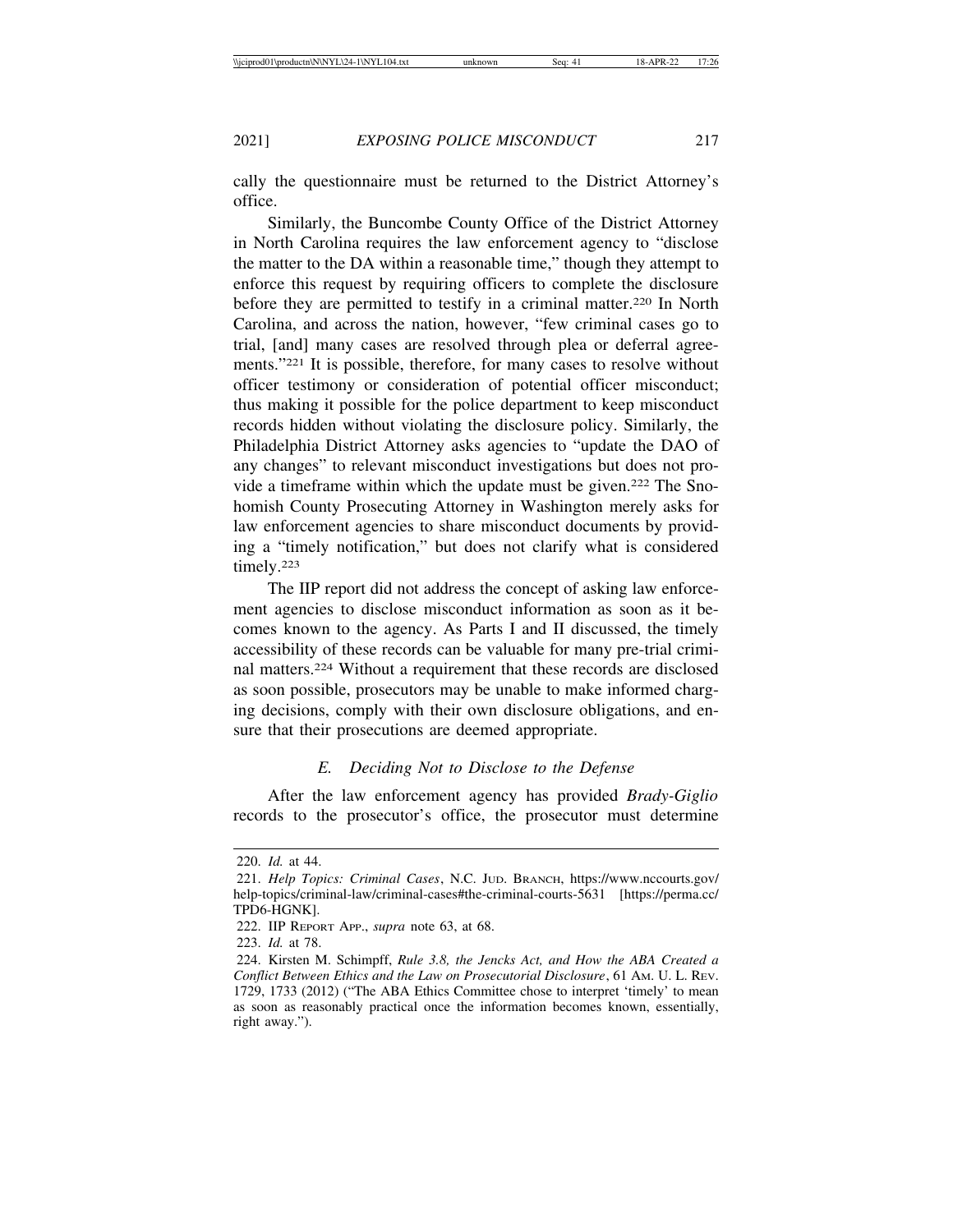cally the questionnaire must be returned to the District Attorney's office.

Similarly, the Buncombe County Office of the District Attorney in North Carolina requires the law enforcement agency to "disclose the matter to the DA within a reasonable time," though they attempt to enforce this request by requiring officers to complete the disclosure before they are permitted to testify in a criminal matter.220 In North Carolina, and across the nation, however, "few criminal cases go to trial, [and] many cases are resolved through plea or deferral agreements."221 It is possible, therefore, for many cases to resolve without officer testimony or consideration of potential officer misconduct; thus making it possible for the police department to keep misconduct records hidden without violating the disclosure policy. Similarly, the Philadelphia District Attorney asks agencies to "update the DAO of any changes" to relevant misconduct investigations but does not provide a timeframe within which the update must be given.222 The Snohomish County Prosecuting Attorney in Washington merely asks for law enforcement agencies to share misconduct documents by providing a "timely notification," but does not clarify what is considered timely.223

The IIP report did not address the concept of asking law enforcement agencies to disclose misconduct information as soon as it becomes known to the agency. As Parts I and II discussed, the timely accessibility of these records can be valuable for many pre-trial criminal matters.224 Without a requirement that these records are disclosed as soon possible, prosecutors may be unable to make informed charging decisions, comply with their own disclosure obligations, and ensure that their prosecutions are deemed appropriate.

#### *E. Deciding Not to Disclose to the Defense*

After the law enforcement agency has provided *Brady-Giglio* records to the prosecutor's office, the prosecutor must determine

<sup>220.</sup> *Id.* at 44.

<sup>221.</sup> *Help Topics: Criminal Cases*, N.C. JUD. BRANCH, https://www.nccourts.gov/ help-topics/criminal-law/criminal-cases#the-criminal-courts-5631 [https://perma.cc/ TPD6-HGNK].

<sup>222.</sup> IIP REPORT APP., *supra* note 63, at 68.

<sup>223.</sup> *Id.* at 78.

<sup>224.</sup> Kirsten M. Schimpff, *Rule 3.8, the Jencks Act, and How the ABA Created a Conflict Between Ethics and the Law on Prosecutorial Disclosure*, 61 AM. U. L. REV. 1729, 1733 (2012) ("The ABA Ethics Committee chose to interpret 'timely' to mean as soon as reasonably practical once the information becomes known, essentially, right away.").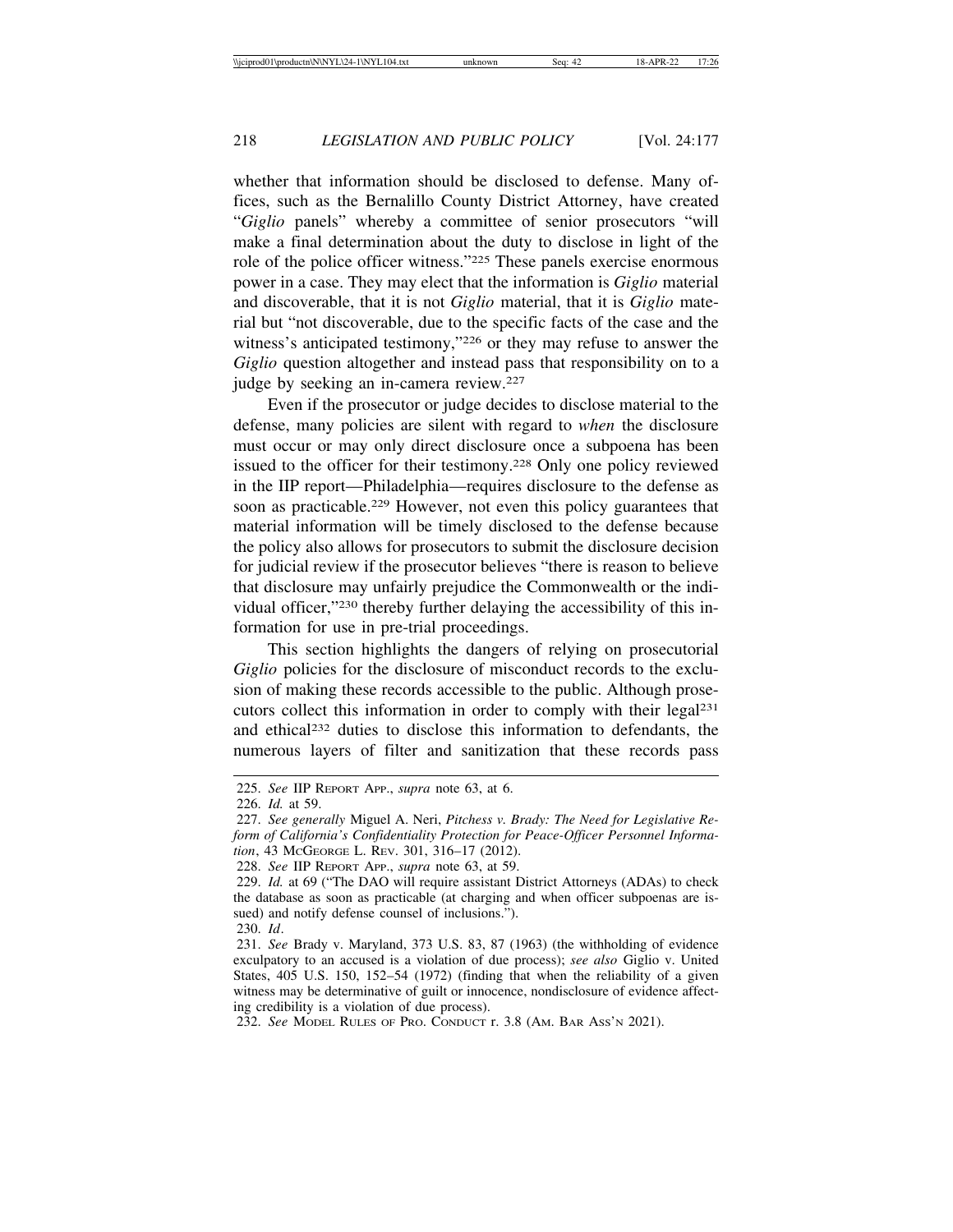whether that information should be disclosed to defense. Many offices, such as the Bernalillo County District Attorney, have created "*Giglio* panels" whereby a committee of senior prosecutors "will make a final determination about the duty to disclose in light of the role of the police officer witness."225 These panels exercise enormous power in a case. They may elect that the information is *Giglio* material and discoverable, that it is not *Giglio* material, that it is *Giglio* material but "not discoverable, due to the specific facts of the case and the witness's anticipated testimony,"226 or they may refuse to answer the *Giglio* question altogether and instead pass that responsibility on to a judge by seeking an in-camera review.<sup>227</sup>

Even if the prosecutor or judge decides to disclose material to the defense, many policies are silent with regard to *when* the disclosure must occur or may only direct disclosure once a subpoena has been issued to the officer for their testimony.228 Only one policy reviewed in the IIP report—Philadelphia—requires disclosure to the defense as soon as practicable.229 However, not even this policy guarantees that material information will be timely disclosed to the defense because the policy also allows for prosecutors to submit the disclosure decision for judicial review if the prosecutor believes "there is reason to believe that disclosure may unfairly prejudice the Commonwealth or the individual officer,"230 thereby further delaying the accessibility of this information for use in pre-trial proceedings.

This section highlights the dangers of relying on prosecutorial *Giglio* policies for the disclosure of misconduct records to the exclusion of making these records accessible to the public. Although prosecutors collect this information in order to comply with their legal231 and ethical232 duties to disclose this information to defendants, the numerous layers of filter and sanitization that these records pass

<sup>225.</sup> *See* IIP REPORT APP., *supra* note 63, at 6.

<sup>226.</sup> *Id.* at 59.

<sup>227.</sup> *See generally* Miguel A. Neri, *Pitchess v. Brady: The Need for Legislative Reform of California's Confidentiality Protection for Peace-Officer Personnel Information*, 43 MCGEORGE L. REV. 301, 316–17 (2012).

<sup>228.</sup> *See* IIP REPORT APP., *supra* note 63, at 59.

<sup>229.</sup> *Id.* at 69 ("The DAO will require assistant District Attorneys (ADAs) to check the database as soon as practicable (at charging and when officer subpoenas are issued) and notify defense counsel of inclusions.").

<sup>230.</sup> *Id*.

<sup>231.</sup> *See* Brady v. Maryland, 373 U.S. 83, 87 (1963) (the withholding of evidence exculpatory to an accused is a violation of due process); *see also* Giglio v. United States, 405 U.S. 150, 152–54 (1972) (finding that when the reliability of a given witness may be determinative of guilt or innocence, nondisclosure of evidence affecting credibility is a violation of due process).

<sup>232.</sup> *See* MODEL RULES OF PRO. CONDUCT r. 3.8 (AM. BAR ASS'N 2021).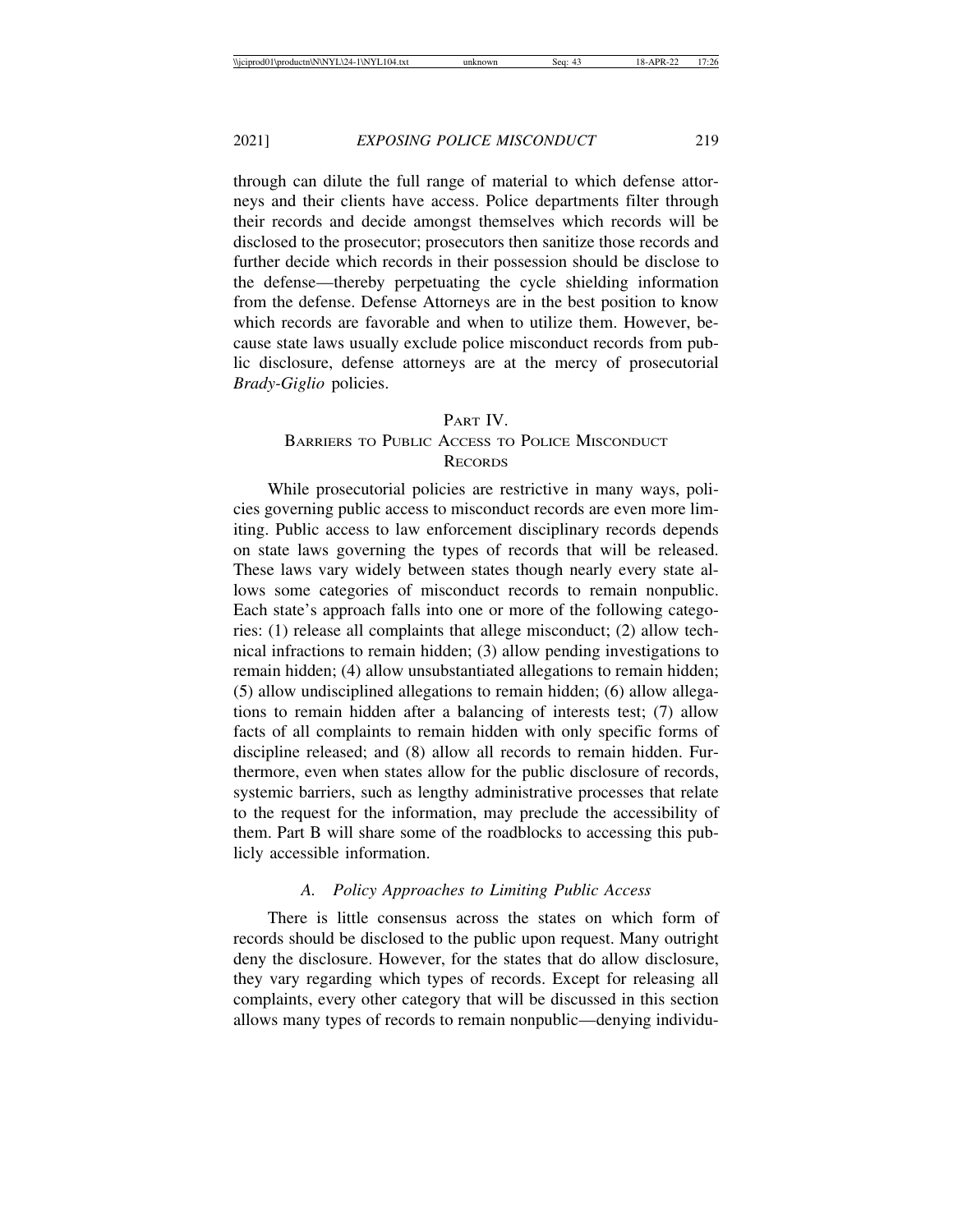through can dilute the full range of material to which defense attorneys and their clients have access. Police departments filter through their records and decide amongst themselves which records will be disclosed to the prosecutor; prosecutors then sanitize those records and further decide which records in their possession should be disclose to the defense—thereby perpetuating the cycle shielding information from the defense. Defense Attorneys are in the best position to know which records are favorable and when to utilize them. However, because state laws usually exclude police misconduct records from public disclosure, defense attorneys are at the mercy of prosecutorial *Brady-Giglio* policies.

#### PART IV.

# BARRIERS TO PUBLIC ACCESS TO POLICE MISCONDUCT **RECORDS**

While prosecutorial policies are restrictive in many ways, policies governing public access to misconduct records are even more limiting. Public access to law enforcement disciplinary records depends on state laws governing the types of records that will be released. These laws vary widely between states though nearly every state allows some categories of misconduct records to remain nonpublic. Each state's approach falls into one or more of the following categories: (1) release all complaints that allege misconduct; (2) allow technical infractions to remain hidden; (3) allow pending investigations to remain hidden; (4) allow unsubstantiated allegations to remain hidden; (5) allow undisciplined allegations to remain hidden; (6) allow allegations to remain hidden after a balancing of interests test; (7) allow facts of all complaints to remain hidden with only specific forms of discipline released; and (8) allow all records to remain hidden. Furthermore, even when states allow for the public disclosure of records, systemic barriers, such as lengthy administrative processes that relate to the request for the information, may preclude the accessibility of them. Part B will share some of the roadblocks to accessing this publicly accessible information.

#### *A. Policy Approaches to Limiting Public Access*

There is little consensus across the states on which form of records should be disclosed to the public upon request. Many outright deny the disclosure. However, for the states that do allow disclosure, they vary regarding which types of records. Except for releasing all complaints, every other category that will be discussed in this section allows many types of records to remain nonpublic—denying individu-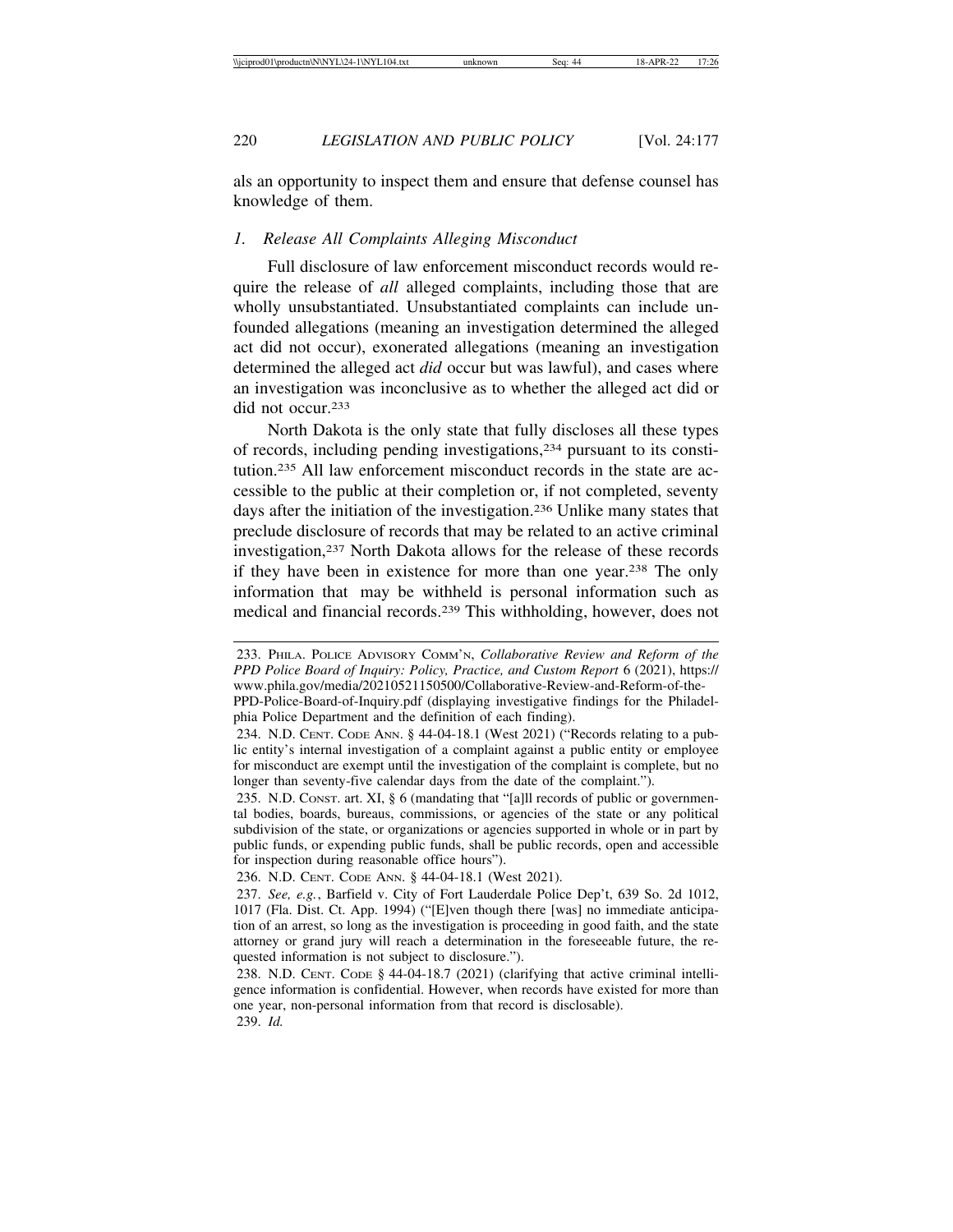als an opportunity to inspect them and ensure that defense counsel has knowledge of them.

#### *1. Release All Complaints Alleging Misconduct*

Full disclosure of law enforcement misconduct records would require the release of *all* alleged complaints, including those that are wholly unsubstantiated. Unsubstantiated complaints can include unfounded allegations (meaning an investigation determined the alleged act did not occur), exonerated allegations (meaning an investigation determined the alleged act *did* occur but was lawful), and cases where an investigation was inconclusive as to whether the alleged act did or did not occur.233

North Dakota is the only state that fully discloses all these types of records, including pending investigations,234 pursuant to its constitution.235 All law enforcement misconduct records in the state are accessible to the public at their completion or, if not completed, seventy days after the initiation of the investigation.236 Unlike many states that preclude disclosure of records that may be related to an active criminal investigation,237 North Dakota allows for the release of these records if they have been in existence for more than one year.238 The only information that may be withheld is personal information such as medical and financial records.239 This withholding, however, does not

<sup>233.</sup> PHILA. POLICE ADVISORY COMM'N, *Collaborative Review and Reform of the PPD Police Board of Inquiry: Policy, Practice, and Custom Report* 6 (2021), https:// www.phila.gov/media/20210521150500/Collaborative-Review-and-Reform-of-the-

PPD-Police-Board-of-Inquiry.pdf (displaying investigative findings for the Philadelphia Police Department and the definition of each finding).

<sup>234.</sup> N.D. CENT. CODE ANN. § 44-04-18.1 (West 2021) ("Records relating to a public entity's internal investigation of a complaint against a public entity or employee for misconduct are exempt until the investigation of the complaint is complete, but no longer than seventy-five calendar days from the date of the complaint.").

<sup>235.</sup> N.D. CONST. art. XI, § 6 (mandating that "[a]ll records of public or governmental bodies, boards, bureaus, commissions, or agencies of the state or any political subdivision of the state, or organizations or agencies supported in whole or in part by public funds, or expending public funds, shall be public records, open and accessible for inspection during reasonable office hours").

<sup>236.</sup> N.D. CENT. CODE ANN. § 44-04-18.1 (West 2021).

<sup>237.</sup> *See, e.g.*, Barfield v. City of Fort Lauderdale Police Dep't, 639 So. 2d 1012, 1017 (Fla. Dist. Ct. App. 1994) ("[E]ven though there [was] no immediate anticipation of an arrest, so long as the investigation is proceeding in good faith, and the state attorney or grand jury will reach a determination in the foreseeable future, the requested information is not subject to disclosure.").

<sup>238.</sup> N.D. CENT. CODE § 44-04-18.7 (2021) (clarifying that active criminal intelligence information is confidential. However, when records have existed for more than one year, non-personal information from that record is disclosable). 239. *Id.*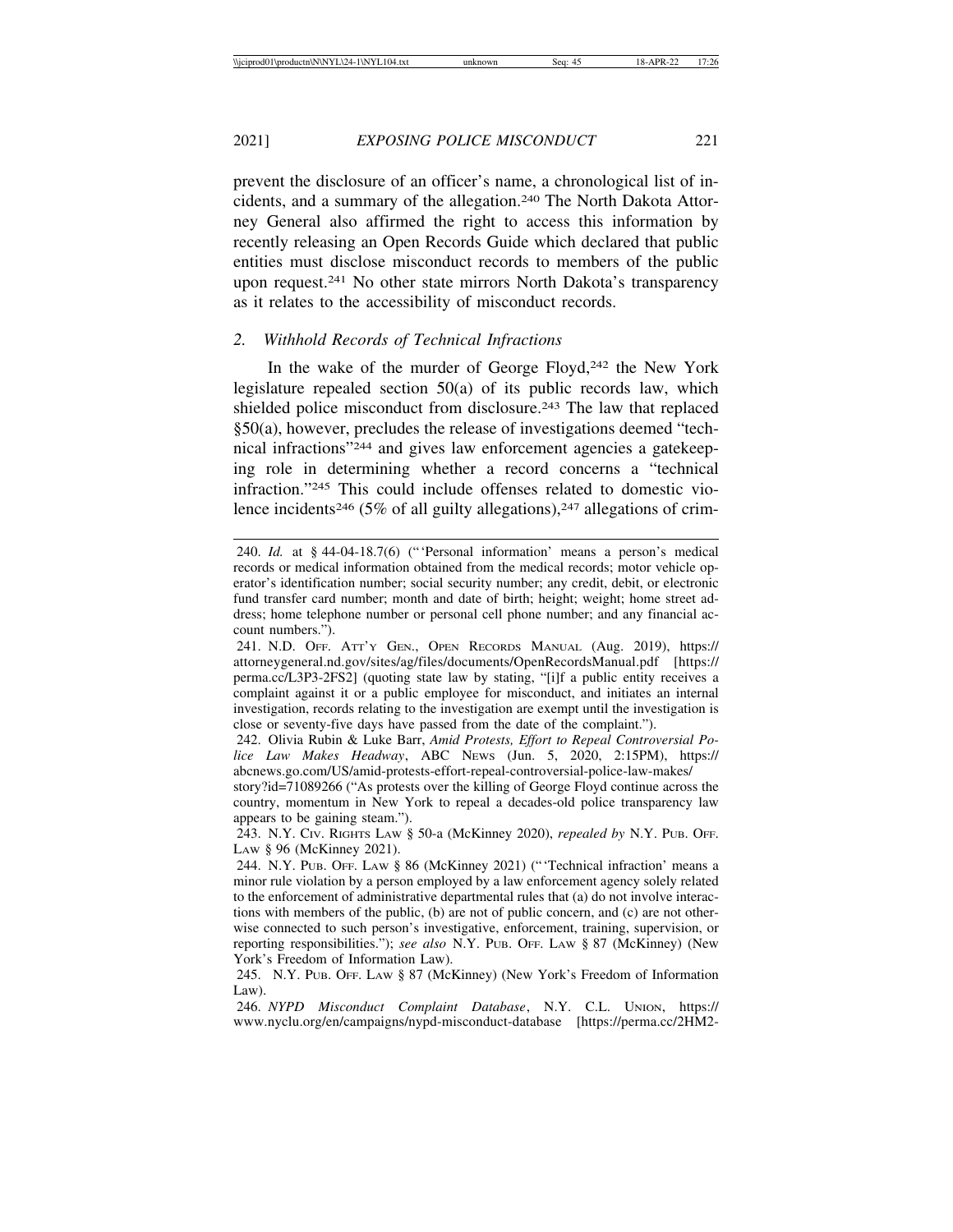prevent the disclosure of an officer's name, a chronological list of incidents, and a summary of the allegation.240 The North Dakota Attorney General also affirmed the right to access this information by recently releasing an Open Records Guide which declared that public entities must disclose misconduct records to members of the public upon request.241 No other state mirrors North Dakota's transparency as it relates to the accessibility of misconduct records.

## *2. Withhold Records of Technical Infractions*

In the wake of the murder of George Floyd,<sup>242</sup> the New York legislature repealed section 50(a) of its public records law, which shielded police misconduct from disclosure.<sup>243</sup> The law that replaced §50(a), however, precludes the release of investigations deemed "technical infractions"244 and gives law enforcement agencies a gatekeeping role in determining whether a record concerns a "technical infraction."245 This could include offenses related to domestic violence incidents<sup>246</sup> (5% of all guilty allegations),<sup>247</sup> allegations of crim-

<sup>240.</sup> *Id.* at § 44-04-18.7(6) ("'Personal information' means a person's medical records or medical information obtained from the medical records; motor vehicle operator's identification number; social security number; any credit, debit, or electronic fund transfer card number; month and date of birth; height; weight; home street address; home telephone number or personal cell phone number; and any financial account numbers.").

<sup>241.</sup> N.D. OFF. ATT'Y GEN., OPEN RECORDS MANUAL (Aug. 2019), https:// attorneygeneral.nd.gov/sites/ag/files/documents/OpenRecordsManual.pdf [https:// perma.cc/L3P3-2FS2] (quoting state law by stating, "[i]f a public entity receives a complaint against it or a public employee for misconduct, and initiates an internal investigation, records relating to the investigation are exempt until the investigation is close or seventy-five days have passed from the date of the complaint.").

<sup>242.</sup> Olivia Rubin & Luke Barr, *Amid Protests, Effort to Repeal Controversial Police Law Makes Headway*, ABC NEWS (Jun. 5, 2020, 2:15PM), https:// abcnews.go.com/US/amid-protests-effort-repeal-controversial-police-law-makes/

story?id=71089266 ("As protests over the killing of George Floyd continue across the country, momentum in New York to repeal a decades-old police transparency law appears to be gaining steam.").

<sup>243.</sup> N.Y. CIV. RIGHTS LAW § 50-a (McKinney 2020), *repealed by* N.Y. PUB. OFF. Law § 96 (McKinney 2021).

<sup>244.</sup> N.Y. PUB. OFF. LAW § 86 (McKinney 2021) ("'Technical infraction' means a minor rule violation by a person employed by a law enforcement agency solely related to the enforcement of administrative departmental rules that (a) do not involve interactions with members of the public, (b) are not of public concern, and (c) are not otherwise connected to such person's investigative, enforcement, training, supervision, or reporting responsibilities."); *see also* N.Y. PUB. OFF. LAW § 87 (McKinney) (New York's Freedom of Information Law).

<sup>245.</sup> N.Y. PUB. OFF. LAW § 87 (McKinney) (New York's Freedom of Information Law).

<sup>246.</sup> *NYPD Misconduct Complaint Database*, N.Y. C.L. UNION, https:// www.nyclu.org/en/campaigns/nypd-misconduct-database [https://perma.cc/2HM2-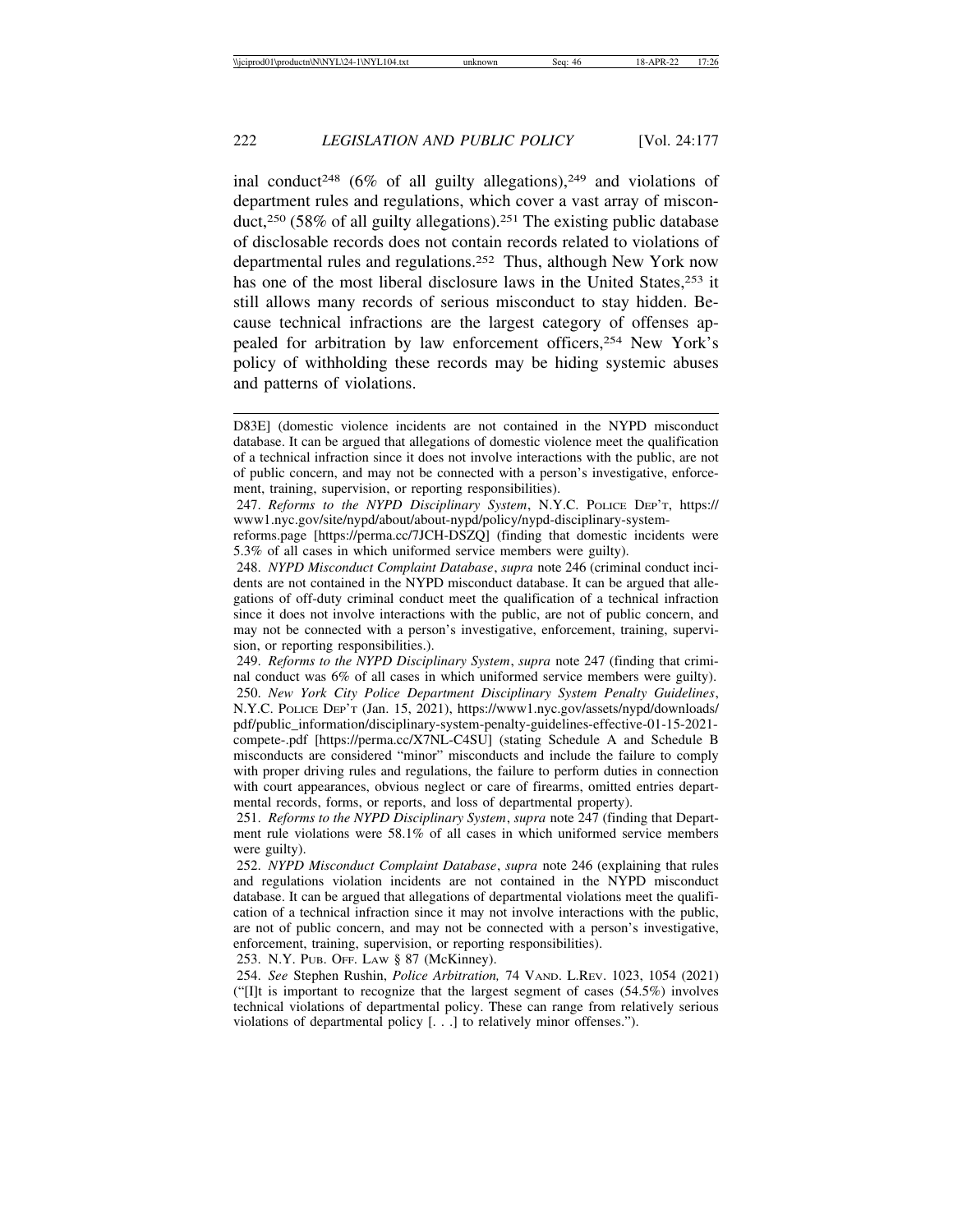inal conduct<sup>248</sup> (6% of all guilty allegations),<sup>249</sup> and violations of department rules and regulations, which cover a vast array of misconduct,250 (58% of all guilty allegations).251 The existing public database of disclosable records does not contain records related to violations of departmental rules and regulations.252 Thus, although New York now has one of the most liberal disclosure laws in the United States, <sup>253</sup> it still allows many records of serious misconduct to stay hidden. Because technical infractions are the largest category of offenses appealed for arbitration by law enforcement officers,254 New York's policy of withholding these records may be hiding systemic abuses and patterns of violations.

253. N.Y. PUB. OFF. LAW § 87 (McKinney).

254. *See* Stephen Rushin, *Police Arbitration,* 74 VAND. L.REV. 1023, 1054 (2021) (" $[I]$ t is important to recognize that the largest segment of cases (54.5%) involves technical violations of departmental policy. These can range from relatively serious violations of departmental policy [. . .] to relatively minor offenses.").

D83E] (domestic violence incidents are not contained in the NYPD misconduct database. It can be argued that allegations of domestic violence meet the qualification of a technical infraction since it does not involve interactions with the public, are not of public concern, and may not be connected with a person's investigative, enforcement, training, supervision, or reporting responsibilities).

<sup>247.</sup> *Reforms to the NYPD Disciplinary System*, N.Y.C. POLICE DEP'T, https:// www1.nyc.gov/site/nypd/about/about-nypd/policy/nypd-disciplinary-system-

reforms.page [https://perma.cc/7JCH-DSZQ] (finding that domestic incidents were 5.3% of all cases in which uniformed service members were guilty).

<sup>248.</sup> *NYPD Misconduct Complaint Database*, *supra* note 246 (criminal conduct incidents are not contained in the NYPD misconduct database. It can be argued that allegations of off-duty criminal conduct meet the qualification of a technical infraction since it does not involve interactions with the public, are not of public concern, and may not be connected with a person's investigative, enforcement, training, supervision, or reporting responsibilities.).

<sup>249.</sup> *Reforms to the NYPD Disciplinary System*, *supra* note 247 (finding that criminal conduct was 6% of all cases in which uniformed service members were guilty). 250. *New York City Police Department Disciplinary System Penalty Guidelines*, N.Y.C. POLICE DEP'T (Jan. 15, 2021), https://www1.nyc.gov/assets/nypd/downloads/ pdf/public\_information/disciplinary-system-penalty-guidelines-effective-01-15-2021 compete-.pdf [https://perma.cc/X7NL-C4SU] (stating Schedule A and Schedule B misconducts are considered "minor" misconducts and include the failure to comply with proper driving rules and regulations, the failure to perform duties in connection with court appearances, obvious neglect or care of firearms, omitted entries departmental records, forms, or reports, and loss of departmental property).

<sup>251.</sup> *Reforms to the NYPD Disciplinary System*, *supra* note 247 (finding that Department rule violations were 58.1% of all cases in which uniformed service members were guilty).

<sup>252.</sup> *NYPD Misconduct Complaint Database*, *supra* note 246 (explaining that rules and regulations violation incidents are not contained in the NYPD misconduct database. It can be argued that allegations of departmental violations meet the qualification of a technical infraction since it may not involve interactions with the public, are not of public concern, and may not be connected with a person's investigative, enforcement, training, supervision, or reporting responsibilities).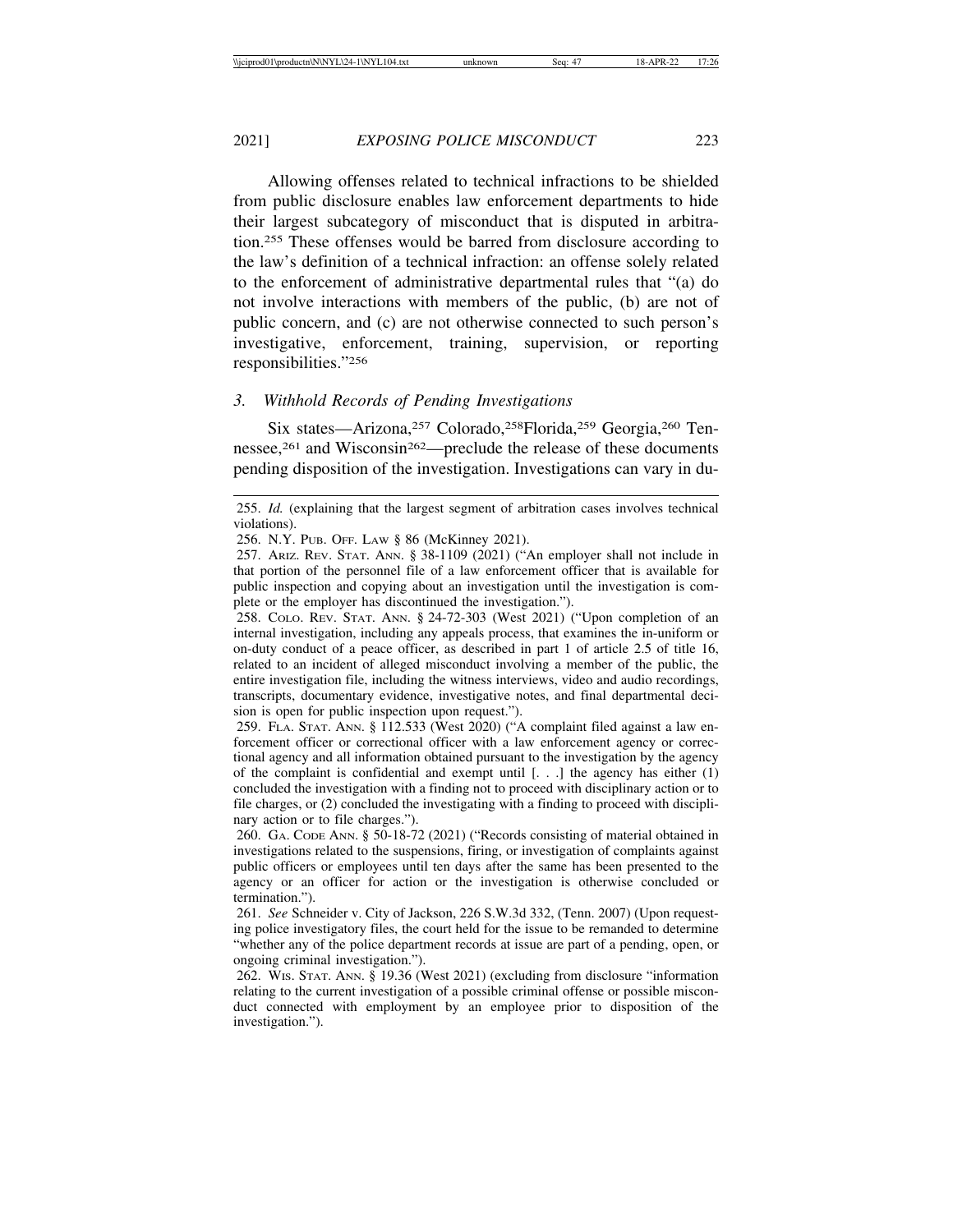Allowing offenses related to technical infractions to be shielded from public disclosure enables law enforcement departments to hide their largest subcategory of misconduct that is disputed in arbitration.255 These offenses would be barred from disclosure according to the law's definition of a technical infraction: an offense solely related to the enforcement of administrative departmental rules that "(a) do not involve interactions with members of the public, (b) are not of public concern, and (c) are not otherwise connected to such person's investigative, enforcement, training, supervision, or reporting responsibilities."256

#### *3. Withhold Records of Pending Investigations*

Six states—Arizona,257 Colorado,258Florida,259 Georgia,260 Tennessee,<sup>261</sup> and Wisconsin<sup>262</sup>—preclude the release of these documents pending disposition of the investigation. Investigations can vary in du-

<sup>255.</sup> *Id.* (explaining that the largest segment of arbitration cases involves technical violations).

<sup>256.</sup> N.Y. PUB. OFF. LAW § 86 (McKinney 2021).

<sup>257.</sup> ARIZ. REV. STAT. ANN. § 38-1109 (2021) ("An employer shall not include in that portion of the personnel file of a law enforcement officer that is available for public inspection and copying about an investigation until the investigation is complete or the employer has discontinued the investigation.").

<sup>258.</sup> COLO. REV. STAT. ANN. § 24-72-303 (West 2021) ("Upon completion of an internal investigation, including any appeals process, that examines the in-uniform or on-duty conduct of a peace officer, as described in part 1 of article 2.5 of title 16, related to an incident of alleged misconduct involving a member of the public, the entire investigation file, including the witness interviews, video and audio recordings, transcripts, documentary evidence, investigative notes, and final departmental decision is open for public inspection upon request.").

<sup>259.</sup> FLA. STAT. ANN. § 112.533 (West 2020) ("A complaint filed against a law enforcement officer or correctional officer with a law enforcement agency or correctional agency and all information obtained pursuant to the investigation by the agency of the complaint is confidential and exempt until  $[...]$  the agency has either  $(1)$ concluded the investigation with a finding not to proceed with disciplinary action or to file charges, or (2) concluded the investigating with a finding to proceed with disciplinary action or to file charges.").

<sup>260.</sup> GA. CODE ANN. § 50-18-72 (2021) ("Records consisting of material obtained in investigations related to the suspensions, firing, or investigation of complaints against public officers or employees until ten days after the same has been presented to the agency or an officer for action or the investigation is otherwise concluded or termination.").

<sup>261.</sup> *See* Schneider v. City of Jackson, 226 S.W.3d 332, (Tenn. 2007) (Upon requesting police investigatory files, the court held for the issue to be remanded to determine "whether any of the police department records at issue are part of a pending, open, or ongoing criminal investigation.").

<sup>262.</sup> WIS. STAT. ANN. § 19.36 (West 2021) (excluding from disclosure "information relating to the current investigation of a possible criminal offense or possible misconduct connected with employment by an employee prior to disposition of the investigation.").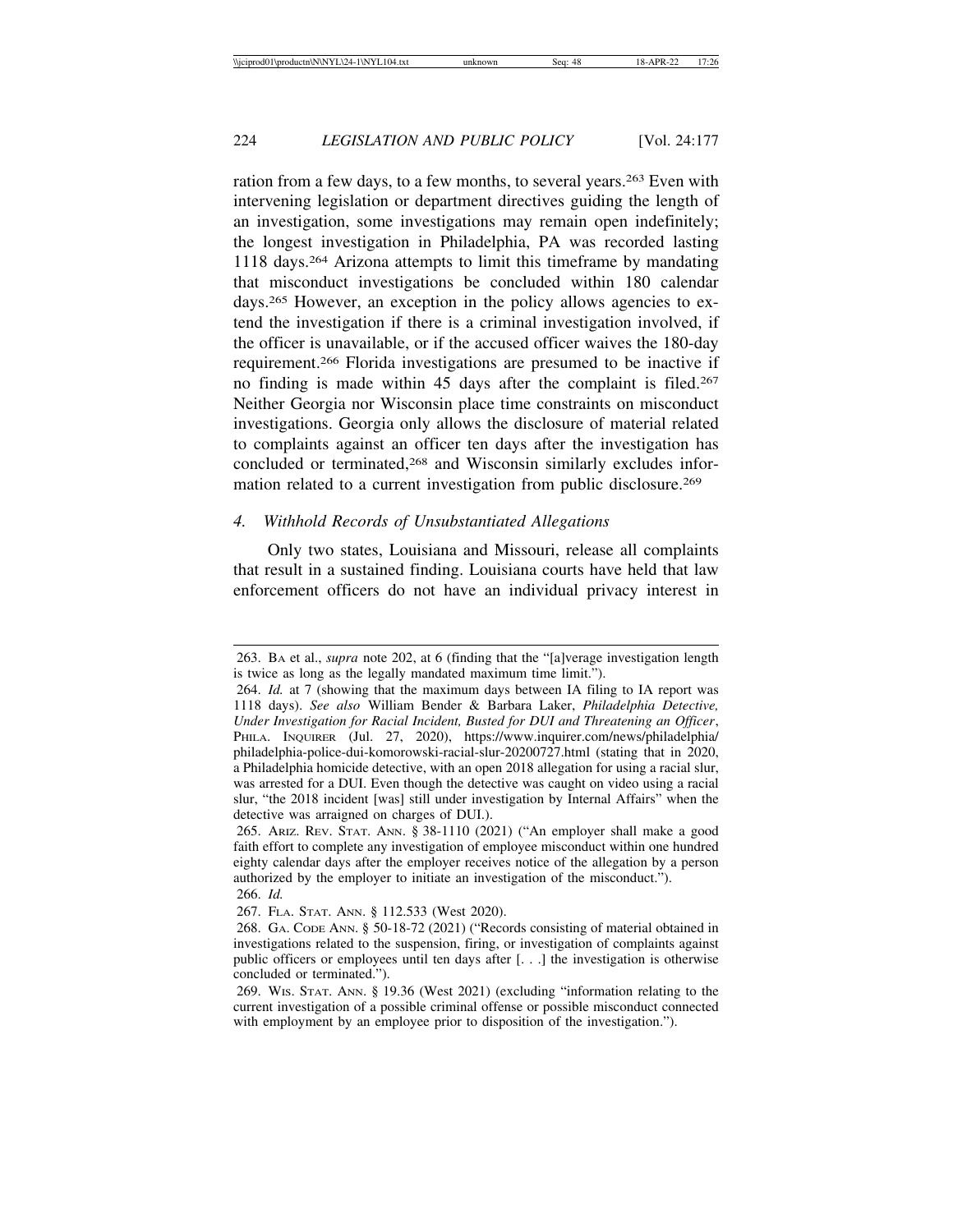ration from a few days, to a few months, to several years.263 Even with intervening legislation or department directives guiding the length of an investigation, some investigations may remain open indefinitely; the longest investigation in Philadelphia, PA was recorded lasting 1118 days.264 Arizona attempts to limit this timeframe by mandating that misconduct investigations be concluded within 180 calendar days.<sup>265</sup> However, an exception in the policy allows agencies to extend the investigation if there is a criminal investigation involved, if the officer is unavailable, or if the accused officer waives the 180-day requirement.266 Florida investigations are presumed to be inactive if no finding is made within 45 days after the complaint is filed.267 Neither Georgia nor Wisconsin place time constraints on misconduct investigations. Georgia only allows the disclosure of material related to complaints against an officer ten days after the investigation has concluded or terminated,<sup>268</sup> and Wisconsin similarly excludes information related to a current investigation from public disclosure.269

## *4. Withhold Records of Unsubstantiated Allegations*

Only two states, Louisiana and Missouri, release all complaints that result in a sustained finding. Louisiana courts have held that law enforcement officers do not have an individual privacy interest in

<sup>263.</sup> BA et al., *supra* note 202, at 6 (finding that the "[a]verage investigation length is twice as long as the legally mandated maximum time limit.").

<sup>264.</sup> *Id.* at 7 (showing that the maximum days between IA filing to IA report was 1118 days). *See also* William Bender & Barbara Laker, *Philadelphia Detective, Under Investigation for Racial Incident, Busted for DUI and Threatening an Officer*, PHILA. INQUIRER (Jul. 27, 2020), https://www.inquirer.com/news/philadelphia/ philadelphia-police-dui-komorowski-racial-slur-20200727.html (stating that in 2020, a Philadelphia homicide detective, with an open 2018 allegation for using a racial slur, was arrested for a DUI. Even though the detective was caught on video using a racial slur, "the 2018 incident [was] still under investigation by Internal Affairs" when the detective was arraigned on charges of DUI.).

<sup>265.</sup> ARIZ. REV. STAT. ANN. § 38-1110 (2021) ("An employer shall make a good faith effort to complete any investigation of employee misconduct within one hundred eighty calendar days after the employer receives notice of the allegation by a person authorized by the employer to initiate an investigation of the misconduct.").

<sup>266.</sup> *Id.*

<sup>267.</sup> FLA. STAT. ANN. § 112.533 (West 2020).

<sup>268.</sup> GA. CODE ANN. § 50-18-72 (2021) ("Records consisting of material obtained in investigations related to the suspension, firing, or investigation of complaints against public officers or employees until ten days after [. . .] the investigation is otherwise concluded or terminated.").

<sup>269.</sup> WIS. STAT. ANN. § 19.36 (West 2021) (excluding "information relating to the current investigation of a possible criminal offense or possible misconduct connected with employment by an employee prior to disposition of the investigation.").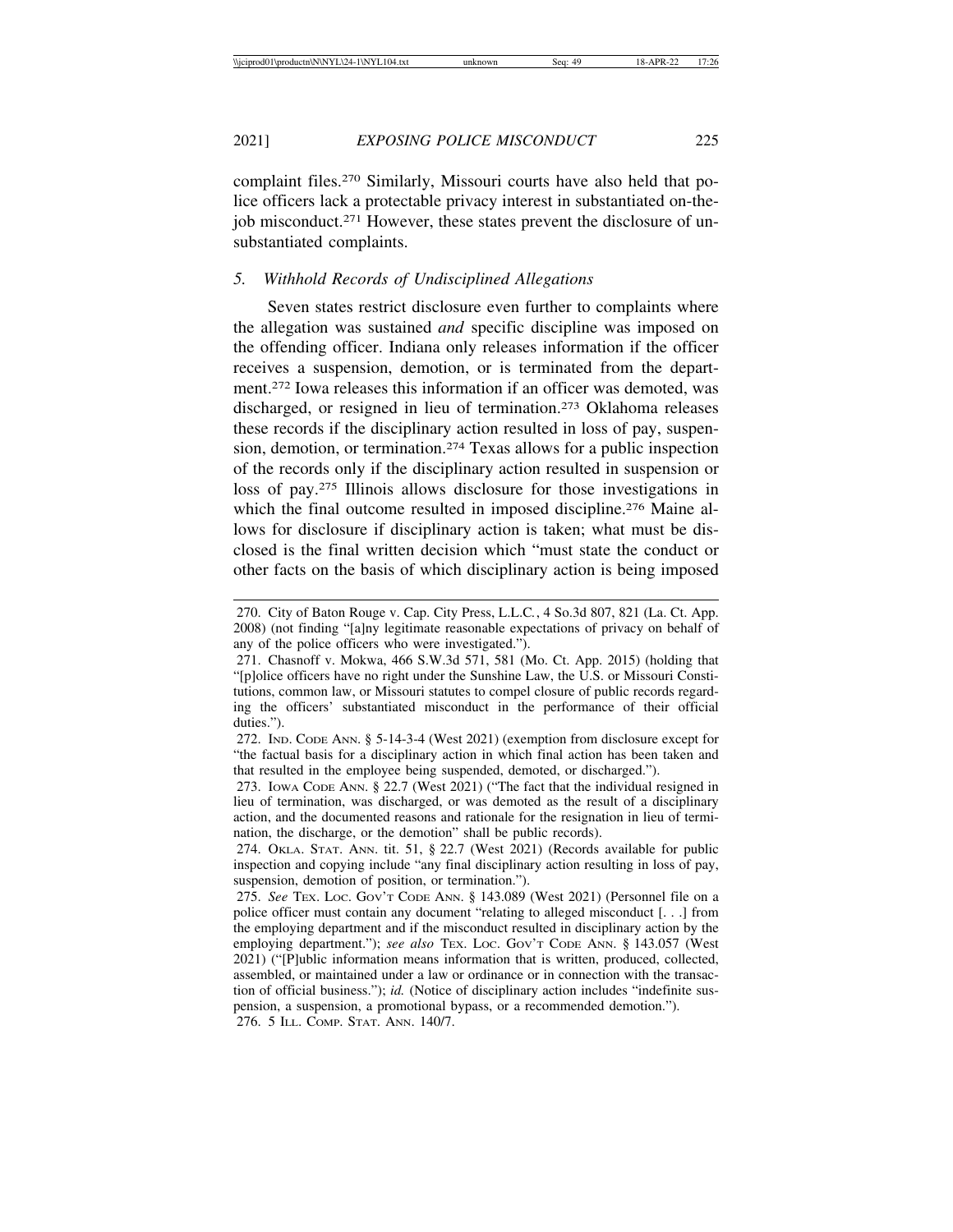complaint files.270 Similarly, Missouri courts have also held that police officers lack a protectable privacy interest in substantiated on-thejob misconduct.271 However, these states prevent the disclosure of unsubstantiated complaints.

## *5. Withhold Records of Undisciplined Allegations*

Seven states restrict disclosure even further to complaints where the allegation was sustained *and* specific discipline was imposed on the offending officer. Indiana only releases information if the officer receives a suspension, demotion, or is terminated from the department.272 Iowa releases this information if an officer was demoted, was discharged, or resigned in lieu of termination.273 Oklahoma releases these records if the disciplinary action resulted in loss of pay, suspension, demotion, or termination.274 Texas allows for a public inspection of the records only if the disciplinary action resulted in suspension or loss of pay.275 Illinois allows disclosure for those investigations in which the final outcome resulted in imposed discipline.<sup>276</sup> Maine allows for disclosure if disciplinary action is taken; what must be disclosed is the final written decision which "must state the conduct or other facts on the basis of which disciplinary action is being imposed

<sup>270.</sup> City of Baton Rouge v. Cap. City Press, L.L.C*.*, 4 So.3d 807, 821 (La. Ct. App. 2008) (not finding "[a]ny legitimate reasonable expectations of privacy on behalf of any of the police officers who were investigated.").

<sup>271.</sup> Chasnoff v. Mokwa, 466 S.W.3d 571, 581 (Mo. Ct. App. 2015) (holding that "[p]olice officers have no right under the Sunshine Law, the U.S. or Missouri Constitutions, common law, or Missouri statutes to compel closure of public records regarding the officers' substantiated misconduct in the performance of their official duties.").

<sup>272.</sup> IND. CODE ANN. § 5-14-3-4 (West 2021) (exemption from disclosure except for "the factual basis for a disciplinary action in which final action has been taken and that resulted in the employee being suspended, demoted, or discharged.").

<sup>273.</sup> IOWA CODE ANN. § 22.7 (West 2021) ("The fact that the individual resigned in lieu of termination, was discharged, or was demoted as the result of a disciplinary action, and the documented reasons and rationale for the resignation in lieu of termination, the discharge, or the demotion" shall be public records).

<sup>274.</sup> OKLA. STAT. ANN. tit. 51, § 22.7 (West 2021) (Records available for public inspection and copying include "any final disciplinary action resulting in loss of pay, suspension, demotion of position, or termination.").

<sup>275.</sup> *See* TEX. LOC. GOV'T CODE ANN. § 143.089 (West 2021) (Personnel file on a police officer must contain any document "relating to alleged misconduct [. . .] from the employing department and if the misconduct resulted in disciplinary action by the employing department."); *see also* TEX. Loc. Gov't Code ANN. § 143.057 (West 2021) ("[P]ublic information means information that is written, produced, collected, assembled, or maintained under a law or ordinance or in connection with the transaction of official business."); *id.* (Notice of disciplinary action includes "indefinite suspension, a suspension, a promotional bypass, or a recommended demotion.").

<sup>276. 5</sup> ILL. COMP. STAT. ANN. 140/7.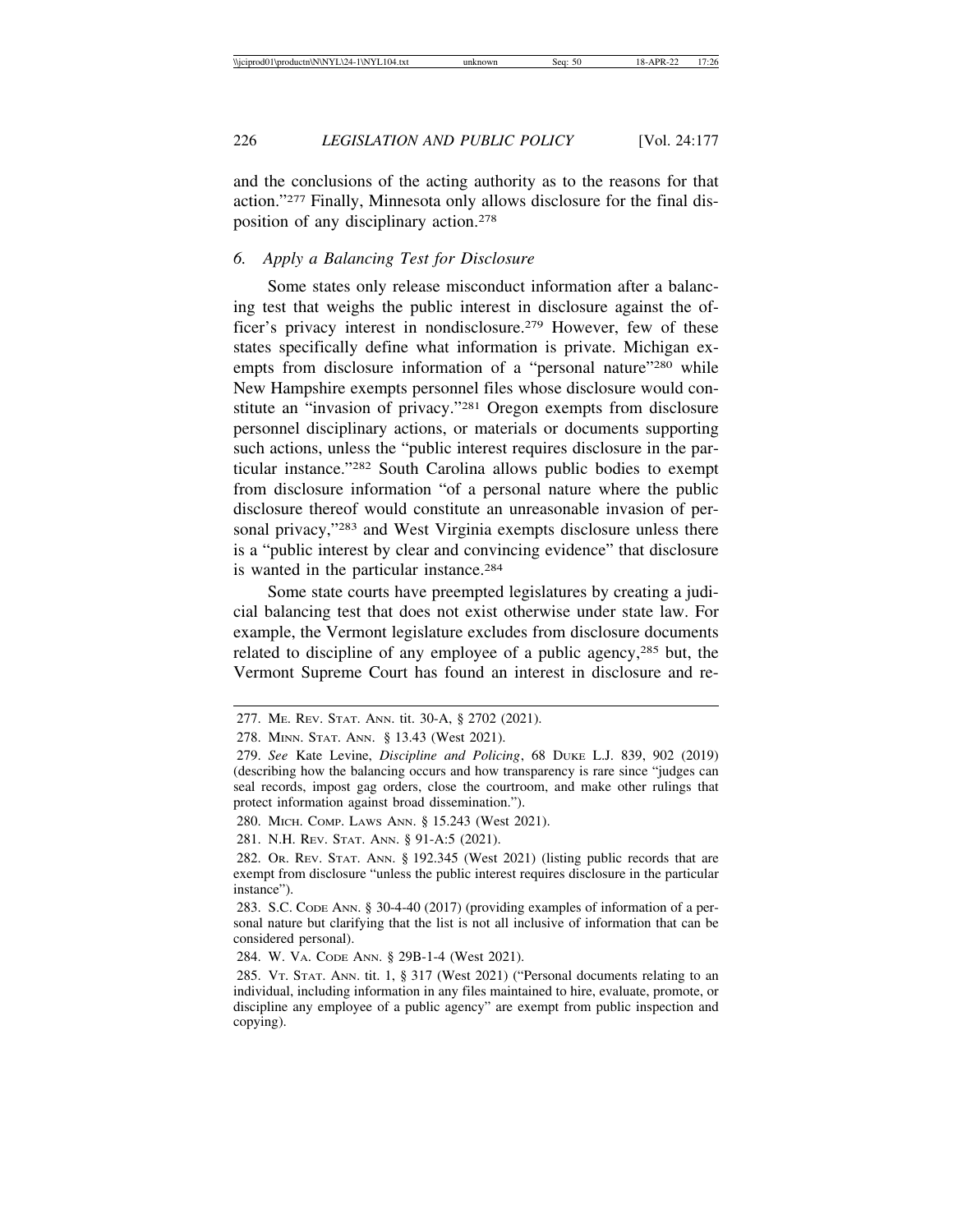226 *LEGISLATION AND PUBLIC POLICY* [Vol. 24:177

and the conclusions of the acting authority as to the reasons for that action."277 Finally, Minnesota only allows disclosure for the final disposition of any disciplinary action.278

#### *6. Apply a Balancing Test for Disclosure*

Some states only release misconduct information after a balancing test that weighs the public interest in disclosure against the officer's privacy interest in nondisclosure.279 However, few of these states specifically define what information is private. Michigan exempts from disclosure information of a "personal nature"<sup>280</sup> while New Hampshire exempts personnel files whose disclosure would constitute an "invasion of privacy."281 Oregon exempts from disclosure personnel disciplinary actions, or materials or documents supporting such actions, unless the "public interest requires disclosure in the particular instance."282 South Carolina allows public bodies to exempt from disclosure information "of a personal nature where the public disclosure thereof would constitute an unreasonable invasion of personal privacy,"<sup>283</sup> and West Virginia exempts disclosure unless there is a "public interest by clear and convincing evidence" that disclosure is wanted in the particular instance.284

Some state courts have preempted legislatures by creating a judicial balancing test that does not exist otherwise under state law. For example, the Vermont legislature excludes from disclosure documents related to discipline of any employee of a public agency,285 but, the Vermont Supreme Court has found an interest in disclosure and re-

<sup>277.</sup> ME. REV. STAT. ANN. tit. 30-A, § 2702 (2021).

<sup>278.</sup> MINN. STAT. ANN. § 13.43 (West 2021).

<sup>279.</sup> *See* Kate Levine, *Discipline and Policing*, 68 DUKE L.J. 839, 902 (2019) (describing how the balancing occurs and how transparency is rare since "judges can seal records, impost gag orders, close the courtroom, and make other rulings that protect information against broad dissemination.").

<sup>280.</sup> MICH. COMP. LAWS ANN. § 15.243 (West 2021).

<sup>281.</sup> N.H. REV. STAT. ANN. § 91-A:5 (2021).

<sup>282.</sup> OR. REV. STAT. ANN. § 192.345 (West 2021) (listing public records that are exempt from disclosure "unless the public interest requires disclosure in the particular instance").

<sup>283.</sup> S.C. CODE ANN. § 30-4-40 (2017) (providing examples of information of a personal nature but clarifying that the list is not all inclusive of information that can be considered personal).

<sup>284.</sup> W. VA. CODE ANN. § 29B-1-4 (West 2021).

<sup>285.</sup> VT. STAT. ANN. tit. 1, § 317 (West 2021) ("Personal documents relating to an individual, including information in any files maintained to hire, evaluate, promote, or discipline any employee of a public agency" are exempt from public inspection and copying).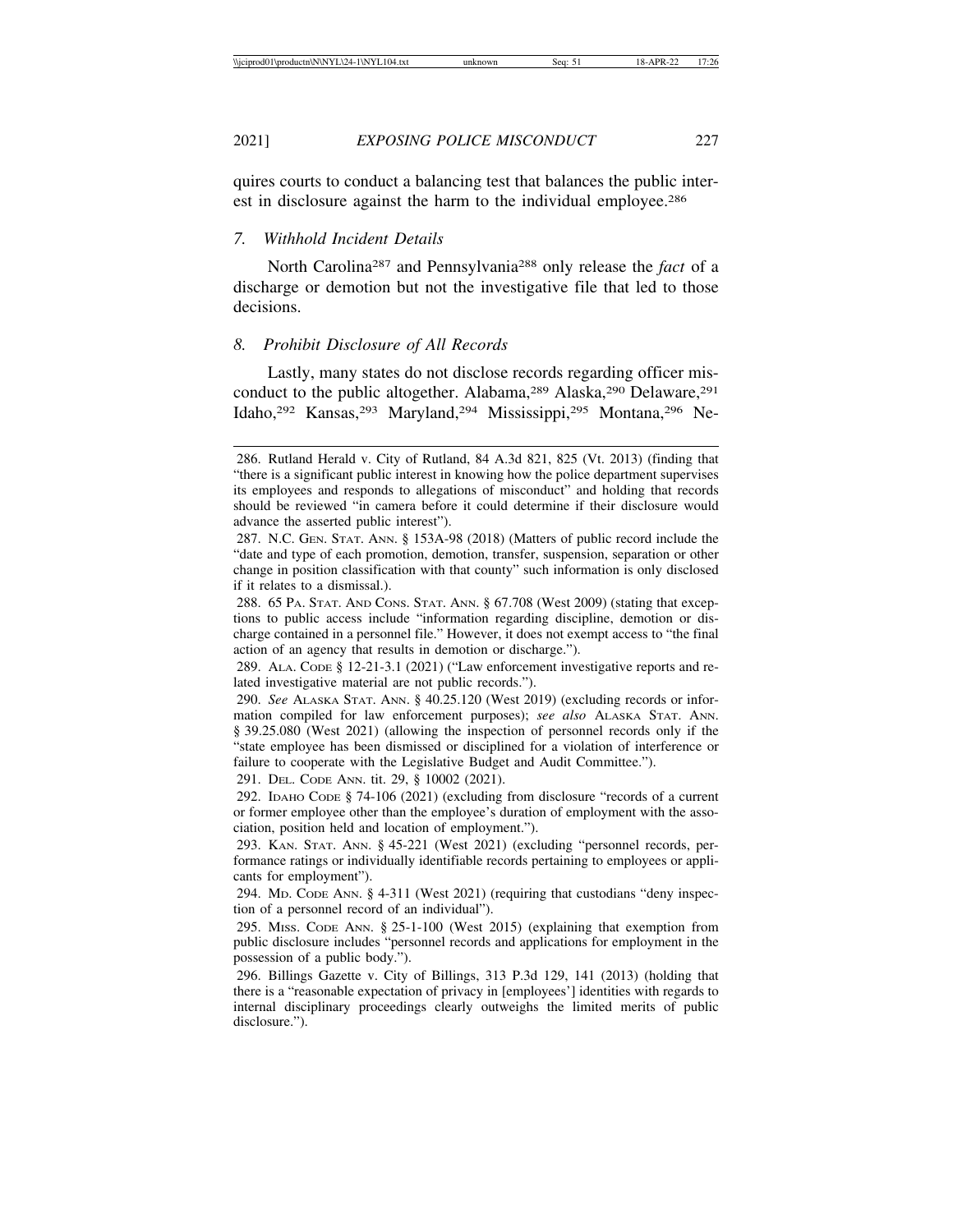quires courts to conduct a balancing test that balances the public interest in disclosure against the harm to the individual employee.<sup>286</sup>

*7. Withhold Incident Details*

North Carolina287 and Pennsylvania288 only release the *fact* of a discharge or demotion but not the investigative file that led to those decisions.

## *8. Prohibit Disclosure of All Records*

Lastly, many states do not disclose records regarding officer misconduct to the public altogether. Alabama,<sup>289</sup> Alaska,<sup>290</sup> Delaware,<sup>291</sup> Idaho,292 Kansas,293 Maryland,294 Mississippi,295 Montana,296 Ne-

291. DEL. CODE ANN. tit. 29, § 10002 (2021).

<sup>286.</sup> Rutland Herald v. City of Rutland, 84 A.3d 821, 825 (Vt. 2013) (finding that "there is a significant public interest in knowing how the police department supervises its employees and responds to allegations of misconduct" and holding that records should be reviewed "in camera before it could determine if their disclosure would advance the asserted public interest").

<sup>287.</sup> N.C. GEN. STAT. ANN. § 153A-98 (2018) (Matters of public record include the "date and type of each promotion, demotion, transfer, suspension, separation or other change in position classification with that county" such information is only disclosed if it relates to a dismissal.).

<sup>288.</sup> 65 PA. STAT. AND CONS. STAT. ANN. § 67.708 (West 2009) (stating that exceptions to public access include "information regarding discipline, demotion or discharge contained in a personnel file." However, it does not exempt access to "the final action of an agency that results in demotion or discharge.").

<sup>289.</sup> ALA. CODE § 12-21-3.1 (2021) ("Law enforcement investigative reports and related investigative material are not public records.").

<sup>290.</sup> *See* ALASKA STAT. ANN. § 40.25.120 (West 2019) (excluding records or information compiled for law enforcement purposes); *see also* ALASKA STAT. ANN. § 39.25.080 (West 2021) (allowing the inspection of personnel records only if the "state employee has been dismissed or disciplined for a violation of interference or failure to cooperate with the Legislative Budget and Audit Committee.").

<sup>292.</sup> IDAHO CODE § 74-106 (2021) (excluding from disclosure "records of a current or former employee other than the employee's duration of employment with the association, position held and location of employment.").

<sup>293.</sup> KAN. STAT. ANN. § 45-221 (West 2021) (excluding "personnel records, performance ratings or individually identifiable records pertaining to employees or applicants for employment").

<sup>294.</sup> MD. CODE ANN. § 4-311 (West 2021) (requiring that custodians "deny inspection of a personnel record of an individual").

<sup>295.</sup> MISS. CODE ANN. § 25-1-100 (West 2015) (explaining that exemption from public disclosure includes "personnel records and applications for employment in the possession of a public body.").

<sup>296.</sup> Billings Gazette v. City of Billings, 313 P.3d 129, 141 (2013) (holding that there is a "reasonable expectation of privacy in [employees'] identities with regards to internal disciplinary proceedings clearly outweighs the limited merits of public disclosure.").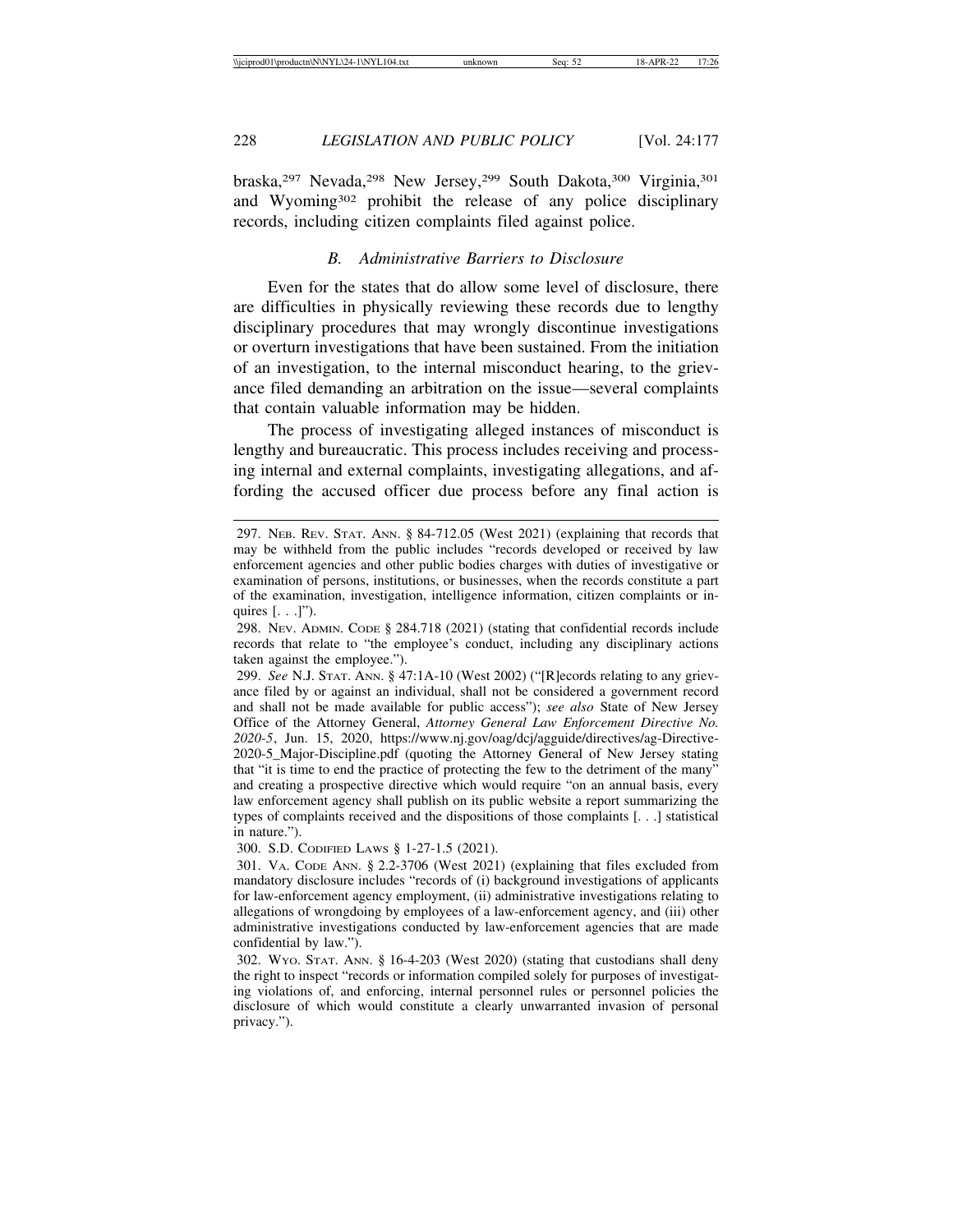braska,297 Nevada,298 New Jersey,299 South Dakota,300 Virginia,301 and Wyoming302 prohibit the release of any police disciplinary records, including citizen complaints filed against police.

## *B. Administrative Barriers to Disclosure*

Even for the states that do allow some level of disclosure, there are difficulties in physically reviewing these records due to lengthy disciplinary procedures that may wrongly discontinue investigations or overturn investigations that have been sustained. From the initiation of an investigation, to the internal misconduct hearing, to the grievance filed demanding an arbitration on the issue—several complaints that contain valuable information may be hidden.

The process of investigating alleged instances of misconduct is lengthy and bureaucratic. This process includes receiving and processing internal and external complaints, investigating allegations, and affording the accused officer due process before any final action is

300. S.D. CODIFIED LAWS § 1-27-1.5 (2021).

<sup>297.</sup> NEB. REV. STAT. ANN. § 84-712.05 (West 2021) (explaining that records that may be withheld from the public includes "records developed or received by law enforcement agencies and other public bodies charges with duties of investigative or examination of persons, institutions, or businesses, when the records constitute a part of the examination, investigation, intelligence information, citizen complaints or inquires  $[\ldots]$ ").

<sup>298.</sup> NEV. ADMIN. CODE § 284.718 (2021) (stating that confidential records include records that relate to "the employee's conduct, including any disciplinary actions taken against the employee.").

<sup>299.</sup> *See* N.J. STAT. ANN. § 47:1A-10 (West 2002) ("[R]ecords relating to any grievance filed by or against an individual, shall not be considered a government record and shall not be made available for public access"); *see also* State of New Jersey Office of the Attorney General, *Attorney General Law Enforcement Directive No. 2020-5*, Jun. 15, 2020, https://www.nj.gov/oag/dcj/agguide/directives/ag-Directive-2020-5\_Major-Discipline.pdf (quoting the Attorney General of New Jersey stating that "it is time to end the practice of protecting the few to the detriment of the many" and creating a prospective directive which would require "on an annual basis, every law enforcement agency shall publish on its public website a report summarizing the types of complaints received and the dispositions of those complaints [. . .] statistical in nature.").

<sup>301.</sup> VA. CODE ANN. § 2.2-3706 (West 2021) (explaining that files excluded from mandatory disclosure includes "records of (i) background investigations of applicants for law-enforcement agency employment, (ii) administrative investigations relating to allegations of wrongdoing by employees of a law-enforcement agency, and (iii) other administrative investigations conducted by law-enforcement agencies that are made confidential by law.").

<sup>302.</sup> WYO. STAT. ANN. § 16-4-203 (West 2020) (stating that custodians shall deny the right to inspect "records or information compiled solely for purposes of investigating violations of, and enforcing, internal personnel rules or personnel policies the disclosure of which would constitute a clearly unwarranted invasion of personal privacy.").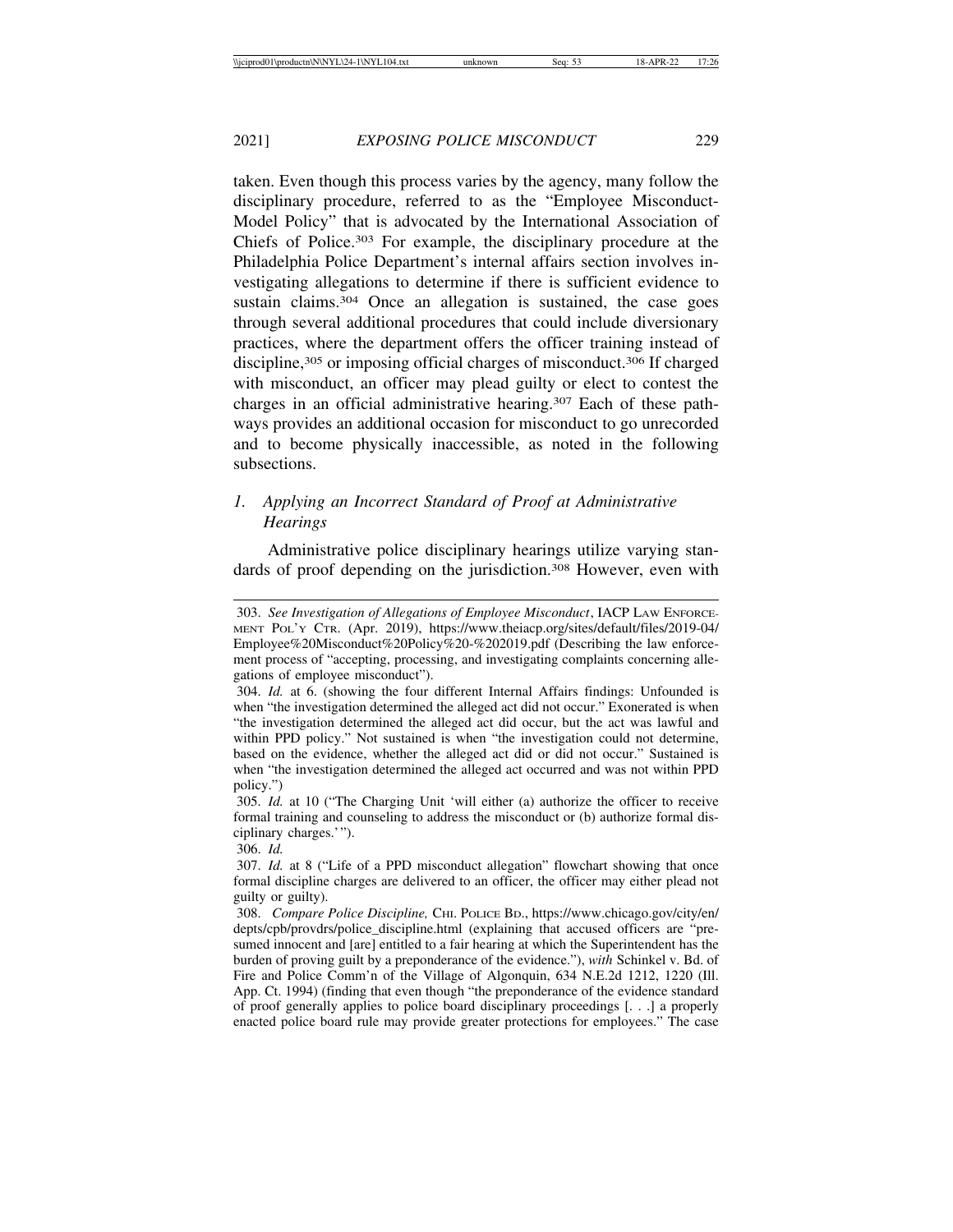taken. Even though this process varies by the agency, many follow the disciplinary procedure, referred to as the "Employee Misconduct-Model Policy" that is advocated by the International Association of Chiefs of Police.303 For example, the disciplinary procedure at the Philadelphia Police Department's internal affairs section involves investigating allegations to determine if there is sufficient evidence to sustain claims.<sup>304</sup> Once an allegation is sustained, the case goes through several additional procedures that could include diversionary practices, where the department offers the officer training instead of discipline,<sup>305</sup> or imposing official charges of misconduct.<sup>306</sup> If charged with misconduct, an officer may plead guilty or elect to contest the charges in an official administrative hearing.307 Each of these path-

ways provides an additional occasion for misconduct to go unrecorded and to become physically inaccessible, as noted in the following subsections.

## *1. Applying an Incorrect Standard of Proof at Administrative Hearings*

Administrative police disciplinary hearings utilize varying standards of proof depending on the jurisdiction.<sup>308</sup> However, even with

306. *Id.*

<sup>303.</sup> *See Investigation of Allegations of Employee Misconduct*, IACP LAW ENFORCE-MENT POL'Y CTR. (Apr. 2019), https://www.theiacp.org/sites/default/files/2019-04/ Employee%20Misconduct%20Policy%20-%202019.pdf (Describing the law enforcement process of "accepting, processing, and investigating complaints concerning allegations of employee misconduct").

<sup>304.</sup> *Id.* at 6. (showing the four different Internal Affairs findings: Unfounded is when "the investigation determined the alleged act did not occur." Exonerated is when "the investigation determined the alleged act did occur, but the act was lawful and within PPD policy." Not sustained is when "the investigation could not determine, based on the evidence, whether the alleged act did or did not occur." Sustained is when "the investigation determined the alleged act occurred and was not within PPD policy.")

<sup>305.</sup> *Id.* at 10 ("The Charging Unit 'will either (a) authorize the officer to receive formal training and counseling to address the misconduct or (b) authorize formal disciplinary charges.'").

<sup>307.</sup> *Id.* at 8 ("Life of a PPD misconduct allegation" flowchart showing that once formal discipline charges are delivered to an officer, the officer may either plead not guilty or guilty).

<sup>308.</sup> *Compare Police Discipline,* CHI. POLICE BD., https://www.chicago.gov/city/en/ depts/cpb/provdrs/police\_discipline.html (explaining that accused officers are "presumed innocent and [are] entitled to a fair hearing at which the Superintendent has the burden of proving guilt by a preponderance of the evidence."), *with* Schinkel v. Bd. of Fire and Police Comm'n of the Village of Algonquin, 634 N.E.2d 1212, 1220 (Ill. App. Ct. 1994) (finding that even though "the preponderance of the evidence standard of proof generally applies to police board disciplinary proceedings [. . .] a properly enacted police board rule may provide greater protections for employees." The case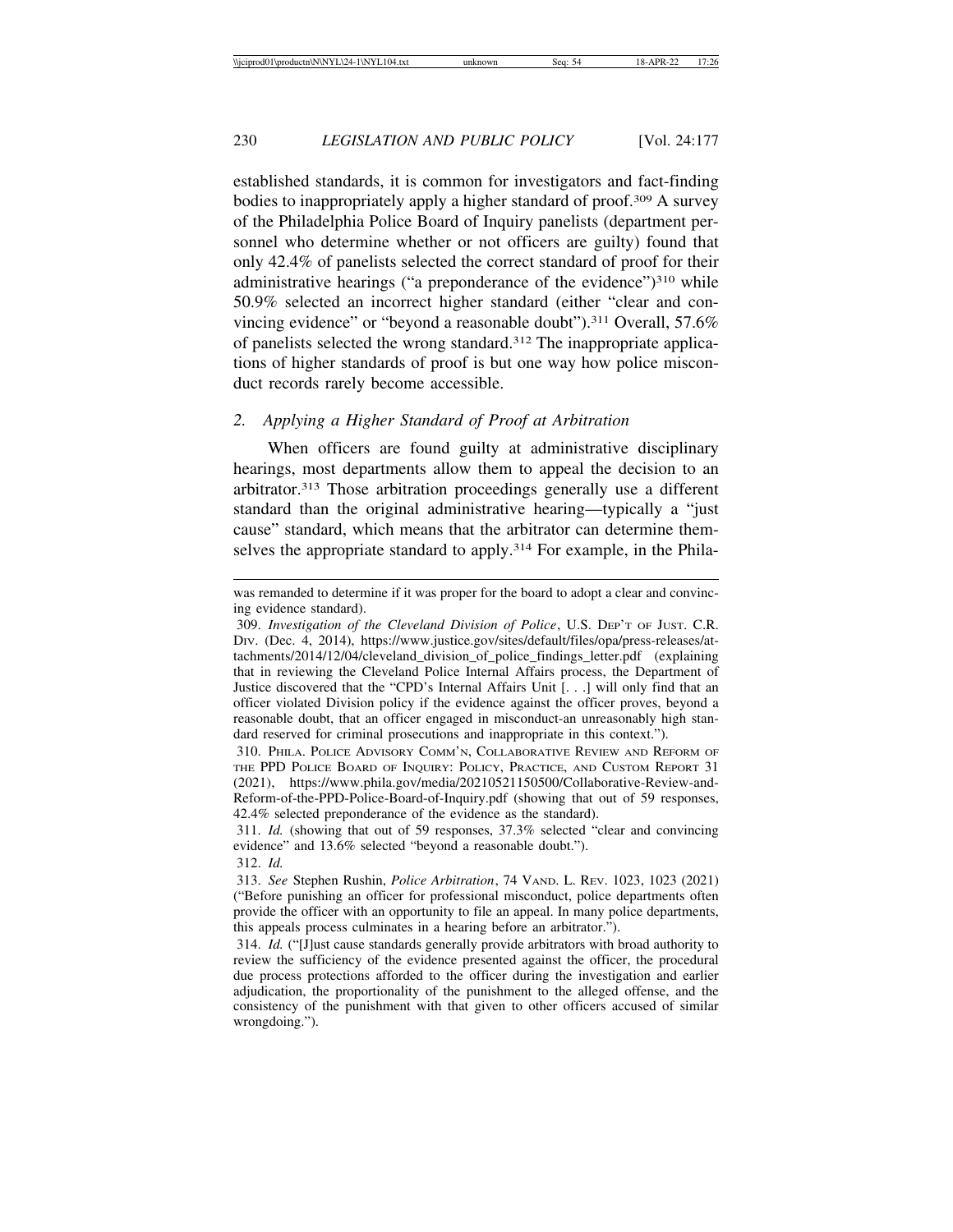established standards, it is common for investigators and fact-finding bodies to inappropriately apply a higher standard of proof.309 A survey of the Philadelphia Police Board of Inquiry panelists (department personnel who determine whether or not officers are guilty) found that only 42.4% of panelists selected the correct standard of proof for their administrative hearings ("a preponderance of the evidence")<sup>310</sup> while 50.9% selected an incorrect higher standard (either "clear and convincing evidence" or "beyond a reasonable doubt").311 Overall, 57.6% of panelists selected the wrong standard.312 The inappropriate applications of higher standards of proof is but one way how police misconduct records rarely become accessible.

## *2. Applying a Higher Standard of Proof at Arbitration*

When officers are found guilty at administrative disciplinary hearings, most departments allow them to appeal the decision to an arbitrator.313 Those arbitration proceedings generally use a different standard than the original administrative hearing—typically a "just cause" standard, which means that the arbitrator can determine themselves the appropriate standard to apply.<sup>314</sup> For example, in the Phila-

was remanded to determine if it was proper for the board to adopt a clear and convincing evidence standard).

<sup>309.</sup> *Investigation of the Cleveland Division of Police*, U.S. DEP'T OF JUST. C.R. DIV. (Dec. 4, 2014), https://www.justice.gov/sites/default/files/opa/press-releases/attachments/2014/12/04/cleveland\_division\_of\_police\_findings\_letter.pdf (explaining that in reviewing the Cleveland Police Internal Affairs process, the Department of Justice discovered that the "CPD's Internal Affairs Unit [. . .] will only find that an officer violated Division policy if the evidence against the officer proves, beyond a reasonable doubt, that an officer engaged in misconduct-an unreasonably high standard reserved for criminal prosecutions and inappropriate in this context.").

<sup>310.</sup> PHILA. POLICE ADVISORY COMM'N, COLLABORATIVE REVIEW AND REFORM OF THE PPD POLICE BOARD OF INQUIRY: POLICY, PRACTICE, AND CUSTOM REPORT 31 (2021), https://www.phila.gov/media/20210521150500/Collaborative-Review-and-Reform-of-the-PPD-Police-Board-of-Inquiry.pdf (showing that out of 59 responses, 42.4% selected preponderance of the evidence as the standard).

<sup>311.</sup> *Id.* (showing that out of 59 responses, 37.3% selected "clear and convincing evidence" and 13.6% selected "beyond a reasonable doubt.").

<sup>312.</sup> *Id.*

<sup>313.</sup> *See* Stephen Rushin, *Police Arbitration*, 74 VAND. L. REV. 1023, 1023 (2021) ("Before punishing an officer for professional misconduct, police departments often provide the officer with an opportunity to file an appeal. In many police departments, this appeals process culminates in a hearing before an arbitrator.").

<sup>314.</sup> *Id.* ("[J]ust cause standards generally provide arbitrators with broad authority to review the sufficiency of the evidence presented against the officer, the procedural due process protections afforded to the officer during the investigation and earlier adjudication, the proportionality of the punishment to the alleged offense, and the consistency of the punishment with that given to other officers accused of similar wrongdoing.").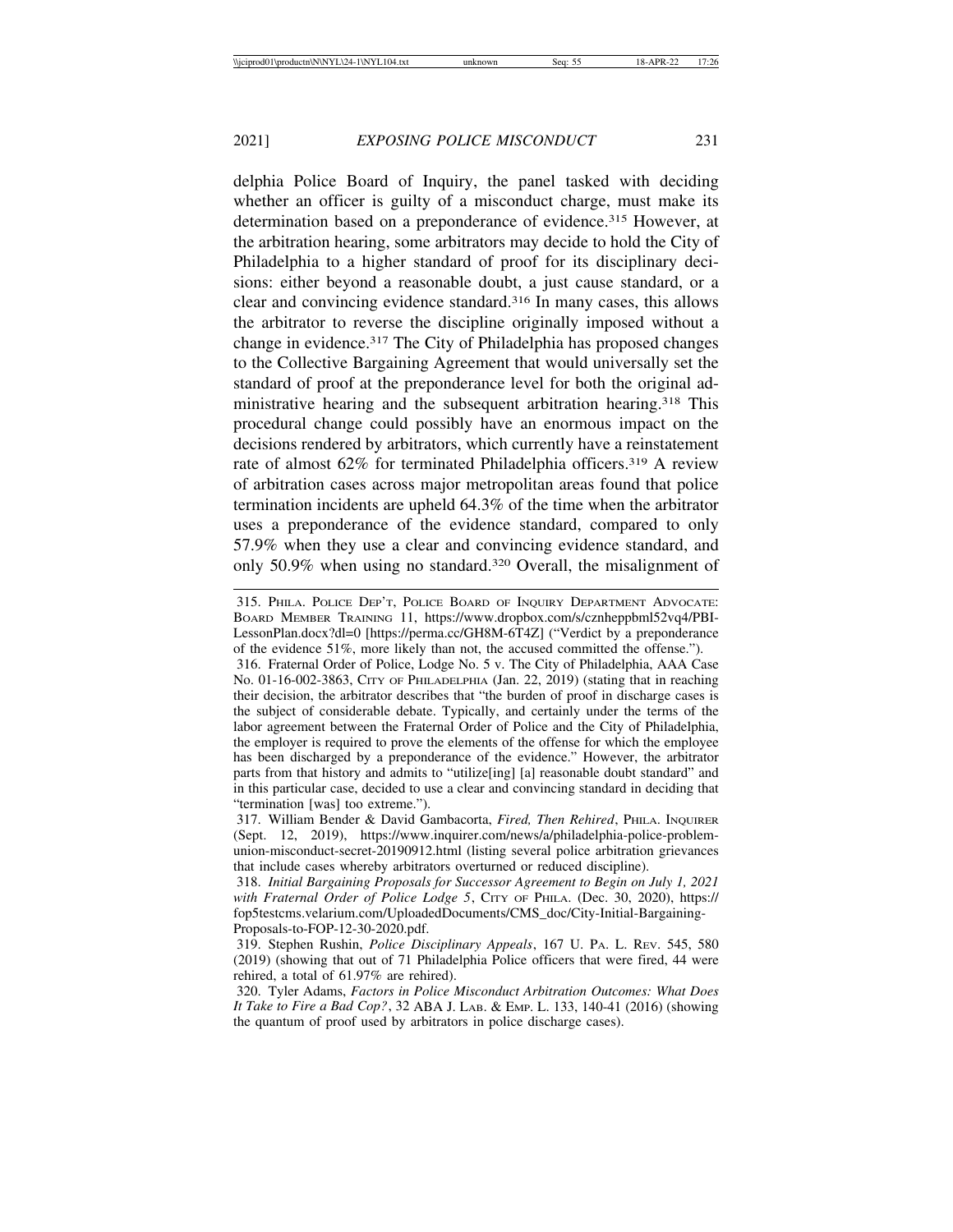delphia Police Board of Inquiry, the panel tasked with deciding whether an officer is guilty of a misconduct charge, must make its determination based on a preponderance of evidence.<sup>315</sup> However, at the arbitration hearing, some arbitrators may decide to hold the City of Philadelphia to a higher standard of proof for its disciplinary decisions: either beyond a reasonable doubt, a just cause standard, or a clear and convincing evidence standard.316 In many cases, this allows the arbitrator to reverse the discipline originally imposed without a change in evidence.317 The City of Philadelphia has proposed changes to the Collective Bargaining Agreement that would universally set the standard of proof at the preponderance level for both the original administrative hearing and the subsequent arbitration hearing.318 This procedural change could possibly have an enormous impact on the decisions rendered by arbitrators, which currently have a reinstatement rate of almost 62% for terminated Philadelphia officers.<sup>319</sup> A review of arbitration cases across major metropolitan areas found that police termination incidents are upheld 64.3% of the time when the arbitrator uses a preponderance of the evidence standard, compared to only 57.9% when they use a clear and convincing evidence standard, and only 50.9% when using no standard.320 Overall, the misalignment of

<sup>315.</sup> PHILA. POLICE DEP'T, POLICE BOARD OF INQUIRY DEPARTMENT ADVOCATE: BOARD MEMBER TRAINING 11, https://www.dropbox.com/s/cznheppbml52vq4/PBI-LessonPlan.docx?dl=0 [https://perma.cc/GH8M-6T4Z] ("Verdict by a preponderance of the evidence 51%, more likely than not, the accused committed the offense.").

<sup>316.</sup> Fraternal Order of Police, Lodge No. 5 v. The City of Philadelphia, AAA Case No. 01-16-002-3863, CITY OF PHILADELPHIA (Jan. 22, 2019) (stating that in reaching their decision, the arbitrator describes that "the burden of proof in discharge cases is the subject of considerable debate. Typically, and certainly under the terms of the labor agreement between the Fraternal Order of Police and the City of Philadelphia, the employer is required to prove the elements of the offense for which the employee has been discharged by a preponderance of the evidence." However, the arbitrator parts from that history and admits to "utilize[ing] [a] reasonable doubt standard" and in this particular case, decided to use a clear and convincing standard in deciding that "termination [was] too extreme.").

<sup>317.</sup> William Bender & David Gambacorta, *Fired, Then Rehired*, PHILA. INQUIRER (Sept. 12, 2019), https://www.inquirer.com/news/a/philadelphia-police-problemunion-misconduct-secret-20190912.html (listing several police arbitration grievances that include cases whereby arbitrators overturned or reduced discipline).

<sup>318.</sup> *Initial Bargaining Proposals for Successor Agreement to Begin on July 1, 2021* with Fraternal Order of Police Lodge 5, CITY OF PHILA. (Dec. 30, 2020), https:// fop5testcms.velarium.com/UploadedDocuments/CMS\_doc/City-Initial-Bargaining-Proposals-to-FOP-12-30-2020.pdf.

<sup>319.</sup> Stephen Rushin, *Police Disciplinary Appeals*, 167 U. PA. L. REV. 545, 580 (2019) (showing that out of 71 Philadelphia Police officers that were fired, 44 were rehired, a total of 61.97% are rehired).

<sup>320.</sup> Tyler Adams, *Factors in Police Misconduct Arbitration Outcomes: What Does It Take to Fire a Bad Cop?*, 32 ABA J. LAB. & EMP. L. 133, 140-41 (2016) (showing the quantum of proof used by arbitrators in police discharge cases).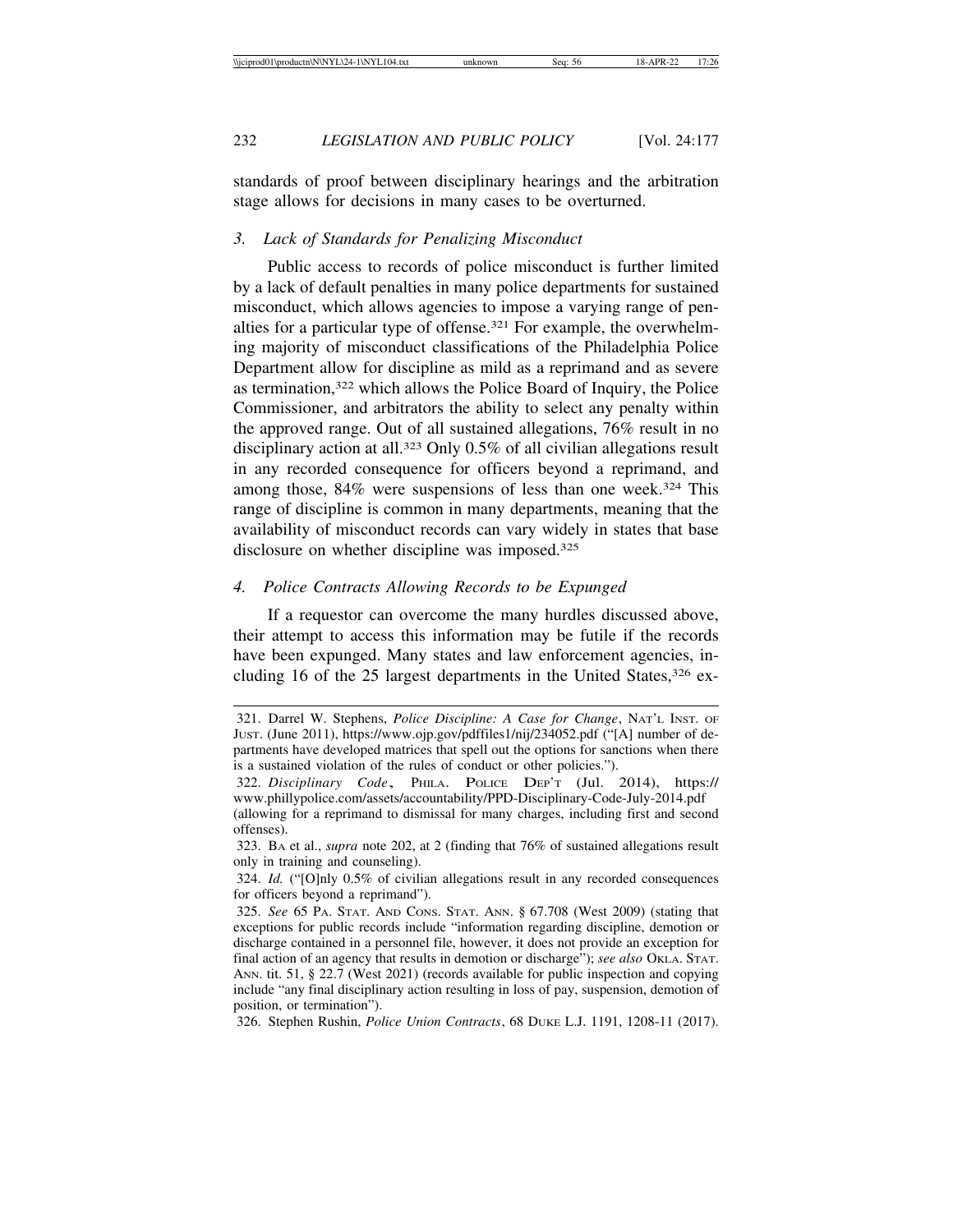standards of proof between disciplinary hearings and the arbitration stage allows for decisions in many cases to be overturned.

#### *3. Lack of Standards for Penalizing Misconduct*

Public access to records of police misconduct is further limited by a lack of default penalties in many police departments for sustained misconduct, which allows agencies to impose a varying range of penalties for a particular type of offense.321 For example, the overwhelming majority of misconduct classifications of the Philadelphia Police Department allow for discipline as mild as a reprimand and as severe as termination,322 which allows the Police Board of Inquiry, the Police Commissioner, and arbitrators the ability to select any penalty within the approved range. Out of all sustained allegations, 76% result in no disciplinary action at all.323 Only 0.5% of all civilian allegations result in any recorded consequence for officers beyond a reprimand, and among those, 84% were suspensions of less than one week.<sup>324</sup> This range of discipline is common in many departments, meaning that the availability of misconduct records can vary widely in states that base disclosure on whether discipline was imposed.<sup>325</sup>

#### *4. Police Contracts Allowing Records to be Expunged*

If a requestor can overcome the many hurdles discussed above, their attempt to access this information may be futile if the records have been expunged. Many states and law enforcement agencies, including 16 of the 25 largest departments in the United States,  $326$  ex-

<sup>321.</sup> Darrel W. Stephens, *Police Discipline: A Case for Change*, NAT'L INST. OF JUST. (June 2011), https://www.ojp.gov/pdffiles1/nij/234052.pdf ("[A] number of departments have developed matrices that spell out the options for sanctions when there is a sustained violation of the rules of conduct or other policies.").

<sup>322.</sup> *Disciplinary Code*, PHILA. POLICE DEP'T (Jul. 2014), https:// www.phillypolice.com/assets/accountability/PPD-Disciplinary-Code-July-2014.pdf (allowing for a reprimand to dismissal for many charges, including first and second offenses).

<sup>323.</sup> BA et al., *supra* note 202, at 2 (finding that 76% of sustained allegations result only in training and counseling).

<sup>324.</sup> *Id.* ("[O]nly 0.5% of civilian allegations result in any recorded consequences for officers beyond a reprimand").

<sup>325.</sup> *See* 65 PA. STAT. AND CONS. STAT. ANN. § 67.708 (West 2009) (stating that exceptions for public records include "information regarding discipline, demotion or discharge contained in a personnel file, however, it does not provide an exception for final action of an agency that results in demotion or discharge"); *see also* OKLA. STAT. ANN. tit. 51, § 22.7 (West 2021) (records available for public inspection and copying include "any final disciplinary action resulting in loss of pay, suspension, demotion of position, or termination").

<sup>326.</sup> Stephen Rushin, *Police Union Contracts*, 68 DUKE L.J. 1191, 1208-11 (2017).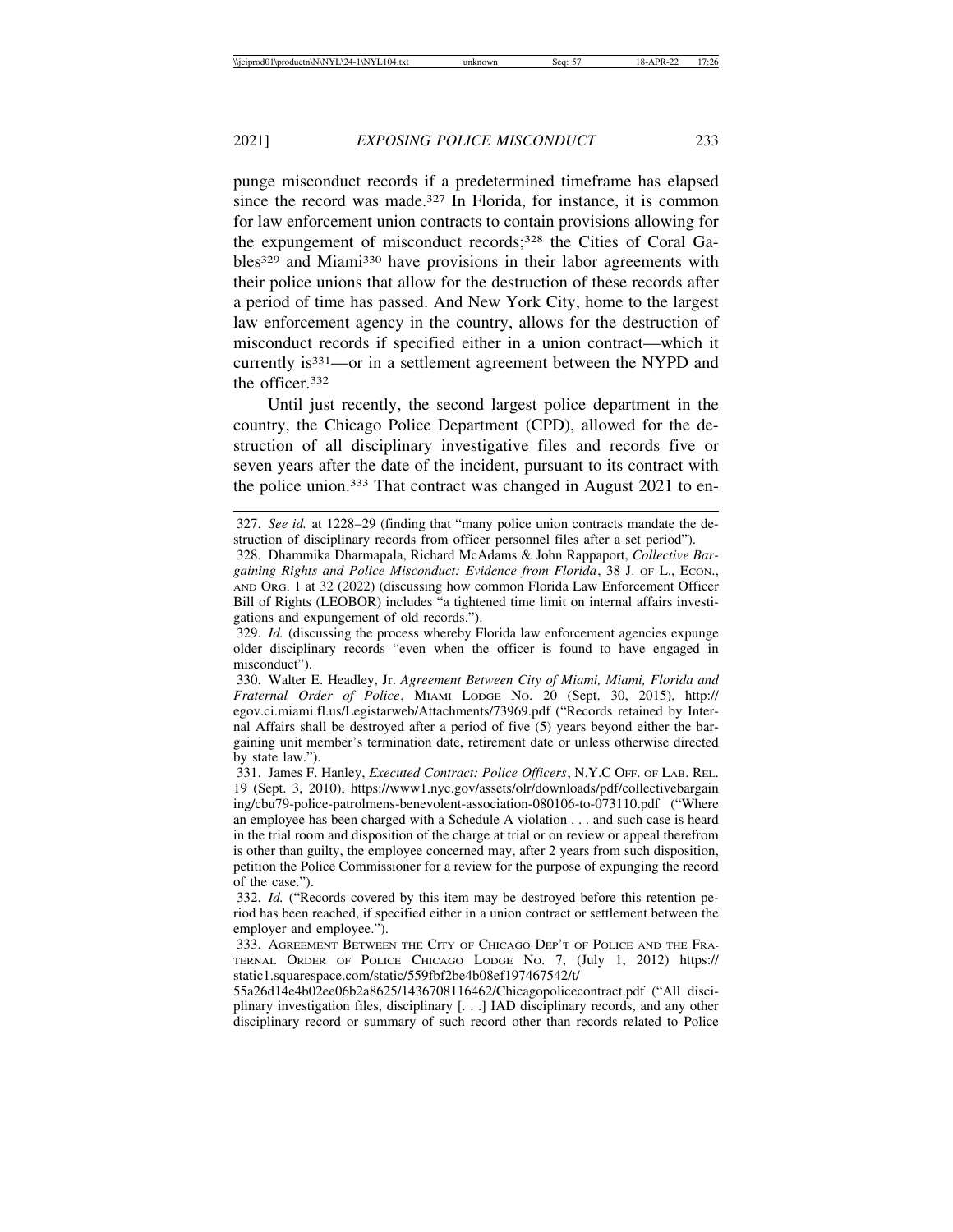punge misconduct records if a predetermined timeframe has elapsed since the record was made.<sup>327</sup> In Florida, for instance, it is common for law enforcement union contracts to contain provisions allowing for the expungement of misconduct records;328 the Cities of Coral Gables329 and Miami330 have provisions in their labor agreements with their police unions that allow for the destruction of these records after a period of time has passed. And New York City, home to the largest law enforcement agency in the country, allows for the destruction of misconduct records if specified either in a union contract—which it currently is331—or in a settlement agreement between the NYPD and the officer.332

Until just recently, the second largest police department in the country, the Chicago Police Department (CPD), allowed for the destruction of all disciplinary investigative files and records five or seven years after the date of the incident, pursuant to its contract with the police union.333 That contract was changed in August 2021 to en-

<sup>327.</sup> *See id.* at 1228–29 (finding that "many police union contracts mandate the destruction of disciplinary records from officer personnel files after a set period").

<sup>328.</sup> Dhammika Dharmapala, Richard McAdams & John Rappaport, *Collective Bargaining Rights and Police Misconduct: Evidence from Florida*, 38 J. OF L., ECON., AND ORG. 1 at 32 (2022) (discussing how common Florida Law Enforcement Officer Bill of Rights (LEOBOR) includes "a tightened time limit on internal affairs investigations and expungement of old records.").

<sup>329.</sup> *Id.* (discussing the process whereby Florida law enforcement agencies expunge older disciplinary records "even when the officer is found to have engaged in misconduct").

<sup>330.</sup> Walter E. Headley, Jr. *Agreement Between City of Miami, Miami, Florida and Fraternal Order of Police*, MIAMI LODGE NO. 20 (Sept. 30, 2015), http:// egov.ci.miami.fl.us/Legistarweb/Attachments/73969.pdf ("Records retained by Internal Affairs shall be destroyed after a period of five (5) years beyond either the bargaining unit member's termination date, retirement date or unless otherwise directed by state law.").

<sup>331.</sup> James F. Hanley, *Executed Contract: Police Officers*, N.Y.C OFF. OF LAB. REL. 19 (Sept. 3, 2010), https://www1.nyc.gov/assets/olr/downloads/pdf/collectivebargain ing/cbu79-police-patrolmens-benevolent-association-080106-to-073110.pdf ("Where an employee has been charged with a Schedule A violation . . . and such case is heard in the trial room and disposition of the charge at trial or on review or appeal therefrom is other than guilty, the employee concerned may, after 2 years from such disposition, petition the Police Commissioner for a review for the purpose of expunging the record of the case.").

<sup>332.</sup> *Id.* ("Records covered by this item may be destroyed before this retention period has been reached, if specified either in a union contract or settlement between the employer and employee.").

<sup>333.</sup> AGREEMENT BETWEEN THE CITY OF CHICAGO DEP'T OF POLICE AND THE FRA-TERNAL ORDER OF POLICE CHICAGO LODGE NO. 7, (July 1, 2012) https:// static1.squarespace.com/static/559fbf2be4b08ef197467542/t/

<sup>55</sup>a26d14e4b02ee06b2a8625/1436708116462/Chicagopolicecontract.pdf ("All disciplinary investigation files, disciplinary [. . .] IAD disciplinary records, and any other disciplinary record or summary of such record other than records related to Police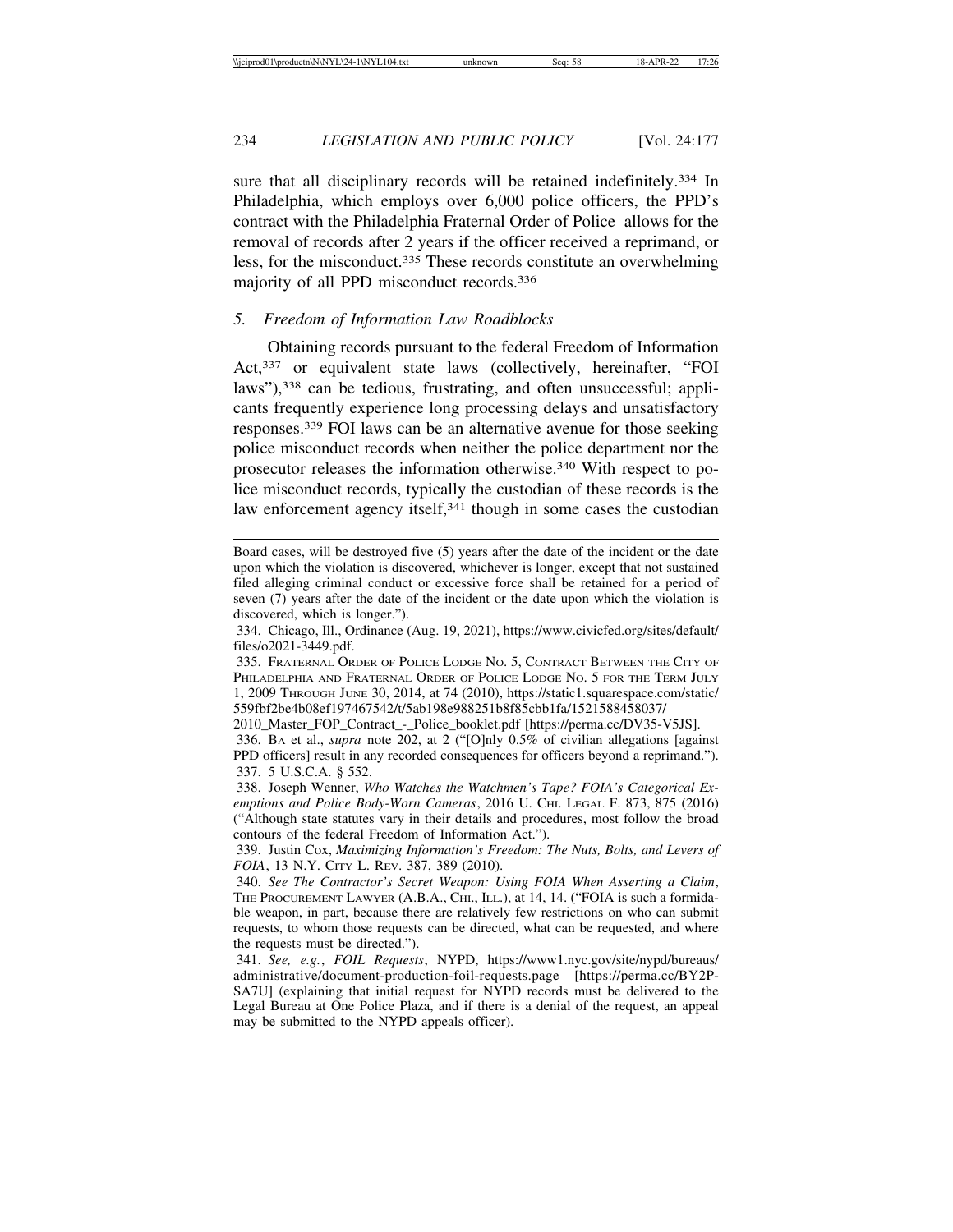sure that all disciplinary records will be retained indefinitely.<sup>334</sup> In Philadelphia, which employs over 6,000 police officers, the PPD's contract with the Philadelphia Fraternal Order of Police allows for the removal of records after 2 years if the officer received a reprimand, or less, for the misconduct.335 These records constitute an overwhelming majority of all PPD misconduct records.336

#### *5. Freedom of Information Law Roadblocks*

Obtaining records pursuant to the federal Freedom of Information Act,<sup>337</sup> or equivalent state laws (collectively, hereinafter, "FOI laws"),<sup>338</sup> can be tedious, frustrating, and often unsuccessful; applicants frequently experience long processing delays and unsatisfactory responses.339 FOI laws can be an alternative avenue for those seeking police misconduct records when neither the police department nor the prosecutor releases the information otherwise.340 With respect to police misconduct records, typically the custodian of these records is the law enforcement agency itself,<sup>341</sup> though in some cases the custodian

Board cases, will be destroyed five (5) years after the date of the incident or the date upon which the violation is discovered, whichever is longer, except that not sustained filed alleging criminal conduct or excessive force shall be retained for a period of seven (7) years after the date of the incident or the date upon which the violation is discovered, which is longer.").

<sup>334.</sup> Chicago, Ill., Ordinance (Aug. 19, 2021), https://www.civicfed.org/sites/default/ files/o2021-3449.pdf.

<sup>335.</sup> FRATERNAL ORDER OF POLICE LODGE NO. 5, CONTRACT BETWEEN THE CITY OF PHILADELPHIA AND FRATERNAL ORDER OF POLICE LODGE NO. 5 FOR THE TERM JULY 1, 2009 THROUGH JUNE 30, 2014, at 74 (2010), https://static1.squarespace.com/static/ 559fbf2be4b08ef197467542/t/5ab198e988251b8f85cbb1fa/1521588458037/

<sup>2010</sup>\_Master\_FOP\_Contract\_-\_Police\_booklet.pdf [https://perma.cc/DV35-V5JS].

<sup>336.</sup> BA et al., *supra* note 202, at 2 ("[O]nly 0.5% of civilian allegations [against PPD officers] result in any recorded consequences for officers beyond a reprimand."). 337. 5 U.S.C.A. § 552.

<sup>338.</sup> Joseph Wenner, *Who Watches the Watchmen's Tape? FOIA's Categorical Exemptions and Police Body-Worn Cameras*, 2016 U. CHI. LEGAL F. 873, 875 (2016) ("Although state statutes vary in their details and procedures, most follow the broad contours of the federal Freedom of Information Act.").

<sup>339.</sup> Justin Cox, *Maximizing Information's Freedom: The Nuts, Bolts, and Levers of FOIA*, 13 N.Y. CITY L. REV. 387, 389 (2010).

<sup>340.</sup> *See The Contractor's Secret Weapon: Using FOIA When Asserting a Claim*, THE PROCUREMENT LAWYER (A.B.A., CHI., ILL.), at 14, 14. ("FOIA is such a formidable weapon, in part, because there are relatively few restrictions on who can submit requests, to whom those requests can be directed, what can be requested, and where the requests must be directed.").

<sup>341.</sup> *See, e.g.*, *FOIL Requests*, NYPD, https://www1.nyc.gov/site/nypd/bureaus/ administrative/document-production-foil-requests.page [https://perma.cc/BY2P-SA7U] (explaining that initial request for NYPD records must be delivered to the Legal Bureau at One Police Plaza, and if there is a denial of the request, an appeal may be submitted to the NYPD appeals officer).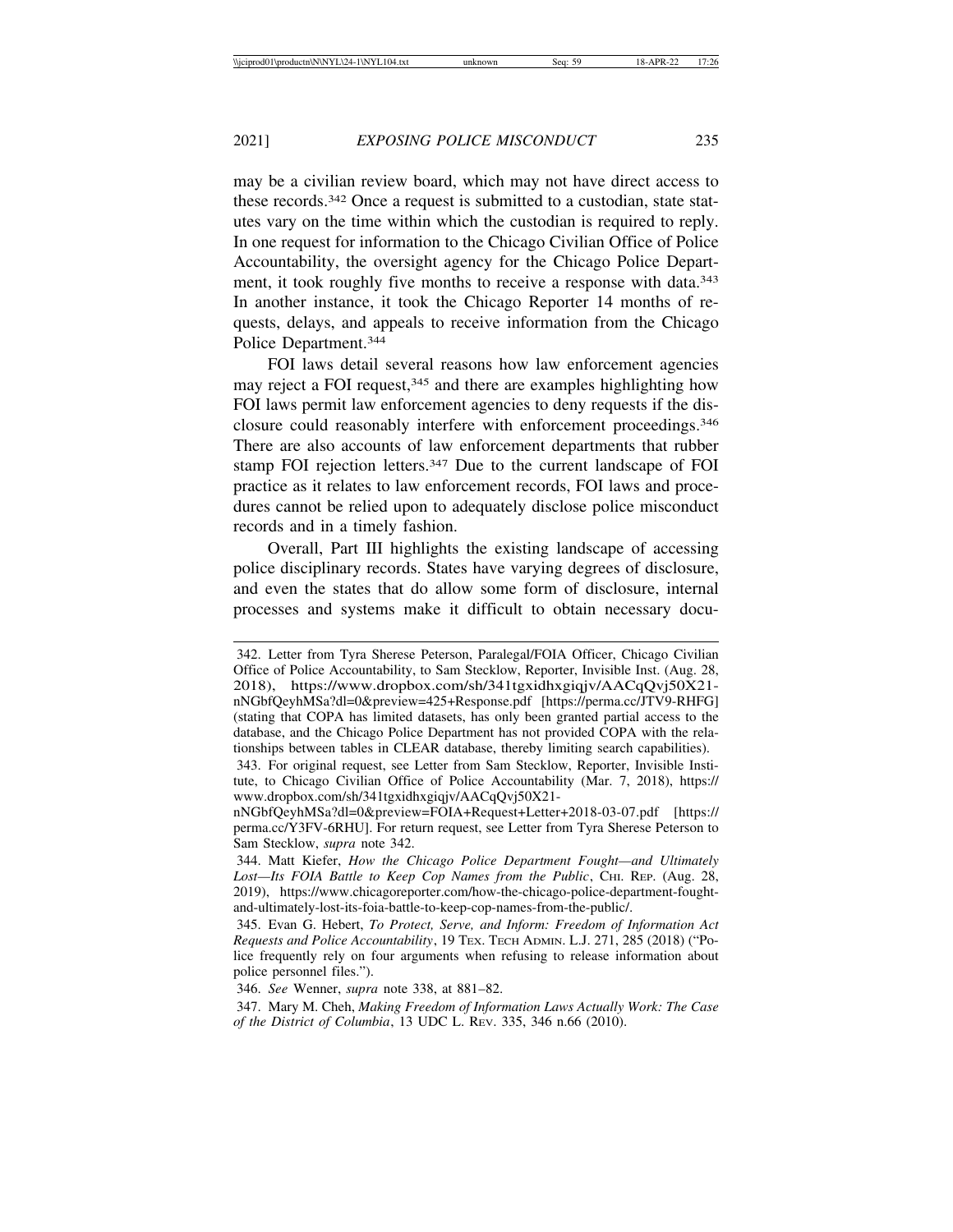may be a civilian review board, which may not have direct access to these records.342 Once a request is submitted to a custodian, state statutes vary on the time within which the custodian is required to reply. In one request for information to the Chicago Civilian Office of Police Accountability, the oversight agency for the Chicago Police Department, it took roughly five months to receive a response with data.<sup>343</sup> In another instance, it took the Chicago Reporter 14 months of requests, delays, and appeals to receive information from the Chicago Police Department.344

FOI laws detail several reasons how law enforcement agencies may reject a FOI request,<sup>345</sup> and there are examples highlighting how FOI laws permit law enforcement agencies to deny requests if the disclosure could reasonably interfere with enforcement proceedings.346 There are also accounts of law enforcement departments that rubber stamp FOI rejection letters.347 Due to the current landscape of FOI practice as it relates to law enforcement records, FOI laws and procedures cannot be relied upon to adequately disclose police misconduct records and in a timely fashion.

Overall, Part III highlights the existing landscape of accessing police disciplinary records. States have varying degrees of disclosure, and even the states that do allow some form of disclosure, internal processes and systems make it difficult to obtain necessary docu-

<sup>342.</sup> Letter from Tyra Sherese Peterson, Paralegal/FOIA Officer, Chicago Civilian Office of Police Accountability, to Sam Stecklow, Reporter, Invisible Inst. (Aug. 28, 2018), https://www.dropbox.com/sh/341tgxidhxgiqjv/AACqQvj50X21 nNGbfQeyhMSa?dl=0&preview=425+Response.pdf [https://perma.cc/JTV9-RHFG] (stating that COPA has limited datasets, has only been granted partial access to the database, and the Chicago Police Department has not provided COPA with the relationships between tables in CLEAR database, thereby limiting search capabilities).

<sup>343.</sup> For original request, see Letter from Sam Stecklow, Reporter, Invisible Institute, to Chicago Civilian Office of Police Accountability (Mar. 7, 2018), https:// www.dropbox.com/sh/341tgxidhxgiqjv/AACqQvj50X21-

nNGbfQeyhMSa?dl=0&preview=FOIA+Request+Letter+2018-03-07.pdf [https:// perma.cc/Y3FV-6RHU]. For return request, see Letter from Tyra Sherese Peterson to Sam Stecklow, *supra* note 342.

<sup>344.</sup> Matt Kiefer, *How the Chicago Police Department Fought—and Ultimately* Lost—Its FOIA Battle to Keep Cop Names from the Public, C<sub>HI</sub>. REP. (Aug. 28, 2019), https://www.chicagoreporter.com/how-the-chicago-police-department-foughtand-ultimately-lost-its-foia-battle-to-keep-cop-names-from-the-public/.

<sup>345.</sup> Evan G. Hebert, *To Protect, Serve, and Inform: Freedom of Information Act Requests and Police Accountability*, 19 TEX. TECH ADMIN. L.J. 271, 285 (2018) ("Police frequently rely on four arguments when refusing to release information about police personnel files.").

<sup>346.</sup> *See* Wenner, *supra* note 338, at 881–82.

<sup>347.</sup> Mary M. Cheh, *Making Freedom of Information Laws Actually Work: The Case of the District of Columbia*, 13 UDC L. REV. 335, 346 n.66 (2010).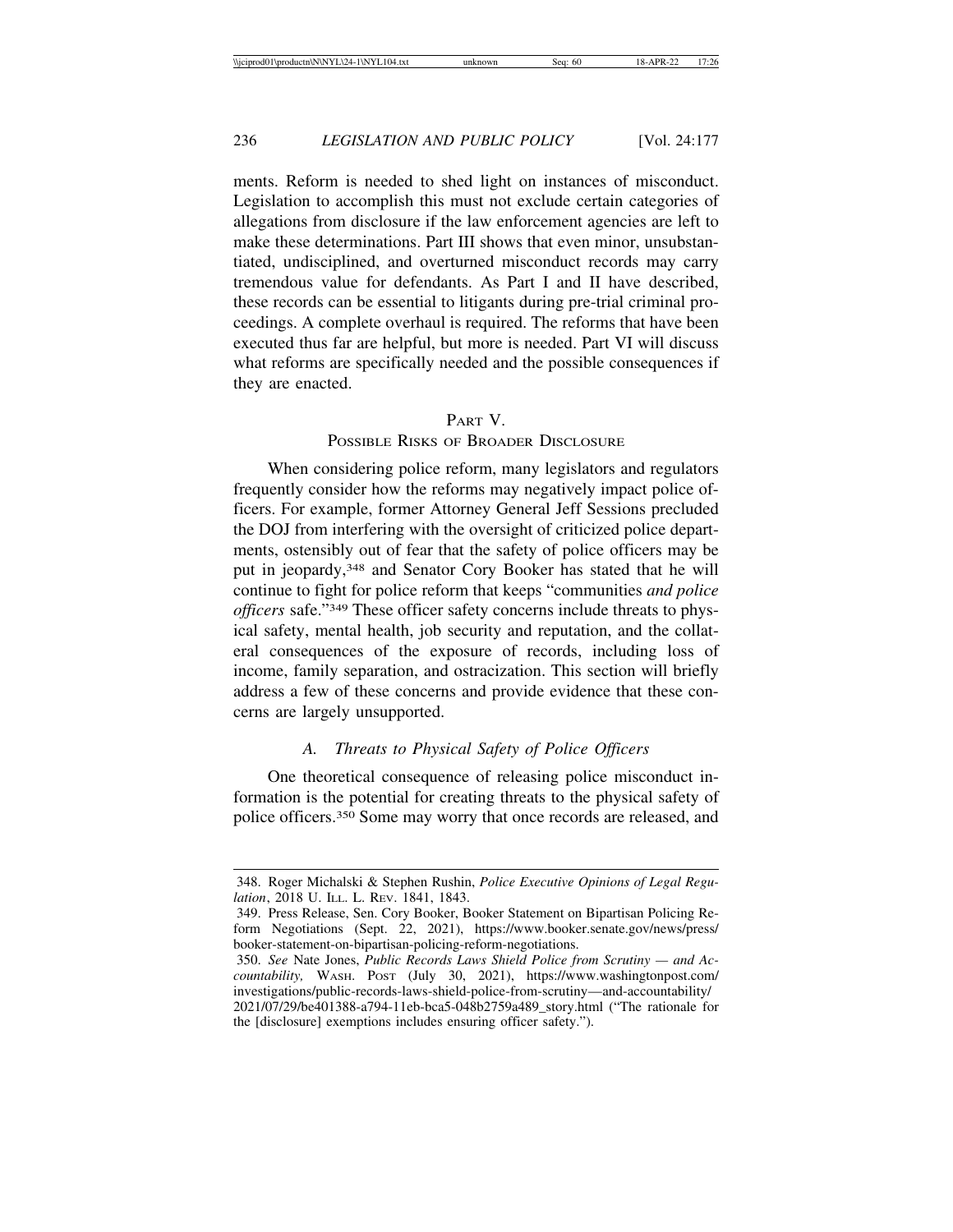ments. Reform is needed to shed light on instances of misconduct. Legislation to accomplish this must not exclude certain categories of allegations from disclosure if the law enforcement agencies are left to make these determinations. Part III shows that even minor, unsubstantiated, undisciplined, and overturned misconduct records may carry tremendous value for defendants. As Part I and II have described, these records can be essential to litigants during pre-trial criminal proceedings. A complete overhaul is required. The reforms that have been executed thus far are helpful, but more is needed. Part VI will discuss what reforms are specifically needed and the possible consequences if they are enacted.

### PART V.

## POSSIBLE RISKS OF BROADER DISCLOSURE

When considering police reform, many legislators and regulators frequently consider how the reforms may negatively impact police officers. For example, former Attorney General Jeff Sessions precluded the DOJ from interfering with the oversight of criticized police departments, ostensibly out of fear that the safety of police officers may be put in jeopardy,348 and Senator Cory Booker has stated that he will continue to fight for police reform that keeps "communities *and police officers* safe."349 These officer safety concerns include threats to physical safety, mental health, job security and reputation, and the collateral consequences of the exposure of records, including loss of income, family separation, and ostracization. This section will briefly address a few of these concerns and provide evidence that these concerns are largely unsupported.

#### *A. Threats to Physical Safety of Police Officers*

One theoretical consequence of releasing police misconduct information is the potential for creating threats to the physical safety of police officers.350 Some may worry that once records are released, and

<sup>348.</sup> Roger Michalski & Stephen Rushin, *Police Executive Opinions of Legal Regulation*, 2018 U. ILL. L. REV. 1841, 1843.

<sup>349.</sup> Press Release, Sen. Cory Booker, Booker Statement on Bipartisan Policing Reform Negotiations (Sept. 22, 2021), https://www.booker.senate.gov/news/press/ booker-statement-on-bipartisan-policing-reform-negotiations.

<sup>350.</sup> *See* Nate Jones, *Public Records Laws Shield Police from Scrutiny — and Accountability,* WASH. POST (July 30, 2021), https://www.washingtonpost.com/ investigations/public-records-laws-shield-police-from-scrutiny—and-accountability/ 2021/07/29/be401388-a794-11eb-bca5-048b2759a489\_story.html ("The rationale for the [disclosure] exemptions includes ensuring officer safety.").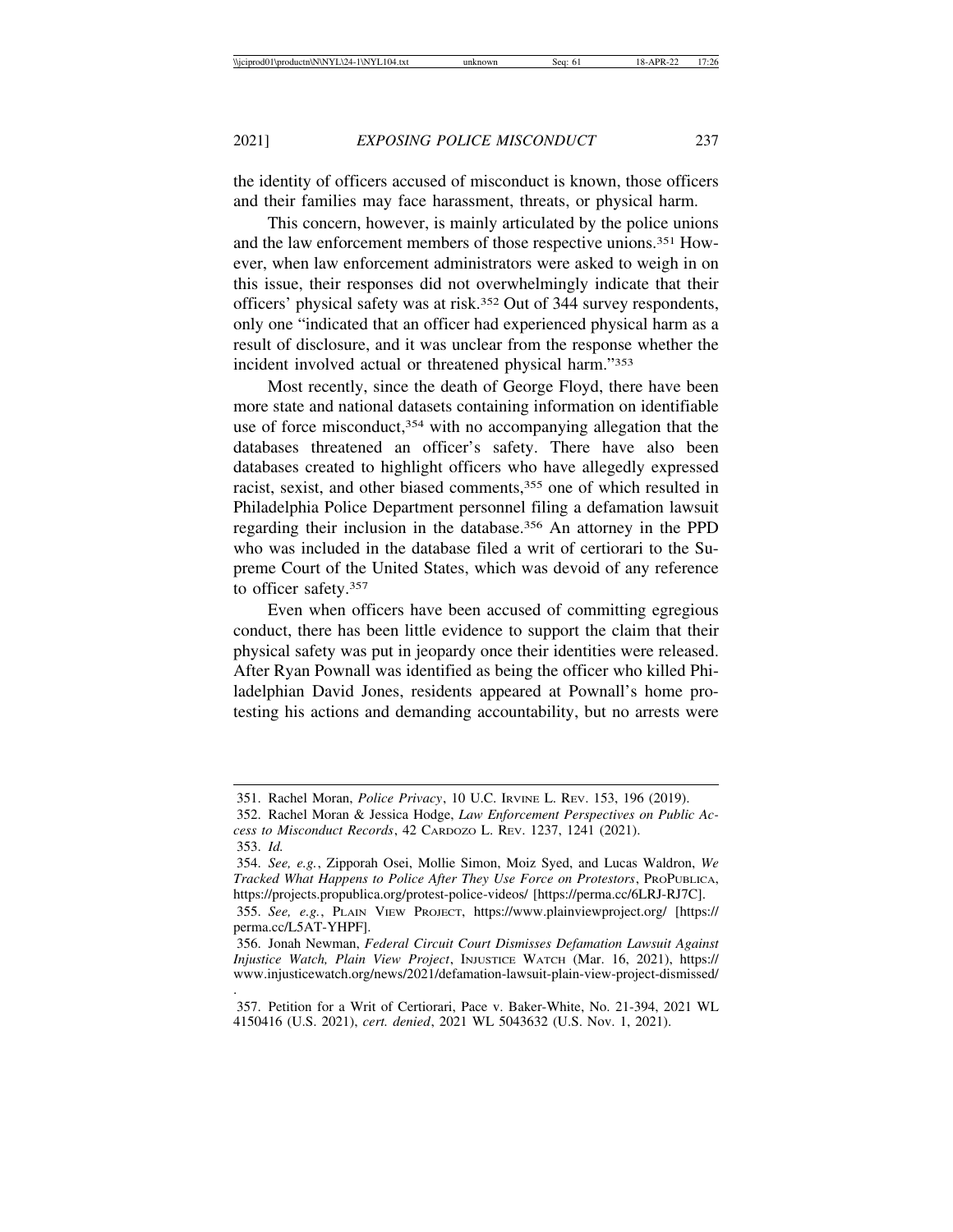the identity of officers accused of misconduct is known, those officers and their families may face harassment, threats, or physical harm.

This concern, however, is mainly articulated by the police unions and the law enforcement members of those respective unions.351 However, when law enforcement administrators were asked to weigh in on this issue, their responses did not overwhelmingly indicate that their officers' physical safety was at risk.352 Out of 344 survey respondents, only one "indicated that an officer had experienced physical harm as a result of disclosure, and it was unclear from the response whether the incident involved actual or threatened physical harm."353

Most recently, since the death of George Floyd, there have been more state and national datasets containing information on identifiable use of force misconduct,<sup>354</sup> with no accompanying allegation that the databases threatened an officer's safety. There have also been databases created to highlight officers who have allegedly expressed racist, sexist, and other biased comments,355 one of which resulted in Philadelphia Police Department personnel filing a defamation lawsuit regarding their inclusion in the database.356 An attorney in the PPD who was included in the database filed a writ of certiorari to the Supreme Court of the United States, which was devoid of any reference to officer safety.357

Even when officers have been accused of committing egregious conduct, there has been little evidence to support the claim that their physical safety was put in jeopardy once their identities were released. After Ryan Pownall was identified as being the officer who killed Philadelphian David Jones, residents appeared at Pownall's home protesting his actions and demanding accountability, but no arrests were

.

<sup>351.</sup> Rachel Moran, *Police Privacy*, 10 U.C. IRVINE L. REV. 153, 196 (2019).

<sup>352.</sup> Rachel Moran & Jessica Hodge, *Law Enforcement Perspectives on Public Access to Misconduct Records*, 42 CARDOZO L. REV. 1237, 1241 (2021).

<sup>353.</sup> *Id.*

<sup>354.</sup> *See, e.g.*, Zipporah Osei, Mollie Simon, Moiz Syed, and Lucas Waldron, *We Tracked What Happens to Police After They Use Force on Protestors*, PROPUBLICA, https://projects.propublica.org/protest-police-videos/ [https://perma.cc/6LRJ-RJ7C]. 355. *See, e.g.*, PLAIN VIEW PROJECT, https://www.plainviewproject.org/ [https:// perma.cc/L5AT-YHPF].

<sup>356.</sup> Jonah Newman, *Federal Circuit Court Dismisses Defamation Lawsuit Against Injustice Watch, Plain View Project*, INJUSTICE WATCH (Mar. 16, 2021), https:// www.injusticewatch.org/news/2021/defamation-lawsuit-plain-view-project-dismissed/

<sup>357.</sup> Petition for a Writ of Certiorari, Pace v. Baker-White, No. 21-394, 2021 WL 4150416 (U.S. 2021), *cert. denied*, 2021 WL 5043632 (U.S. Nov. 1, 2021).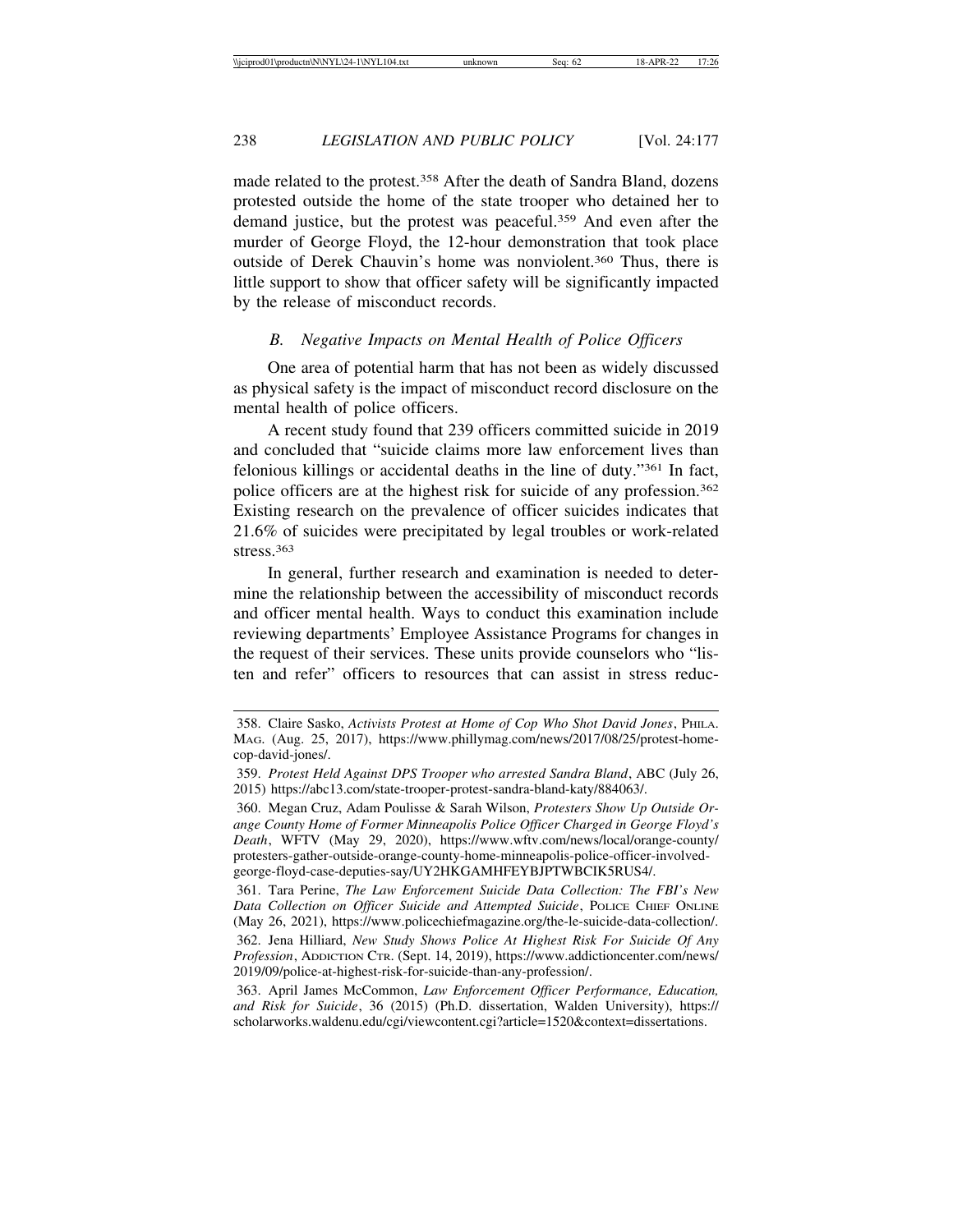made related to the protest.358 After the death of Sandra Bland, dozens protested outside the home of the state trooper who detained her to demand justice, but the protest was peaceful.359 And even after the murder of George Floyd, the 12-hour demonstration that took place outside of Derek Chauvin's home was nonviolent.360 Thus, there is little support to show that officer safety will be significantly impacted by the release of misconduct records.

#### *B. Negative Impacts on Mental Health of Police Officers*

One area of potential harm that has not been as widely discussed as physical safety is the impact of misconduct record disclosure on the mental health of police officers.

A recent study found that 239 officers committed suicide in 2019 and concluded that "suicide claims more law enforcement lives than felonious killings or accidental deaths in the line of duty."361 In fact, police officers are at the highest risk for suicide of any profession.362 Existing research on the prevalence of officer suicides indicates that 21.6% of suicides were precipitated by legal troubles or work-related stress.363

In general, further research and examination is needed to determine the relationship between the accessibility of misconduct records and officer mental health. Ways to conduct this examination include reviewing departments' Employee Assistance Programs for changes in the request of their services. These units provide counselors who "listen and refer" officers to resources that can assist in stress reduc-

<sup>358.</sup> Claire Sasko, *Activists Protest at Home of Cop Who Shot David Jones*, PHILA. MAG. (Aug. 25, 2017), https://www.phillymag.com/news/2017/08/25/protest-homecop-david-jones/.

<sup>359.</sup> *Protest Held Against DPS Trooper who arrested Sandra Bland*, ABC (July 26, 2015) https://abc13.com/state-trooper-protest-sandra-bland-katy/884063/.

<sup>360.</sup> Megan Cruz, Adam Poulisse & Sarah Wilson, *Protesters Show Up Outside Orange County Home of Former Minneapolis Police Officer Charged in George Floyd's Death*, WFTV (May 29, 2020), https://www.wftv.com/news/local/orange-county/ protesters-gather-outside-orange-county-home-minneapolis-police-officer-involvedgeorge-floyd-case-deputies-say/UY2HKGAMHFEYBJPTWBCIK5RUS4/.

<sup>361.</sup> Tara Perine, *The Law Enforcement Suicide Data Collection: The FBI's New Data Collection on Officer Suicide and Attempted Suicide*, POLICE CHIEF ONLINE (May 26, 2021), https://www.policechiefmagazine.org/the-le-suicide-data-collection/.

<sup>362.</sup> Jena Hilliard, *New Study Shows Police At Highest Risk For Suicide Of Any Profession*, ADDICTION CTR. (Sept. 14, 2019), https://www.addictioncenter.com/news/ 2019/09/police-at-highest-risk-for-suicide-than-any-profession/.

<sup>363.</sup> April James McCommon, *Law Enforcement Officer Performance, Education, and Risk for Suicide*, 36 (2015) (Ph.D. dissertation, Walden University), https:// scholarworks.waldenu.edu/cgi/viewcontent.cgi?article=1520&context=dissertations.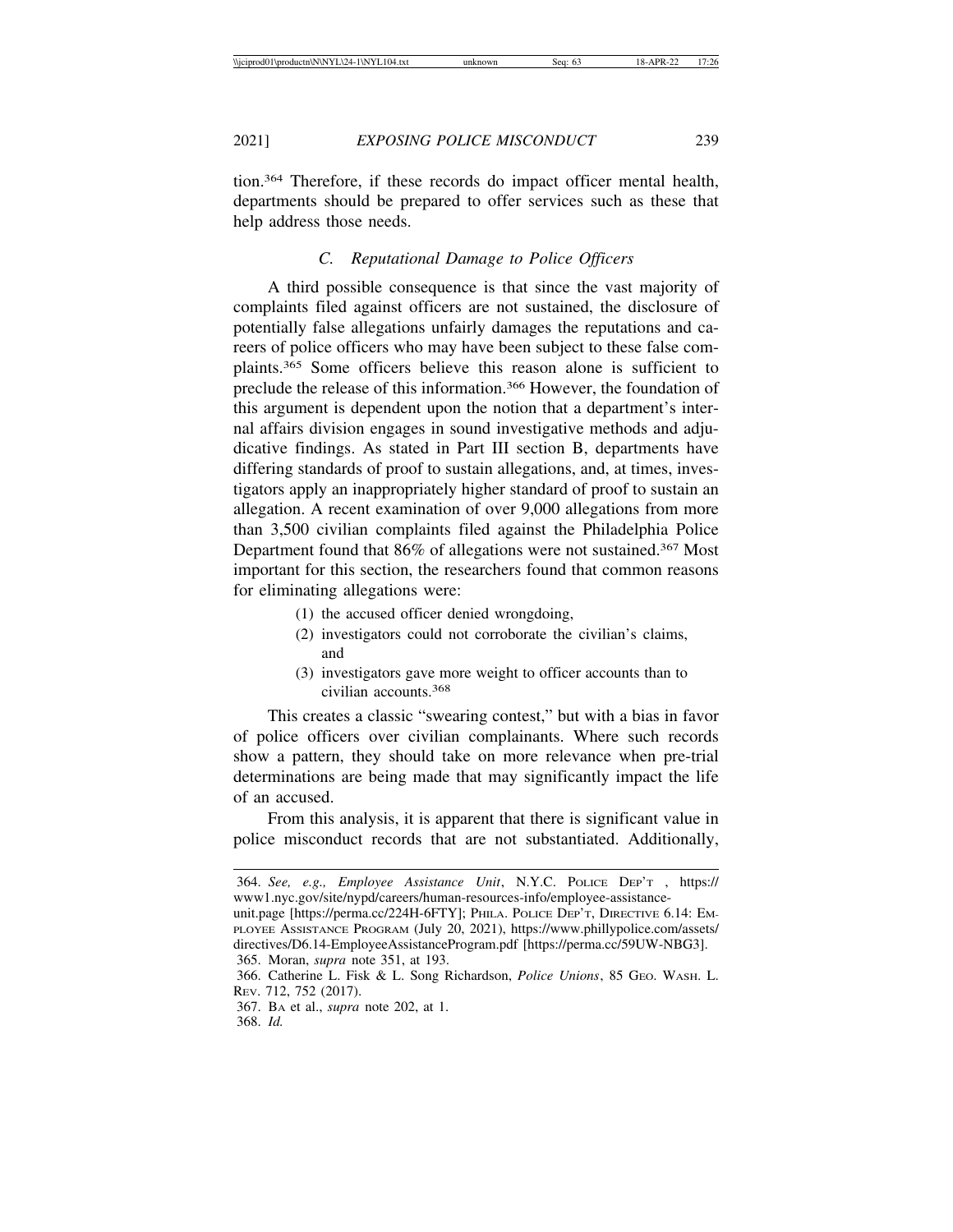tion.364 Therefore, if these records do impact officer mental health, departments should be prepared to offer services such as these that help address those needs.

## *C. Reputational Damage to Police Officers*

A third possible consequence is that since the vast majority of complaints filed against officers are not sustained, the disclosure of potentially false allegations unfairly damages the reputations and careers of police officers who may have been subject to these false complaints.365 Some officers believe this reason alone is sufficient to preclude the release of this information.366 However, the foundation of this argument is dependent upon the notion that a department's internal affairs division engages in sound investigative methods and adjudicative findings. As stated in Part III section B, departments have differing standards of proof to sustain allegations, and, at times, investigators apply an inappropriately higher standard of proof to sustain an allegation. A recent examination of over 9,000 allegations from more than 3,500 civilian complaints filed against the Philadelphia Police Department found that 86% of allegations were not sustained.<sup>367</sup> Most important for this section, the researchers found that common reasons for eliminating allegations were:

- (1) the accused officer denied wrongdoing,
- (2) investigators could not corroborate the civilian's claims, and
- (3) investigators gave more weight to officer accounts than to civilian accounts.368

This creates a classic "swearing contest," but with a bias in favor of police officers over civilian complainants. Where such records show a pattern, they should take on more relevance when pre-trial determinations are being made that may significantly impact the life of an accused.

From this analysis, it is apparent that there is significant value in police misconduct records that are not substantiated. Additionally,

<sup>364.</sup> *See, e.g., Employee Assistance Unit*, N.Y.C. POLICE DEP'T , https:// www1.nyc.gov/site/nypd/careers/human-resources-info/employee-assistance-

unit.page [https://perma.cc/224H-6FTY]; PHILA. POLICE DEP'T, DIRECTIVE 6.14: EM-PLOYEE ASSISTANCE PROGRAM (July 20, 2021), https://www.phillypolice.com/assets/ directives/D6.14-EmployeeAssistanceProgram.pdf [https://perma.cc/59UW-NBG3]. 365. Moran, *supra* note 351, at 193.

<sup>366.</sup> Catherine L. Fisk & L. Song Richardson, *Police Unions*, 85 GEO. WASH. L. REV. 712, 752 (2017).

<sup>367.</sup> BA et al., *supra* note 202, at 1.

<sup>368.</sup> *Id.*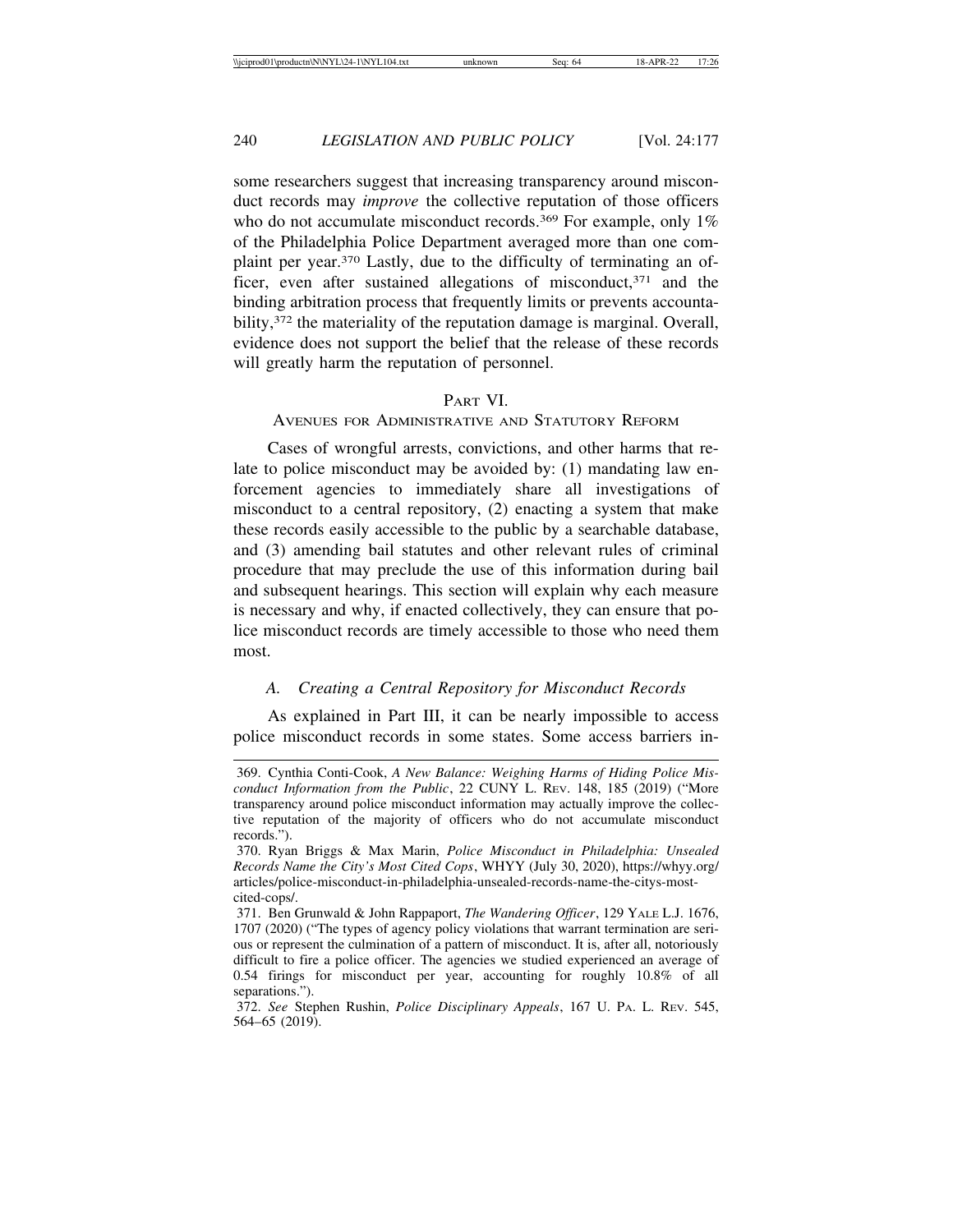some researchers suggest that increasing transparency around misconduct records may *improve* the collective reputation of those officers who do not accumulate misconduct records.<sup>369</sup> For example, only 1% of the Philadelphia Police Department averaged more than one complaint per year.370 Lastly, due to the difficulty of terminating an officer, even after sustained allegations of misconduct, $371$  and the binding arbitration process that frequently limits or prevents accountability,<sup>372</sup> the materiality of the reputation damage is marginal. Overall, evidence does not support the belief that the release of these records will greatly harm the reputation of personnel.

## PART VI.

#### AVENUES FOR ADMINISTRATIVE AND STATUTORY REFORM

Cases of wrongful arrests, convictions, and other harms that relate to police misconduct may be avoided by: (1) mandating law enforcement agencies to immediately share all investigations of misconduct to a central repository, (2) enacting a system that make these records easily accessible to the public by a searchable database, and (3) amending bail statutes and other relevant rules of criminal procedure that may preclude the use of this information during bail and subsequent hearings. This section will explain why each measure is necessary and why, if enacted collectively, they can ensure that police misconduct records are timely accessible to those who need them most.

## *A. Creating a Central Repository for Misconduct Records*

As explained in Part III, it can be nearly impossible to access police misconduct records in some states. Some access barriers in-

<sup>369.</sup> Cynthia Conti-Cook, *A New Balance: Weighing Harms of Hiding Police Misconduct Information from the Public*, 22 CUNY L. REV. 148, 185 (2019) ("More transparency around police misconduct information may actually improve the collective reputation of the majority of officers who do not accumulate misconduct records.").

<sup>370.</sup> Ryan Briggs & Max Marin, *Police Misconduct in Philadelphia: Unsealed Records Name the City's Most Cited Cops*, WHYY (July 30, 2020), https://whyy.org/ articles/police-misconduct-in-philadelphia-unsealed-records-name-the-citys-mostcited-cops/.

<sup>371.</sup> Ben Grunwald & John Rappaport, *The Wandering Officer*, 129 YALE L.J. 1676, 1707 (2020) ("The types of agency policy violations that warrant termination are serious or represent the culmination of a pattern of misconduct. It is, after all, notoriously difficult to fire a police officer. The agencies we studied experienced an average of 0.54 firings for misconduct per year, accounting for roughly 10.8% of all separations.").

<sup>372.</sup> *See* Stephen Rushin, *Police Disciplinary Appeals*, 167 U. PA. L. REV. 545, 564–65 (2019).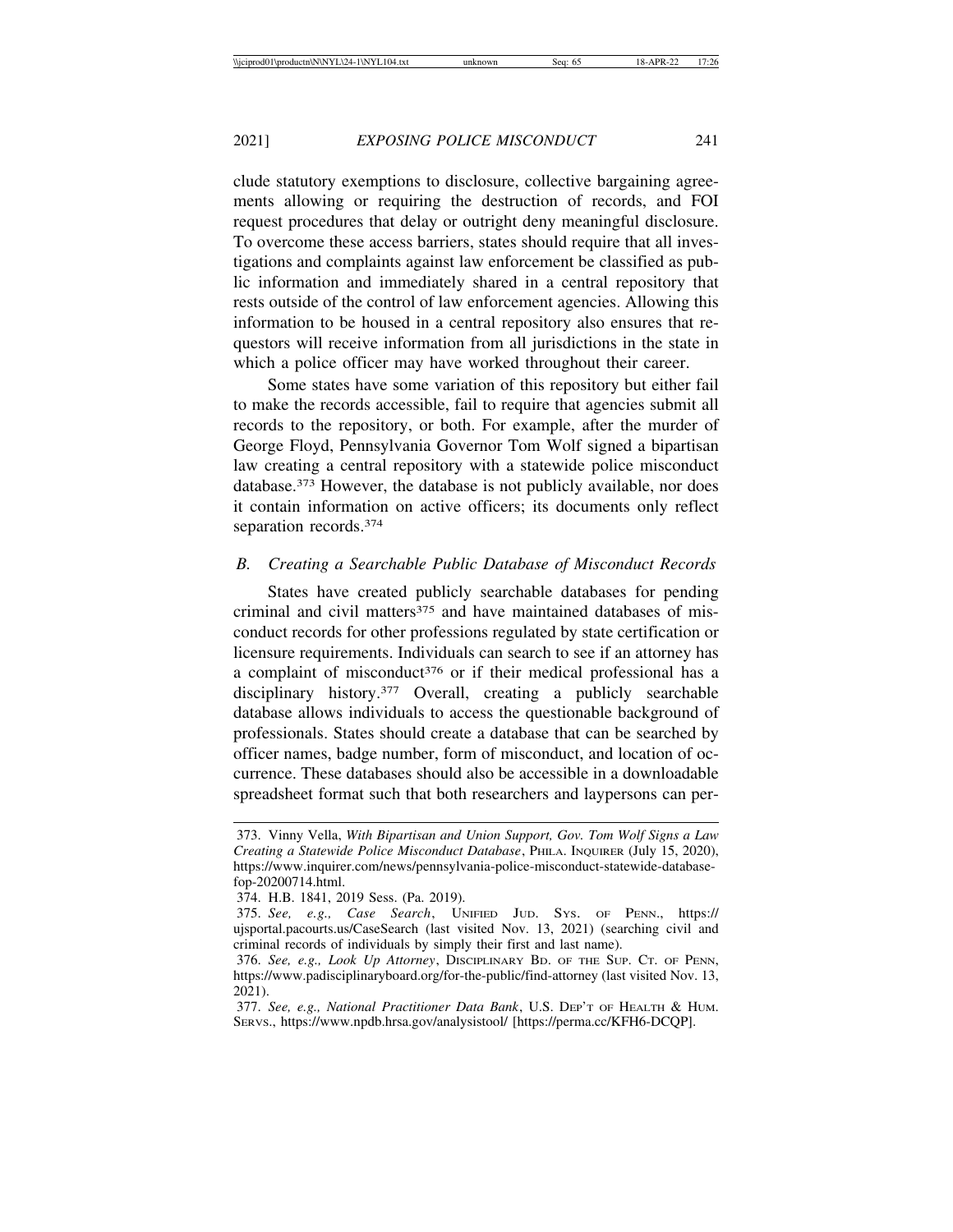clude statutory exemptions to disclosure, collective bargaining agreements allowing or requiring the destruction of records, and FOI request procedures that delay or outright deny meaningful disclosure. To overcome these access barriers, states should require that all investigations and complaints against law enforcement be classified as public information and immediately shared in a central repository that rests outside of the control of law enforcement agencies. Allowing this information to be housed in a central repository also ensures that requestors will receive information from all jurisdictions in the state in which a police officer may have worked throughout their career.

Some states have some variation of this repository but either fail to make the records accessible, fail to require that agencies submit all records to the repository, or both. For example, after the murder of George Floyd, Pennsylvania Governor Tom Wolf signed a bipartisan law creating a central repository with a statewide police misconduct database.373 However, the database is not publicly available, nor does it contain information on active officers; its documents only reflect separation records.374

#### *B. Creating a Searchable Public Database of Misconduct Records*

States have created publicly searchable databases for pending criminal and civil matters<sup>375</sup> and have maintained databases of misconduct records for other professions regulated by state certification or licensure requirements. Individuals can search to see if an attorney has a complaint of misconduct<sup>376</sup> or if their medical professional has a disciplinary history.377 Overall, creating a publicly searchable database allows individuals to access the questionable background of professionals. States should create a database that can be searched by officer names, badge number, form of misconduct, and location of occurrence. These databases should also be accessible in a downloadable spreadsheet format such that both researchers and laypersons can per-

<sup>373.</sup> Vinny Vella, *With Bipartisan and Union Support, Gov. Tom Wolf Signs a Law Creating a Statewide Police Misconduct Database*, PHILA. INQUIRER (July 15, 2020), https://www.inquirer.com/news/pennsylvania-police-misconduct-statewide-databasefop-20200714.html.

<sup>374.</sup> H.B. 1841, 2019 Sess. (Pa. 2019).

<sup>375.</sup> *See, e.g., Case Search*, UNIFIED JUD. SYS. OF PENN., https:// ujsportal.pacourts.us/CaseSearch (last visited Nov. 13, 2021) (searching civil and criminal records of individuals by simply their first and last name).

<sup>376.</sup> *See, e.g., Look Up Attorney*, DISCIPLINARY BD. OF THE SUP. CT. OF PENN, https://www.padisciplinaryboard.org/for-the-public/find-attorney (last visited Nov. 13, 2021).

<sup>377.</sup> *See, e.g., National Practitioner Data Bank*, U.S. DEP'T OF HEALTH & HUM. SERVS., https://www.npdb.hrsa.gov/analysistool/ [https://perma.cc/KFH6-DCQP].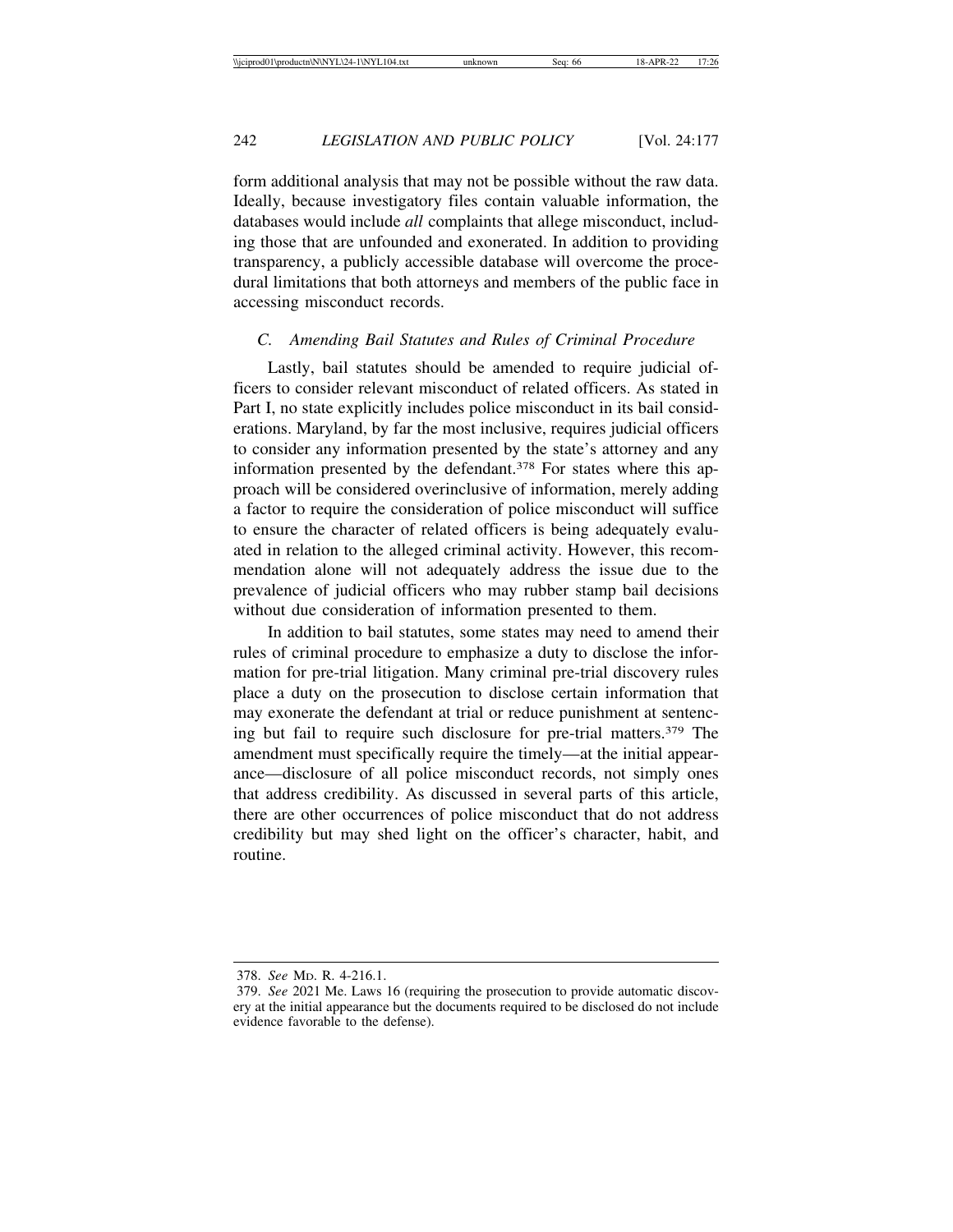form additional analysis that may not be possible without the raw data. Ideally, because investigatory files contain valuable information, the databases would include *all* complaints that allege misconduct, including those that are unfounded and exonerated. In addition to providing transparency, a publicly accessible database will overcome the procedural limitations that both attorneys and members of the public face in accessing misconduct records.

#### *C. Amending Bail Statutes and Rules of Criminal Procedure*

Lastly, bail statutes should be amended to require judicial officers to consider relevant misconduct of related officers. As stated in Part I, no state explicitly includes police misconduct in its bail considerations. Maryland, by far the most inclusive, requires judicial officers to consider any information presented by the state's attorney and any information presented by the defendant.<sup>378</sup> For states where this approach will be considered overinclusive of information, merely adding a factor to require the consideration of police misconduct will suffice to ensure the character of related officers is being adequately evaluated in relation to the alleged criminal activity. However, this recommendation alone will not adequately address the issue due to the prevalence of judicial officers who may rubber stamp bail decisions without due consideration of information presented to them.

In addition to bail statutes, some states may need to amend their rules of criminal procedure to emphasize a duty to disclose the information for pre-trial litigation. Many criminal pre-trial discovery rules place a duty on the prosecution to disclose certain information that may exonerate the defendant at trial or reduce punishment at sentencing but fail to require such disclosure for pre-trial matters.379 The amendment must specifically require the timely—at the initial appearance—disclosure of all police misconduct records, not simply ones that address credibility. As discussed in several parts of this article, there are other occurrences of police misconduct that do not address credibility but may shed light on the officer's character, habit, and routine.

<sup>378.</sup> *See* MD. R. 4-216.1.

<sup>379.</sup> *See* 2021 Me. Laws 16 (requiring the prosecution to provide automatic discovery at the initial appearance but the documents required to be disclosed do not include evidence favorable to the defense).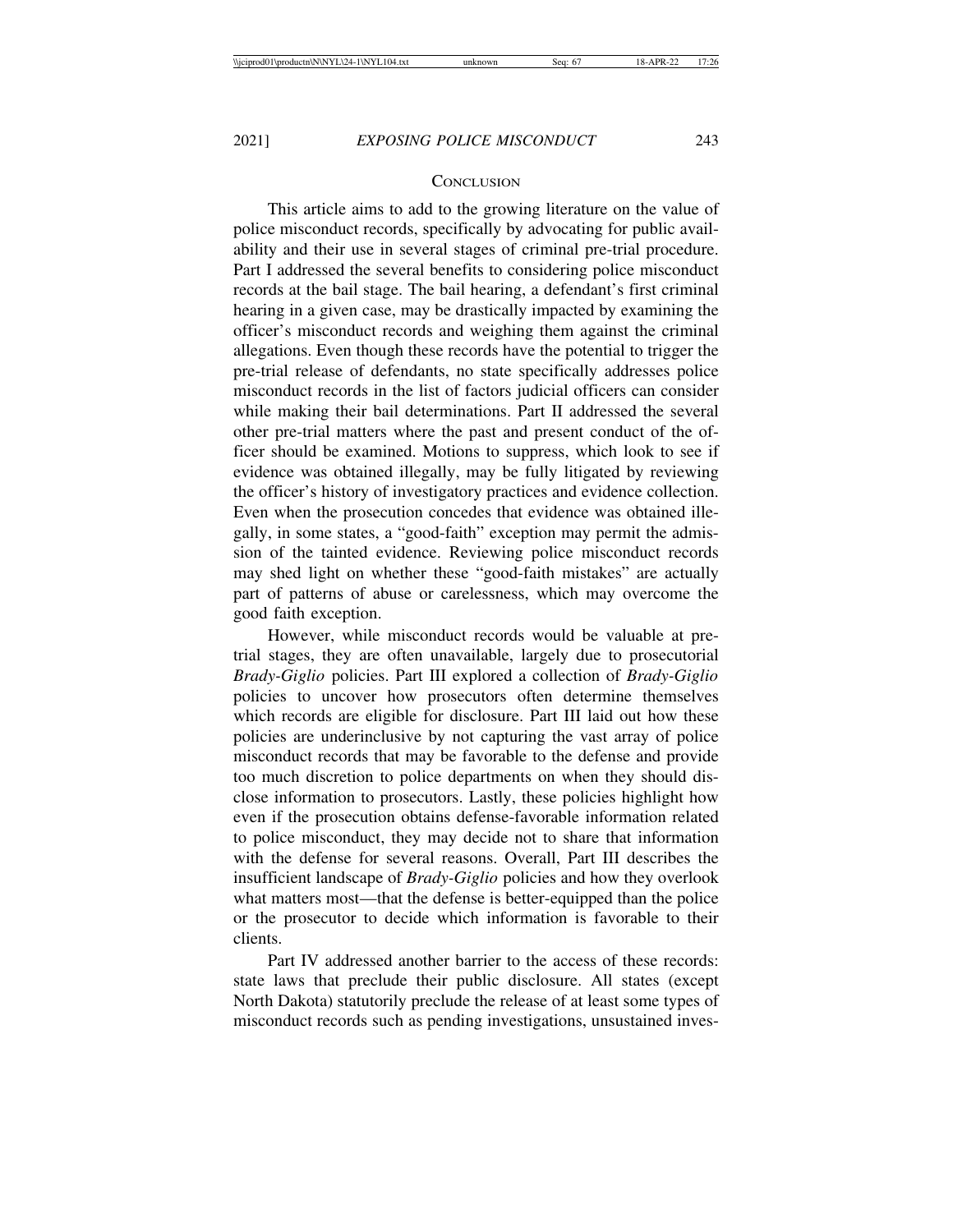#### **CONCLUSION**

This article aims to add to the growing literature on the value of police misconduct records, specifically by advocating for public availability and their use in several stages of criminal pre-trial procedure. Part I addressed the several benefits to considering police misconduct records at the bail stage. The bail hearing, a defendant's first criminal hearing in a given case, may be drastically impacted by examining the officer's misconduct records and weighing them against the criminal allegations. Even though these records have the potential to trigger the pre-trial release of defendants, no state specifically addresses police misconduct records in the list of factors judicial officers can consider while making their bail determinations. Part II addressed the several other pre-trial matters where the past and present conduct of the officer should be examined. Motions to suppress, which look to see if evidence was obtained illegally, may be fully litigated by reviewing the officer's history of investigatory practices and evidence collection. Even when the prosecution concedes that evidence was obtained illegally, in some states, a "good-faith" exception may permit the admission of the tainted evidence. Reviewing police misconduct records may shed light on whether these "good-faith mistakes" are actually part of patterns of abuse or carelessness, which may overcome the good faith exception.

However, while misconduct records would be valuable at pretrial stages, they are often unavailable, largely due to prosecutorial *Brady-Giglio* policies. Part III explored a collection of *Brady-Giglio* policies to uncover how prosecutors often determine themselves which records are eligible for disclosure. Part III laid out how these policies are underinclusive by not capturing the vast array of police misconduct records that may be favorable to the defense and provide too much discretion to police departments on when they should disclose information to prosecutors. Lastly, these policies highlight how even if the prosecution obtains defense-favorable information related to police misconduct, they may decide not to share that information with the defense for several reasons. Overall, Part III describes the insufficient landscape of *Brady-Giglio* policies and how they overlook what matters most—that the defense is better-equipped than the police or the prosecutor to decide which information is favorable to their clients.

Part IV addressed another barrier to the access of these records: state laws that preclude their public disclosure. All states (except North Dakota) statutorily preclude the release of at least some types of misconduct records such as pending investigations, unsustained inves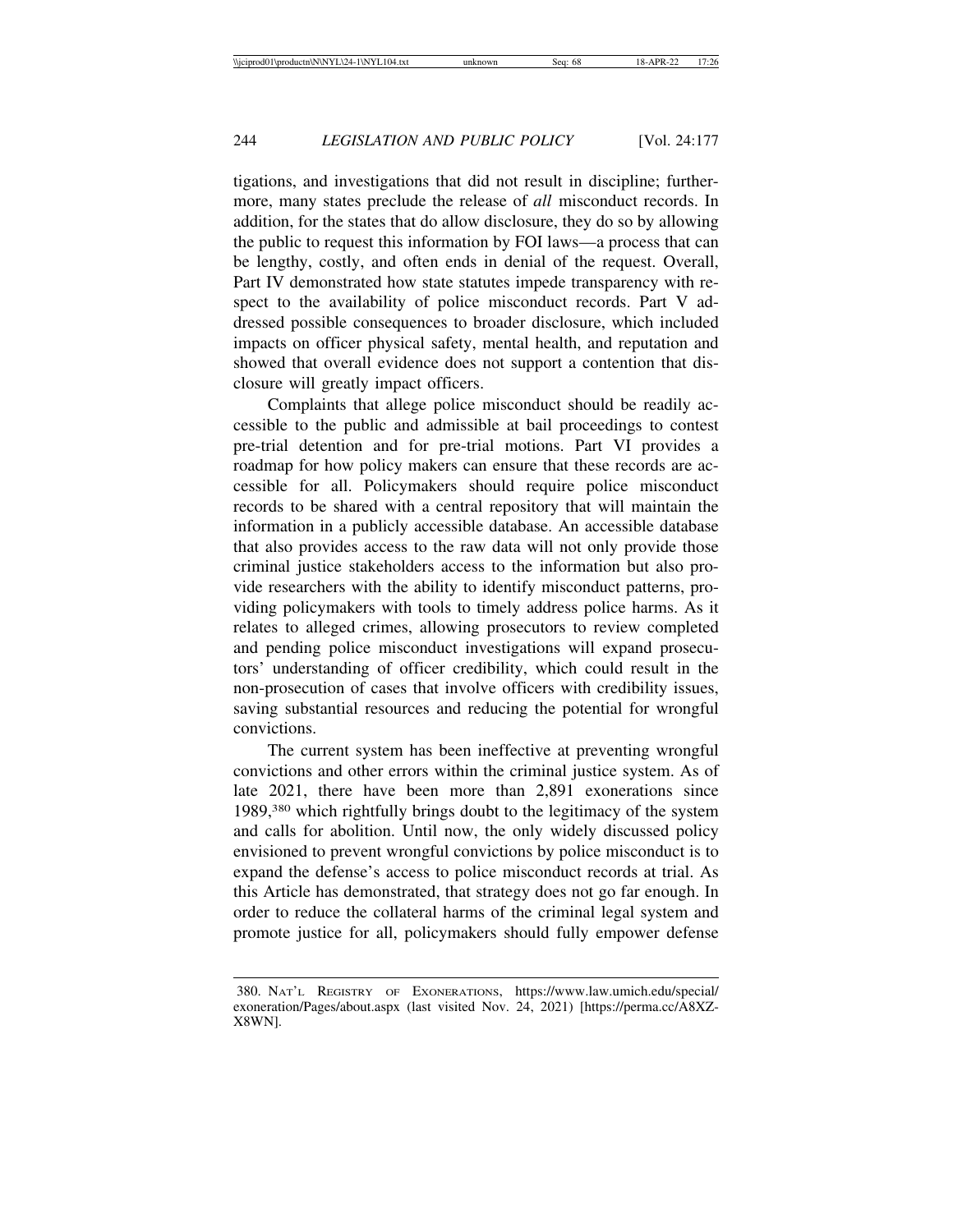tigations, and investigations that did not result in discipline; furthermore, many states preclude the release of *all* misconduct records. In addition, for the states that do allow disclosure, they do so by allowing the public to request this information by FOI laws—a process that can be lengthy, costly, and often ends in denial of the request. Overall, Part IV demonstrated how state statutes impede transparency with respect to the availability of police misconduct records. Part V addressed possible consequences to broader disclosure, which included impacts on officer physical safety, mental health, and reputation and showed that overall evidence does not support a contention that disclosure will greatly impact officers.

Complaints that allege police misconduct should be readily accessible to the public and admissible at bail proceedings to contest pre-trial detention and for pre-trial motions. Part VI provides a roadmap for how policy makers can ensure that these records are accessible for all. Policymakers should require police misconduct records to be shared with a central repository that will maintain the information in a publicly accessible database. An accessible database that also provides access to the raw data will not only provide those criminal justice stakeholders access to the information but also provide researchers with the ability to identify misconduct patterns, providing policymakers with tools to timely address police harms. As it relates to alleged crimes, allowing prosecutors to review completed and pending police misconduct investigations will expand prosecutors' understanding of officer credibility, which could result in the non-prosecution of cases that involve officers with credibility issues, saving substantial resources and reducing the potential for wrongful convictions.

The current system has been ineffective at preventing wrongful convictions and other errors within the criminal justice system. As of late 2021, there have been more than 2,891 exonerations since 1989,380 which rightfully brings doubt to the legitimacy of the system and calls for abolition. Until now, the only widely discussed policy envisioned to prevent wrongful convictions by police misconduct is to expand the defense's access to police misconduct records at trial. As this Article has demonstrated, that strategy does not go far enough. In order to reduce the collateral harms of the criminal legal system and promote justice for all, policymakers should fully empower defense

<sup>380.</sup> NAT'L REGISTRY OF EXONERATIONS, https://www.law.umich.edu/special/ exoneration/Pages/about.aspx (last visited Nov. 24, 2021) [https://perma.cc/A8XZ-X8WN].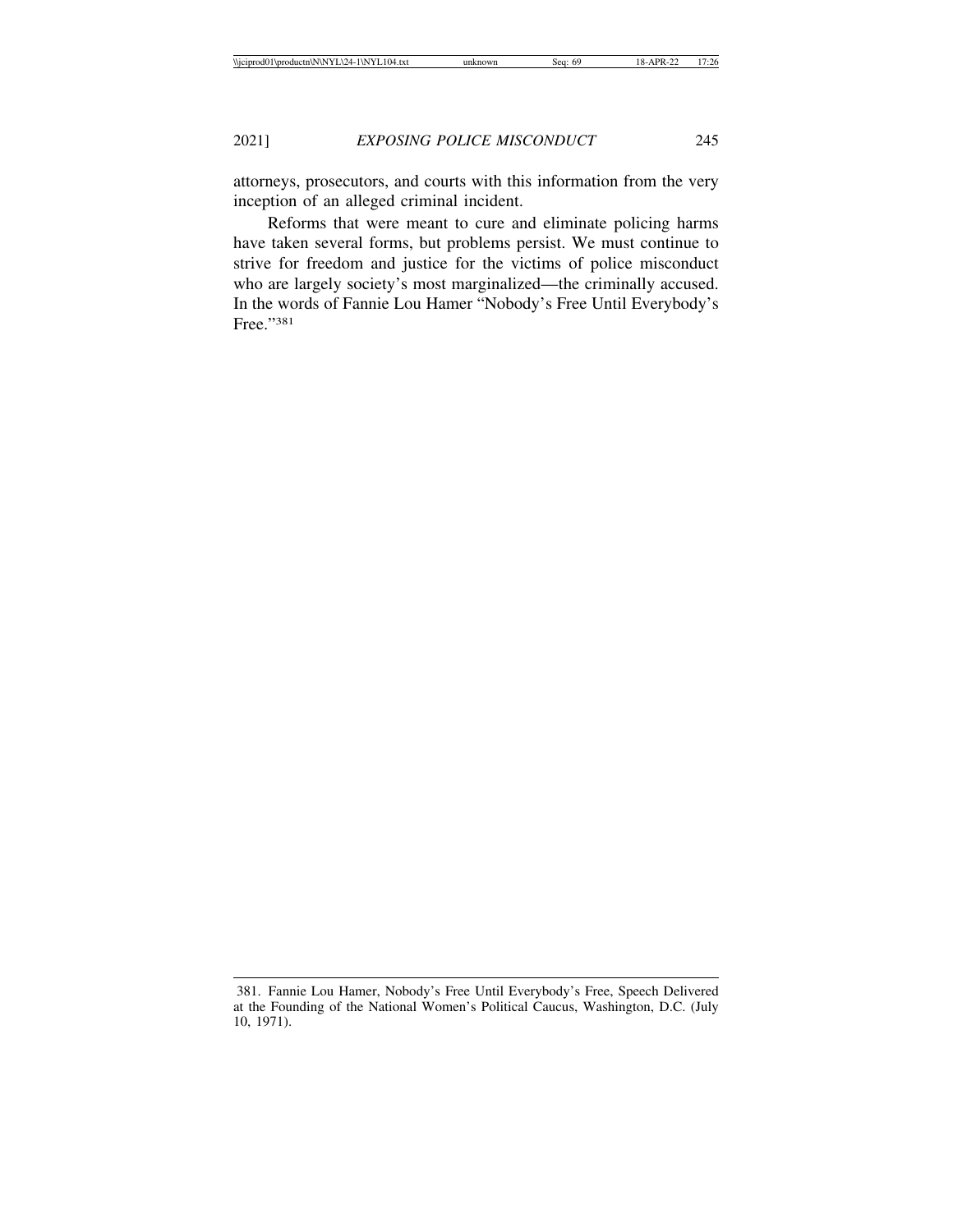attorneys, prosecutors, and courts with this information from the very inception of an alleged criminal incident.

Reforms that were meant to cure and eliminate policing harms have taken several forms, but problems persist. We must continue to strive for freedom and justice for the victims of police misconduct who are largely society's most marginalized—the criminally accused. In the words of Fannie Lou Hamer "Nobody's Free Until Everybody's Free."381

<sup>381.</sup> Fannie Lou Hamer, Nobody's Free Until Everybody's Free, Speech Delivered at the Founding of the National Women's Political Caucus, Washington, D.C. (July 10, 1971).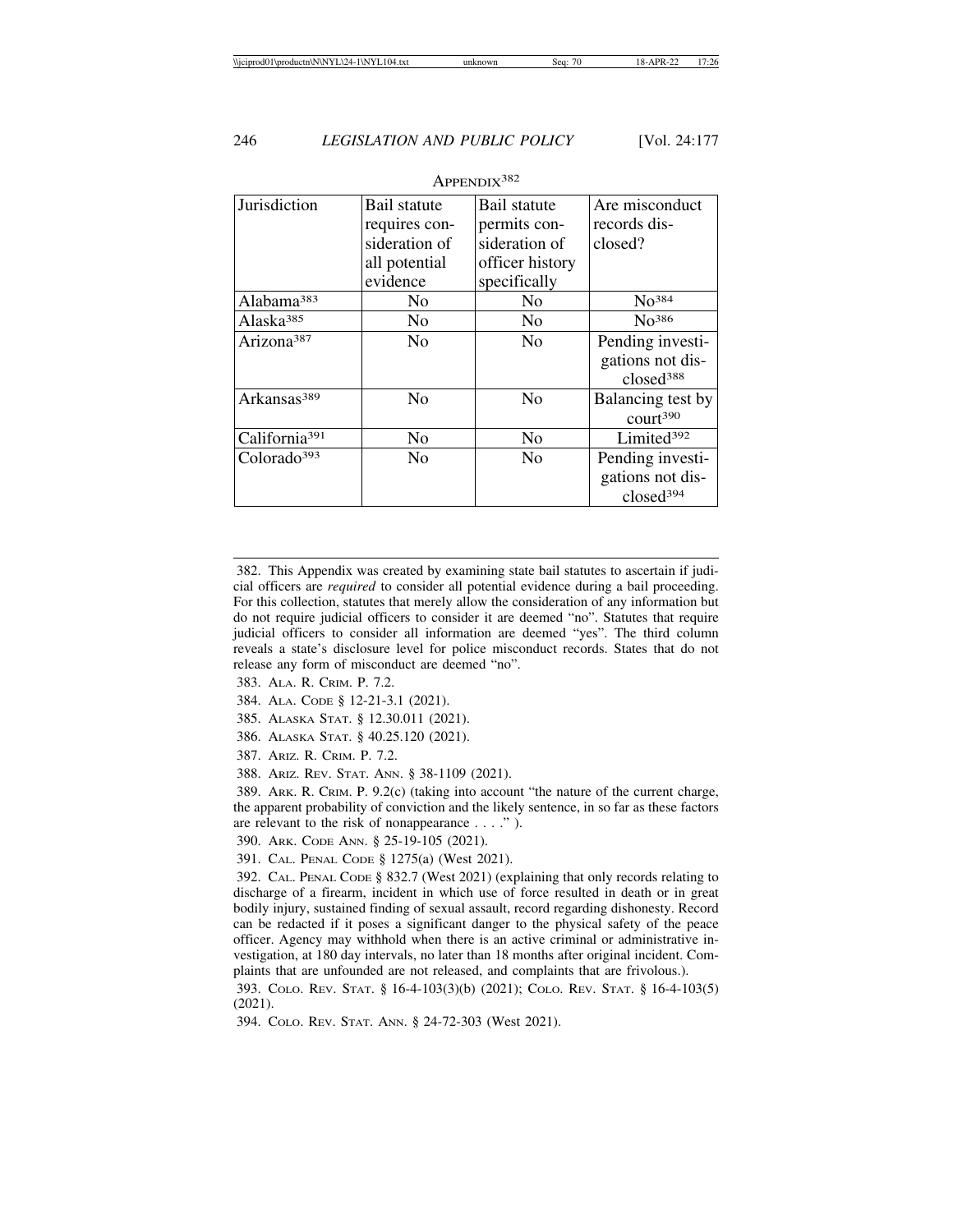| Jurisdiction              | Bail statute<br>requires con-<br>sideration of<br>all potential | Bail statute<br>permits con-<br>sideration of<br>officer history | Are misconduct<br>records dis-<br>closed?                     |
|---------------------------|-----------------------------------------------------------------|------------------------------------------------------------------|---------------------------------------------------------------|
|                           | evidence                                                        | specifically                                                     |                                                               |
| Alabama <sup>383</sup>    | N <sub>0</sub>                                                  | N <sub>0</sub>                                                   | No <sup>384</sup>                                             |
| Alaska <sup>385</sup>     | No                                                              | N <sub>0</sub>                                                   | No <sup>386</sup>                                             |
| Arizona <sup>387</sup>    | N <sub>0</sub>                                                  | N <sub>0</sub>                                                   | Pending investi-<br>gations not dis-<br>closed <sup>388</sup> |
| Arkansas <sup>389</sup>   | N <sub>0</sub>                                                  | N <sub>0</sub>                                                   | Balancing test by<br>court <sup>390</sup>                     |
| California <sup>391</sup> | N <sub>0</sub>                                                  | N <sub>0</sub>                                                   | Limited <sup>392</sup>                                        |
| Colorado <sup>393</sup>   | N <sub>0</sub>                                                  | N <sub>0</sub>                                                   | Pending investi-<br>gations not dis-<br>closed <sup>394</sup> |

APPENDIX<sup>382</sup>

382. This Appendix was created by examining state bail statutes to ascertain if judicial officers are *required* to consider all potential evidence during a bail proceeding. For this collection, statutes that merely allow the consideration of any information but do not require judicial officers to consider it are deemed "no". Statutes that require judicial officers to consider all information are deemed "yes". The third column reveals a state's disclosure level for police misconduct records. States that do not release any form of misconduct are deemed "no".

- 383. ALA. R. CRIM. P. 7.2.
- 384. ALA. CODE § 12-21-3.1 (2021).

385. ALASKA STAT. § 12.30.011 (2021).

386. ALASKA STAT. § 40.25.120 (2021).

387. ARIZ. R. CRIM. P. 7.2.

388. ARIZ. REV. STAT. ANN. § 38-1109 (2021).

389. ARK. R. CRIM. P. 9.2(c) (taking into account "the nature of the current charge, the apparent probability of conviction and the likely sentence, in so far as these factors are relevant to the risk of nonappearance . . . ." ).

390. ARK. CODE ANN. § 25-19-105 (2021).

391. CAL. PENAL CODE § 1275(a) (West 2021).

392. CAL. PENAL CODE § 832.7 (West 2021) (explaining that only records relating to discharge of a firearm, incident in which use of force resulted in death or in great bodily injury, sustained finding of sexual assault, record regarding dishonesty. Record can be redacted if it poses a significant danger to the physical safety of the peace officer. Agency may withhold when there is an active criminal or administrative investigation, at 180 day intervals, no later than 18 months after original incident. Complaints that are unfounded are not released, and complaints that are frivolous.).

393. COLO. REV. STAT. § 16-4-103(3)(b) (2021); COLO. REV. STAT. § 16-4-103(5) (2021).

394. COLO. REV. STAT. ANN. § 24-72-303 (West 2021).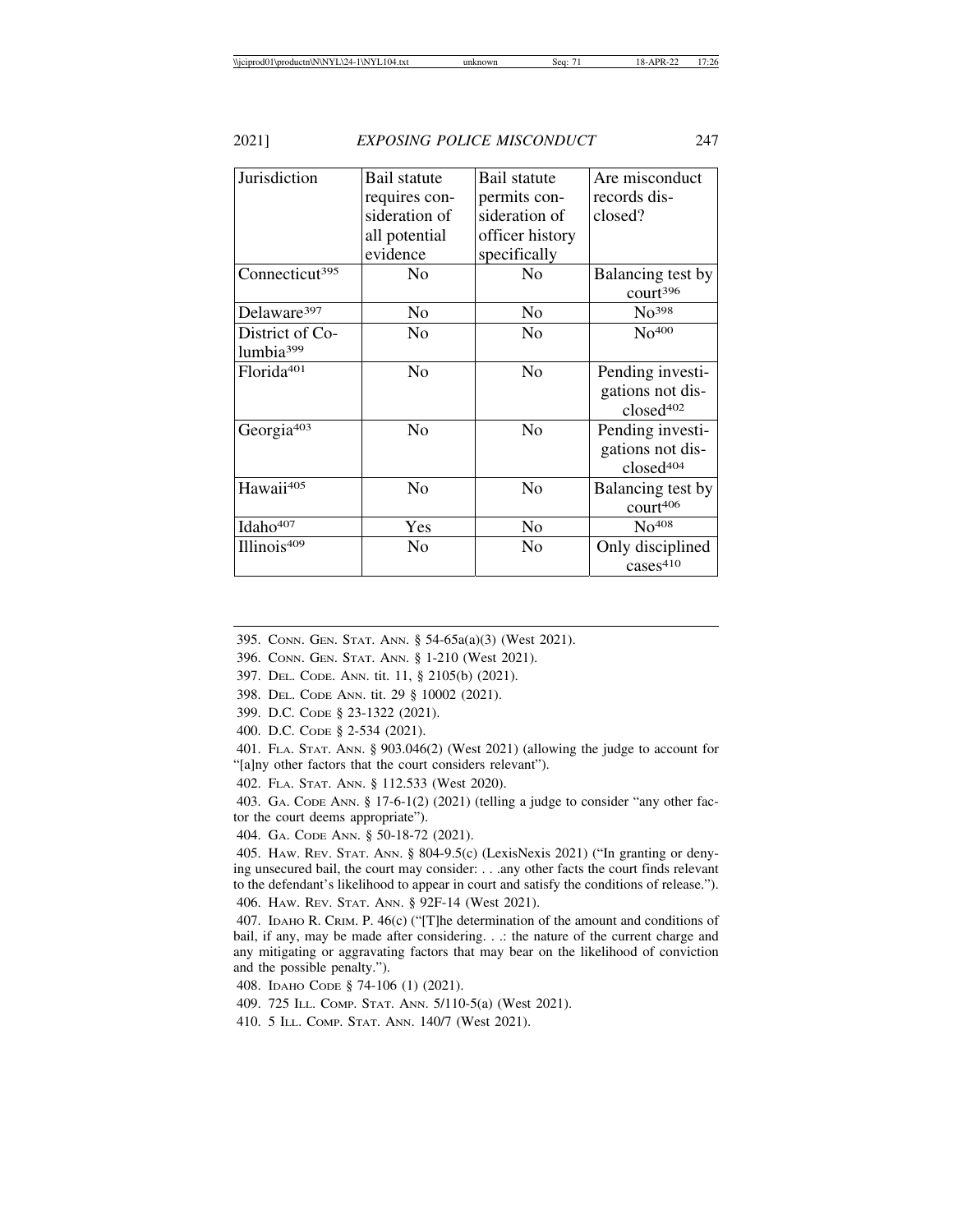| Jurisdiction                             | Bail statute<br>requires con-<br>sideration of<br>all potential<br>evidence | Bail statute<br>permits con-<br>sideration of<br>officer history<br>specifically | Are misconduct<br>records dis-<br>closed?                     |
|------------------------------------------|-----------------------------------------------------------------------------|----------------------------------------------------------------------------------|---------------------------------------------------------------|
| Connecticut <sup>395</sup>               | No                                                                          | No                                                                               | Balancing test by<br>court <sup>396</sup>                     |
| Delaware <sup>397</sup>                  | No                                                                          | N <sub>0</sub>                                                                   | No <sup>398</sup>                                             |
| District of Co-<br>lumbia <sup>399</sup> | No                                                                          | N <sub>0</sub>                                                                   | No <sup>400</sup>                                             |
| Florida <sup>401</sup>                   | N <sub>o</sub>                                                              | No                                                                               | Pending investi-<br>gations not dis-<br>closed <sup>402</sup> |
| Georgia <sup>403</sup>                   | No                                                                          | N <sub>0</sub>                                                                   | Pending investi-<br>gations not dis-<br>closed <sup>404</sup> |
| Hawaii <sup>405</sup>                    | No                                                                          | N <sub>o</sub>                                                                   | Balancing test by<br>court406                                 |
| Idaho <sup>407</sup>                     | Yes                                                                         | N <sub>0</sub>                                                                   | No <sup>408</sup>                                             |
| Illinois <sup>409</sup>                  | No                                                                          | No                                                                               | Only disciplined<br>cases <sup>410</sup>                      |

395. CONN. GEN. STAT. ANN. § 54-65a(a)(3) (West 2021).

- 396. CONN. GEN. STAT. ANN. § 1-210 (West 2021).
- 397. DEL. CODE. ANN. tit. 11, § 2105(b) (2021).
- 398. DEL. CODE ANN. tit. 29 § 10002 (2021).
- 399. D.C. CODE § 23-1322 (2021).
- 400. D.C. CODE § 2-534 (2021).

401. FLA. STAT. ANN. § 903.046(2) (West 2021) (allowing the judge to account for "[a]ny other factors that the court considers relevant").

402. FLA. STAT. ANN. § 112.533 (West 2020).

403. GA. CODE ANN. § 17-6-1(2) (2021) (telling a judge to consider "any other factor the court deems appropriate").

404. GA. CODE ANN. § 50-18-72 (2021).

405. HAW. REV. STAT. ANN. § 804-9.5(c) (LexisNexis 2021) ("In granting or denying unsecured bail, the court may consider: . . .any other facts the court finds relevant to the defendant's likelihood to appear in court and satisfy the conditions of release."). 406. HAW. REV. STAT. ANN. § 92F-14 (West 2021).

407. IDAHO R. CRIM. P. 46(c) ("[T]he determination of the amount and conditions of bail, if any, may be made after considering. . .: the nature of the current charge and any mitigating or aggravating factors that may bear on the likelihood of conviction and the possible penalty.").

408. IDAHO CODE § 74-106 (1) (2021).

409. 725 ILL. COMP. STAT. ANN. 5/110-5(a) (West 2021).

410. 5 ILL. COMP. STAT. ANN. 140/7 (West 2021).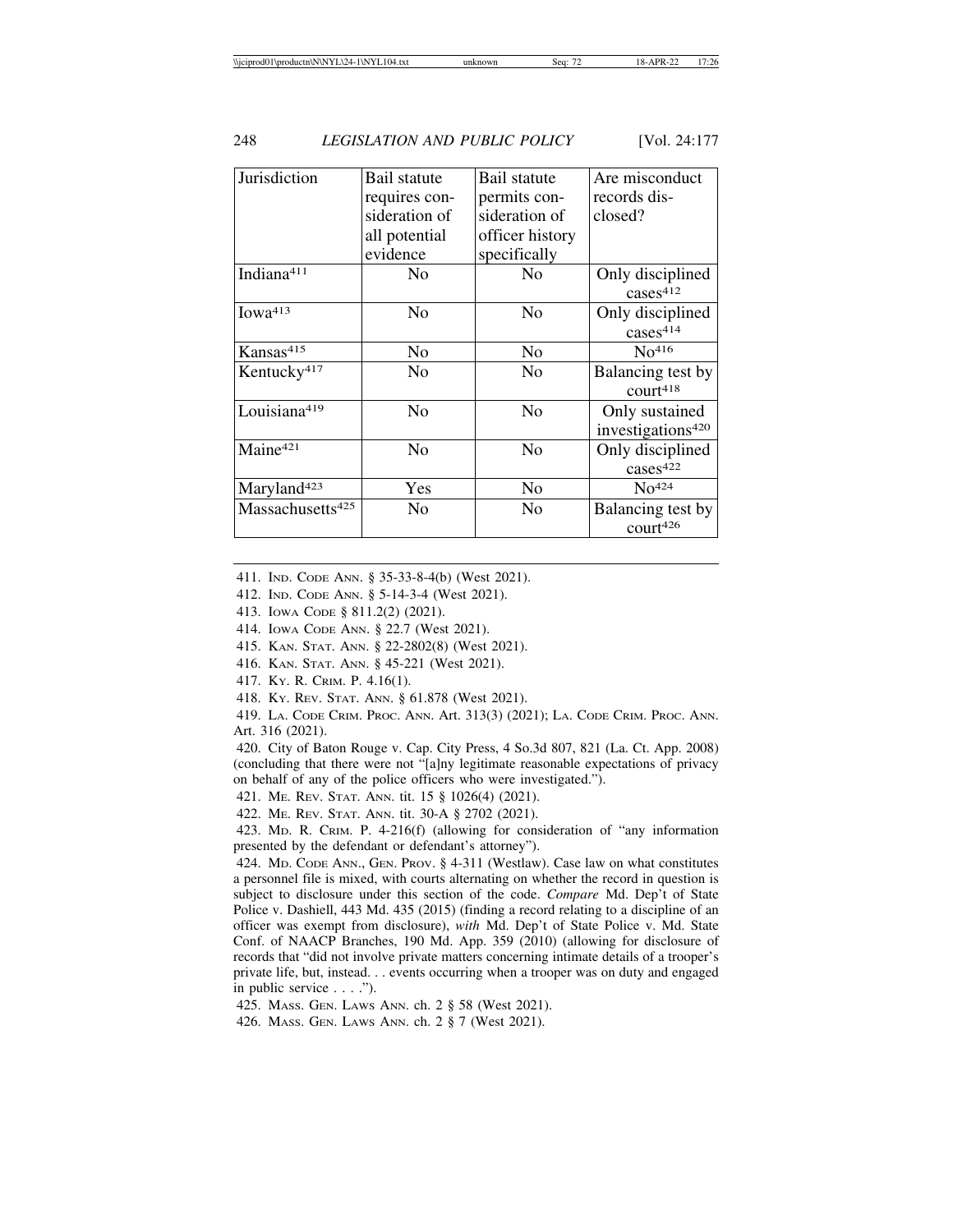| Jurisdiction                 | Bail statute  | Bail statute    | Are misconduct                |
|------------------------------|---------------|-----------------|-------------------------------|
|                              | requires con- | permits con-    | records dis-                  |
|                              | sideration of | sideration of   | closed?                       |
|                              | all potential | officer history |                               |
|                              | evidence      | specifically    |                               |
| Indiana <sup>411</sup>       | No            | No              | Only disciplined              |
|                              |               |                 | cases <sup>412</sup>          |
| Iowa413                      | No            | No              | Only disciplined              |
|                              |               |                 | cases <sup>414</sup>          |
| Kansas <sup>415</sup>        | No            | No              | No <sup>416</sup>             |
| Kentucky <sup>417</sup>      | No            | No              | Balancing test by             |
|                              |               |                 | court <sup>418</sup>          |
| Louisiana419                 | No            | No              | Only sustained                |
|                              |               |                 | investigations <sup>420</sup> |
| Maine <sup>421</sup>         | No            | No              | Only disciplined              |
|                              |               |                 | cases <sup>422</sup>          |
| Maryland <sup>423</sup>      | Yes           | N <sub>0</sub>  | No <sup>424</sup>             |
| Massachusetts <sup>425</sup> | No            | No              | Balancing test by             |
|                              |               |                 | court <sup>426</sup>          |
|                              |               |                 |                               |

411. IND. CODE ANN. § 35-33-8-4(b) (West 2021).

412. IND. CODE ANN. § 5-14-3-4 (West 2021).

413. IOWA CODE § 811.2(2) (2021).

414. IOWA CODE ANN. § 22.7 (West 2021).

415. KAN. STAT. ANN. § 22-2802(8) (West 2021).

416. KAN. STAT. ANN. § 45-221 (West 2021).

417. KY. R. CRIM. P. 4.16(1).

418. KY. REV. STAT. ANN. § 61.878 (West 2021).

419. LA. CODE CRIM. PROC. ANN. Art. 313(3) (2021); LA. CODE CRIM. PROC. ANN. Art. 316 (2021).

420. City of Baton Rouge v. Cap. City Press, 4 So.3d 807, 821 (La. Ct. App. 2008) (concluding that there were not "[a]ny legitimate reasonable expectations of privacy on behalf of any of the police officers who were investigated.").

421. ME. REV. STAT. ANN. tit. 15 § 1026(4) (2021).

422. ME. REV. STAT. ANN. tit. 30-A § 2702 (2021).

423. MD. R. CRIM. P. 4-216(f) (allowing for consideration of "any information presented by the defendant or defendant's attorney").

424. MD. CODE ANN., GEN. PROV. § 4-311 (Westlaw). Case law on what constitutes a personnel file is mixed, with courts alternating on whether the record in question is subject to disclosure under this section of the code. *Compare* Md. Dep't of State Police v. Dashiell, 443 Md. 435 (2015) (finding a record relating to a discipline of an officer was exempt from disclosure), *with* Md. Dep't of State Police v. Md. State Conf. of NAACP Branches, 190 Md. App. 359 (2010) (allowing for disclosure of records that "did not involve private matters concerning intimate details of a trooper's private life, but, instead. . . events occurring when a trooper was on duty and engaged in public service . . . .").

425. MASS. GEN. LAWS ANN. ch. 2 § 58 (West 2021).

426. MASS. GEN. LAWS ANN. ch. 2 § 7 (West 2021).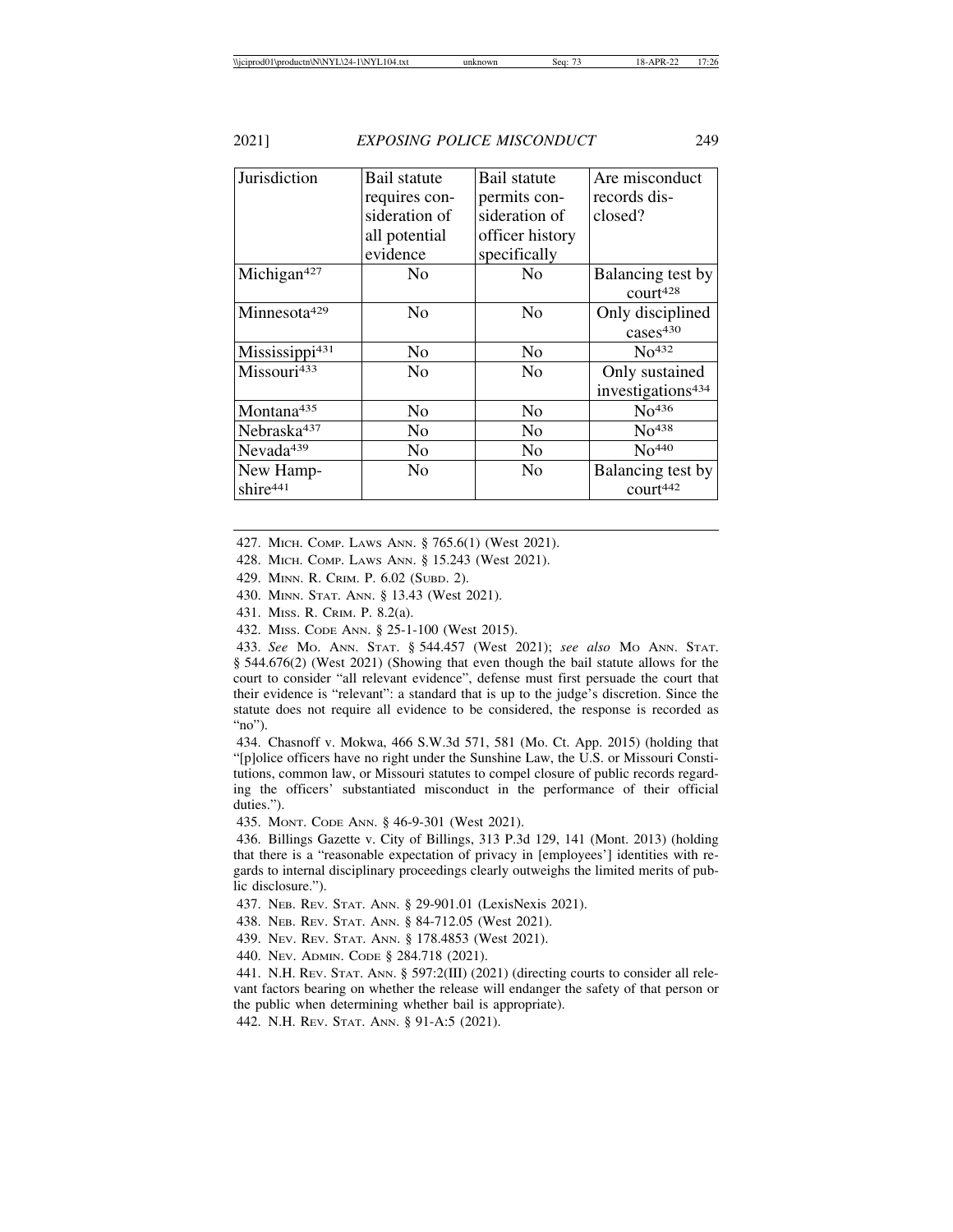| Jurisdiction               | Bail statute   | Bail statute    | Are misconduct                |
|----------------------------|----------------|-----------------|-------------------------------|
|                            | requires con-  | permits con-    | records dis-                  |
|                            | sideration of  | sideration of   | closed?                       |
|                            | all potential  | officer history |                               |
|                            | evidence       | specifically    |                               |
| Michigan <sup>427</sup>    | No             | N <sub>0</sub>  | Balancing test by             |
|                            |                |                 | court <sup>428</sup>          |
| Minnesota <sup>429</sup>   | No             | N <sub>0</sub>  | Only disciplined              |
|                            |                |                 | cases <sup>430</sup>          |
| Mississippi <sup>431</sup> | No             | No              | No <sup>432</sup>             |
| Missouri433                | N <sub>0</sub> | N <sub>0</sub>  | Only sustained                |
|                            |                |                 | investigations <sup>434</sup> |
| Montana <sup>435</sup>     | N <sub>0</sub> | No              | No <sup>436</sup>             |
| Nebraska <sup>437</sup>    | No             | No              | No <sup>438</sup>             |
| Nevada <sup>439</sup>      | No             | No              | No <sup>440</sup>             |
| New Hamp-                  | No             | No              | Balancing test by             |
| shire <sup>441</sup>       |                |                 | court442                      |

427. MICH. COMP. LAWS ANN. § 765.6(1) (West 2021).

428. MICH. COMP. LAWS ANN. § 15.243 (West 2021).

429. MINN. R. CRIM. P. 6.02 (SUBD. 2).

430. MINN. STAT. ANN. § 13.43 (West 2021).

431. MISS. R. CRIM. P. 8.2(a).

432. MISS. CODE ANN. § 25-1-100 (West 2015).

433. *See* MO. ANN. STAT. § 544.457 (West 2021); *see also* MO ANN. STAT. § 544.676(2) (West 2021) (Showing that even though the bail statute allows for the court to consider "all relevant evidence", defense must first persuade the court that their evidence is "relevant": a standard that is up to the judge's discretion. Since the statute does not require all evidence to be considered, the response is recorded as "no").

434. Chasnoff v. Mokwa, 466 S.W.3d 571, 581 (Mo. Ct. App. 2015) (holding that "[p]olice officers have no right under the Sunshine Law, the U.S. or Missouri Constitutions, common law, or Missouri statutes to compel closure of public records regarding the officers' substantiated misconduct in the performance of their official duties.").

435. MONT. CODE ANN. § 46-9-301 (West 2021).

436. Billings Gazette v. City of Billings, 313 P.3d 129, 141 (Mont. 2013) (holding that there is a "reasonable expectation of privacy in [employees'] identities with regards to internal disciplinary proceedings clearly outweighs the limited merits of public disclosure.").

437. NEB. REV. STAT. ANN. § 29-901.01 (LexisNexis 2021).

438. NEB. REV. STAT. ANN. § 84-712.05 (West 2021).

439. NEV. REV. STAT. ANN. § 178.4853 (West 2021).

440. NEV. ADMIN. CODE § 284.718 (2021).

441. N.H. REV. STAT. ANN. § 597:2(III) (2021) (directing courts to consider all relevant factors bearing on whether the release will endanger the safety of that person or the public when determining whether bail is appropriate).

442. N.H. REV. STAT. ANN. § 91-A:5 (2021).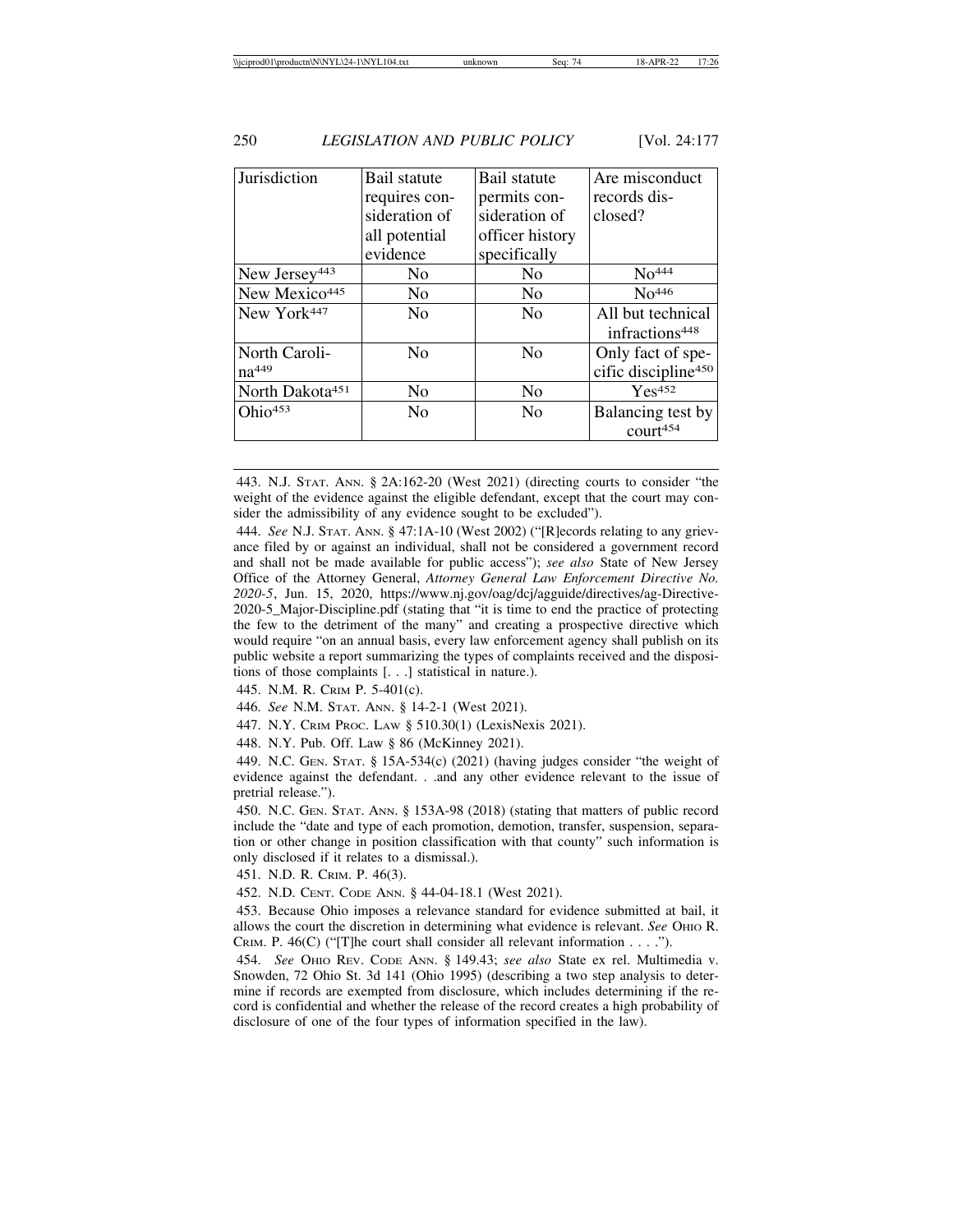| Jurisdiction                | Bail statute   | Bail statute    | Are misconduct                  |
|-----------------------------|----------------|-----------------|---------------------------------|
|                             | requires con-  | permits con-    | records dis-                    |
|                             | sideration of  | sideration of   | closed?                         |
|                             | all potential  | officer history |                                 |
|                             | evidence       | specifically    |                                 |
| New Jersey <sup>443</sup>   | No             | N <sub>0</sub>  | No <sup>444</sup>               |
| New Mexico <sup>445</sup>   | N <sub>0</sub> | N <sub>0</sub>  | No <sup>446</sup>               |
| New York <sup>447</sup>     | No             | N <sub>0</sub>  | All but technical               |
|                             |                |                 | infractions <sup>448</sup>      |
| North Caroli-               | N <sub>0</sub> | N <sub>0</sub>  | Only fact of spe-               |
| na <sup>449</sup>           |                |                 | cific discipline <sup>450</sup> |
| North Dakota <sup>451</sup> | N <sub>0</sub> | N <sub>0</sub>  | Yes <sup>452</sup>              |
| Ohio453                     | N <sub>0</sub> | N <sub>0</sub>  | Balancing test by               |
|                             |                |                 | court454                        |
|                             |                |                 |                                 |

443. N.J. STAT. ANN. § 2A:162-20 (West 2021) (directing courts to consider "the weight of the evidence against the eligible defendant, except that the court may consider the admissibility of any evidence sought to be excluded").

444. *See* N.J. STAT. ANN. § 47:1A-10 (West 2002) ("[R]ecords relating to any grievance filed by or against an individual, shall not be considered a government record and shall not be made available for public access"); *see also* State of New Jersey Office of the Attorney General, *Attorney General Law Enforcement Directive No. 2020-5*, Jun. 15, 2020, https://www.nj.gov/oag/dcj/agguide/directives/ag-Directive-2020-5\_Major-Discipline.pdf (stating that "it is time to end the practice of protecting the few to the detriment of the many" and creating a prospective directive which would require "on an annual basis, every law enforcement agency shall publish on its public website a report summarizing the types of complaints received and the dispositions of those complaints [. . .] statistical in nature.).

445. N.M. R. CRIM P. 5-401(c).

446. *See* N.M. STAT. ANN. § 14-2-1 (West 2021).

447. N.Y. CRIM PROC. LAW § 510.30(1) (LexisNexis 2021).

448. N.Y. Pub. Off. Law § 86 (McKinney 2021).

449. N.C. GEN. STAT. § 15A-534(c) (2021) (having judges consider "the weight of evidence against the defendant. . .and any other evidence relevant to the issue of pretrial release.").

450. N.C. GEN. STAT. ANN. § 153A-98 (2018) (stating that matters of public record include the "date and type of each promotion, demotion, transfer, suspension, separation or other change in position classification with that county" such information is only disclosed if it relates to a dismissal.).

451. N.D. R. CRIM. P. 46(3).

452. N.D. CENT. CODE ANN. § 44-04-18.1 (West 2021).

453. Because Ohio imposes a relevance standard for evidence submitted at bail, it allows the court the discretion in determining what evidence is relevant. *See* OHIO R. CRIM. P. 46(C) ("[T]he court shall consider all relevant information . . . .").

454. *See* OHIO REV. CODE ANN. § 149.43; *see also* State ex rel. Multimedia v. Snowden, 72 Ohio St. 3d 141 (Ohio 1995) (describing a two step analysis to determine if records are exempted from disclosure, which includes determining if the record is confidential and whether the release of the record creates a high probability of disclosure of one of the four types of information specified in the law).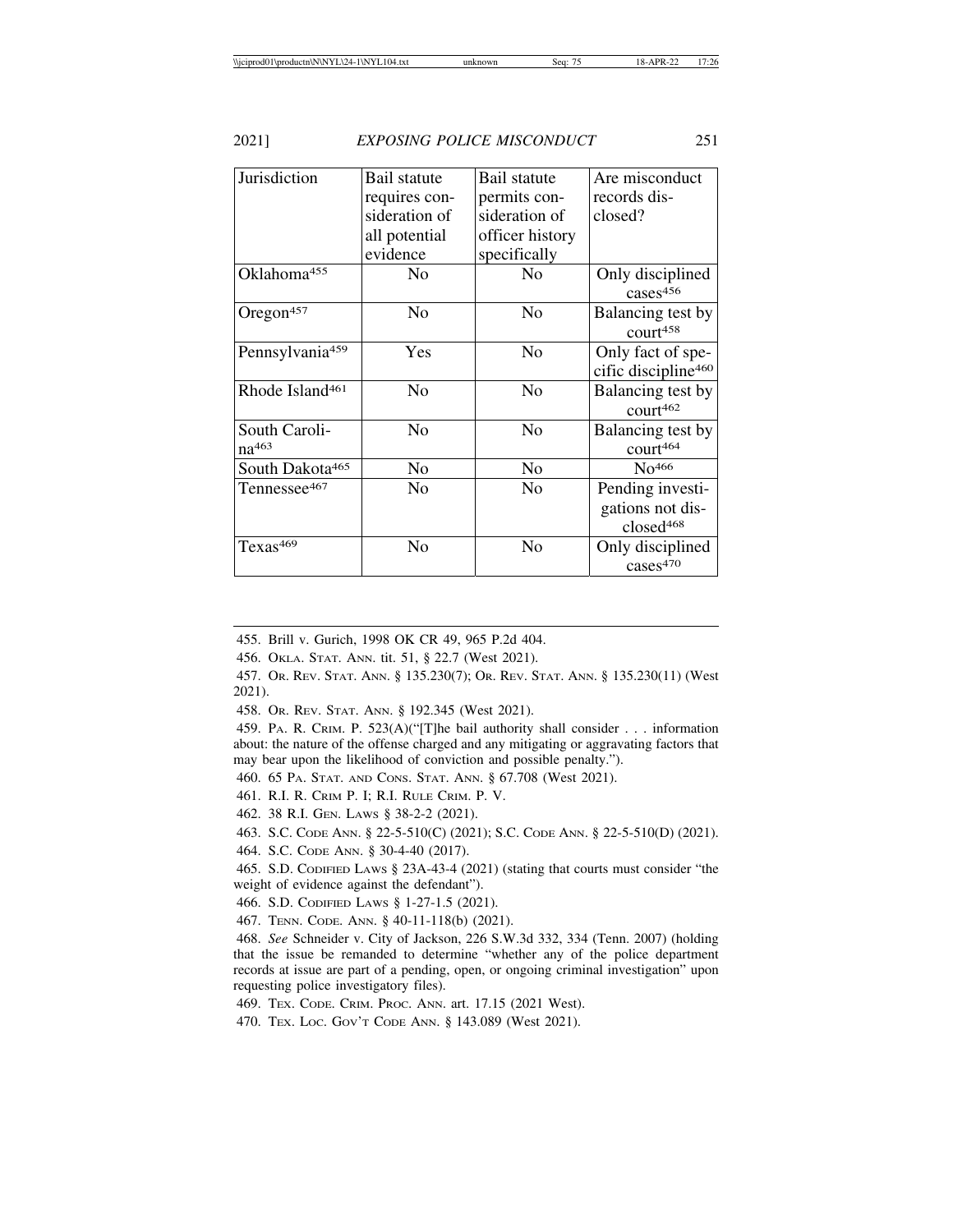| Jurisdiction                | Bail statute   | Bail statute    | Are misconduct                  |
|-----------------------------|----------------|-----------------|---------------------------------|
|                             | requires con-  | permits con-    | records dis-                    |
|                             | sideration of  | sideration of   | closed?                         |
|                             | all potential  | officer history |                                 |
|                             | evidence       | specifically    |                                 |
| Oklahoma <sup>455</sup>     | No             | N <sub>0</sub>  | Only disciplined                |
|                             |                |                 | cases <sup>456</sup>            |
| Oregon $457$                | No             | N <sub>0</sub>  | Balancing test by               |
|                             |                |                 | contr <sup>458</sup>            |
| Pennsylvania <sup>459</sup> | Yes            | No              | Only fact of spe-               |
|                             |                |                 | cific discipline <sup>460</sup> |
| Rhode Island <sup>461</sup> | N <sub>0</sub> | N <sub>0</sub>  | Balancing test by               |
|                             |                |                 | court462                        |
| South Caroli-               | N <sub>0</sub> | N <sub>o</sub>  | Balancing test by               |
| $na^{463}$                  |                |                 | court464                        |
| South Dakota <sup>465</sup> | No             | No              | No <sup>466</sup>               |
| Tennessee467                | No             | N <sub>0</sub>  | Pending investi-                |
|                             |                |                 | gations not dis-                |
|                             |                |                 | closed <sup>468</sup>           |
| Texas <sup>469</sup>        | No             | No              | Only disciplined                |
|                             |                |                 | cases <sup>470</sup>            |

455. Brill v. Gurich, 1998 OK CR 49, 965 P.2d 404.

456. OKLA. STAT. ANN. tit. 51, § 22.7 (West 2021).

457. OR. REV. STAT. ANN. § 135.230(7); OR. REV. STAT. ANN. § 135.230(11) (West 2021).

458. OR. REV. STAT. ANN. § 192.345 (West 2021).

459. PA. R. CRIM. P. 523(A)("[T]he bail authority shall consider . . . information about: the nature of the offense charged and any mitigating or aggravating factors that may bear upon the likelihood of conviction and possible penalty.").

460. 65 PA. STAT. AND CONS. STAT. ANN. § 67.708 (West 2021).

461. R.I. R. CRIM P. I; R.I. RULE CRIM. P. V.

462. 38 R.I. GEN. LAWS § 38-2-2 (2021).

463. S.C. CODE ANN. § 22-5-510(C) (2021); S.C. CODE ANN. § 22-5-510(D) (2021).

464. S.C. CODE ANN. § 30-4-40 (2017).

465. S.D. CODIFIED LAWS § 23A-43-4 (2021) (stating that courts must consider "the weight of evidence against the defendant").

466. S.D. CODIFIED LAWS § 1-27-1.5 (2021).

467. TENN. CODE. ANN. § 40-11-118(b) (2021).

468. *See* Schneider v. City of Jackson, 226 S.W.3d 332, 334 (Tenn. 2007) (holding that the issue be remanded to determine "whether any of the police department records at issue are part of a pending, open, or ongoing criminal investigation" upon requesting police investigatory files).

469. TEX. CODE. CRIM. PROC. ANN. art. 17.15 (2021 West).

470. TEX. LOC. GOV'T CODE ANN. § 143.089 (West 2021).